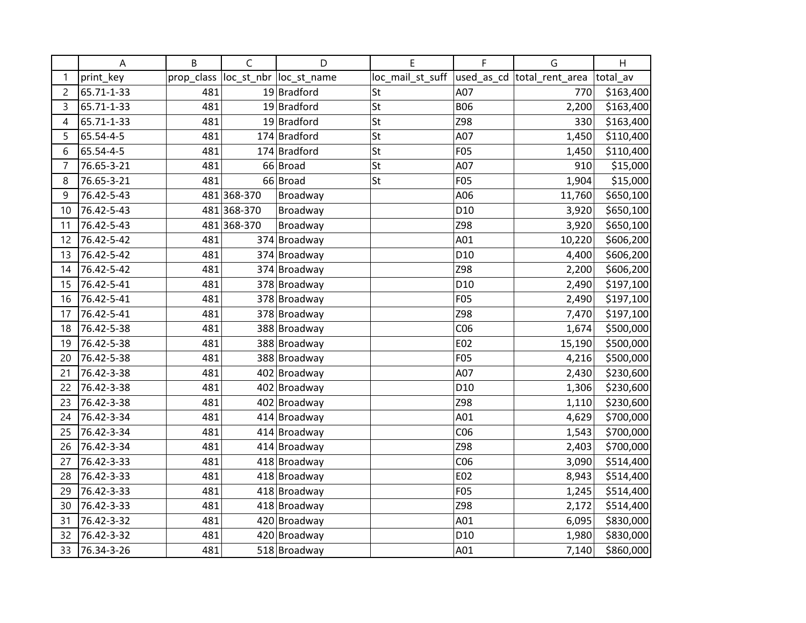|                | A          | B          | $\mathsf{C}$ | D                       | E                | F               | G                           | H         |
|----------------|------------|------------|--------------|-------------------------|------------------|-----------------|-----------------------------|-----------|
| 1              | print_key  | prop_class |              | loc_st_nbr  loc_st_name | loc_mail_st_suff |                 | used_as_cd  total_rent_area | total_av  |
| $\overline{c}$ | 65.71-1-33 | 481        |              | 19 Bradford             | St               | A07             | 770                         | \$163,400 |
| 3              | 65.71-1-33 | 481        |              | $19$ Bradford           | St               | <b>B06</b>      | 2,200                       | \$163,400 |
| 4              | 65.71-1-33 | 481        |              | $19$ Bradford           | St               | Z98             | 330                         | \$163,400 |
| 5              | 65.54-4-5  | 481        |              | 174 Bradford            | St               | A07             | 1,450                       | \$110,400 |
| 6              | 65.54-4-5  | 481        |              | 174 Bradford            | St               | <b>F05</b>      | 1,450                       | \$110,400 |
| $\overline{7}$ | 76.65-3-21 | 481        |              | 66 Broad                | St               | A07             | 910                         | \$15,000  |
| 8              | 76.65-3-21 | 481        |              | 66 Broad                | St               | <b>F05</b>      | 1,904                       | \$15,000  |
| 9              | 76.42-5-43 |            | 481 368-370  | Broadway                |                  | A06             | 11,760                      | \$650,100 |
| 10             | 76.42-5-43 |            | 481 368-370  | Broadway                |                  | D <sub>10</sub> | 3,920                       | \$650,100 |
| 11             | 76.42-5-43 |            | 481 368-370  | Broadway                |                  | Z98             | 3,920                       | \$650,100 |
| 12             | 76.42-5-42 | 481        |              | 374 Broadway            |                  | A01             | 10,220                      | \$606,200 |
| 13             | 76.42-5-42 | 481        |              | 374 Broadway            |                  | D <sub>10</sub> | 4,400                       | \$606,200 |
| 14             | 76.42-5-42 | 481        |              | 374 Broadway            |                  | Z98             | 2,200                       | \$606,200 |
| 15             | 76.42-5-41 | 481        |              | 378 Broadway            |                  | D <sub>10</sub> | 2,490                       | \$197,100 |
| 16             | 76.42-5-41 | 481        |              | 378 Broadway            |                  | <b>F05</b>      | 2,490                       | \$197,100 |
| 17             | 76.42-5-41 | 481        |              | 378 Broadway            |                  | Z98             | 7,470                       | \$197,100 |
| 18             | 76.42-5-38 | 481        |              | 388 Broadway            |                  | CO6             | 1,674                       | \$500,000 |
| 19             | 76.42-5-38 | 481        |              | 388 Broadway            |                  | E02             | 15,190                      | \$500,000 |
| 20             | 76.42-5-38 | 481        |              | 388 Broadway            |                  | F05             | 4,216                       | \$500,000 |
| 21             | 76.42-3-38 | 481        |              | 402 Broadway            |                  | A07             | 2,430                       | \$230,600 |
| 22             | 76.42-3-38 | 481        |              | 402 Broadway            |                  | D <sub>10</sub> | 1,306                       | \$230,600 |
| 23             | 76.42-3-38 | 481        |              | 402 Broadway            |                  | Z98             | 1,110                       | \$230,600 |
| 24             | 76.42-3-34 | 481        |              | 414 Broadway            |                  | A01             | 4,629                       | \$700,000 |
| 25             | 76.42-3-34 | 481        |              | 414 Broadway            |                  | C <sub>06</sub> | 1,543                       | \$700,000 |
| 26             | 76.42-3-34 | 481        |              | 414 Broadway            |                  | Z98             | 2,403                       | \$700,000 |
| 27             | 76.42-3-33 | 481        |              | 418 Broadway            |                  | CO6             | 3,090                       | \$514,400 |
| 28             | 76.42-3-33 | 481        |              | 418 Broadway            |                  | E02             | 8,943                       | \$514,400 |
| 29             | 76.42-3-33 | 481        |              | 418 Broadway            |                  | <b>F05</b>      | 1,245                       | \$514,400 |
| 30             | 76.42-3-33 | 481        |              | 418 Broadway            |                  | Z98             | 2,172                       | \$514,400 |
| 31             | 76.42-3-32 | 481        |              | 420 Broadway            |                  | A01             | 6,095                       | \$830,000 |
| 32             | 76.42-3-32 | 481        |              | 420 Broadway            |                  | D <sub>10</sub> | 1,980                       | \$830,000 |
| 33             | 76.34-3-26 | 481        |              | 518 Broadway            |                  | A01             | 7,140                       | \$860,000 |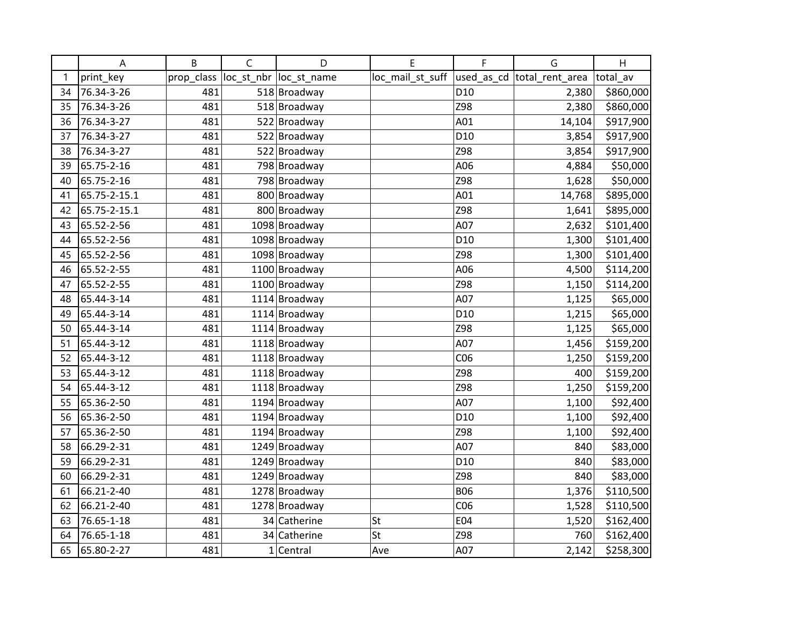|    | Α            | B          | C | D                       | E                | F               | G                           | H         |
|----|--------------|------------|---|-------------------------|------------------|-----------------|-----------------------------|-----------|
| 1  | print_key    | prop_class |   | loc_st_nbr  loc_st_name | loc_mail_st_suff |                 | used_as_cd  total_rent_area | total_av  |
| 34 | 76.34-3-26   | 481        |   | 518 Broadway            |                  | D10             | 2,380                       | \$860,000 |
| 35 | 76.34-3-26   | 481        |   | 518 Broadway            |                  | Z98             | 2,380                       | \$860,000 |
| 36 | 76.34-3-27   | 481        |   | 522 Broadway            |                  | A01             | 14,104                      | \$917,900 |
| 37 | 76.34-3-27   | 481        |   | 522 Broadway            |                  | D <sub>10</sub> | 3,854                       | \$917,900 |
| 38 | 76.34-3-27   | 481        |   | 522 Broadway            |                  | Z98             | 3,854                       | \$917,900 |
| 39 | 65.75-2-16   | 481        |   | 798 Broadway            |                  | A06             | 4,884                       | \$50,000  |
| 40 | 65.75-2-16   | 481        |   | 798 Broadway            |                  | Z98             | 1,628                       | \$50,000  |
| 41 | 65.75-2-15.1 | 481        |   | 800 Broadway            |                  | A01             | 14,768                      | \$895,000 |
| 42 | 65.75-2-15.1 | 481        |   | 800 Broadway            |                  | Z98             | 1,641                       | \$895,000 |
| 43 | 65.52-2-56   | 481        |   | 1098 Broadway           |                  | A07             | 2,632                       | \$101,400 |
| 44 | 65.52-2-56   | 481        |   | 1098 Broadway           |                  | D <sub>10</sub> | 1,300                       | \$101,400 |
| 45 | 65.52-2-56   | 481        |   | 1098 Broadway           |                  | Z98             | 1,300                       | \$101,400 |
| 46 | 65.52-2-55   | 481        |   | 1100 Broadway           |                  | A06             | 4,500                       | \$114,200 |
| 47 | 65.52-2-55   | 481        |   | 1100 Broadway           |                  | Z98             | 1,150                       | \$114,200 |
| 48 | 65.44-3-14   | 481        |   | 1114 Broadway           |                  | A07             | 1,125                       | \$65,000  |
| 49 | 65.44-3-14   | 481        |   | 1114 Broadway           |                  | D10             | 1,215                       | \$65,000  |
| 50 | 65.44-3-14   | 481        |   | 1114 Broadway           |                  | Z98             | 1,125                       | \$65,000  |
| 51 | 65.44-3-12   | 481        |   | 1118 Broadway           |                  | A07             | 1,456                       | \$159,200 |
| 52 | 65.44-3-12   | 481        |   | 1118 Broadway           |                  | CO6             | 1,250                       | \$159,200 |
| 53 | 65.44-3-12   | 481        |   | 1118 Broadway           |                  | Z98             | 400                         | \$159,200 |
| 54 | 65.44-3-12   | 481        |   | 1118 Broadway           |                  | Z98             | 1,250                       | \$159,200 |
| 55 | 65.36-2-50   | 481        |   | 1194 Broadway           |                  | A07             | 1,100                       | \$92,400  |
| 56 | 65.36-2-50   | 481        |   | 1194 Broadway           |                  | D <sub>10</sub> | 1,100                       | \$92,400  |
| 57 | 65.36-2-50   | 481        |   | 1194 Broadway           |                  | Z98             | 1,100                       | \$92,400  |
| 58 | 66.29-2-31   | 481        |   | 1249 Broadway           |                  | A07             | 840                         | \$83,000  |
| 59 | 66.29-2-31   | 481        |   | 1249 Broadway           |                  | D <sub>10</sub> | 840                         | \$83,000  |
| 60 | 66.29-2-31   | 481        |   | 1249 Broadway           |                  | Z98             | 840                         | \$83,000  |
| 61 | 66.21-2-40   | 481        |   | 1278 Broadway           |                  | <b>B06</b>      | 1,376                       | \$110,500 |
| 62 | 66.21-2-40   | 481        |   | 1278 Broadway           |                  | CO6             | 1,528                       | \$110,500 |
| 63 | 76.65-1-18   | 481        |   | 34 Catherine            | St               | E04             | 1,520                       | \$162,400 |
| 64 | 76.65-1-18   | 481        |   | 34 Catherine            | St               | Z98             | 760                         | \$162,400 |
| 65 | 65.80-2-27   | 481        |   | $1$ Central             | Ave              | A07             | 2,142                       | \$258,300 |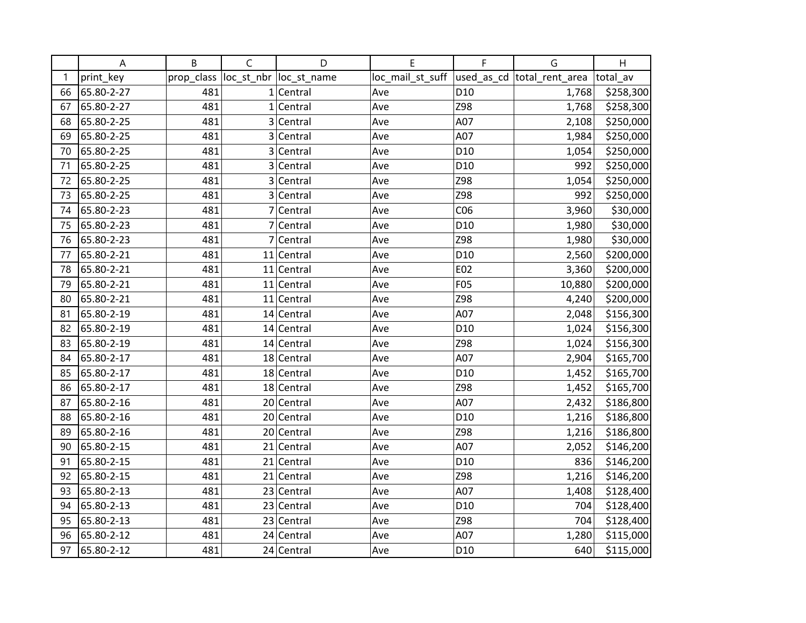|    | A          | B          | $\mathsf{C}$ | D                       | Е                | F               | G                          | H         |
|----|------------|------------|--------------|-------------------------|------------------|-----------------|----------------------------|-----------|
| 1  | print_key  | prop_class |              | loc_st_nbr  loc_st_name | loc_mail_st_suff |                 | used_as_cd total_rent_area | total_av  |
| 66 | 65.80-2-27 | 481        |              | $1$ Central             | Ave              | D <sub>10</sub> | 1,768                      | \$258,300 |
| 67 | 65.80-2-27 | 481        |              | $1$  Central            | Ave              | Z98             | 1,768                      | \$258,300 |
| 68 | 65.80-2-25 | 481        |              | 3 Central               | Ave              | A07             | 2,108                      | \$250,000 |
| 69 | 65.80-2-25 | 481        | 3            | Central                 | Ave              | A07             | 1,984                      | \$250,000 |
| 70 | 65.80-2-25 | 481        | 3            | Central                 | Ave              | D <sub>10</sub> | 1,054                      | \$250,000 |
| 71 | 65.80-2-25 | 481        | 3            | Central                 | Ave              | D <sub>10</sub> | 992                        | \$250,000 |
| 72 | 65.80-2-25 | 481        |              | 3 Central               | Ave              | Z98             | 1,054                      | \$250,000 |
| 73 | 65.80-2-25 | 481        |              | 3 Central               | Ave              | Z98             | 992                        | \$250,000 |
| 74 | 65.80-2-23 | 481        | 7            | Central                 | Ave              | CO6             | 3,960                      | \$30,000  |
| 75 | 65.80-2-23 | 481        | 7            | Central                 | Ave              | D <sub>10</sub> | 1,980                      | \$30,000  |
| 76 | 65.80-2-23 | 481        |              | 7 Central               | Ave              | Z98             | 1,980                      | \$30,000  |
| 77 | 65.80-2-21 | 481        |              | $11$ Central            | Ave              | D <sub>10</sub> | 2,560                      | \$200,000 |
| 78 | 65.80-2-21 | 481        |              | $11$ Central            | Ave              | E02             | 3,360                      | \$200,000 |
| 79 | 65.80-2-21 | 481        |              | $11$ Central            | Ave              | F05             | 10,880                     | \$200,000 |
| 80 | 65.80-2-21 | 481        |              | $11$ Central            | Ave              | Z98             | 4,240                      | \$200,000 |
| 81 | 65.80-2-19 | 481        |              | 14 Central              | Ave              | A07             | 2,048                      | \$156,300 |
| 82 | 65.80-2-19 | 481        |              | $14$ Central            | Ave              | D <sub>10</sub> | 1,024                      | \$156,300 |
| 83 | 65.80-2-19 | 481        |              | 14 Central              | Ave              | Z98             | 1,024                      | \$156,300 |
| 84 | 65.80-2-17 | 481        |              | 18 Central              | Ave              | A07             | 2,904                      | \$165,700 |
| 85 | 65.80-2-17 | 481        |              | 18 Central              | Ave              | D <sub>10</sub> | 1,452                      | \$165,700 |
| 86 | 65.80-2-17 | 481        |              | 18 Central              | Ave              | Z98             | 1,452                      | \$165,700 |
| 87 | 65.80-2-16 | 481        |              | 20 Central              | Ave              | A07             | 2,432                      | \$186,800 |
| 88 | 65.80-2-16 | 481        |              | 20 Central              | Ave              | D <sub>10</sub> | 1,216                      | \$186,800 |
| 89 | 65.80-2-16 | 481        |              | 20 Central              | Ave              | Z98             | 1,216                      | \$186,800 |
| 90 | 65.80-2-15 | 481        |              | 21 Central              | Ave              | A07             | 2,052                      | \$146,200 |
| 91 | 65.80-2-15 | 481        |              | $21$ Central            | Ave              | D <sub>10</sub> | 836                        | \$146,200 |
| 92 | 65.80-2-15 | 481        |              | $21$ Central            | Ave              | Z98             | 1,216                      | \$146,200 |
| 93 | 65.80-2-13 | 481        |              | 23 Central              | Ave              | A07             | 1,408                      | \$128,400 |
| 94 | 65.80-2-13 | 481        |              | 23 Central              | Ave              | D <sub>10</sub> | 704                        | \$128,400 |
| 95 | 65.80-2-13 | 481        |              | 23 Central              | Ave              | Z98             | 704                        | \$128,400 |
| 96 | 65.80-2-12 | 481        |              | 24 Central              | Ave              | A07             | 1,280                      | \$115,000 |
| 97 | 65.80-2-12 | 481        |              | 24 Central              | Ave              | D <sub>10</sub> | 640                        | \$115,000 |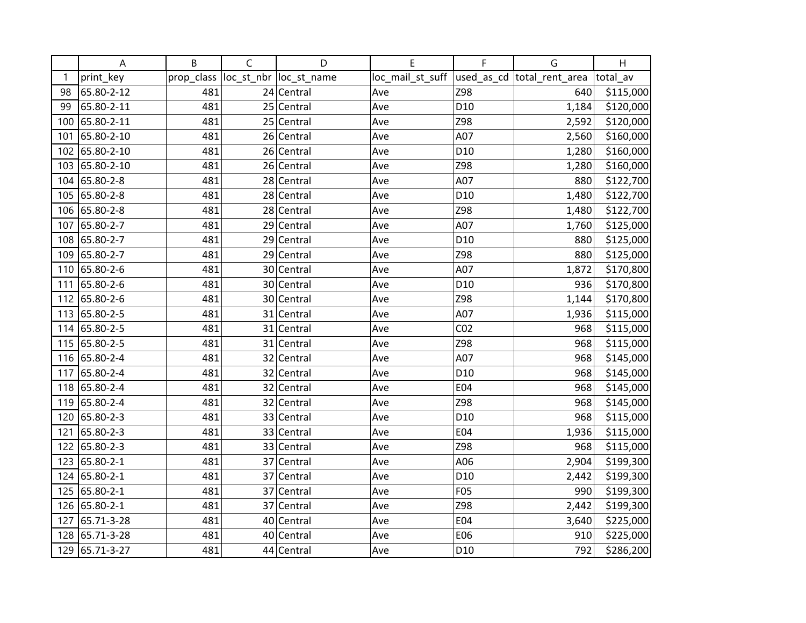|     | A             | B          | $\mathsf{C}$ | D                       | Е                | F               | G                          | H         |
|-----|---------------|------------|--------------|-------------------------|------------------|-----------------|----------------------------|-----------|
| 1   | print_key     | prop_class |              | loc_st_nbr  loc_st_name | loc_mail_st_suff |                 | used_as_cd total_rent_area | total av  |
| 98  | 65.80-2-12    | 481        |              | 24 Central              | Ave              | Z98             | 640                        | \$115,000 |
| 99  | 65.80-2-11    | 481        |              | 25 Central              | Ave              | D <sub>10</sub> | 1,184                      | \$120,000 |
| 100 | 65.80-2-11    | 481        |              | 25 Central              | Ave              | Z98             | 2,592                      | \$120,000 |
| 101 | 65.80-2-10    | 481        |              | 26 Central              | Ave              | A07             | 2,560                      | \$160,000 |
| 102 | 65.80-2-10    | 481        |              | 26 Central              | Ave              | D <sub>10</sub> | 1,280                      | \$160,000 |
| 103 | 65.80-2-10    | 481        |              | 26 Central              | Ave              | Z98             | 1,280                      | \$160,000 |
|     | 104 65.80-2-8 | 481        |              | 28 Central              | Ave              | A07             | 880                        | \$122,700 |
|     | 105 65.80-2-8 | 481        |              | 28 Central              | Ave              | D <sub>10</sub> | 1,480                      | \$122,700 |
|     | 106 65.80-2-8 | 481        |              | 28 Central              | Ave              | Z98             | 1,480                      | \$122,700 |
| 107 | 65.80-2-7     | 481        |              | 29 Central              | Ave              | A07             | 1,760                      | \$125,000 |
| 108 | 65.80-2-7     | 481        |              | 29 Central              | Ave              | D <sub>10</sub> | 880                        | \$125,000 |
| 109 | 65.80-2-7     | 481        |              | 29 Central              | Ave              | Z98             | 880                        | \$125,000 |
|     | 110 65.80-2-6 | 481        |              | 30 Central              | Ave              | A07             | 1,872                      | \$170,800 |
| 111 | 65.80-2-6     | 481        |              | 30 Central              | Ave              | D <sub>10</sub> | 936                        | \$170,800 |
|     | 112 65.80-2-6 | 481        |              | 30 Central              | Ave              | Z98             | 1,144                      | \$170,800 |
|     | 113 65.80-2-5 | 481        |              | 31 Central              | Ave              | A07             | 1,936                      | \$115,000 |
|     | 114 65.80-2-5 | 481        |              | 31 Central              | Ave              | CO <sub>2</sub> | 968                        | \$115,000 |
|     | 115 65.80-2-5 | 481        |              | 31 Central              | Ave              | Z98             | 968                        | \$115,000 |
|     | 116 65.80-2-4 | 481        |              | 32 Central              | Ave              | A07             | 968                        | \$145,000 |
| 117 | 65.80-2-4     | 481        |              | 32 Central              | Ave              | D <sub>10</sub> | 968                        | \$145,000 |
|     | 118 65.80-2-4 | 481        |              | 32 Central              | Ave              | E04             | 968                        | \$145,000 |
| 119 | 65.80-2-4     | 481        |              | 32 Central              | Ave              | Z98             | 968                        | \$145,000 |
| 120 | 65.80-2-3     | 481        |              | 33 Central              | Ave              | D <sub>10</sub> | 968                        | \$115,000 |
| 121 | 65.80-2-3     | 481        |              | 33 Central              | Ave              | E04             | 1,936                      | \$115,000 |
| 122 | 65.80-2-3     | 481        |              | 33 Central              | Ave              | Z98             | 968                        | \$115,000 |
|     | 123 65.80-2-1 | 481        |              | 37 Central              | Ave              | A06             | 2,904                      | \$199,300 |
|     | 124 65.80-2-1 | 481        |              | 37 Central              | Ave              | D <sub>10</sub> | 2,442                      | \$199,300 |
| 125 | 65.80-2-1     | 481        |              | 37 Central              | Ave              | F05             | 990                        | \$199,300 |
|     | 126 65.80-2-1 | 481        |              | 37 Central              | Ave              | Z98             | 2,442                      | \$199,300 |
| 127 | 65.71-3-28    | 481        | 40           | Central                 | Ave              | E04             | 3,640                      | \$225,000 |
| 128 | 65.71-3-28    | 481        |              | 40 Central              | Ave              | E06             | 910                        | \$225,000 |
| 129 | 65.71-3-27    | 481        |              | 44 Central              | Ave              | D <sub>10</sub> | 792                        | \$286,200 |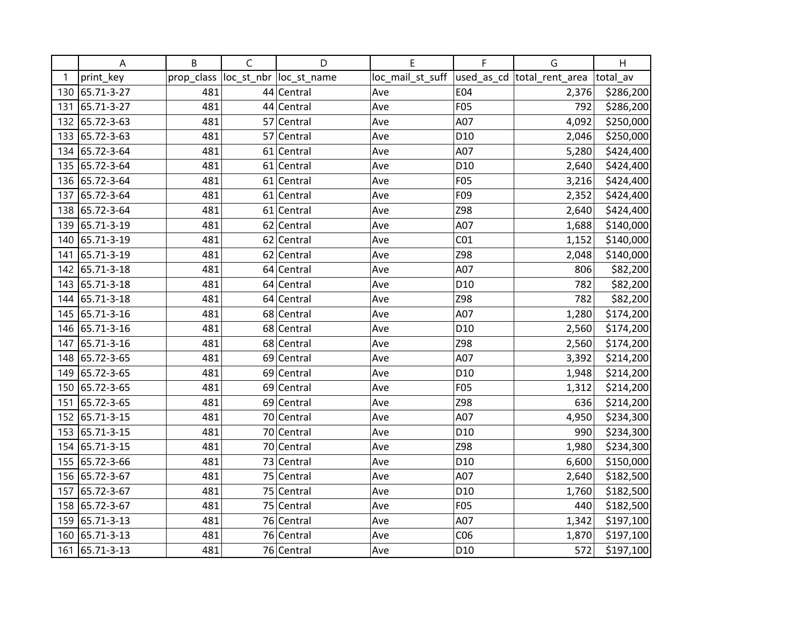|     | Α              | B          | C  | D                       | E                | F               | G                           | H         |
|-----|----------------|------------|----|-------------------------|------------------|-----------------|-----------------------------|-----------|
| 1   | print_key      | prop_class |    | loc_st_nbr  loc_st_name | loc_mail_st_suff |                 | used_as_cd  total_rent_area | total_av  |
| 130 | 65.71-3-27     | 481        |    | 44 Central              | Ave              | E04             | 2,376                       | \$286,200 |
| 131 | 65.71-3-27     | 481        |    | 44 Central              | Ave              | F05             | 792                         | \$286,200 |
| 132 | 65.72-3-63     | 481        |    | 57 Central              | Ave              | A07             | 4,092                       | \$250,000 |
| 133 | 65.72-3-63     | 481        | 57 | Central                 | Ave              | D <sub>10</sub> | 2,046                       | \$250,000 |
| 134 | 65.72-3-64     | 481        | 61 | Central                 | Ave              | A07             | 5,280                       | \$424,400 |
| 135 | 65.72-3-64     | 481        |    | 61 Central              | Ave              | D <sub>10</sub> | 2,640                       | \$424,400 |
|     | 136 65.72-3-64 | 481        |    | 61 Central              | Ave              | <b>F05</b>      | 3,216                       | \$424,400 |
| 137 | 65.72-3-64     | 481        |    | 61 Central              | Ave              | F09             | 2,352                       | \$424,400 |
| 138 | 65.72-3-64     | 481        |    | 61 Central              | Ave              | Z98             | 2,640                       | \$424,400 |
| 139 | 65.71-3-19     | 481        |    | 62 Central              | Ave              | A07             | 1,688                       | \$140,000 |
| 140 | 65.71-3-19     | 481        |    | 62 Central              | Ave              | CO <sub>1</sub> | 1,152                       | \$140,000 |
| 141 | 65.71-3-19     | 481        |    | 62 Central              | Ave              | Z98             | 2,048                       | \$140,000 |
| 142 | 65.71-3-18     | 481        |    | 64 Central              | Ave              | A07             | 806                         | \$82,200  |
| 143 | 65.71-3-18     | 481        |    | 64 Central              | Ave              | D <sub>10</sub> | 782                         | \$82,200  |
| 144 | 65.71-3-18     | 481        |    | 64 Central              | Ave              | Z98             | 782                         | \$82,200  |
| 145 | 65.71-3-16     | 481        |    | 68 Central              | Ave              | A07             | 1,280                       | \$174,200 |
| 146 | 65.71-3-16     | 481        |    | 68 Central              | Ave              | D <sub>10</sub> | 2,560                       | \$174,200 |
| 147 | 65.71-3-16     | 481        |    | 68 Central              | Ave              | Z98             | 2,560                       | \$174,200 |
| 148 | 65.72-3-65     | 481        |    | 69 Central              | Ave              | A07             | 3,392                       | \$214,200 |
| 149 | 65.72-3-65     | 481        |    | 69 Central              | Ave              | D <sub>10</sub> | 1,948                       | \$214,200 |
| 150 | 65.72-3-65     | 481        |    | 69 Central              | Ave              | F05             | 1,312                       | \$214,200 |
| 151 | 65.72-3-65     | 481        |    | 69 Central              | Ave              | Z98             | 636                         | \$214,200 |
| 152 | 65.71-3-15     | 481        |    | 70 Central              | Ave              | A07             | 4,950                       | \$234,300 |
| 153 | 65.71-3-15     | 481        |    | 70 Central              | Ave              | D <sub>10</sub> | 990                         | \$234,300 |
| 154 | 65.71-3-15     | 481        | 70 | Central                 | Ave              | Z98             | 1,980                       | \$234,300 |
| 155 | 65.72-3-66     | 481        |    | 73 Central              | Ave              | D <sub>10</sub> | 6,600                       | \$150,000 |
| 156 | 65.72-3-67     | 481        |    | 75 Central              | Ave              | A07             | 2,640                       | \$182,500 |
| 157 | 65.72-3-67     | 481        |    | 75 Central              | Ave              | D <sub>10</sub> | 1,760                       | \$182,500 |
| 158 | 65.72-3-67     | 481        |    | 75 Central              | Ave              | F05             | 440                         | \$182,500 |
| 159 | 65.71-3-13     | 481        |    | 76 Central              | Ave              | A07             | 1,342                       | \$197,100 |
| 160 | 65.71-3-13     | 481        |    | 76 Central              | Ave              | CO6             | 1,870                       | \$197,100 |
| 161 | 65.71-3-13     | 481        |    | 76 Central              | Ave              | D <sub>10</sub> | 572                         | \$197,100 |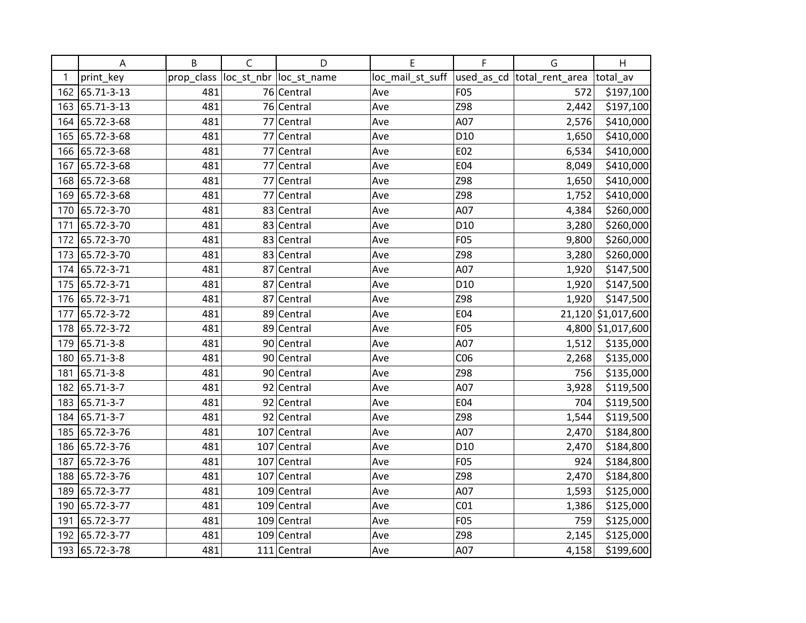|     | Α              | B          | $\mathsf C$ | D                       | E                | F               | G                          | H                  |
|-----|----------------|------------|-------------|-------------------------|------------------|-----------------|----------------------------|--------------------|
| 1   | print_key      | prop_class |             | loc_st_nbr  loc_st_name | loc_mail_st_suff |                 | used_as_cd total_rent_area | total_av           |
| 162 | 65.71-3-13     | 481        |             | 76 Central              | Ave              | F05             | 572                        | \$197,100          |
| 163 | 65.71-3-13     | 481        |             | 76 Central              | Ave              | Z98             | 2,442                      | \$197,100          |
| 164 | 65.72-3-68     | 481        |             | 77 Central              | Ave              | A07             | 2,576                      | \$410,000          |
| 165 | 65.72-3-68     | 481        |             | 77 Central              | Ave              | D <sub>10</sub> | 1,650                      | \$410,000          |
| 166 | 65.72-3-68     | 481        |             | 77 Central              | Ave              | E02             | 6,534                      | \$410,000          |
| 167 | 65.72-3-68     | 481        |             | 77 Central              | Ave              | E04             | 8,049                      | \$410,000          |
| 168 | 65.72-3-68     | 481        |             | 77 Central              | Ave              | Z98             | 1,650                      | \$410,000          |
| 169 | 65.72-3-68     | 481        |             | 77 Central              | Ave              | Z98             | 1,752                      | \$410,000          |
| 170 | 65.72-3-70     | 481        | 83          | Central                 | Ave              | A07             | 4,384                      | \$260,000          |
| 171 | 65.72-3-70     | 481        |             | 83 Central              | Ave              | D <sub>10</sub> | 3,280                      | \$260,000          |
| 172 | 65.72-3-70     | 481        |             | 83 Central              | Ave              | F05             | 9,800                      | \$260,000          |
| 173 | 65.72-3-70     | 481        |             | 83 Central              | Ave              | Z98             | 3,280                      | \$260,000          |
| 174 | 65.72-3-71     | 481        |             | 87 Central              | Ave              | A07             | 1,920                      | \$147,500          |
| 175 | 65.72-3-71     | 481        | 87          | Central                 | Ave              | D <sub>10</sub> | 1,920                      | \$147,500          |
| 176 | 65.72-3-71     | 481        | 87          | Central                 | Ave              | Z98             | 1,920                      | \$147,500          |
| 177 | 65.72-3-72     | 481        |             | 89 Central              | Ave              | E04             |                            | 21,120 \$1,017,600 |
| 178 | 65.72-3-72     | 481        |             | 89 Central              | Ave              | F05             |                            | 4,800 \$1,017,600  |
| 179 | 65.71-3-8      | 481        |             | 90 Central              | Ave              | A07             | 1,512                      | \$135,000          |
| 180 | 65.71-3-8      | 481        |             | 90 Central              | Ave              | CO <sub>6</sub> | 2,268                      | \$135,000          |
| 181 | 65.71-3-8      | 481        |             | 90 Central              | Ave              | Z98             | 756                        | \$135,000          |
| 182 | 65.71-3-7      | 481        |             | 92 Central              | Ave              | A07             | 3,928                      | \$119,500          |
| 183 | 65.71-3-7      | 481        |             | 92 Central              | Ave              | E04             | 704                        | \$119,500          |
| 184 | 65.71-3-7      | 481        |             | 92 Central              | Ave              | Z98             | 1,544                      | \$119,500          |
| 185 | 65.72-3-76     | 481        |             | 107 Central             | Ave              | A07             | 2,470                      | \$184,800          |
| 186 | 65.72-3-76     | 481        |             | 107 Central             | Ave              | D <sub>10</sub> | 2,470                      | \$184,800          |
| 187 | 65.72-3-76     | 481        |             | 107 Central             | Ave              | <b>F05</b>      | 924                        | \$184,800          |
| 188 | 65.72-3-76     | 481        |             | 107 Central             | Ave              | Z98             | 2,470                      | \$184,800          |
| 189 | 65.72-3-77     | 481        |             | 109 Central             | Ave              | A07             | 1,593                      | \$125,000          |
| 190 | 65.72-3-77     | 481        |             | 109 Central             | Ave              | CO <sub>1</sub> | 1,386                      | \$125,000          |
| 191 | 65.72-3-77     | 481        |             | 109 Central             | Ave              | F05             | 759                        | \$125,000          |
| 192 | 65.72-3-77     | 481        |             | 109 Central             | Ave              | Z98             | 2,145                      | \$125,000          |
|     | 193 65.72-3-78 | 481        |             | 111 Central             | Ave              | A07             | 4,158                      | \$199,600          |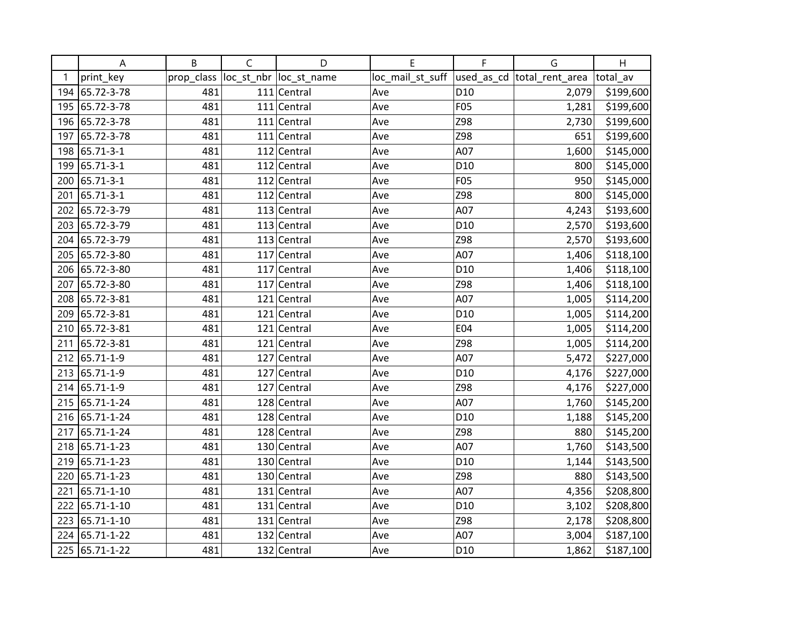|     | A              | B          | $\mathsf{C}$ | D                       | Е                | F               | G                          | H         |
|-----|----------------|------------|--------------|-------------------------|------------------|-----------------|----------------------------|-----------|
| 1   | print_key      | prop_class |              | loc_st_nbr  loc_st_name | loc_mail_st_suff |                 | used_as_cd total_rent_area | total av  |
|     | 194 65.72-3-78 | 481        |              | $111$ Central           | Ave              | D <sub>10</sub> | 2,079                      | \$199,600 |
|     | 195 65.72-3-78 | 481        |              | $111$ Central           | Ave              | F05             | 1,281                      | \$199,600 |
| 196 | 65.72-3-78     | 481        |              | 111 Central             | Ave              | Z98             | 2,730                      | \$199,600 |
| 197 | 65.72-3-78     | 481        |              | $111$ Central           | Ave              | Z98             | 651                        | \$199,600 |
| 198 | 65.71-3-1      | 481        |              | 112 Central             | Ave              | A07             | 1,600                      | \$145,000 |
| 199 | 65.71-3-1      | 481        |              | 112 Central             | Ave              | D <sub>10</sub> | 800                        | \$145,000 |
| 200 | 65.71-3-1      | 481        |              | $112$ Central           | Ave              | F05             | 950                        | \$145,000 |
| 201 | 65.71-3-1      | 481        |              | 112 Central             | Ave              | Z98             | 800                        | \$145,000 |
| 202 | 65.72-3-79     | 481        |              | $113$ Central           | Ave              | A07             | 4,243                      | \$193,600 |
| 203 | 65.72-3-79     | 481        |              | 113 Central             | Ave              | D <sub>10</sub> | 2,570                      | \$193,600 |
| 204 | 65.72-3-79     | 481        |              | 113 Central             | Ave              | Z98             | 2,570                      | \$193,600 |
|     | 205 65.72-3-80 | 481        |              | $117$ Central           | Ave              | A07             | 1,406                      | \$118,100 |
| 206 | 65.72-3-80     | 481        |              | 117 Central             | Ave              | D <sub>10</sub> | 1,406                      | \$118,100 |
| 207 | 65.72-3-80     | 481        |              | 117 Central             | Ave              | Z98             | 1,406                      | \$118,100 |
| 208 | 65.72-3-81     | 481        |              | 121 Central             | Ave              | A07             | 1,005                      | \$114,200 |
| 209 | 65.72-3-81     | 481        |              | 121 Central             | Ave              | D <sub>10</sub> | 1,005                      | \$114,200 |
| 210 | 65.72-3-81     | 481        |              | $121$ Central           | Ave              | E04             | 1,005                      | \$114,200 |
| 211 | 65.72-3-81     | 481        |              | 121 Central             | Ave              | Z98             | 1,005                      | \$114,200 |
|     | 212 65.71-1-9  | 481        |              | 127 Central             | Ave              | A07             | 5,472                      | \$227,000 |
|     | 213 65.71-1-9  | 481        |              | 127 Central             | Ave              | D <sub>10</sub> | 4,176                      | \$227,000 |
|     | 214 65.71-1-9  | 481        |              | 127 Central             | Ave              | Z98             | 4,176                      | \$227,000 |
|     | 215 65.71-1-24 | 481        |              | 128 Central             | Ave              | A07             | 1,760                      | \$145,200 |
|     | 216 65.71-1-24 | 481        |              | 128 Central             | Ave              | D <sub>10</sub> | 1,188                      | \$145,200 |
| 217 | 65.71-1-24     | 481        |              | 128 Central             | Ave              | Z98             | 880                        | \$145,200 |
| 218 | 65.71-1-23     | 481        |              | 130 Central             | Ave              | A07             | 1,760                      | \$143,500 |
|     | 219 65.71-1-23 | 481        |              | 130 Central             | Ave              | D <sub>10</sub> | 1,144                      | \$143,500 |
| 220 | 65.71-1-23     | 481        |              | 130 Central             | Ave              | Z98             | 880                        | \$143,500 |
| 221 | 65.71-1-10     | 481        |              | 131 Central             | Ave              | A07             | 4,356                      | \$208,800 |
| 222 | 65.71-1-10     | 481        |              | $131$ Central           | Ave              | D <sub>10</sub> | 3,102                      | \$208,800 |
| 223 | 65.71-1-10     | 481        |              | 131 Central             | Ave              | Z98             | 2,178                      | \$208,800 |
|     | 224 65.71-1-22 | 481        |              | 132 Central             | Ave              | A07             | 3,004                      | \$187,100 |
|     | 225 65.71-1-22 | 481        |              | 132 Central             | Ave              | D <sub>10</sub> | 1,862                      | \$187,100 |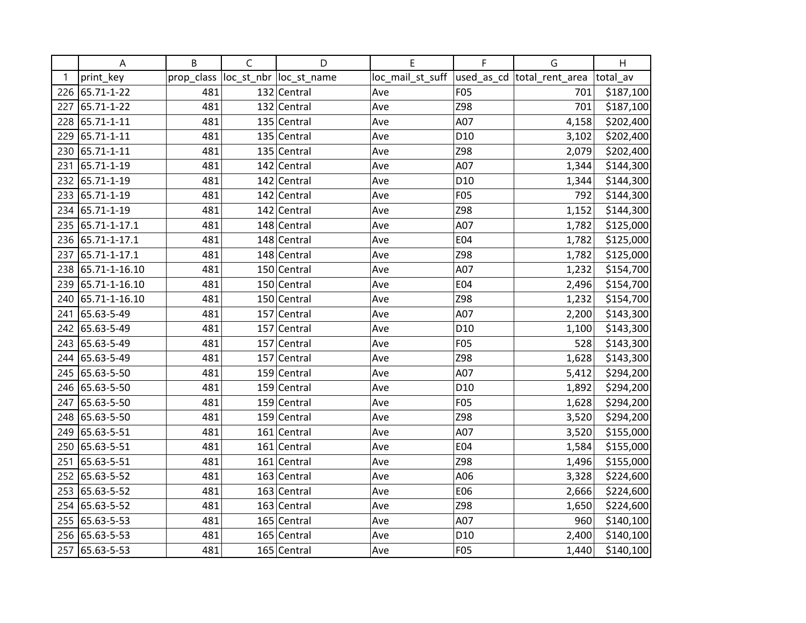|     | A              | B          | $\mathsf{C}$ | D                       | E                | F               | G                           | H         |
|-----|----------------|------------|--------------|-------------------------|------------------|-----------------|-----------------------------|-----------|
| 1   | print_key      | prop_class |              | loc_st_nbr  loc_st_name | loc_mail_st_suff |                 | used_as_cd  total_rent_area | total av  |
| 226 | 65.71-1-22     | 481        |              | 132 Central             | Ave              | F05             | 701                         | \$187,100 |
| 227 | 65.71-1-22     | 481        |              | 132 Central             | Ave              | Z98             | 701                         | \$187,100 |
| 228 | 65.71-1-11     | 481        |              | 135 Central             | Ave              | A07             | 4,158                       | \$202,400 |
| 229 | 65.71-1-11     | 481        |              | 135 Central             | Ave              | D <sub>10</sub> | 3,102                       | \$202,400 |
| 230 | 65.71-1-11     | 481        |              | 135 Central             | Ave              | Z98             | 2,079                       | \$202,400 |
| 231 | 65.71-1-19     | 481        |              | 142 Central             | Ave              | A07             | 1,344                       | \$144,300 |
| 232 | 65.71-1-19     | 481        |              | 142 Central             | Ave              | D <sub>10</sub> | 1,344                       | \$144,300 |
| 233 | 65.71-1-19     | 481        |              | 142 Central             | Ave              | F05             | 792                         | \$144,300 |
|     | 234 65.71-1-19 | 481        |              | 142 Central             | Ave              | Z98             | 1,152                       | \$144,300 |
| 235 | 65.71-1-17.1   | 481        |              | 148 Central             | Ave              | A07             | 1,782                       | \$125,000 |
| 236 | 65.71-1-17.1   | 481        |              | 148 Central             | Ave              | E04             | 1,782                       | \$125,000 |
| 237 | 65.71-1-17.1   | 481        |              | 148 Central             | Ave              | Z98             | 1,782                       | \$125,000 |
| 238 | 65.71-1-16.10  | 481        |              | 150 Central             | Ave              | A07             | 1,232                       | \$154,700 |
| 239 | 65.71-1-16.10  | 481        |              | 150 Central             | Ave              | E04             | 2,496                       | \$154,700 |
| 240 | 65.71-1-16.10  | 481        |              | 150 Central             | Ave              | Z98             | 1,232                       | \$154,700 |
| 241 | 65.63-5-49     | 481        |              | 157 Central             | Ave              | A07             | 2,200                       | \$143,300 |
| 242 | 65.63-5-49     | 481        |              | 157 Central             | Ave              | D <sub>10</sub> | 1,100                       | \$143,300 |
|     | 243 65.63-5-49 | 481        |              | 157 Central             | Ave              | F05             | 528                         | \$143,300 |
| 244 | 65.63-5-49     | 481        |              | 157 Central             | Ave              | Z98             | 1,628                       | \$143,300 |
| 245 | 65.63-5-50     | 481        |              | 159 Central             | Ave              | A07             | 5,412                       | \$294,200 |
|     | 246 65.63-5-50 | 481        |              | 159 Central             | Ave              | D10             | 1,892                       | \$294,200 |
| 247 | 65.63-5-50     | 481        |              | 159 Central             | Ave              | <b>F05</b>      | 1,628                       | \$294,200 |
|     | 248 65.63-5-50 | 481        |              | 159 Central             | Ave              | Z98             | 3,520                       | \$294,200 |
| 249 | 65.63-5-51     | 481        |              | 161 Central             | Ave              | A07             | 3,520                       | \$155,000 |
| 250 | 65.63-5-51     | 481        |              | 161 Central             | Ave              | E04             | 1,584                       | \$155,000 |
| 251 | 65.63-5-51     | 481        |              | $161$ Central           | Ave              | Z98             | 1,496                       | \$155,000 |
| 252 | 65.63-5-52     | 481        |              | 163 Central             | Ave              | A06             | 3,328                       | \$224,600 |
| 253 | 65.63-5-52     | 481        |              | 163 Central             | Ave              | E06             | 2,666                       | \$224,600 |
| 254 | 65.63-5-52     | 481        |              | 163 Central             | Ave              | Z98             | 1,650                       | \$224,600 |
| 255 | 65.63-5-53     | 481        |              | 165 Central             | Ave              | A07             | 960                         | \$140,100 |
| 256 | 65.63-5-53     | 481        |              | 165 Central             | Ave              | D10             | 2,400                       | \$140,100 |
| 257 | 65.63-5-53     | 481        |              | 165 Central             | Ave              | F05             | 1,440                       | \$140,100 |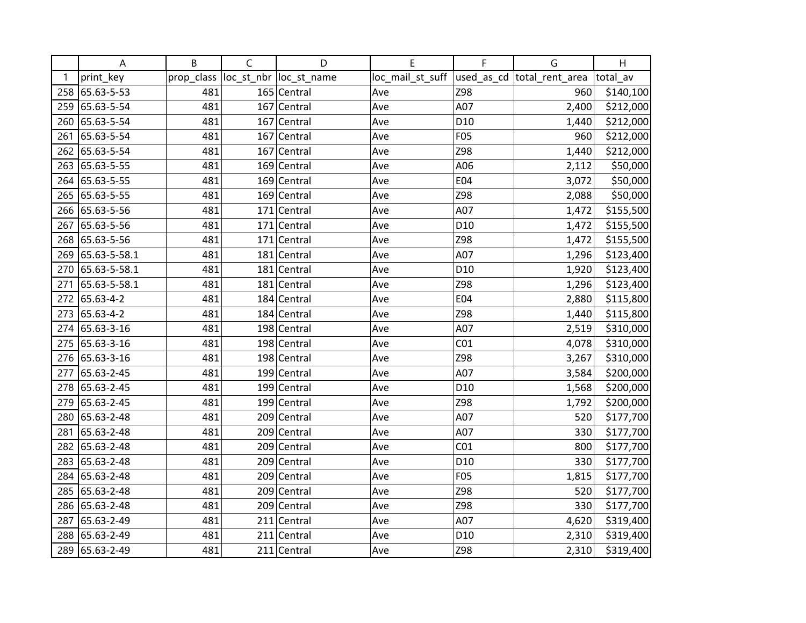|     | A              | B          | $\mathsf{C}$ | D                       | Е                | F               | G                          | H         |
|-----|----------------|------------|--------------|-------------------------|------------------|-----------------|----------------------------|-----------|
| 1   | print_key      | prop_class |              | loc_st_nbr  loc_st_name | loc_mail_st_suff |                 | used_as_cd total_rent_area | total av  |
| 258 | 65.63-5-53     | 481        |              | 165 Central             | Ave              | Z98             | 960                        | \$140,100 |
| 259 | 65.63-5-54     | 481        |              | 167 Central             | Ave              | A07             | 2,400                      | \$212,000 |
| 260 | 65.63-5-54     | 481        |              | 167 Central             | Ave              | D <sub>10</sub> | 1,440                      | \$212,000 |
| 261 | 65.63-5-54     | 481        |              | 167 Central             | Ave              | F05             | 960                        | \$212,000 |
| 262 | 65.63-5-54     | 481        |              | 167 Central             | Ave              | Z98             | 1,440                      | \$212,000 |
| 263 | 65.63-5-55     | 481        |              | 169 Central             | Ave              | A06             | 2,112                      | \$50,000  |
| 264 | 65.63-5-55     | 481        |              | 169 Central             | Ave              | <b>E04</b>      | 3,072                      | \$50,000  |
| 265 | 65.63-5-55     | 481        |              | 169 Central             | Ave              | Z98             | 2,088                      | \$50,000  |
|     | 266 65.63-5-56 | 481        |              | 171 Central             | Ave              | A07             | 1,472                      | \$155,500 |
| 267 | 65.63-5-56     | 481        |              | $171$ Central           | Ave              | D <sub>10</sub> | 1,472                      | \$155,500 |
| 268 | 65.63-5-56     | 481        |              | 171 Central             | Ave              | Z98             | 1,472                      | \$155,500 |
| 269 | 65.63-5-58.1   | 481        |              | 181 Central             | Ave              | A07             | 1,296                      | \$123,400 |
| 270 | 65.63-5-58.1   | 481        |              | 181 Central             | Ave              | D <sub>10</sub> | 1,920                      | \$123,400 |
| 271 | 65.63-5-58.1   | 481        |              | 181 Central             | Ave              | Z98             | 1,296                      | \$123,400 |
|     | 272 65.63-4-2  | 481        |              | 184 Central             | Ave              | E04             | 2,880                      | \$115,800 |
| 273 | 65.63-4-2      | 481        |              | 184 Central             | Ave              | Z98             | 1,440                      | \$115,800 |
| 274 | 65.63-3-16     | 481        |              | 198 Central             | Ave              | A07             | 2,519                      | \$310,000 |
| 275 | 65.63-3-16     | 481        |              | 198 Central             | Ave              | CO <sub>1</sub> | 4,078                      | \$310,000 |
| 276 | 65.63-3-16     | 481        |              | 198 Central             | Ave              | Z98             | 3,267                      | \$310,000 |
| 277 | 65.63-2-45     | 481        |              | 199 Central             | Ave              | A07             | 3,584                      | \$200,000 |
|     | 278 65.63-2-45 | 481        |              | 199 Central             | Ave              | D <sub>10</sub> | 1,568                      | \$200,000 |
| 279 | 65.63-2-45     | 481        |              | 199 Central             | Ave              | Z98             | 1,792                      | \$200,000 |
| 280 | 65.63-2-48     | 481        |              | 209 Central             | Ave              | A07             | 520                        | \$177,700 |
| 281 | 65.63-2-48     | 481        |              | 209 Central             | Ave              | A07             | 330                        | \$177,700 |
| 282 | 65.63-2-48     | 481        |              | 209 Central             | Ave              | CO <sub>1</sub> | 800                        | \$177,700 |
|     | 283 65.63-2-48 | 481        |              | 209 Central             | Ave              | D <sub>10</sub> | 330                        | \$177,700 |
| 284 | 65.63-2-48     | 481        |              | 209 Central             | Ave              | F05             | 1,815                      | \$177,700 |
| 285 | 65.63-2-48     | 481        |              | 209 Central             | Ave              | Z98             | 520                        | \$177,700 |
| 286 | 65.63-2-48     | 481        |              | 209 Central             | Ave              | Z98             | 330                        | \$177,700 |
| 287 | 65.63-2-49     | 481        |              | $211$ Central           | Ave              | A07             | 4,620                      | \$319,400 |
| 288 | 65.63-2-49     | 481        |              | $211$ Central           | Ave              | D <sub>10</sub> | 2,310                      | \$319,400 |
| 289 | 65.63-2-49     | 481        |              | $211$ Central           | Ave              | Z98             | 2,310                      | \$319,400 |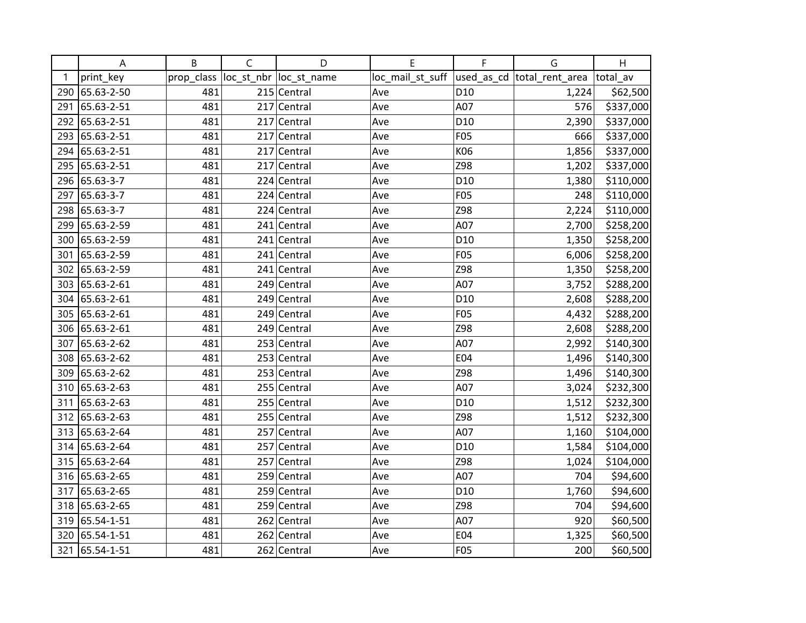|     | A              | B          | $\mathsf{C}$ | D                       | Е                | F               | G                          | H         |
|-----|----------------|------------|--------------|-------------------------|------------------|-----------------|----------------------------|-----------|
| 1   | print_key      | prop_class |              | loc_st_nbr  loc_st_name | loc_mail_st_suff |                 | used_as_cd total_rent_area | total_av  |
| 290 | 65.63-2-50     | 481        |              | 215 Central             | Ave              | D <sub>10</sub> | 1,224                      | \$62,500  |
| 291 | 65.63-2-51     | 481        |              | 217 Central             | Ave              | A07             | 576                        | \$337,000 |
| 292 | 65.63-2-51     | 481        |              | 217 Central             | Ave              | D <sub>10</sub> | 2,390                      | \$337,000 |
| 293 | 65.63-2-51     | 481        |              | 217 Central             | Ave              | F05             | 666                        | \$337,000 |
| 294 | 65.63-2-51     | 481        |              | 217 Central             | Ave              | K06             | 1,856                      | \$337,000 |
| 295 | 65.63-2-51     | 481        |              | 217 Central             | Ave              | Z98             | 1,202                      | \$337,000 |
|     | 296 65.63-3-7  | 481        |              | 224 Central             | Ave              | D <sub>10</sub> | 1,380                      | \$110,000 |
| 297 | 65.63-3-7      | 481        |              | 224 Central             | Ave              | F05             | 248                        | \$110,000 |
| 298 | 65.63-3-7      | 481        |              | 224 Central             | Ave              | Z98             | 2,224                      | \$110,000 |
| 299 | 65.63-2-59     | 481        |              | 241 Central             | Ave              | A07             | 2,700                      | \$258,200 |
| 300 | 65.63-2-59     | 481        |              | 241 Central             | Ave              | D <sub>10</sub> | 1,350                      | \$258,200 |
| 301 | 65.63-2-59     | 481        |              | 241 Central             | Ave              | F05             | 6,006                      | \$258,200 |
|     | 302 65.63-2-59 | 481        |              | 241 Central             | Ave              | Z98             | 1,350                      | \$258,200 |
|     | 303 65.63-2-61 | 481        |              | 249 Central             | Ave              | A07             | 3,752                      | \$288,200 |
|     | 304 65.63-2-61 | 481        |              | 249 Central             | Ave              | D <sub>10</sub> | 2,608                      | \$288,200 |
|     | 305 65.63-2-61 | 481        |              | 249 Central             | Ave              | F05             | 4,432                      | \$288,200 |
|     | 306 65.63-2-61 | 481        |              | 249 Central             | Ave              | Z98             | 2,608                      | \$288,200 |
| 307 | 65.63-2-62     | 481        |              | 253 Central             | Ave              | A07             | 2,992                      | \$140,300 |
| 308 | 65.63-2-62     | 481        |              | 253 Central             | Ave              | E04             | 1,496                      | \$140,300 |
| 309 | 65.63-2-62     | 481        |              | 253 Central             | Ave              | Z98             | 1,496                      | \$140,300 |
|     | 310 65.63-2-63 | 481        |              | 255 Central             | Ave              | A07             | 3,024                      | \$232,300 |
|     | 311 65.63-2-63 | 481        |              | 255 Central             | Ave              | D <sub>10</sub> | 1,512                      | \$232,300 |
|     | 312 65.63-2-63 | 481        |              | 255 Central             | Ave              | Z98             | 1,512                      | \$232,300 |
|     | 313 65.63-2-64 | 481        |              | 257 Central             | Ave              | A07             | 1,160                      | \$104,000 |
|     | 314 65.63-2-64 | 481        |              | 257 Central             | Ave              | D <sub>10</sub> | 1,584                      | \$104,000 |
|     | 315 65.63-2-64 | 481        |              | 257 Central             | Ave              | Z98             | 1,024                      | \$104,000 |
|     | 316 65.63-2-65 | 481        |              | 259 Central             | Ave              | A07             | 704                        | \$94,600  |
| 317 | 65.63-2-65     | 481        |              | 259 Central             | Ave              | D <sub>10</sub> | 1,760                      | \$94,600  |
| 318 | 65.63-2-65     | 481        |              | 259 Central             | Ave              | Z98             | 704                        | \$94,600  |
| 319 | 65.54-1-51     | 481        |              | 262 Central             | Ave              | A07             | 920                        | \$60,500  |
| 320 | 65.54-1-51     | 481        |              | 262 Central             | Ave              | E04             | 1,325                      | \$60,500  |
| 321 | 65.54-1-51     | 481        |              | 262 Central             | Ave              | <b>F05</b>      | 200                        | \$60,500  |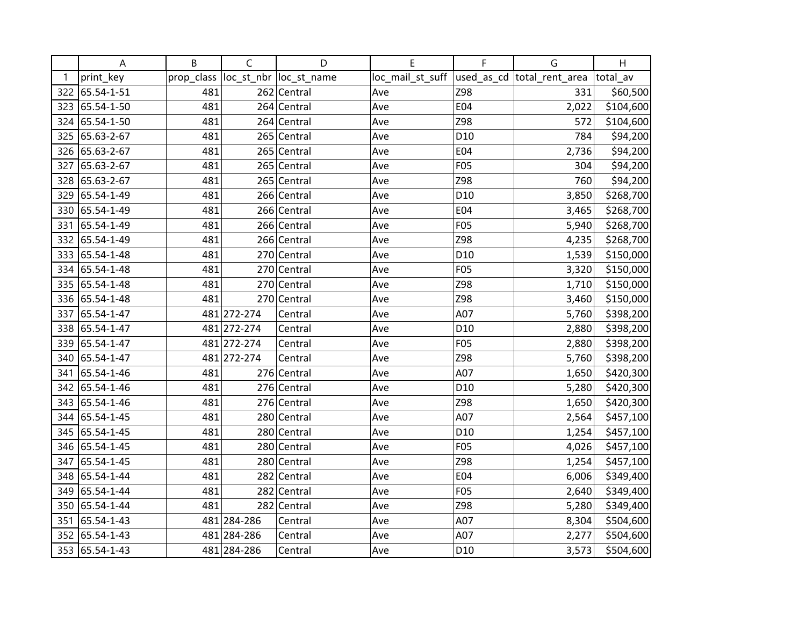|     | Α              | B          | C           | D                       | E                | F               | G                           | H         |
|-----|----------------|------------|-------------|-------------------------|------------------|-----------------|-----------------------------|-----------|
| 1   | print_key      | prop_class |             | loc_st_nbr  loc_st_name | loc_mail_st_suff |                 | used_as_cd  total_rent_area | total_av  |
| 322 | 65.54-1-51     | 481        |             | 262 Central             | Ave              | Z98             | 331                         | \$60,500  |
| 323 | 65.54-1-50     | 481        |             | 264 Central             | Ave              | E04             | 2,022                       | \$104,600 |
| 324 | 65.54-1-50     | 481        |             | 264 Central             | Ave              | Z98             | 572                         | \$104,600 |
| 325 | 65.63-2-67     | 481        |             | 265 Central             | Ave              | D <sub>10</sub> | 784                         | \$94,200  |
| 326 | 65.63-2-67     | 481        |             | 265 Central             | Ave              | E04             | 2,736                       | \$94,200  |
| 327 | 65.63-2-67     | 481        |             | 265 Central             | Ave              | <b>F05</b>      | 304                         | \$94,200  |
| 328 | 65.63-2-67     | 481        |             | 265 Central             | Ave              | Z98             | 760                         | \$94,200  |
| 329 | 65.54-1-49     | 481        |             | 266 Central             | Ave              | D <sub>10</sub> | 3,850                       | \$268,700 |
| 330 | 65.54-1-49     | 481        |             | 266 Central             | Ave              | E04             | 3,465                       | \$268,700 |
| 331 | 65.54-1-49     | 481        |             | 266 Central             | Ave              | F05             | 5,940                       | \$268,700 |
|     | 332 65.54-1-49 | 481        |             | 266 Central             | Ave              | Z98             | 4,235                       | \$268,700 |
|     | 333 65.54-1-48 | 481        |             | 270 Central             | Ave              | D <sub>10</sub> | 1,539                       | \$150,000 |
| 334 | 65.54-1-48     | 481        |             | 270 Central             | Ave              | F05             | 3,320                       | \$150,000 |
| 335 | 65.54-1-48     | 481        |             | 270 Central             | Ave              | Z98             | 1,710                       | \$150,000 |
| 336 | 65.54-1-48     | 481        | 270         | Central                 | Ave              | Z98             | 3,460                       | \$150,000 |
| 337 | 65.54-1-47     |            | 481 272-274 | Central                 | Ave              | A07             | 5,760                       | \$398,200 |
| 338 | 65.54-1-47     |            | 481 272-274 | Central                 | Ave              | D <sub>10</sub> | 2,880                       | \$398,200 |
| 339 | 65.54-1-47     |            | 481 272-274 | Central                 | Ave              | F05             | 2,880                       | \$398,200 |
| 340 | 65.54-1-47     |            | 481 272-274 | Central                 | Ave              | Z98             | 5,760                       | \$398,200 |
| 341 | 65.54-1-46     | 481        |             | 276 Central             | Ave              | A07             | 1,650                       | \$420,300 |
|     | 342 65.54-1-46 | 481        |             | 276 Central             | Ave              | D <sub>10</sub> | 5,280                       | \$420,300 |
| 343 | 65.54-1-46     | 481        |             | 276 Central             | Ave              | Z98             | 1,650                       | \$420,300 |
| 344 | 65.54-1-45     | 481        |             | 280 Central             | Ave              | A07             | 2,564                       | \$457,100 |
| 345 | 65.54-1-45     | 481        |             | 280 Central             | Ave              | D <sub>10</sub> | 1,254                       | \$457,100 |
| 346 | 65.54-1-45     | 481        | 280         | Central                 | Ave              | F05             | 4,026                       | \$457,100 |
| 347 | 65.54-1-45     | 481        | 280         | Central                 | Ave              | Z98             | 1,254                       | \$457,100 |
| 348 | 65.54-1-44     | 481        |             | 282 Central             | Ave              | E04             | 6,006                       | \$349,400 |
| 349 | 65.54-1-44     | 481        |             | 282 Central             | Ave              | F05             | 2,640                       | \$349,400 |
| 350 | 65.54-1-44     | 481        |             | 282 Central             | Ave              | Z98             | 5,280                       | \$349,400 |
| 351 | 65.54-1-43     |            | 481 284-286 | Central                 | Ave              | A07             | 8,304                       | \$504,600 |
| 352 | 65.54-1-43     |            | 481 284-286 | Central                 | Ave              | A07             | 2,277                       | \$504,600 |
| 353 | 65.54-1-43     |            | 481 284-286 | Central                 | Ave              | D <sub>10</sub> | 3,573                       | \$504,600 |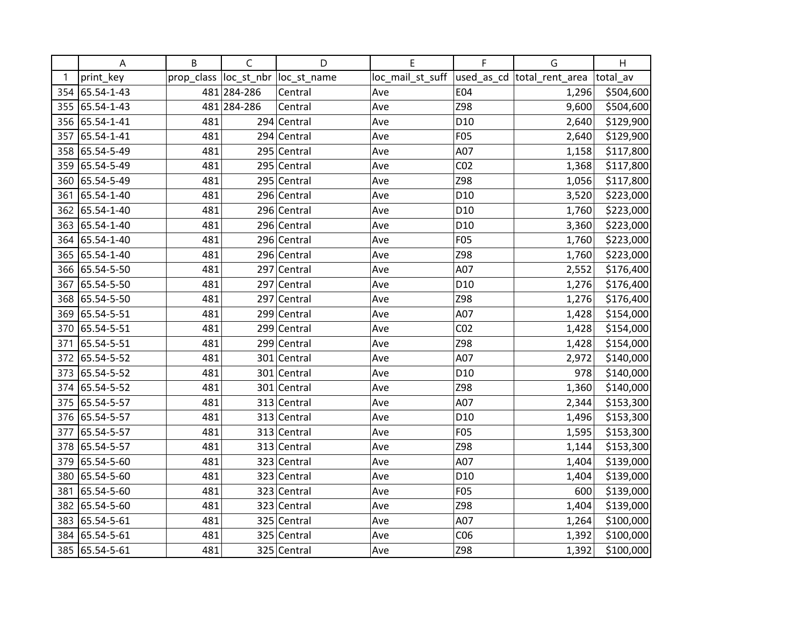|     | A              | B          | $\mathsf{C}$ | D                       | Е                | F               | G                          | H         |
|-----|----------------|------------|--------------|-------------------------|------------------|-----------------|----------------------------|-----------|
| 1   | print_key      | prop_class |              | loc_st_nbr  loc_st_name | loc_mail_st_suff |                 | used_as_cd total_rent_area | total av  |
|     | 354 65.54-1-43 |            | 481 284-286  | Central                 | Ave              | <b>E04</b>      | 1,296                      | \$504,600 |
|     | 355 65.54-1-43 |            | 481 284-286  | Central                 | Ave              | Z98             | 9,600                      | \$504,600 |
|     | 356 65.54-1-41 | 481        |              | 294 Central             | Ave              | D <sub>10</sub> | 2,640                      | \$129,900 |
| 357 | 65.54-1-41     | 481        |              | 294 Central             | Ave              | F05             | 2,640                      | \$129,900 |
|     | 358 65.54-5-49 | 481        |              | 295 Central             | Ave              | A07             | 1,158                      | \$117,800 |
| 359 | 65.54-5-49     | 481        |              | 295 Central             | Ave              | CO <sub>2</sub> | 1,368                      | \$117,800 |
|     | 360 65.54-5-49 | 481        |              | 295 Central             | Ave              | Z98             | 1,056                      | \$117,800 |
| 361 | 65.54-1-40     | 481        |              | 296 Central             | Ave              | D <sub>10</sub> | 3,520                      | \$223,000 |
|     | 362 65.54-1-40 | 481        |              | 296 Central             | Ave              | D <sub>10</sub> | 1,760                      | \$223,000 |
|     | 363 65.54-1-40 | 481        |              | 296 Central             | Ave              | D <sub>10</sub> | 3,360                      | \$223,000 |
|     | 364 65.54-1-40 | 481        |              | 296 Central             | Ave              | F05             | 1,760                      | \$223,000 |
|     | 365 65.54-1-40 | 481        |              | 296 Central             | Ave              | Z98             | 1,760                      | \$223,000 |
|     | 366 65.54-5-50 | 481        |              | 297 Central             | Ave              | A07             | 2,552                      | \$176,400 |
| 367 | 65.54-5-50     | 481        |              | 297 Central             | Ave              | D <sub>10</sub> | 1,276                      | \$176,400 |
|     | 368 65.54-5-50 | 481        |              | 297 Central             | Ave              | Z98             | 1,276                      | \$176,400 |
| 369 | 65.54-5-51     | 481        |              | 299 Central             | Ave              | A07             | 1,428                      | \$154,000 |
| 370 | 65.54-5-51     | 481        |              | 299 Central             | Ave              | CO <sub>2</sub> | 1,428                      | \$154,000 |
| 371 | 65.54-5-51     | 481        |              | 299 Central             | Ave              | Z98             | 1,428                      | \$154,000 |
|     | 372 65.54-5-52 | 481        |              | 301 Central             | Ave              | A07             | 2,972                      | \$140,000 |
| 373 | 65.54-5-52     | 481        |              | 301 Central             | Ave              | D <sub>10</sub> | 978                        | \$140,000 |
|     | 374 65.54-5-52 | 481        |              | 301 Central             | Ave              | Z98             | 1,360                      | \$140,000 |
|     | 375 65.54-5-57 | 481        |              | 313 Central             | Ave              | A07             | 2,344                      | \$153,300 |
|     | 376 65.54-5-57 | 481        |              | 313 Central             | Ave              | D <sub>10</sub> | 1,496                      | \$153,300 |
| 377 | 65.54-5-57     | 481        |              | 313 Central             | Ave              | F05             | 1,595                      | \$153,300 |
| 378 | 65.54-5-57     | 481        |              | 313 Central             | Ave              | Z98             | 1,144                      | \$153,300 |
| 379 | 65.54-5-60     | 481        |              | 323 Central             | Ave              | A07             | 1,404                      | \$139,000 |
| 380 | 65.54-5-60     | 481        |              | 323 Central             | Ave              | D <sub>10</sub> | 1,404                      | \$139,000 |
| 381 | 65.54-5-60     | 481        |              | 323 Central             | Ave              | F05             | 600                        | \$139,000 |
|     | 382 65.54-5-60 | 481        |              | 323 Central             | Ave              | Z98             | 1,404                      | \$139,000 |
| 383 | 65.54-5-61     | 481        |              | 325 Central             | Ave              | A07             | 1,264                      | \$100,000 |
| 384 | 65.54-5-61     | 481        |              | 325 Central             | Ave              | CO6             | 1,392                      | \$100,000 |
|     | 385 65.54-5-61 | 481        |              | 325 Central             | Ave              | Z98             | 1,392                      | \$100,000 |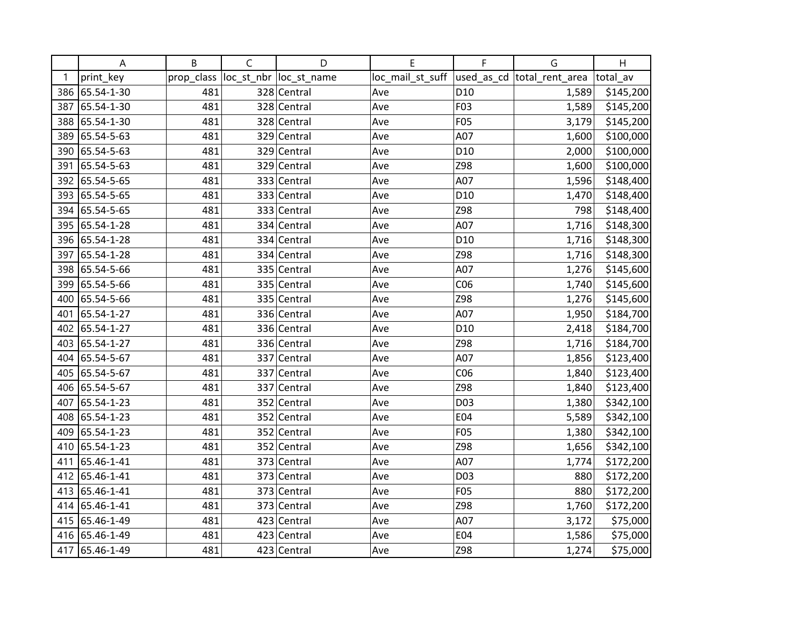|     | A              | B          | $\mathsf{C}$ | D                       | Е                | F               | G                          | H         |
|-----|----------------|------------|--------------|-------------------------|------------------|-----------------|----------------------------|-----------|
| 1   | print_key      | prop_class |              | loc_st_nbr  loc_st_name | loc_mail_st_suff |                 | used_as_cd total_rent_area | total av  |
|     | 386 65.54-1-30 | 481        |              | 328 Central             | Ave              | D <sub>10</sub> | 1,589                      | \$145,200 |
| 387 | 65.54-1-30     | 481        |              | 328 Central             | Ave              | F03             | 1,589                      | \$145,200 |
| 388 | 65.54-1-30     | 481        |              | 328 Central             | Ave              | <b>F05</b>      | 3,179                      | \$145,200 |
| 389 | 65.54-5-63     | 481        |              | 329 Central             | Ave              | A07             | 1,600                      | \$100,000 |
| 390 | 65.54-5-63     | 481        |              | 329 Central             | Ave              | D <sub>10</sub> | 2,000                      | \$100,000 |
| 391 | 65.54-5-63     | 481        |              | 329 Central             | Ave              | Z98             | 1,600                      | \$100,000 |
|     | 392 65.54-5-65 | 481        |              | 333 Central             | Ave              | A07             | 1,596                      | \$148,400 |
|     | 393 65.54-5-65 | 481        |              | 333 Central             | Ave              | D <sub>10</sub> | 1,470                      | \$148,400 |
|     | 394 65.54-5-65 | 481        |              | 333 Central             | Ave              | Z98             | 798                        | \$148,400 |
|     | 395 65.54-1-28 | 481        |              | 334 Central             | Ave              | A07             | 1,716                      | \$148,300 |
|     | 396 65.54-1-28 | 481        |              | 334 Central             | Ave              | D <sub>10</sub> | 1,716                      | \$148,300 |
|     | 397 65.54-1-28 | 481        |              | 334 Central             | Ave              | Z98             | 1,716                      | \$148,300 |
|     | 398 65.54-5-66 | 481        |              | 335 Central             | Ave              | A07             | 1,276                      | \$145,600 |
| 399 | 65.54-5-66     | 481        |              | 335 Central             | Ave              | CO6             | 1,740                      | \$145,600 |
| 400 | 65.54-5-66     | 481        |              | 335 Central             | Ave              | Z98             | 1,276                      | \$145,600 |
| 401 | 65.54-1-27     | 481        |              | 336 Central             | Ave              | A07             | 1,950                      | \$184,700 |
| 402 | 65.54-1-27     | 481        |              | 336 Central             | Ave              | D <sub>10</sub> | 2,418                      | \$184,700 |
|     | 403 65.54-1-27 | 481        |              | 336 Central             | Ave              | Z98             | 1,716                      | \$184,700 |
|     | 404 65.54-5-67 | 481        |              | 337 Central             | Ave              | A07             | 1,856                      | \$123,400 |
| 405 | 65.54-5-67     | 481        |              | 337 Central             | Ave              | CO6             | 1,840                      | \$123,400 |
| 406 | 65.54-5-67     | 481        |              | 337 Central             | Ave              | Z98             | 1,840                      | \$123,400 |
| 407 | 65.54-1-23     | 481        |              | 352 Central             | Ave              | D03             | 1,380                      | \$342,100 |
|     | 408 65.54-1-23 | 481        |              | 352 Central             | Ave              | E04             | 5,589                      | \$342,100 |
| 409 | 65.54-1-23     | 481        |              | 352 Central             | Ave              | F05             | 1,380                      | \$342,100 |
| 410 | 65.54-1-23     | 481        |              | 352 Central             | Ave              | Z98             | 1,656                      | \$342,100 |
| 411 | 65.46-1-41     | 481        |              | 373 Central             | Ave              | A07             | 1,774                      | \$172,200 |
|     | 412 65.46-1-41 | 481        |              | 373 Central             | Ave              | D03             | 880                        | \$172,200 |
|     | 413 65.46-1-41 | 481        |              | 373 Central             | Ave              | F05             | 880                        | \$172,200 |
| 414 | 65.46-1-41     | 481        |              | 373 Central             | Ave              | Z98             | 1,760                      | \$172,200 |
|     | 415 65.46-1-49 | 481        |              | 423 Central             | Ave              | A07             | 3,172                      | \$75,000  |
|     | 416 65.46-1-49 | 481        |              | 423 Central             | Ave              | E04             | 1,586                      | \$75,000  |
|     | 417 65.46-1-49 | 481        |              | 423 Central             | Ave              | Z98             | 1,274                      | \$75,000  |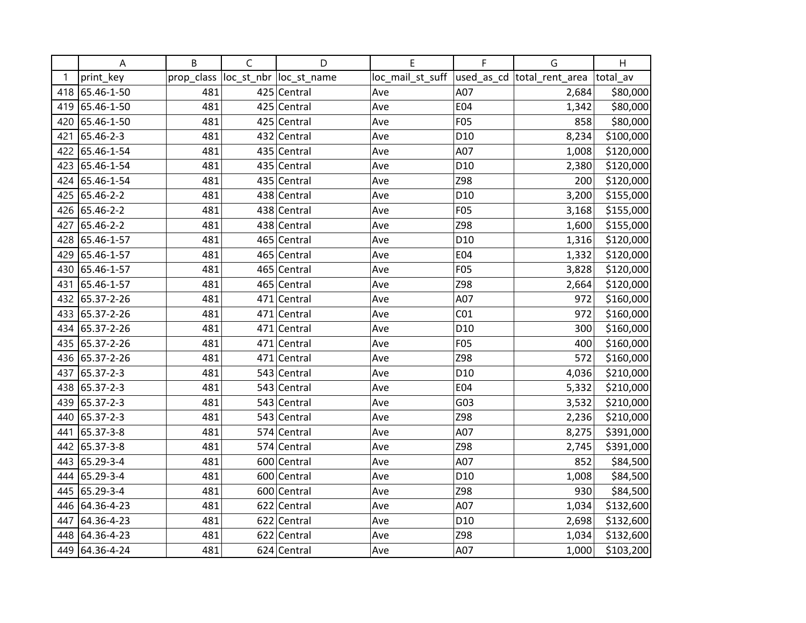|     | Α          | B          | $\mathsf C$ | D                       | E                | F               | G                           | H         |
|-----|------------|------------|-------------|-------------------------|------------------|-----------------|-----------------------------|-----------|
| 1   | print_key  | prop_class |             | loc_st_nbr  loc_st_name | loc_mail_st_suff |                 | used_as_cd  total_rent_area | total_av  |
| 418 | 65.46-1-50 | 481        |             | 425 Central             | Ave              | A07             | 2,684                       | \$80,000  |
| 419 | 65.46-1-50 | 481        |             | 425 Central             | Ave              | E04             | 1,342                       | \$80,000  |
| 420 | 65.46-1-50 | 481        |             | 425 Central             | Ave              | F05             | 858                         | \$80,000  |
| 421 | 65.46-2-3  | 481        |             | 432 Central             | Ave              | D <sub>10</sub> | 8,234                       | \$100,000 |
| 422 | 65.46-1-54 | 481        |             | 435 Central             | Ave              | A07             | 1,008                       | \$120,000 |
| 423 | 65.46-1-54 | 481        |             | 435 Central             | Ave              | D <sub>10</sub> | 2,380                       | \$120,000 |
| 424 | 65.46-1-54 | 481        |             | 435 Central             | Ave              | Z98             | 200                         | \$120,000 |
| 425 | 65.46-2-2  | 481        |             | 438 Central             | Ave              | D <sub>10</sub> | 3,200                       | \$155,000 |
| 426 | 65.46-2-2  | 481        |             | 438 Central             | Ave              | F05             | 3,168                       | \$155,000 |
| 427 | 65.46-2-2  | 481        |             | 438 Central             | Ave              | Z98             | 1,600                       | \$155,000 |
| 428 | 65.46-1-57 | 481        |             | 465 Central             | Ave              | D <sub>10</sub> | 1,316                       | \$120,000 |
| 429 | 65.46-1-57 | 481        |             | 465 Central             | Ave              | E04             | 1,332                       | \$120,000 |
| 430 | 65.46-1-57 | 481        |             | 465 Central             | Ave              | F05             | 3,828                       | \$120,000 |
| 431 | 65.46-1-57 | 481        |             | 465 Central             | Ave              | Z98             | 2,664                       | \$120,000 |
| 432 | 65.37-2-26 | 481        |             | 471 Central             | Ave              | A07             | 972                         | \$160,000 |
| 433 | 65.37-2-26 | 481        |             | 471 Central             | Ave              | CO <sub>1</sub> | 972                         | \$160,000 |
| 434 | 65.37-2-26 | 481        |             | 471 Central             | Ave              | D <sub>10</sub> | 300                         | \$160,000 |
| 435 | 65.37-2-26 | 481        |             | 471 Central             | Ave              | <b>F05</b>      | 400                         | \$160,000 |
| 436 | 65.37-2-26 | 481        |             | 471 Central             | Ave              | Z98             | 572                         | \$160,000 |
| 437 | 65.37-2-3  | 481        |             | 543 Central             | Ave              | D <sub>10</sub> | 4,036                       | \$210,000 |
| 438 | 65.37-2-3  | 481        |             | 543 Central             | Ave              | E04             | 5,332                       | \$210,000 |
| 439 | 65.37-2-3  | 481        |             | 543 Central             | Ave              | G03             | 3,532                       | \$210,000 |
| 440 | 65.37-2-3  | 481        |             | 543 Central             | Ave              | Z98             | 2,236                       | \$210,000 |
| 441 | 65.37-3-8  | 481        |             | 574 Central             | Ave              | A07             | 8,275                       | \$391,000 |
| 442 | 65.37-3-8  | 481        |             | 574 Central             | Ave              | Z98             | 2,745                       | \$391,000 |
| 443 | 65.29-3-4  | 481        |             | 600 Central             | Ave              | A07             | 852                         | \$84,500  |
| 444 | 65.29-3-4  | 481        |             | 600 Central             | Ave              | D <sub>10</sub> | 1,008                       | \$84,500  |
| 445 | 65.29-3-4  | 481        |             | 600 Central             | Ave              | Z98             | 930                         | \$84,500  |
| 446 | 64.36-4-23 | 481        |             | 622 Central             | Ave              | A07             | 1,034                       | \$132,600 |
| 447 | 64.36-4-23 | 481        |             | 622 Central             | Ave              | D <sub>10</sub> | 2,698                       | \$132,600 |
| 448 | 64.36-4-23 | 481        |             | 622 Central             | Ave              | Z98             | 1,034                       | \$132,600 |
| 449 | 64.36-4-24 | 481        |             | 624 Central             | Ave              | A07             | 1,000                       | \$103,200 |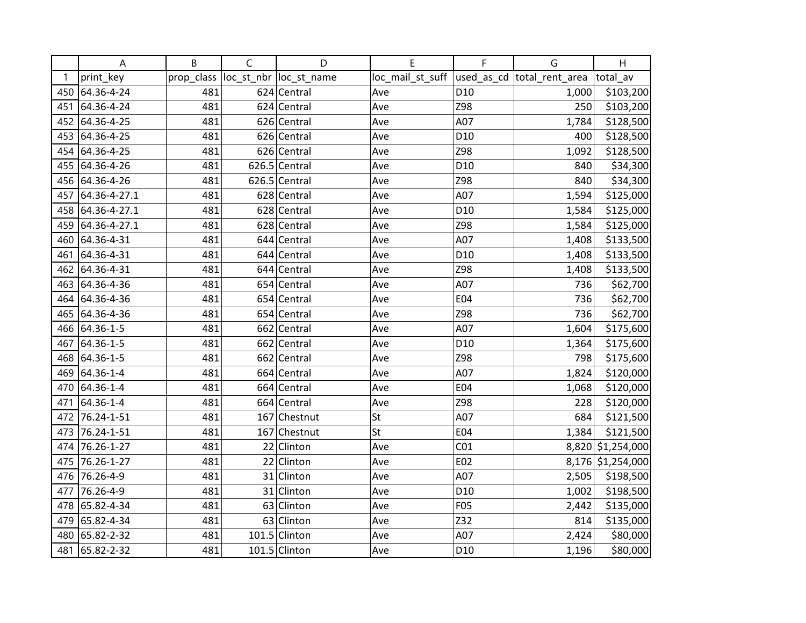|     | A              | B          | $\mathsf{C}$ | D                       | Е                | F               | G                           | H                 |
|-----|----------------|------------|--------------|-------------------------|------------------|-----------------|-----------------------------|-------------------|
| 1   | print_key      | prop_class |              | loc_st_nbr  loc_st_name | loc_mail_st_suff |                 | used_as_cd  total_rent_area | total av          |
| 450 | 64.36-4-24     | 481        |              | 624 Central             | Ave              | D <sub>10</sub> | 1,000                       | \$103,200         |
| 451 | 64.36-4-24     | 481        |              | 624 Central             | Ave              | Z98             | 250                         | \$103,200         |
| 452 | 64.36-4-25     | 481        |              | 626 Central             | Ave              | A07             | 1,784                       | \$128,500         |
| 453 | 64.36-4-25     | 481        |              | 626 Central             | Ave              | D <sub>10</sub> | 400                         | \$128,500         |
| 454 | 64.36-4-25     | 481        |              | 626 Central             | Ave              | Z98             | 1,092                       | \$128,500         |
| 455 | 64.36-4-26     | 481        |              | $626.5$ Central         | Ave              | D <sub>10</sub> | 840                         | \$34,300          |
|     | 456 64.36-4-26 | 481        |              | $626.5$ Central         | Ave              | Z98             | 840                         | \$34,300          |
| 457 | 64.36-4-27.1   | 481        |              | 628 Central             | Ave              | A07             | 1,594                       | \$125,000         |
| 458 | 64.36-4-27.1   | 481        |              | 628 Central             | Ave              | D <sub>10</sub> | 1,584                       | \$125,000         |
| 459 | 64.36-4-27.1   | 481        |              | 628 Central             | Ave              | Z98             | 1,584                       | \$125,000         |
| 460 | 64.36-4-31     | 481        |              | 644 Central             | Ave              | A07             | 1,408                       | \$133,500         |
| 461 | 64.36-4-31     | 481        |              | 644 Central             | Ave              | D <sub>10</sub> | 1,408                       | \$133,500         |
| 462 | 64.36-4-31     | 481        |              | 644 Central             | Ave              | Z98             | 1,408                       | \$133,500         |
| 463 | 64.36-4-36     | 481        |              | 654 Central             | Ave              | A07             | 736                         | \$62,700          |
| 464 | 64.36-4-36     | 481        |              | 654 Central             | Ave              | E04             | 736                         | \$62,700          |
| 465 | 64.36-4-36     | 481        |              | 654 Central             | Ave              | Z98             | 736                         | \$62,700          |
| 466 | 64.36-1-5      | 481        |              | 662 Central             | Ave              | A07             | 1,604                       | \$175,600         |
| 467 | 64.36-1-5      | 481        |              | 662 Central             | Ave              | D <sub>10</sub> | 1,364                       | \$175,600         |
| 468 | 64.36-1-5      | 481        |              | 662 Central             | Ave              | Z98             | 798                         | \$175,600         |
| 469 | 64.36-1-4      | 481        |              | 664 Central             | Ave              | A07             | 1,824                       | \$120,000         |
| 470 | 64.36-1-4      | 481        |              | 664 Central             | Ave              | E04             | 1,068                       | \$120,000         |
| 471 | 64.36-1-4      | 481        |              | 664 Central             | Ave              | Z98             | 228                         | \$120,000         |
| 472 | 76.24-1-51     | 481        |              | 167 Chestnut            | St               | A07             | 684                         | \$121,500         |
| 473 | 76.24-1-51     | 481        |              | 167 Chestnut            | St               | E04             | 1,384                       | \$121,500         |
| 474 | 76.26-1-27     | 481        | 22           | Clinton                 | Ave              | CO <sub>1</sub> |                             | 8,820 \$1,254,000 |
| 475 | 76.26-1-27     | 481        |              | 22 Clinton              | Ave              | E02             |                             | 8,176 \$1,254,000 |
| 476 | 76.26-4-9      | 481        |              | 31 Clinton              | Ave              | A07             | 2,505                       | \$198,500         |
| 477 | 76.26-4-9      | 481        |              | 31 Clinton              | Ave              | D <sub>10</sub> | 1,002                       | \$198,500         |
| 478 | 65.82-4-34     | 481        |              | 63 Clinton              | Ave              | F05             | 2,442                       | \$135,000         |
| 479 | 65.82-4-34     | 481        |              | 63 Clinton              | Ave              | Z32             | 814                         | \$135,000         |
| 480 | 65.82-2-32     | 481        |              | 101.5 Clinton           | Ave              | A07             | 2,424                       | \$80,000          |
|     | 481 65.82-2-32 | 481        |              | 101.5 Clinton           | Ave              | D <sub>10</sub> | 1,196                       | \$80,000          |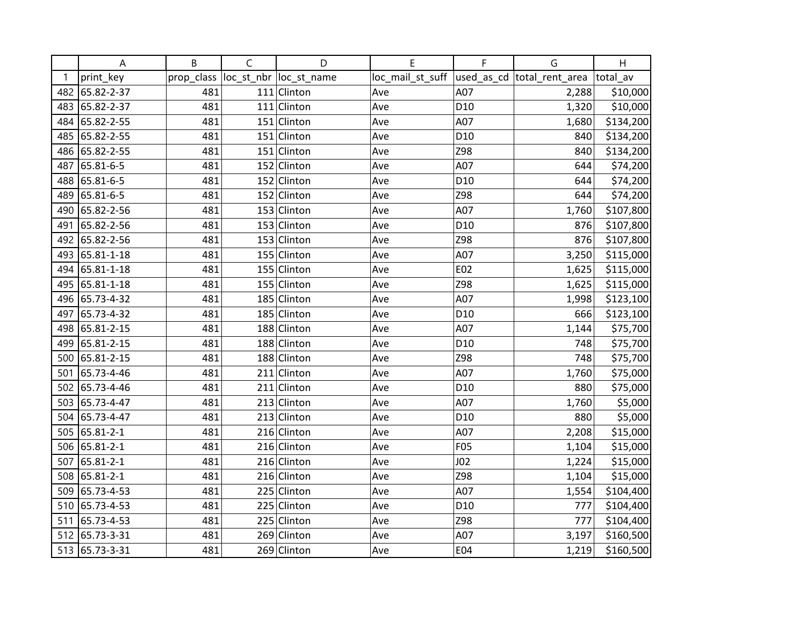|     | Α              | B          | $\mathsf C$ | D                       | E                | F               | G                           | H         |
|-----|----------------|------------|-------------|-------------------------|------------------|-----------------|-----------------------------|-----------|
| 1   | print_key      | prop_class |             | loc_st_nbr  loc_st_name | loc_mail_st_suff |                 | used_as_cd  total_rent_area | total av  |
| 482 | 65.82-2-37     | 481        |             | 111 Clinton             | Ave              | A07             | 2,288                       | \$10,000  |
| 483 | 65.82-2-37     | 481        |             | 111 Clinton             | Ave              | D <sub>10</sub> | 1,320                       | \$10,000  |
| 484 | 65.82-2-55     | 481        |             | 151 Clinton             | Ave              | A07             | 1,680                       | \$134,200 |
| 485 | 65.82-2-55     | 481        |             | 151 Clinton             | Ave              | D <sub>10</sub> | 840                         | \$134,200 |
| 486 | 65.82-2-55     | 481        |             | 151 Clinton             | Ave              | Z98             | 840                         | \$134,200 |
| 487 | 65.81-6-5      | 481        |             | 152 Clinton             | Ave              | A07             | 644                         | \$74,200  |
| 488 | 65.81-6-5      | 481        |             | 152 Clinton             | Ave              | D <sub>10</sub> | 644                         | \$74,200  |
| 489 | 65.81-6-5      | 481        |             | 152 Clinton             | Ave              | Z98             | 644                         | \$74,200  |
| 490 | 65.82-2-56     | 481        |             | 153 Clinton             | Ave              | A07             | 1,760                       | \$107,800 |
| 491 | 65.82-2-56     | 481        |             | 153 Clinton             | Ave              | D <sub>10</sub> | 876                         | \$107,800 |
| 492 | 65.82-2-56     | 481        |             | 153 Clinton             | Ave              | Z98             | 876                         | \$107,800 |
| 493 | 65.81-1-18     | 481        |             | 155 Clinton             | Ave              | A07             | 3,250                       | \$115,000 |
| 494 | 65.81-1-18     | 481        |             | 155 Clinton             | Ave              | E02             | 1,625                       | \$115,000 |
| 495 | 65.81-1-18     | 481        |             | 155 Clinton             | Ave              | Z98             | 1,625                       | \$115,000 |
| 496 | 65.73-4-32     | 481        |             | 185 Clinton             | Ave              | A07             | 1,998                       | \$123,100 |
| 497 | 65.73-4-32     | 481        |             | 185 Clinton             | Ave              | D <sub>10</sub> | 666                         | \$123,100 |
| 498 | 65.81-2-15     | 481        |             | 188 Clinton             | Ave              | A07             | 1,144                       | \$75,700  |
| 499 | 65.81-2-15     | 481        |             | 188 Clinton             | Ave              | D <sub>10</sub> | 748                         | \$75,700  |
| 500 | 65.81-2-15     | 481        |             | 188 Clinton             | Ave              | Z98             | 748                         | \$75,700  |
| 501 | 65.73-4-46     | 481        |             | $211$ Clinton           | Ave              | A07             | 1,760                       | \$75,000  |
| 502 | 65.73-4-46     | 481        |             | 211 Clinton             | Ave              | D <sub>10</sub> | 880                         | \$75,000  |
| 503 | 65.73-4-47     | 481        |             | 213 Clinton             | Ave              | A07             | 1,760                       | \$5,000   |
| 504 | 65.73-4-47     | 481        |             | 213 Clinton             | Ave              | D <sub>10</sub> | 880                         | \$5,000   |
| 505 | 65.81-2-1      | 481        |             | 216 Clinton             | Ave              | A07             | 2,208                       | \$15,000  |
| 506 | 65.81-2-1      | 481        |             | 216 Clinton             | Ave              | <b>F05</b>      | 1,104                       | \$15,000  |
| 507 | 65.81-2-1      | 481        |             | 216 Clinton             | Ave              | J <sub>02</sub> | 1,224                       | \$15,000  |
| 508 | 65.81-2-1      | 481        |             | 216 Clinton             | Ave              | Z98             | 1,104                       | \$15,000  |
| 509 | 65.73-4-53     | 481        |             | 225 Clinton             | Ave              | A07             | 1,554                       | \$104,400 |
| 510 | 65.73-4-53     | 481        |             | 225 Clinton             | Ave              | D <sub>10</sub> | 777                         | \$104,400 |
| 511 | 65.73-4-53     | 481        |             | 225 Clinton             | Ave              | Z98             | 777                         | \$104,400 |
| 512 | 65.73-3-31     | 481        |             | 269 Clinton             | Ave              | A07             | 3,197                       | \$160,500 |
|     | 513 65.73-3-31 | 481        |             | 269 Clinton             | Ave              | E04             | 1,219                       | \$160,500 |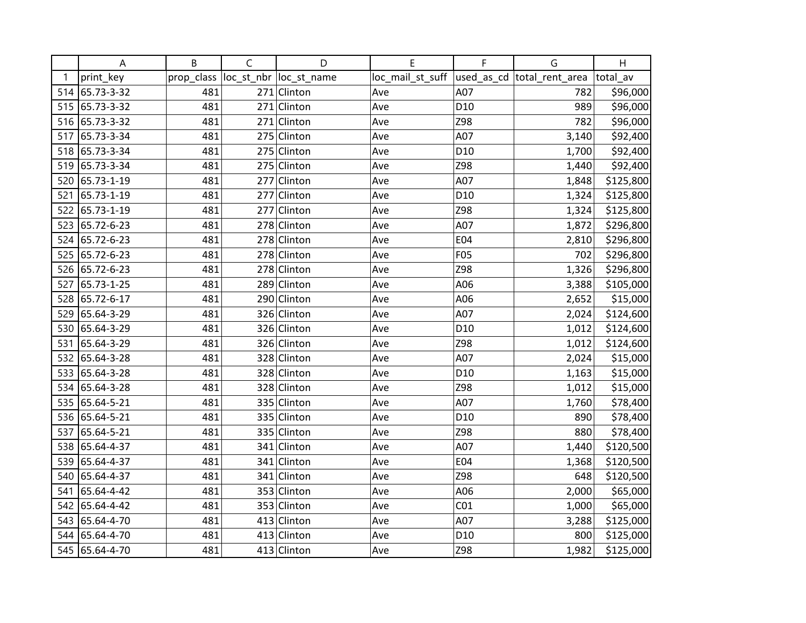|     | Α              | B          | C   | D                       | E                | F               | G                           | H         |
|-----|----------------|------------|-----|-------------------------|------------------|-----------------|-----------------------------|-----------|
| 1   | print_key      | prop_class |     | loc_st_nbr  loc_st_name | loc_mail_st_suff |                 | used_as_cd  total_rent_area | total av  |
|     | 514 65.73-3-32 | 481        |     | 271 Clinton             | Ave              | A07             | 782                         | \$96,000  |
|     | 515 65.73-3-32 | 481        |     | $271$ Clinton           | Ave              | D <sub>10</sub> | 989                         | \$96,000  |
| 516 | 65.73-3-32     | 481        |     | 271 Clinton             | Ave              | Z98             | 782                         | \$96,000  |
| 517 | 65.73-3-34     | 481        |     | 275 Clinton             | Ave              | A07             | 3,140                       | \$92,400  |
| 518 | 65.73-3-34     | 481        |     | 275 Clinton             | Ave              | D <sub>10</sub> | 1,700                       | \$92,400  |
| 519 | 65.73-3-34     | 481        |     | 275 Clinton             | Ave              | Z98             | 1,440                       | \$92,400  |
| 520 | 65.73-1-19     | 481        |     | 277 Clinton             | Ave              | A07             | 1,848                       | \$125,800 |
| 521 | 65.73-1-19     | 481        |     | 277 Clinton             | Ave              | D <sub>10</sub> | 1,324                       | \$125,800 |
| 522 | 65.73-1-19     | 481        | 277 | Clinton                 | Ave              | Z98             | 1,324                       | \$125,800 |
| 523 | 65.72-6-23     | 481        |     | 278 Clinton             | Ave              | A07             | 1,872                       | \$296,800 |
| 524 | 65.72-6-23     | 481        |     | 278 Clinton             | Ave              | E04             | 2,810                       | \$296,800 |
| 525 | 65.72-6-23     | 481        |     | 278 Clinton             | Ave              | <b>F05</b>      | 702                         | \$296,800 |
| 526 | 65.72-6-23     | 481        |     | 278 Clinton             | Ave              | Z98             | 1,326                       | \$296,800 |
| 527 | 65.73-1-25     | 481        |     | 289 Clinton             | Ave              | A06             | 3,388                       | \$105,000 |
| 528 | 65.72-6-17     | 481        |     | 290 Clinton             | Ave              | A06             | 2,652                       | \$15,000  |
| 529 | 65.64-3-29     | 481        |     | 326 Clinton             | Ave              | A07             | 2,024                       | \$124,600 |
| 530 | 65.64-3-29     | 481        |     | 326 Clinton             | Ave              | D <sub>10</sub> | 1,012                       | \$124,600 |
| 531 | 65.64-3-29     | 481        |     | 326 Clinton             | Ave              | Z98             | 1,012                       | \$124,600 |
| 532 | 65.64-3-28     | 481        |     | 328 Clinton             | Ave              | A07             | 2,024                       | \$15,000  |
| 533 | 65.64-3-28     | 481        |     | 328 Clinton             | Ave              | D <sub>10</sub> | 1,163                       | \$15,000  |
| 534 | 65.64-3-28     | 481        |     | 328 Clinton             | Ave              | Z98             | 1,012                       | \$15,000  |
| 535 | 65.64-5-21     | 481        |     | 335 Clinton             | Ave              | A07             | 1,760                       | \$78,400  |
| 536 | 65.64-5-21     | 481        |     | 335 Clinton             | Ave              | D <sub>10</sub> | 890                         | \$78,400  |
| 537 | 65.64-5-21     | 481        |     | 335 Clinton             | Ave              | Z98             | 880                         | \$78,400  |
| 538 | 65.64-4-37     | 481        |     | 341 Clinton             | Ave              | A07             | 1,440                       | \$120,500 |
| 539 | 65.64-4-37     | 481        |     | 341 Clinton             | Ave              | E04             | 1,368                       | \$120,500 |
| 540 | 65.64-4-37     | 481        |     | 341 Clinton             | Ave              | Z98             | 648                         | \$120,500 |
| 541 | 65.64-4-42     | 481        |     | 353 Clinton             | Ave              | A06             | 2,000                       | \$65,000  |
| 542 | 65.64-4-42     | 481        |     | 353 Clinton             | Ave              | CO <sub>1</sub> | 1,000                       | \$65,000  |
| 543 | 65.64-4-70     | 481        | 413 | Clinton                 | Ave              | A07             | 3,288                       | \$125,000 |
| 544 | 65.64-4-70     | 481        |     | 413 Clinton             | Ave              | D <sub>10</sub> | 800                         | \$125,000 |
|     | 545 65.64-4-70 | 481        |     | 413 Clinton             | Ave              | Z98             | 1,982                       | \$125,000 |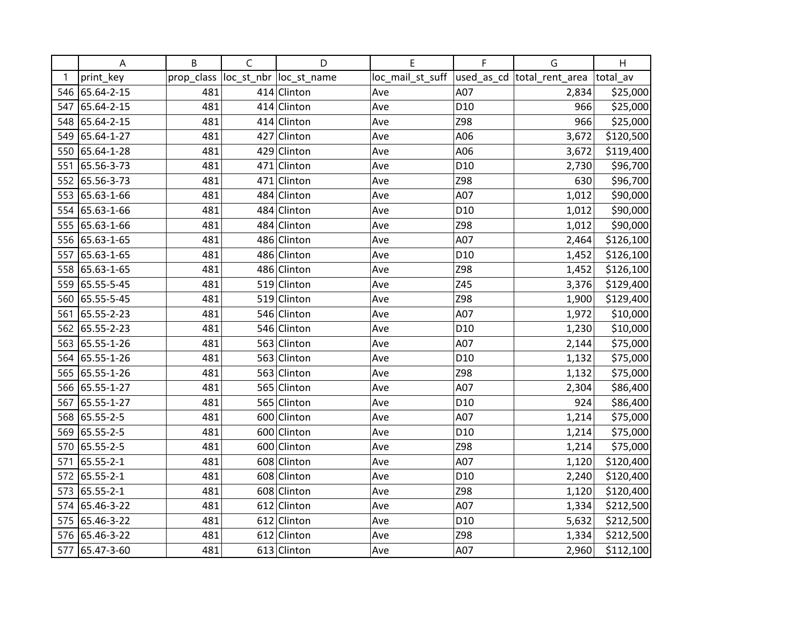|     | Α              | B          | $\mathsf C$ | D                       | E                | F               | G                           | H         |
|-----|----------------|------------|-------------|-------------------------|------------------|-----------------|-----------------------------|-----------|
| 1   | print_key      | prop_class |             | loc_st_nbr  loc_st_name | loc_mail_st_suff |                 | used_as_cd  total_rent_area | total_av  |
|     | 546 65.64-2-15 | 481        |             | 414 Clinton             | Ave              | A07             | 2,834                       | \$25,000  |
| 547 | 65.64-2-15     | 481        |             | 414 Clinton             | Ave              | D <sub>10</sub> | 966                         | \$25,000  |
| 548 | 65.64-2-15     | 481        |             | 414 Clinton             | Ave              | Z98             | 966                         | \$25,000  |
| 549 | 65.64-1-27     | 481        | 427         | Clinton                 | Ave              | A06             | 3,672                       | \$120,500 |
| 550 | 65.64-1-28     | 481        |             | 429 Clinton             | Ave              | A06             | 3,672                       | \$119,400 |
| 551 | 65.56-3-73     | 481        |             | 471 Clinton             | Ave              | D <sub>10</sub> | 2,730                       | \$96,700  |
| 552 | 65.56-3-73     | 481        |             | 471 Clinton             | Ave              | Z98             | 630                         | \$96,700  |
| 553 | 65.63-1-66     | 481        |             | 484 Clinton             | Ave              | A07             | 1,012                       | \$90,000  |
| 554 | 65.63-1-66     | 481        |             | 484 Clinton             | Ave              | D <sub>10</sub> | 1,012                       | \$90,000  |
| 555 | 65.63-1-66     | 481        |             | 484 Clinton             | Ave              | Z98             | 1,012                       | \$90,000  |
|     | 556 65.63-1-65 | 481        |             | 486 Clinton             | Ave              | A07             | 2,464                       | \$126,100 |
| 557 | 65.63-1-65     | 481        |             | 486 Clinton             | Ave              | D <sub>10</sub> | 1,452                       | \$126,100 |
| 558 | 65.63-1-65     | 481        |             | 486 Clinton             | Ave              | Z98             | 1,452                       | \$126,100 |
| 559 | 65.55-5-45     | 481        |             | 519 Clinton             | Ave              | Z45             | 3,376                       | \$129,400 |
| 560 | 65.55-5-45     | 481        |             | 519 Clinton             | Ave              | Z98             | 1,900                       | \$129,400 |
| 561 | 65.55-2-23     | 481        |             | 546 Clinton             | Ave              | A07             | 1,972                       | \$10,000  |
| 562 | 65.55-2-23     | 481        |             | 546 Clinton             | Ave              | D <sub>10</sub> | 1,230                       | \$10,000  |
| 563 | 65.55-1-26     | 481        |             | 563 Clinton             | Ave              | A07             | 2,144                       | \$75,000  |
|     | 564 65.55-1-26 | 481        |             | 563 Clinton             | Ave              | D <sub>10</sub> | 1,132                       | \$75,000  |
| 565 | 65.55-1-26     | 481        |             | 563 Clinton             | Ave              | Z98             | 1,132                       | \$75,000  |
|     | 566 65.55-1-27 | 481        |             | 565 Clinton             | Ave              | A07             | 2,304                       | \$86,400  |
| 567 | 65.55-1-27     | 481        |             | 565 Clinton             | Ave              | D <sub>10</sub> | 924                         | \$86,400  |
| 568 | 65.55-2-5      | 481        |             | 600 Clinton             | Ave              | A07             | 1,214                       | \$75,000  |
| 569 | 65.55-2-5      | 481        |             | 600 Clinton             | Ave              | D <sub>10</sub> | 1,214                       | \$75,000  |
| 570 | 65.55-2-5      | 481        |             | 600 Clinton             | Ave              | Z98             | 1,214                       | \$75,000  |
| 571 | 65.55-2-1      | 481        |             | 608 Clinton             | Ave              | A07             | 1,120                       | \$120,400 |
| 572 | 65.55-2-1      | 481        |             | 608 Clinton             | Ave              | D <sub>10</sub> | 2,240                       | \$120,400 |
| 573 | 65.55-2-1      | 481        |             | 608 Clinton             | Ave              | Z98             | 1,120                       | \$120,400 |
| 574 | 65.46-3-22     | 481        |             | 612 Clinton             | Ave              | A07             | 1,334                       | \$212,500 |
| 575 | 65.46-3-22     | 481        |             | 612 Clinton             | Ave              | D <sub>10</sub> | 5,632                       | \$212,500 |
| 576 | 65.46-3-22     | 481        |             | 612 Clinton             | Ave              | Z98             | 1,334                       | \$212,500 |
| 577 | 65.47-3-60     | 481        |             | 613 Clinton             | Ave              | A07             | 2,960                       | \$112,100 |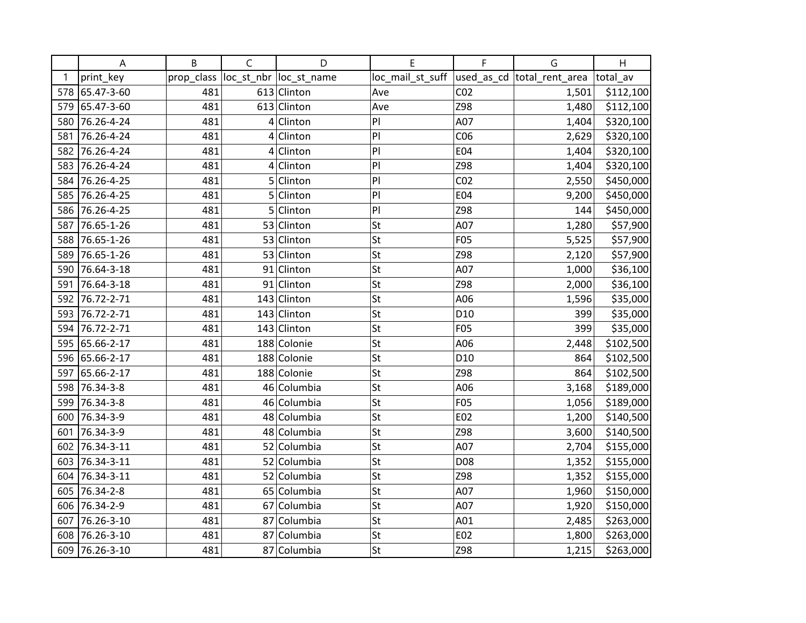|     | Α              | B          | $\mathsf C$     | D                       | E                                             | F               | G     | H         |
|-----|----------------|------------|-----------------|-------------------------|-----------------------------------------------|-----------------|-------|-----------|
| 1   | print_key      | prop_class |                 | loc_st_nbr  loc_st_name | loc_mail_st_suff  used_as_cd  total_rent_area |                 |       | total av  |
|     | 578 65.47-3-60 | 481        |                 | 613 Clinton             | Ave                                           | CO <sub>2</sub> | 1,501 | \$112,100 |
| 579 | 65.47-3-60     | 481        |                 | 613 Clinton             | Ave                                           | Z98             | 1,480 | \$112,100 |
| 580 | 76.26-4-24     | 481        |                 | $4$ Clinton             | P                                             | A07             | 1,404 | \$320,100 |
| 581 | 76.26-4-24     | 481        | $\vert 4 \vert$ | Clinton                 | P                                             | CO6             | 2,629 | \$320,100 |
| 582 | 76.26-4-24     | 481        |                 | $4$ Clinton             | P                                             | E04             | 1,404 | \$320,100 |
| 583 | 76.26-4-24     | 481        | 4               | Clinton                 | P                                             | Z98             | 1,404 | \$320,100 |
| 584 | 76.26-4-25     | 481        |                 | 5 Clinton               | P                                             | CO <sub>2</sub> | 2,550 | \$450,000 |
| 585 | 76.26-4-25     | 481        |                 | $5$ Clinton             | P                                             | E04             | 9,200 | \$450,000 |
|     | 586 76.26-4-25 | 481        | 5               | Clinton                 | P                                             | Z98             | 144   | \$450,000 |
| 587 | 76.65-1-26     | 481        |                 | 53 Clinton              | St                                            | A07             | 1,280 | \$57,900  |
| 588 | 76.65-1-26     | 481        |                 | 53 Clinton              | St                                            | F05             | 5,525 | \$57,900  |
| 589 | 76.65-1-26     | 481        |                 | 53 Clinton              | St                                            | Z98             | 2,120 | \$57,900  |
| 590 | 76.64-3-18     | 481        |                 | 91 Clinton              | St                                            | A07             | 1,000 | \$36,100  |
| 591 | 76.64-3-18     | 481        |                 | 91 Clinton              | St                                            | Z98             | 2,000 | \$36,100  |
| 592 | 76.72-2-71     | 481        |                 | 143 Clinton             | St                                            | A06             | 1,596 | \$35,000  |
| 593 | 76.72-2-71     | 481        |                 | 143 Clinton             | St                                            | D <sub>10</sub> | 399   | \$35,000  |
| 594 | 76.72-2-71     | 481        |                 | 143 Clinton             | St                                            | <b>F05</b>      | 399   | \$35,000  |
| 595 | 65.66-2-17     | 481        |                 | 188 Colonie             | St                                            | A06             | 2,448 | \$102,500 |
| 596 | 65.66-2-17     | 481        |                 | 188 Colonie             | St                                            | D <sub>10</sub> | 864   | \$102,500 |
| 597 | 65.66-2-17     | 481        |                 | 188 Colonie             | St                                            | Z98             | 864   | \$102,500 |
| 598 | 76.34-3-8      | 481        |                 | 46 Columbia             | St                                            | A06             | 3,168 | \$189,000 |
| 599 | 76.34-3-8      | 481        |                 | 46 Columbia             | St                                            | <b>F05</b>      | 1,056 | \$189,000 |
| 600 | 76.34-3-9      | 481        |                 | 48 Columbia             | St                                            | E02             | 1,200 | \$140,500 |
| 601 | 76.34-3-9      | 481        |                 | 48 Columbia             | St                                            | Z98             | 3,600 | \$140,500 |
| 602 | 76.34-3-11     | 481        |                 | 52 Columbia             | St                                            | A07             | 2,704 | \$155,000 |
| 603 | 76.34-3-11     | 481        |                 | 52 Columbia             | St                                            | D08             | 1,352 | \$155,000 |
| 604 | 76.34-3-11     | 481        |                 | 52 Columbia             | St                                            | Z98             | 1,352 | \$155,000 |
| 605 | 76.34-2-8      | 481        |                 | 65 Columbia             | St                                            | A07             | 1,960 | \$150,000 |
| 606 | 76.34-2-9      | 481        |                 | 67 Columbia             | St                                            | A07             | 1,920 | \$150,000 |
| 607 | 76.26-3-10     | 481        |                 | 87 Columbia             | St                                            | A01             | 2,485 | \$263,000 |
| 608 | 76.26-3-10     | 481        |                 | 87 Columbia             | St                                            | E02             | 1,800 | \$263,000 |
|     | 609 76.26-3-10 | 481        |                 | 87 Columbia             | St                                            | Z98             | 1,215 | \$263,000 |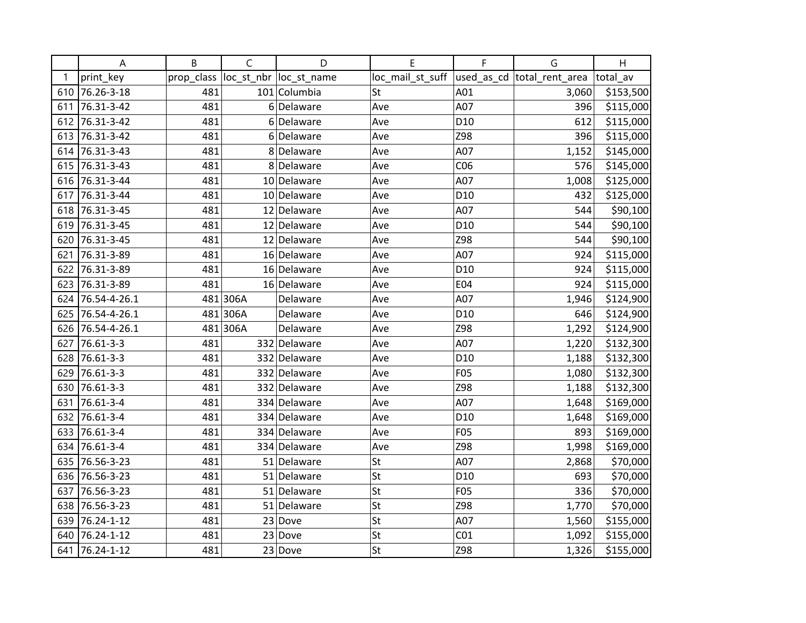|     | Α            | B          | $\mathsf{C}$ | D                       | E                | F               | G                           | H         |
|-----|--------------|------------|--------------|-------------------------|------------------|-----------------|-----------------------------|-----------|
| 1   | print_key    | prop_class |              | loc_st_nbr  loc_st_name | loc_mail_st_suff |                 | used_as_cd  total_rent_area | total av  |
| 610 | 76.26-3-18   | 481        |              | 101 Columbia            | St               | A01             | 3,060                       | \$153,500 |
| 611 | 76.31-3-42   | 481        |              | 6 Delaware              | Ave              | A07             | 396                         | \$115,000 |
| 612 | 76.31-3-42   | 481        |              | 6Delaware               | Ave              | D <sub>10</sub> | 612                         | \$115,000 |
| 613 | 76.31-3-42   | 481        | 6            | Delaware                | Ave              | Z98             | 396                         | \$115,000 |
| 614 | 76.31-3-43   | 481        |              | 8 Delaware              | Ave              | A07             | 1,152                       | \$145,000 |
| 615 | 76.31-3-43   | 481        |              | 8 Delaware              | Ave              | CO6             | 576                         | \$145,000 |
| 616 | 76.31-3-44   | 481        |              | 10 Delaware             | Ave              | A07             | 1,008                       | \$125,000 |
| 617 | 76.31-3-44   | 481        |              | 10 Delaware             | Ave              | D <sub>10</sub> | 432                         | \$125,000 |
| 618 | 76.31-3-45   | 481        |              | 12 Delaware             | Ave              | A07             | 544                         | \$90,100  |
| 619 | 76.31-3-45   | 481        |              | 12 Delaware             | Ave              | D <sub>10</sub> | 544                         | \$90,100  |
| 620 | 76.31-3-45   | 481        |              | 12 Delaware             | Ave              | Z98             | 544                         | \$90,100  |
| 621 | 76.31-3-89   | 481        |              | 16 Delaware             | Ave              | A07             | 924                         | \$115,000 |
| 622 | 76.31-3-89   | 481        |              | 16 Delaware             | Ave              | D <sub>10</sub> | 924                         | \$115,000 |
| 623 | 76.31-3-89   | 481        |              | 16 Delaware             | Ave              | E04             | 924                         | \$115,000 |
| 624 | 76.54-4-26.1 |            | 481 306A     | Delaware                | Ave              | A07             | 1,946                       | \$124,900 |
| 625 | 76.54-4-26.1 |            | 481 306A     | Delaware                | Ave              | D <sub>10</sub> | 646                         | \$124,900 |
| 626 | 76.54-4-26.1 |            | 481 306A     | Delaware                | Ave              | Z98             | 1,292                       | \$124,900 |
| 627 | 76.61-3-3    | 481        |              | 332 Delaware            | Ave              | A07             | 1,220                       | \$132,300 |
| 628 | 76.61-3-3    | 481        |              | 332 Delaware            | Ave              | D <sub>10</sub> | 1,188                       | \$132,300 |
| 629 | 76.61-3-3    | 481        |              | 332 Delaware            | Ave              | <b>F05</b>      | 1,080                       | \$132,300 |
| 630 | 76.61-3-3    | 481        |              | 332 Delaware            | Ave              | Z98             | 1,188                       | \$132,300 |
| 631 | 76.61-3-4    | 481        |              | 334 Delaware            | Ave              | A07             | 1,648                       | \$169,000 |
| 632 | 76.61-3-4    | 481        |              | 334 Delaware            | Ave              | D10             | 1,648                       | \$169,000 |
| 633 | 76.61-3-4    | 481        |              | 334 Delaware            | Ave              | F05             | 893                         | \$169,000 |
| 634 | 76.61-3-4    | 481        |              | 334 Delaware            | Ave              | Z98             | 1,998                       | \$169,000 |
| 635 | 76.56-3-23   | 481        |              | 51 Delaware             | St               | A07             | 2,868                       | \$70,000  |
| 636 | 76.56-3-23   | 481        |              | 51 Delaware             | St               | D <sub>10</sub> | 693                         | \$70,000  |
| 637 | 76.56-3-23   | 481        |              | 51 Delaware             | St               | <b>F05</b>      | 336                         | \$70,000  |
| 638 | 76.56-3-23   | 481        |              | 51 Delaware             | St               | Z98             | 1,770                       | \$70,000  |
| 639 | 76.24-1-12   | 481        |              | 23 Dove                 | St               | A07             | 1,560                       | \$155,000 |
| 640 | 76.24-1-12   | 481        |              | 23 Dove                 | St               | CO <sub>1</sub> | 1,092                       | \$155,000 |
| 641 | 76.24-1-12   | 481        |              | 23 Dove                 | St               | Z98             | 1,326                       | \$155,000 |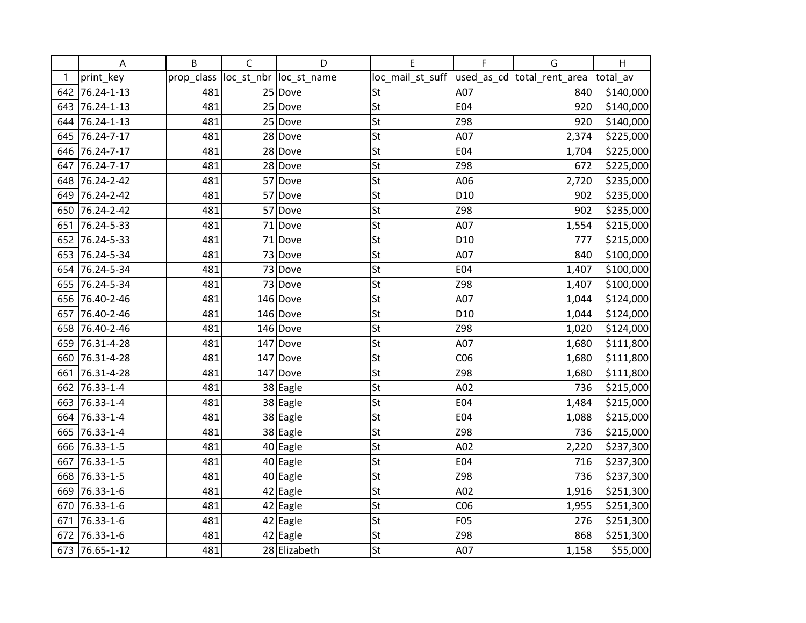|     | Α                          | B          | $\mathsf{C}$ | D                       | E                | F               | G                           | H         |
|-----|----------------------------|------------|--------------|-------------------------|------------------|-----------------|-----------------------------|-----------|
| 1   | print_key                  | prop_class |              | loc_st_nbr  loc_st_name | loc_mail_st_suff |                 | used_as_cd  total_rent_area | total av  |
| 642 | 76.24-1-13                 | 481        |              | 25 Dove                 | St               | A07             | 840                         | \$140,000 |
| 643 | 76.24-1-13                 | 481        |              | 25 Dove                 | St               | E04             | 920                         | \$140,000 |
| 644 | 76.24-1-13                 | 481        |              | 25 Dove                 | St               | Z98             | 920                         | \$140,000 |
| 645 | 76.24-7-17                 | 481        |              | 28 Dove                 | St               | A07             | 2,374                       | \$225,000 |
| 646 | 76.24-7-17                 | 481        |              | 28 Dove                 | St               | E04             | 1,704                       | \$225,000 |
| 647 | 76.24-7-17                 | 481        |              | 28 Dove                 | St               | Z98             | 672                         | \$225,000 |
| 648 | 76.24-2-42                 | 481        |              | 57 Dove                 | St               | A06             | 2,720                       | \$235,000 |
| 649 | 76.24-2-42                 | 481        |              | 57 Dove                 | St               | D <sub>10</sub> | 902                         | \$235,000 |
| 650 | 76.24-2-42                 | 481        | 57           | Dove                    | St               | Z98             | 902                         | \$235,000 |
| 651 | 76.24-5-33                 | 481        | 71           | Dove                    | St               | A07             | 1,554                       | \$215,000 |
| 652 | 76.24-5-33                 | 481        |              | $71$ Dove               | St               | D <sub>10</sub> | 777                         | \$215,000 |
| 653 | 76.24-5-34                 | 481        |              | 73 Dove                 | St               | A07             | 840                         | \$100,000 |
| 654 | 76.24-5-34                 | 481        |              | 73 Dove                 | St               | E04             | 1,407                       | \$100,000 |
| 655 | 76.24-5-34                 | 481        |              | 73 Dove                 | St               | Z98             | 1,407                       | \$100,000 |
| 656 | 76.40-2-46                 | 481        |              | $146$ Dove              | St               | A07             | 1,044                       | \$124,000 |
| 657 | 76.40-2-46                 | 481        |              | $146$ Dove              | St               | D <sub>10</sub> | 1,044                       | \$124,000 |
| 658 | 76.40-2-46                 | 481        |              | $146$ Dove              | St               | Z98             | 1,020                       | \$124,000 |
| 659 | 76.31-4-28                 | 481        |              | $147$ Dove              | St               | A07             | 1,680                       | \$111,800 |
| 660 | 76.31-4-28                 | 481        |              | $147$ Dove              | St               | CO6             | 1,680                       | \$111,800 |
| 661 | 76.31-4-28                 | 481        | 147          | Dove                    | St               | Z98             | 1,680                       | \$111,800 |
|     | $\overline{662}$ 76.33-1-4 | 481        |              | 38 Eagle                | St               | A02             | 736                         | \$215,000 |
| 663 | 76.33-1-4                  | 481        |              | 38 Eagle                | St               | E04             | 1,484                       | \$215,000 |
| 664 | 76.33-1-4                  | 481        |              | 38 Eagle                | St               | E04             | 1,088                       | \$215,000 |
| 665 | 76.33-1-4                  | 481        |              | 38 Eagle                | St               | Z98             | 736                         | \$215,000 |
| 666 | 76.33-1-5                  | 481        |              | $40$ Eagle              | St               | A02             | 2,220                       | \$237,300 |
| 667 | 76.33-1-5                  | 481        |              | $40$ Eagle              | St               | E04             | 716                         | \$237,300 |
| 668 | 76.33-1-5                  | 481        |              | 40 Eagle                | St               | Z98             | 736                         | \$237,300 |
| 669 | 76.33-1-6                  | 481        |              | $42$ Eagle              | St               | A02             | 1,916                       | \$251,300 |
| 670 | 76.33-1-6                  | 481        |              | 42 Eagle                | St               | CO6             | 1,955                       | \$251,300 |
| 671 | 76.33-1-6                  | 481        |              | $42$ Eagle              | St               | F05             | 276                         | \$251,300 |
| 672 | 76.33-1-6                  | 481        |              | $42$ Eagle              | St               | Z98             | 868                         | \$251,300 |
| 673 | 76.65-1-12                 | 481        |              | 28 Elizabeth            | St               | A07             | 1,158                       | \$55,000  |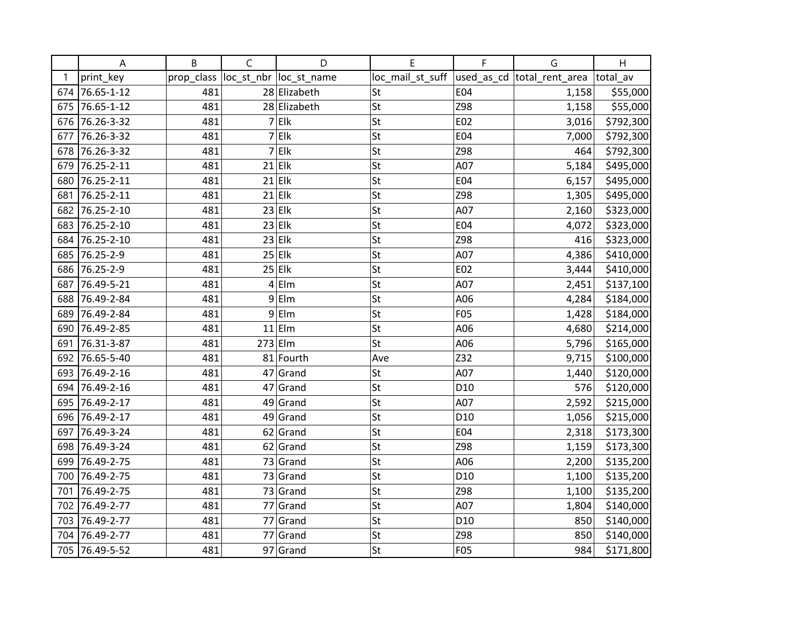|     | A              | B          | $\mathsf C$ | D                      | E                | F               | G                          | H         |
|-----|----------------|------------|-------------|------------------------|------------------|-----------------|----------------------------|-----------|
| 1   | print_key      | prop_class |             | loc_st_nbr loc_st_name | loc_mail_st_suff |                 | used as cd total rent area | total_av  |
|     | 674 76.65-1-12 | 481        |             | 28 Elizabeth           | St               | <b>E04</b>      | 1,158                      | \$55,000  |
| 675 | 76.65-1-12     | 481        |             | 28 Elizabeth           | St               | Z98             | 1,158                      | \$55,000  |
| 676 | 76.26-3-32     | 481        |             | $7$ Elk                | St               | E02             | 3,016                      | \$792,300 |
| 677 | 76.26-3-32     | 481        |             | $7$ Elk                | St               | E04             | 7,000                      | \$792,300 |
| 678 | 76.26-3-32     | 481        | 7           | Elk                    | St               | Z98             | 464                        | \$792,300 |
| 679 | 76.25-2-11     | 481        |             | $21$ Elk               | St               | A07             | 5,184                      | \$495,000 |
| 680 | 76.25-2-11     | 481        |             | $21$ Elk               | St               | E04             | 6,157                      | \$495,000 |
| 681 | 76.25-2-11     | 481        |             | $21$ Elk               | St               | Z98             | 1,305                      | \$495,000 |
| 682 | 76.25-2-10     | 481        |             | $23$ Elk               | St               | A07             | 2,160                      | \$323,000 |
|     | 683 76.25-2-10 | 481        |             | $23$ Elk               | St               | E04             | 4,072                      | \$323,000 |
|     | 684 76.25-2-10 | 481        |             | $23$ Elk               | St               | Z98             | 416                        | \$323,000 |
| 685 | 76.25-2-9      | 481        |             | $25$ Elk               | St               | A07             | 4,386                      | \$410,000 |
|     | 686 76.25-2-9  | 481        |             | $25$ Elk               | St               | E02             | 3,444                      | \$410,000 |
| 687 | 76.49-5-21     | 481        | 4           | Elm                    | St               | A07             | 2,451                      | \$137,100 |
| 688 | 76.49-2-84     | 481        | 9           | Elm                    | St               | A06             | 4,284                      | \$184,000 |
| 689 | 76.49-2-84     | 481        |             | $9$ Elm                | St               | F05             | 1,428                      | \$184,000 |
| 690 | 76.49-2-85     | 481        |             | $11$  Elm              | St               | A06             | 4,680                      | \$214,000 |
| 691 | 76.31-3-87     | 481        | $273$ Elm   |                        | St               | A06             | 5,796                      | \$165,000 |
| 692 | 76.65-5-40     | 481        |             | 81 Fourth              | Ave              | Z32             | 9,715                      | \$100,000 |
|     | 693 76.49-2-16 | 481        |             | 47 Grand               | St               | A07             | 1,440                      | \$120,000 |
|     | 694 76.49-2-16 | 481        |             | $47$ Grand             | St               | D <sub>10</sub> | 576                        | \$120,000 |
|     | 695 76.49-2-17 | 481        |             | $49$ Grand             | St               | A07             | 2,592                      | \$215,000 |
|     | 696 76.49-2-17 | 481        |             | 49 Grand               | St               | D <sub>10</sub> | 1,056                      | \$215,000 |
| 697 | 76.49-3-24     | 481        |             | 62 Grand               | St               | E04             | 2,318                      | \$173,300 |
| 698 | 76.49-3-24     | 481        |             | 62 Grand               | St               | Z98             | 1,159                      | \$173,300 |
| 699 | 76.49-2-75     | 481        |             | 73 Grand               | St               | A06             | 2,200                      | \$135,200 |
| 700 | 76.49-2-75     | 481        |             | $73$ Grand             | St               | D <sub>10</sub> | 1,100                      | \$135,200 |
| 701 | 76.49-2-75     | 481        |             | 73 Grand               | St               | Z98             | 1,100                      | \$135,200 |
| 702 | 76.49-2-77     | 481        |             | 77 Grand               | St               | A07             | 1,804                      | \$140,000 |
| 703 | 76.49-2-77     | 481        | 77          | Grand                  | St               | D <sub>10</sub> | 850                        | \$140,000 |
| 704 | 76.49-2-77     | 481        |             | 77 Grand               | St               | Z98             | 850                        | \$140,000 |
|     | 705 76.49-5-52 | 481        |             | 97 Grand               | St               | <b>F05</b>      | 984                        | \$171,800 |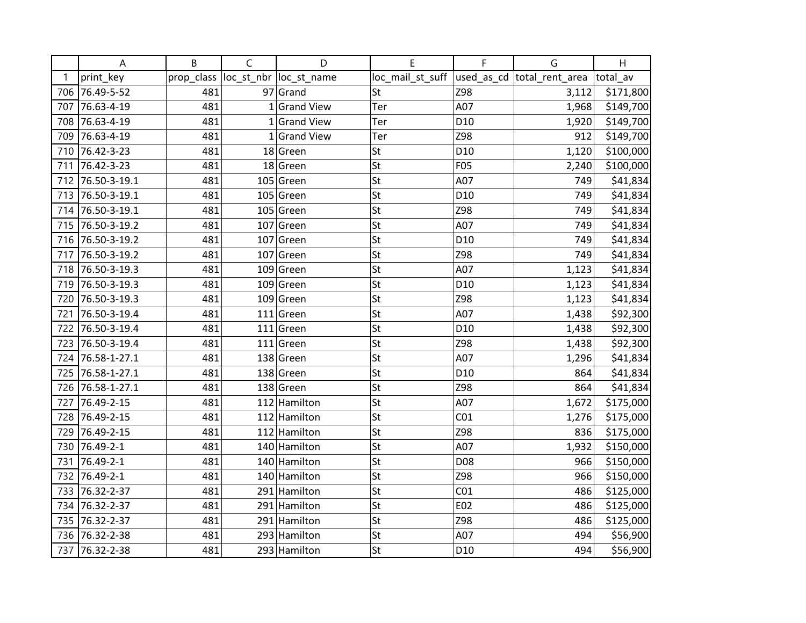|     | Α            | B          | $\mathsf C$  | D                       | E                | F               | G                          | H         |
|-----|--------------|------------|--------------|-------------------------|------------------|-----------------|----------------------------|-----------|
| 1   | print_key    | prop_class |              | loc_st_nbr  loc_st_name | loc_mail_st_suff |                 | used_as_cd total_rent_area | total av  |
| 706 | 76.49-5-52   | 481        |              | $97$ Grand              | St               | Z98             | 3,112                      | \$171,800 |
| 707 | 76.63-4-19   | 481        |              | $1$ Grand View          | Ter              | A07             | 1,968                      | \$149,700 |
| 708 | 76.63-4-19   | 481        |              | 1 Grand View            | Ter              | D <sub>10</sub> | 1,920                      | \$149,700 |
| 709 | 76.63-4-19   | 481        | $\mathbf{1}$ | <b>Grand View</b>       | Ter              | Z98             | 912                        | \$149,700 |
| 710 | 76.42-3-23   | 481        |              | 18 Green                | St               | D <sub>10</sub> | 1,120                      | \$100,000 |
| 711 | 76.42-3-23   | 481        |              | $18$ Green              | St               | <b>F05</b>      | 2,240                      | \$100,000 |
| 712 | 76.50-3-19.1 | 481        |              | $105$ Green             | St               | A07             | 749                        | \$41,834  |
| 713 | 76.50-3-19.1 | 481        |              | $105$ Green             | St               | D <sub>10</sub> | 749                        | \$41,834  |
| 714 | 76.50-3-19.1 | 481        |              | $105$ Green             | St               | Z98             | 749                        | \$41,834  |
| 715 | 76.50-3-19.2 | 481        |              | $107$ Green             | St               | A07             | 749                        | \$41,834  |
| 716 | 76.50-3-19.2 | 481        |              | $107$ Green             | St               | D <sub>10</sub> | 749                        | \$41,834  |
| 717 | 76.50-3-19.2 | 481        |              | $107$ Green             | St               | Z98             | 749                        | \$41,834  |
| 718 | 76.50-3-19.3 | 481        |              | $109$ Green             | St               | A07             | 1,123                      | \$41,834  |
| 719 | 76.50-3-19.3 | 481        |              | $109$ Green             | St               | D <sub>10</sub> | 1,123                      | \$41,834  |
| 720 | 76.50-3-19.3 | 481        |              | $109$ Green             | St               | Z98             | 1,123                      | \$41,834  |
| 721 | 76.50-3-19.4 | 481        |              | $111$ Green             | St               | A07             | 1,438                      | \$92,300  |
| 722 | 76.50-3-19.4 | 481        |              | $111$ Green             | St               | D <sub>10</sub> | 1,438                      | \$92,300  |
| 723 | 76.50-3-19.4 | 481        |              | $111$ Green             | St               | Z98             | 1,438                      | \$92,300  |
| 724 | 76.58-1-27.1 | 481        |              | $138$ Green             | St               | A07             | 1,296                      | \$41,834  |
| 725 | 76.58-1-27.1 | 481        |              | $138$ Green             | St               | D <sub>10</sub> | 864                        | \$41,834  |
| 726 | 76.58-1-27.1 | 481        |              | 138 Green               | St               | Z98             | 864                        | \$41,834  |
| 727 | 76.49-2-15   | 481        |              | 112 Hamilton            | St               | A07             | 1,672                      | \$175,000 |
| 728 | 76.49-2-15   | 481        |              | 112 Hamilton            | St               | CO <sub>1</sub> | 1,276                      | \$175,000 |
| 729 | 76.49-2-15   | 481        |              | 112 Hamilton            | St               | Z98             | 836                        | \$175,000 |
| 730 | 76.49-2-1    | 481        |              | 140 Hamilton            | St               | A07             | 1,932                      | \$150,000 |
| 731 | 76.49-2-1    | 481        |              | 140 Hamilton            | St               | D08             | 966                        | \$150,000 |
| 732 | 76.49-2-1    | 481        |              | 140 Hamilton            | St               | Z98             | 966                        | \$150,000 |
| 733 | 76.32-2-37   | 481        |              | 291 Hamilton            | St               | CO <sub>1</sub> | 486                        | \$125,000 |
| 734 | 76.32-2-37   | 481        |              | 291 Hamilton            | St               | E02             | 486                        | \$125,000 |
| 735 | 76.32-2-37   | 481        |              | 291 Hamilton            | St               | Z98             | 486                        | \$125,000 |
| 736 | 76.32-2-38   | 481        |              | 293 Hamilton            | St               | A07             | 494                        | \$56,900  |
| 737 | 76.32-2-38   | 481        |              | 293 Hamilton            | St               | D10             | 494                        | \$56,900  |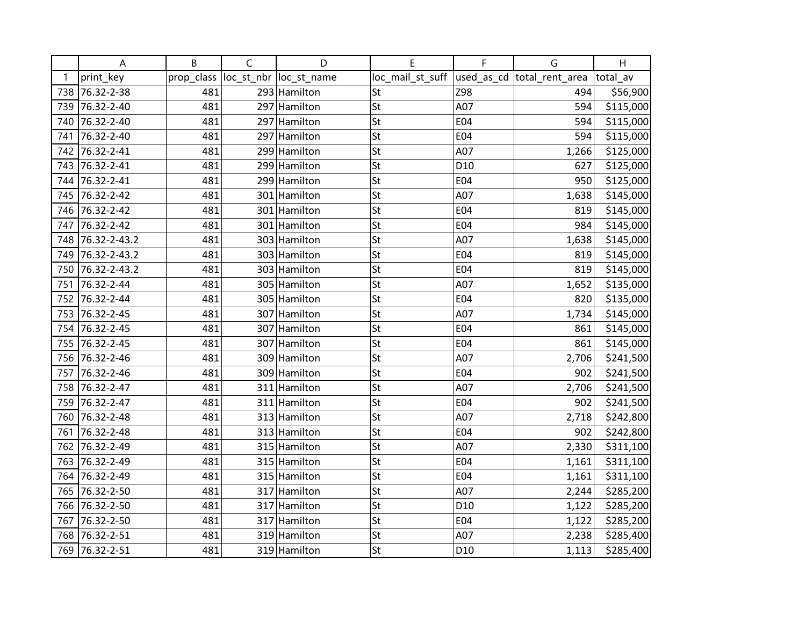|     | A            | B          | $\mathsf C$ | D                       | E                                             | F               | G     | H         |
|-----|--------------|------------|-------------|-------------------------|-----------------------------------------------|-----------------|-------|-----------|
| 1   | print_key    | prop_class |             | loc_st_nbr  loc_st_name | loc_mail_st_suff  used_as_cd  total_rent_area |                 |       | total_av  |
| 738 | 76.32-2-38   | 481        |             | 293 Hamilton            | St                                            | Z98             | 494   | \$56,900  |
| 739 | 76.32-2-40   | 481        |             | 297 Hamilton            | St                                            | A07             | 594   | \$115,000 |
| 740 | 76.32-2-40   | 481        |             | 297 Hamilton            | St                                            | E04             | 594   | \$115,000 |
| 741 | 76.32-2-40   | 481        |             | 297 Hamilton            | St                                            | E04             | 594   | \$115,000 |
| 742 | 76.32-2-41   | 481        |             | 299 Hamilton            | St                                            | A07             | 1,266 | \$125,000 |
| 743 | 76.32-2-41   | 481        |             | 299 Hamilton            | St                                            | D <sub>10</sub> | 627   | \$125,000 |
| 744 | 76.32-2-41   | 481        |             | 299 Hamilton            | St                                            | E04             | 950   | \$125,000 |
| 745 | 76.32-2-42   | 481        |             | 301 Hamilton            | St                                            | A07             | 1,638 | \$145,000 |
| 746 | 76.32-2-42   | 481        |             | 301 Hamilton            | St                                            | E04             | 819   | \$145,000 |
| 747 | 76.32-2-42   | 481        |             | 301 Hamilton            | St                                            | E04             | 984   | \$145,000 |
| 748 | 76.32-2-43.2 | 481        |             | 303 Hamilton            | St                                            | A07             | 1,638 | \$145,000 |
| 749 | 76.32-2-43.2 | 481        |             | 303 Hamilton            | St                                            | E04             | 819   | \$145,000 |
| 750 | 76.32-2-43.2 | 481        |             | 303 Hamilton            | St                                            | E04             | 819   | \$145,000 |
| 751 | 76.32-2-44   | 481        |             | 305 Hamilton            | St                                            | A07             | 1,652 | \$135,000 |
| 752 | 76.32-2-44   | 481        |             | 305 Hamilton            | St                                            | E04             | 820   | \$135,000 |
| 753 | 76.32-2-45   | 481        |             | 307 Hamilton            | St                                            | A07             | 1,734 | \$145,000 |
| 754 | 76.32-2-45   | 481        |             | 307 Hamilton            | St                                            | E04             | 861   | \$145,000 |
| 755 | 76.32-2-45   | 481        |             | 307 Hamilton            | St                                            | E04             | 861   | \$145,000 |
| 756 | 76.32-2-46   | 481        |             | 309 Hamilton            | St                                            | A07             | 2,706 | \$241,500 |
| 757 | 76.32-2-46   | 481        |             | 309 Hamilton            | St                                            | E04             | 902   | \$241,500 |
| 758 | 76.32-2-47   | 481        |             | 311 Hamilton            | St                                            | A07             | 2,706 | \$241,500 |
| 759 | 76.32-2-47   | 481        |             | 311 Hamilton            | St                                            | E04             | 902   | \$241,500 |
| 760 | 76.32-2-48   | 481        |             | 313 Hamilton            | St                                            | A07             | 2,718 | \$242,800 |
| 761 | 76.32-2-48   | 481        |             | 313 Hamilton            | St                                            | E04             | 902   | \$242,800 |
| 762 | 76.32-2-49   | 481        |             | 315 Hamilton            | St                                            | A07             | 2,330 | \$311,100 |
| 763 | 76.32-2-49   | 481        |             | 315 Hamilton            | St                                            | E04             | 1,161 | \$311,100 |
| 764 | 76.32-2-49   | 481        |             | 315 Hamilton            | St                                            | E04             | 1,161 | \$311,100 |
| 765 | 76.32-2-50   | 481        |             | 317 Hamilton            | St                                            | A07             | 2,244 | \$285,200 |
| 766 | 76.32-2-50   | 481        |             | 317 Hamilton            | St                                            | D <sub>10</sub> | 1,122 | \$285,200 |
| 767 | 76.32-2-50   | 481        |             | 317 Hamilton            | St                                            | E04             | 1,122 | \$285,200 |
| 768 | 76.32-2-51   | 481        |             | 319 Hamilton            | St                                            | A07             | 2,238 | \$285,400 |
| 769 | 76.32-2-51   | 481        |             | 319 Hamilton            | St                                            | D10             | 1,113 | \$285,400 |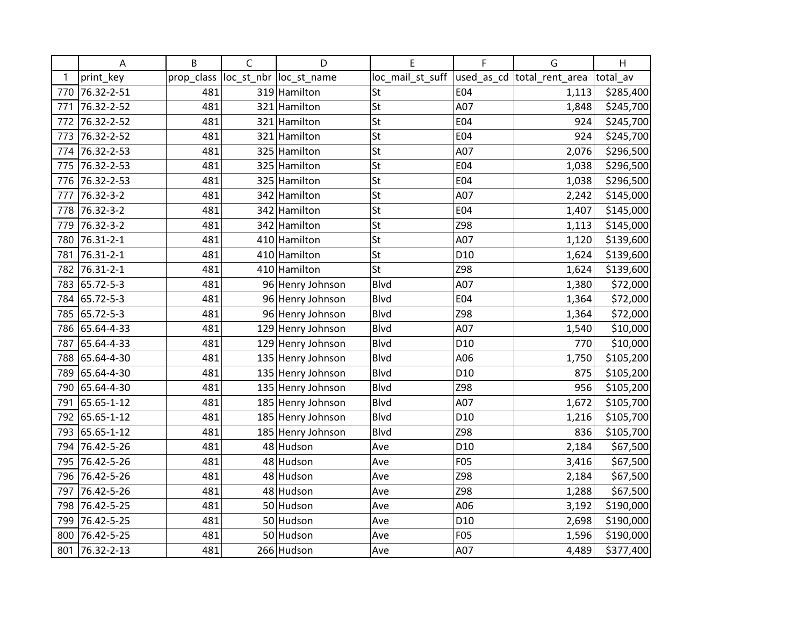|     | A          | B          | $\mathsf C$ | D                       | E                | F               | G                           | H         |
|-----|------------|------------|-------------|-------------------------|------------------|-----------------|-----------------------------|-----------|
| 1   | print_key  | prop_class |             | loc_st_nbr  loc_st_name | loc_mail_st_suff |                 | used_as_cd  total_rent_area | total av  |
| 770 | 76.32-2-51 | 481        |             | 319 Hamilton            | St               | E04             | 1,113                       | \$285,400 |
| 771 | 76.32-2-52 | 481        |             | 321 Hamilton            | St               | A07             | 1,848                       | \$245,700 |
| 772 | 76.32-2-52 | 481        |             | 321 Hamilton            | St               | E04             | 924                         | \$245,700 |
| 773 | 76.32-2-52 | 481        |             | 321 Hamilton            | St               | E04             | 924                         | \$245,700 |
| 774 | 76.32-2-53 | 481        |             | 325 Hamilton            | St               | A07             | 2,076                       | \$296,500 |
| 775 | 76.32-2-53 | 481        |             | 325 Hamilton            | St               | E04             | 1,038                       | \$296,500 |
| 776 | 76.32-2-53 | 481        |             | 325 Hamilton            | St               | E04             | 1,038                       | \$296,500 |
| 777 | 76.32-3-2  | 481        |             | 342 Hamilton            | St               | A07             | 2,242                       | \$145,000 |
| 778 | 76.32-3-2  | 481        |             | 342 Hamilton            | St               | E04             | 1,407                       | \$145,000 |
| 779 | 76.32-3-2  | 481        |             | 342 Hamilton            | St               | Z98             | 1,113                       | \$145,000 |
| 780 | 76.31-2-1  | 481        |             | 410 Hamilton            | St               | A07             | 1,120                       | \$139,600 |
| 781 | 76.31-2-1  | 481        |             | 410 Hamilton            | St               | D <sub>10</sub> | 1,624                       | \$139,600 |
| 782 | 76.31-2-1  | 481        |             | 410 Hamilton            | St               | Z98             | 1,624                       | \$139,600 |
| 783 | 65.72-5-3  | 481        |             | 96 Henry Johnson        | <b>Blvd</b>      | A07             | 1,380                       | \$72,000  |
| 784 | 65.72-5-3  | 481        |             | 96 Henry Johnson        | Blvd             | E04             | 1,364                       | \$72,000  |
| 785 | 65.72-5-3  | 481        |             | 96 Henry Johnson        | <b>Blvd</b>      | Z98             | 1,364                       | \$72,000  |
| 786 | 65.64-4-33 | 481        |             | 129 Henry Johnson       | <b>Blvd</b>      | A07             | 1,540                       | \$10,000  |
| 787 | 65.64-4-33 | 481        |             | 129 Henry Johnson       | <b>Blvd</b>      | D <sub>10</sub> | 770                         | \$10,000  |
| 788 | 65.64-4-30 | 481        |             | 135 Henry Johnson       | <b>Blvd</b>      | A06             | 1,750                       | \$105,200 |
| 789 | 65.64-4-30 | 481        |             | 135 Henry Johnson       | <b>Blvd</b>      | D <sub>10</sub> | 875                         | \$105,200 |
| 790 | 65.64-4-30 | 481        |             | 135 Henry Johnson       | <b>Blvd</b>      | Z98             | 956                         | \$105,200 |
| 791 | 65.65-1-12 | 481        |             | 185 Henry Johnson       | <b>Blvd</b>      | A07             | 1,672                       | \$105,700 |
| 792 | 65.65-1-12 | 481        |             | 185 Henry Johnson       | <b>Blvd</b>      | D10             | 1,216                       | \$105,700 |
| 793 | 65.65-1-12 | 481        |             | 185 Henry Johnson       | Blvd             | Z98             | 836                         | \$105,700 |
| 794 | 76.42-5-26 | 481        |             | 48 Hudson               | Ave              | D <sub>10</sub> | 2,184                       | \$67,500  |
| 795 | 76.42-5-26 | 481        |             | 48 Hudson               | Ave              | <b>F05</b>      | 3,416                       | \$67,500  |
| 796 | 76.42-5-26 | 481        |             | 48 Hudson               | Ave              | Z98             | 2,184                       | \$67,500  |
| 797 | 76.42-5-26 | 481        |             | 48 Hudson               | Ave              | Z98             | 1,288                       | \$67,500  |
| 798 | 76.42-5-25 | 481        |             | 50 Hudson               | Ave              | A06             | 3,192                       | \$190,000 |
| 799 | 76.42-5-25 | 481        |             | 50 Hudson               | Ave              | D <sub>10</sub> | 2,698                       | \$190,000 |
| 800 | 76.42-5-25 | 481        |             | 50 Hudson               | Ave              | F05             | 1,596                       | \$190,000 |
| 801 | 76.32-2-13 | 481        |             | 266 Hudson              | Ave              | A07             | 4,489                       | \$377,400 |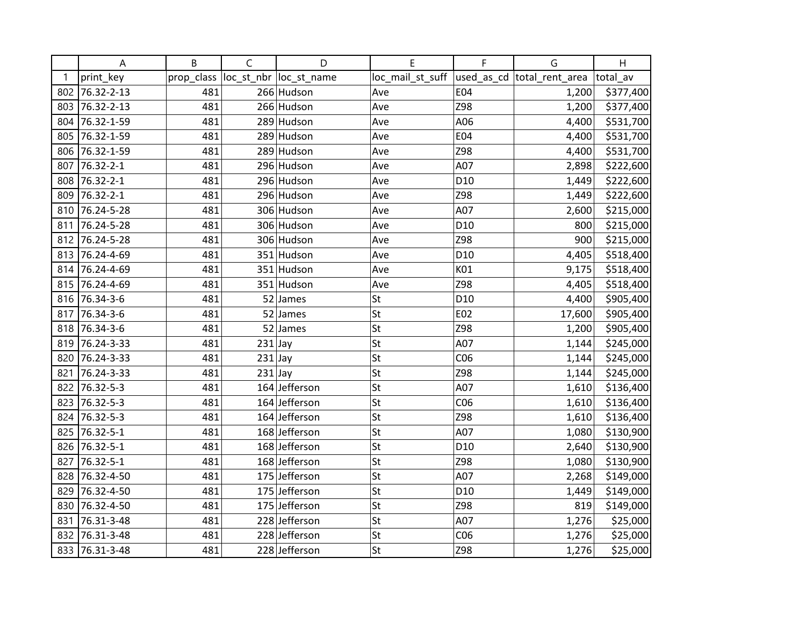|     | A              | B          | $\mathsf{C}$ | D                      | E                                             | F               | G      | H         |
|-----|----------------|------------|--------------|------------------------|-----------------------------------------------|-----------------|--------|-----------|
| 1   | print_key      | prop_class |              | loc_st_nbr loc_st_name | loc_mail_st_suff  used_as_cd  total_rent_area |                 |        | total_av  |
| 802 | 76.32-2-13     | 481        |              | 266 Hudson             | Ave                                           | E04             | 1,200  | \$377,400 |
| 803 | 76.32-2-13     | 481        |              | 266 Hudson             | Ave                                           | Z98             | 1,200  | \$377,400 |
| 804 | 76.32-1-59     | 481        |              | 289 Hudson             | Ave                                           | A06             | 4,400  | \$531,700 |
| 805 | 76.32-1-59     | 481        |              | 289 Hudson             | Ave                                           | E04             | 4,400  | \$531,700 |
| 806 | 76.32-1-59     | 481        |              | 289 Hudson             | Ave                                           | Z98             | 4,400  | \$531,700 |
| 807 | 76.32-2-1      | 481        |              | 296 Hudson             | Ave                                           | A07             | 2,898  | \$222,600 |
|     | 808 76.32-2-1  | 481        |              | 296 Hudson             | Ave                                           | D <sub>10</sub> | 1,449  | \$222,600 |
| 809 | 76.32-2-1      | 481        |              | 296 Hudson             | Ave                                           | Z98             | 1,449  | \$222,600 |
|     | 810 76.24-5-28 | 481        |              | 306 Hudson             | Ave                                           | A07             | 2,600  | \$215,000 |
|     | 811 76.24-5-28 | 481        |              | 306 Hudson             | Ave                                           | D <sub>10</sub> | 800    | \$215,000 |
|     | 812 76.24-5-28 | 481        |              | 306 Hudson             | Ave                                           | Z98             | 900    | \$215,000 |
|     | 813 76.24-4-69 | 481        |              | 351 Hudson             | Ave                                           | D <sub>10</sub> | 4,405  | \$518,400 |
| 814 | 76.24-4-69     | 481        |              | 351 Hudson             | Ave                                           | K01             | 9,175  | \$518,400 |
|     | 815 76.24-4-69 | 481        |              | 351 Hudson             | Ave                                           | Z98             | 4,405  | \$518,400 |
|     | 816 76.34-3-6  | 481        |              | $52$ James             | St                                            | D <sub>10</sub> | 4,400  | \$905,400 |
| 817 | 76.34-3-6      | 481        |              | $52$ James             | St                                            | E02             | 17,600 | \$905,400 |
|     | 818 76.34-3-6  | 481        |              | $52$ James             | St                                            | Z98             | 1,200  | \$905,400 |
|     | 819 76.24-3-33 | 481        | $231$ Jay    |                        | St                                            | A07             | 1,144  | \$245,000 |
| 820 | 76.24-3-33     | 481        | $231$ Jay    |                        | St                                            | CO6             | 1,144  | \$245,000 |
| 821 | 76.24-3-33     | 481        | $231$ Jay    |                        | St                                            | Z98             | 1,144  | \$245,000 |
|     | 822 76.32-5-3  | 481        |              | 164 Jefferson          | St                                            | A07             | 1,610  | \$136,400 |
|     | 823 76.32-5-3  | 481        |              | 164 Jefferson          | St                                            | CO6             | 1,610  | \$136,400 |
|     | 824 76.32-5-3  | 481        |              | 164 Jefferson          | St                                            | Z98             | 1,610  | \$136,400 |
| 825 | 76.32-5-1      | 481        |              | 168 Jefferson          | St                                            | A07             | 1,080  | \$130,900 |
| 826 | 76.32-5-1      | 481        |              | 168 Jefferson          | St                                            | D <sub>10</sub> | 2,640  | \$130,900 |
| 827 | 76.32-5-1      | 481        |              | 168 Jefferson          | St                                            | Z98             | 1,080  | \$130,900 |
| 828 | 76.32-4-50     | 481        |              | 175 Jefferson          | St                                            | A07             | 2,268  | \$149,000 |
| 829 | 76.32-4-50     | 481        |              | 175 Jefferson          | St                                            | D <sub>10</sub> | 1,449  | \$149,000 |
| 830 | 76.32-4-50     | 481        |              | 175 Jefferson          | St                                            | Z98             | 819    | \$149,000 |
| 831 | 76.31-3-48     | 481        |              | 228 Jefferson          | St                                            | A07             | 1,276  | \$25,000  |
| 832 | 76.31-3-48     | 481        |              | 228 Jefferson          | St                                            | CO6             | 1,276  | \$25,000  |
|     | 833 76.31-3-48 | 481        |              | 228 Jefferson          | St                                            | Z98             | 1,276  | \$25,000  |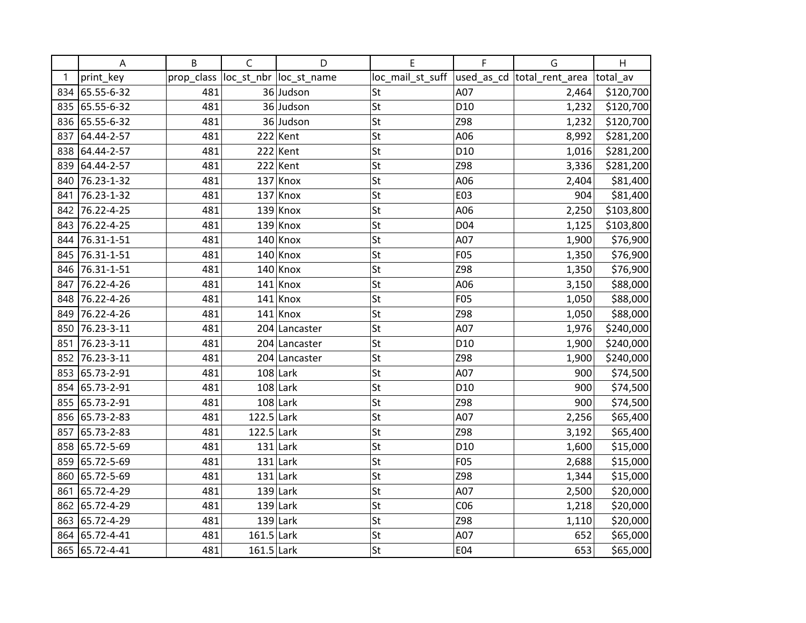|     | Α              | B          | $\mathsf{C}$ | D                       | E                | F               | G                           | H         |
|-----|----------------|------------|--------------|-------------------------|------------------|-----------------|-----------------------------|-----------|
| 1   | print_key      | prop_class |              | loc_st_nbr  loc_st_name | loc_mail_st_suff |                 | used_as_cd  total_rent_area | total av  |
|     | 834 65.55-6-32 | 481        |              | 36 Judson               | St               | A07             | 2,464                       | \$120,700 |
| 835 | 65.55-6-32     | 481        |              | 36 Judson               | St               | D <sub>10</sub> | 1,232                       | \$120,700 |
| 836 | 65.55-6-32     | 481        |              | 36 Judson               | St               | Z98             | 1,232                       | \$120,700 |
| 837 | 64.44-2-57     | 481        |              | $222$ Kent              | St               | A06             | 8,992                       | \$281,200 |
| 838 | 64.44-2-57     | 481        |              | $222$ Kent              | St               | D <sub>10</sub> | 1,016                       | \$281,200 |
| 839 | 64.44-2-57     | 481        |              | $222$ Kent              | St               | Z98             | 3,336                       | \$281,200 |
| 840 | 76.23-1-32     | 481        |              | $137$ Knox              | St               | A06             | 2,404                       | \$81,400  |
| 841 | 76.23-1-32     | 481        |              | $137$ Knox              | St               | E03             | 904                         | \$81,400  |
| 842 | 76.22-4-25     | 481        | 139          | Knox                    | St               | A06             | 2,250                       | \$103,800 |
| 843 | 76.22-4-25     | 481        |              | $139$ Knox              | St               | D04             | 1,125                       | \$103,800 |
| 844 | 76.31-1-51     | 481        |              | $140$ Knox              | St               | A07             | 1,900                       | \$76,900  |
| 845 | 76.31-1-51     | 481        |              | $140$ Knox              | St               | <b>F05</b>      | 1,350                       | \$76,900  |
| 846 | 76.31-1-51     | 481        |              | $140$ Knox              | St               | Z98             | 1,350                       | \$76,900  |
| 847 | 76.22-4-26     | 481        | 141          | Knox                    | St               | A06             | 3,150                       | \$88,000  |
| 848 | 76.22-4-26     | 481        | 141          | Knox                    | St               | <b>F05</b>      | 1,050                       | \$88,000  |
| 849 | 76.22-4-26     | 481        |              | $141$ Knox              | St               | Z98             | 1,050                       | \$88,000  |
| 850 | 76.23-3-11     | 481        |              | 204 Lancaster           | St               | A07             | 1,976                       | \$240,000 |
| 851 | 76.23-3-11     | 481        |              | 204 Lancaster           | St               | D <sub>10</sub> | 1,900                       | \$240,000 |
| 852 | 76.23-3-11     | 481        |              | 204 Lancaster           | St               | Z98             | 1,900                       | \$240,000 |
| 853 | 65.73-2-91     | 481        |              | $108$ Lark              | St               | A07             | 900                         | \$74,500  |
| 854 | 65.73-2-91     | 481        |              | $108$ Lark              | St               | D <sub>10</sub> | 900                         | \$74,500  |
| 855 | 65.73-2-91     | 481        |              | $108$ Lark              | St               | Z98             | 900                         | \$74,500  |
| 856 | 65.73-2-83     | 481        | $122.5$ Lark |                         | St               | A07             | 2,256                       | \$65,400  |
| 857 | 65.73-2-83     | 481        | $122.5$ Lark |                         | St               | Z98             | 3,192                       | \$65,400  |
| 858 | 65.72-5-69     | 481        |              | $131$ Lark              | St               | D <sub>10</sub> | 1,600                       | \$15,000  |
| 859 | 65.72-5-69     | 481        |              | $131$ Lark              | St               | <b>F05</b>      | 2,688                       | \$15,000  |
| 860 | 65.72-5-69     | 481        |              | $131$ Lark              | St               | Z98             | 1,344                       | \$15,000  |
| 861 | 65.72-4-29     | 481        |              | $139$ Lark              | St               | A07             | 2,500                       | \$20,000  |
| 862 | 65.72-4-29     | 481        |              | $139$ Lark              | St               | CO6             | 1,218                       | \$20,000  |
| 863 | 65.72-4-29     | 481        |              | $139$ Lark              | St               | Z98             | 1,110                       | \$20,000  |
| 864 | 65.72-4-41     | 481        | $161.5$ Lark |                         | St               | A07             | 652                         | \$65,000  |
|     | 865 65.72-4-41 | 481        | $161.5$ Lark |                         | St               | E04             | 653                         | \$65,000  |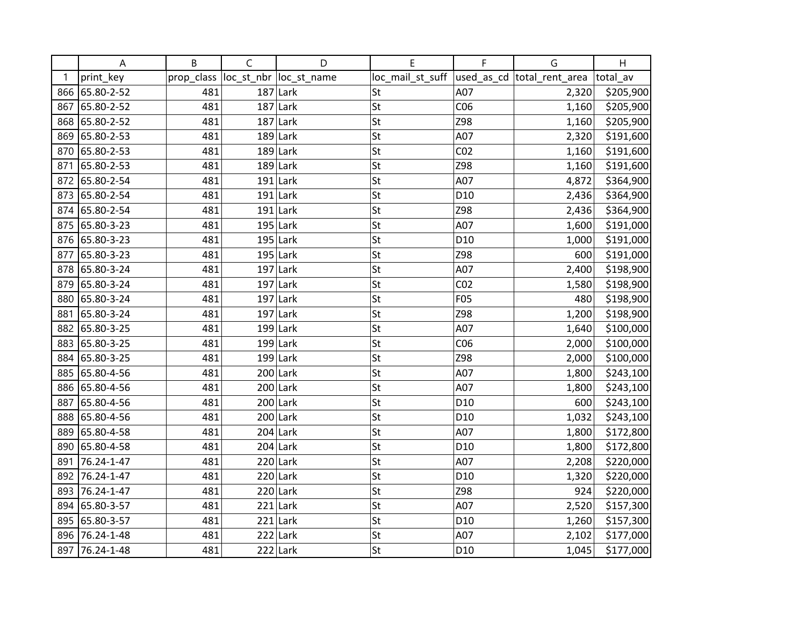|     | A              | B          | $\mathsf C$ | D                       | E                | F               | G                          | H         |
|-----|----------------|------------|-------------|-------------------------|------------------|-----------------|----------------------------|-----------|
|     | print_key      | prop_class |             | loc_st_nbr  loc_st_name | loc_mail_st_suff |                 | used_as_cd total_rent_area | total_av  |
|     | 866 65.80-2-52 | 481        | 187         | Lark                    | St               | A07             | 2,320                      | \$205,900 |
| 867 | 65.80-2-52     | 481        |             | $187$ Lark              | St               | CO6             | 1,160                      | \$205,900 |
|     | 868 65.80-2-52 | 481        |             | $187$ Lark              | St               | Z98             | 1,160                      | \$205,900 |
| 869 | 65.80-2-53     | 481        |             | $189$ Lark              | St               | A07             | 2,320                      | \$191,600 |
| 870 | 65.80-2-53     | 481        |             | $189$ Lark              | St               | CO <sub>2</sub> | 1,160                      | \$191,600 |
| 871 | 65.80-2-53     | 481        |             | $189$ Lark              | St               | Z98             | 1,160                      | \$191,600 |
| 872 | 65.80-2-54     | 481        |             | $191$ Lark              | St               | A07             | 4,872                      | \$364,900 |
|     | 873 65.80-2-54 | 481        |             | $191$ Lark              | St               | D <sub>10</sub> | 2,436                      | \$364,900 |
|     | 874 65.80-2-54 | 481        |             | $191$ Lark              | St               | Z98             | 2,436                      | \$364,900 |
|     | 875 65.80-3-23 | 481        |             | $195$ Lark              | St               | A07             | 1,600                      | \$191,000 |
|     | 876 65.80-3-23 | 481        |             | $195$ Lark              | St               | D <sub>10</sub> | 1,000                      | \$191,000 |
| 877 | 65.80-3-23     | 481        |             | $195$ Lark              | St               | Z98             | 600                        | \$191,000 |
|     | 878 65.80-3-24 | 481        |             | $197$ Lark              | St               | A07             | 2,400                      | \$198,900 |
| 879 | 65.80-3-24     | 481        |             | $197$ Lark              | St               | CO <sub>2</sub> | 1,580                      | \$198,900 |
| 880 | 65.80-3-24     | 481        | 197         | Lark                    | St               | F05             | 480                        | \$198,900 |
| 881 | 65.80-3-24     | 481        |             | $197$ Lark              | St               | Z98             | 1,200                      | \$198,900 |
|     | 882 65.80-3-25 | 481        |             | $199$ Lark              | St               | A07             | 1,640                      | \$100,000 |
|     | 883 65.80-3-25 | 481        |             | $199$ Lark              | St               | CO6             | 2,000                      | \$100,000 |
|     | 884 65.80-3-25 | 481        |             | $199$ Lark              | St               | Z98             | 2,000                      | \$100,000 |
| 885 | 65.80-4-56     | 481        |             | $200$ Lark              | St               | A07             | 1,800                      | \$243,100 |
|     | 886 65.80-4-56 | 481        |             | $200$ Lark              | St               | A07             | 1,800                      | \$243,100 |
|     | 887 65.80-4-56 | 481        |             | $200$ Lark              | St               | D <sub>10</sub> | 600                        | \$243,100 |
|     | 888 65.80-4-56 | 481        |             | $200$ Lark              | St               | D <sub>10</sub> | 1,032                      | \$243,100 |
|     | 889 65.80-4-58 | 481        |             | $204$ Lark              | St               | A07             | 1,800                      | \$172,800 |
| 890 | 65.80-4-58     | 481        |             | $204$ Lark              | St               | D <sub>10</sub> | 1,800                      | \$172,800 |
| 891 | 76.24-1-47     | 481        |             | $220$ Lark              | St               | A07             | 2,208                      | \$220,000 |
| 892 | 76.24-1-47     | 481        | 220         | Lark                    | St               | D <sub>10</sub> | 1,320                      | \$220,000 |
|     | 893 76.24-1-47 | 481        |             | $220$ Lark              | St               | Z98             | 924                        | \$220,000 |
| 894 | 65.80-3-57     | 481        |             | $221$ Lark              | St               | A07             | 2,520                      | \$157,300 |
|     | 895 65.80-3-57 | 481        | 221         | Lark                    | St               | D <sub>10</sub> | 1,260                      | \$157,300 |
| 896 | 76.24-1-48     | 481        |             | $222$ Lark              | St               | A07             | 2,102                      | \$177,000 |
|     | 897 76.24-1-48 | 481        |             | $222$ Lark              | St               | D <sub>10</sub> | 1,045                      | \$177,000 |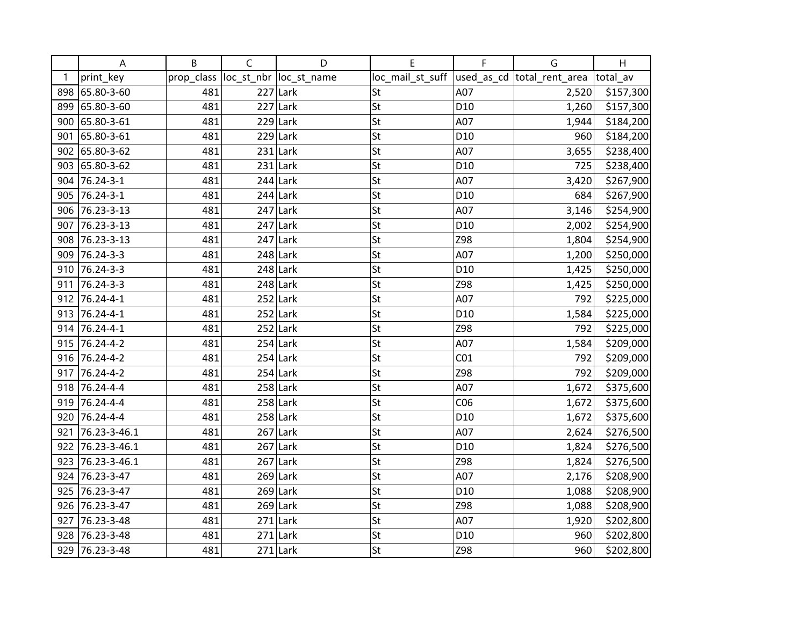|     | Α                | B          | $\mathsf{C}$ | D                       | E                | F               | G                          | H         |
|-----|------------------|------------|--------------|-------------------------|------------------|-----------------|----------------------------|-----------|
| 1   | print_key        | prop_class |              | loc_st_nbr  loc_st_name | loc_mail_st_suff |                 | used_as_cd total_rent_area | total_av  |
|     | 898 65.80-3-60   | 481        | 227          | Lark                    | St               | A07             | 2,520                      | \$157,300 |
|     | 899 65.80-3-60   | 481        |              | $227$ Lark              | St               | D <sub>10</sub> | 1,260                      | \$157,300 |
|     | 900 65.80-3-61   | 481        |              | $229$ Lark              | St               | A07             | 1,944                      | \$184,200 |
| 901 | 65.80-3-61       | 481        |              | $229$ Lark              | St               | D <sub>10</sub> | 960                        | \$184,200 |
|     | 902 65.80-3-62   | 481        |              | $231$ Lark              | St               | A07             | 3,655                      | \$238,400 |
|     | 903 65.80-3-62   | 481        |              | $231$ Lark              | St               | D <sub>10</sub> | 725                        | \$238,400 |
|     | 904 76.24-3-1    | 481        |              | $244$ Lark              | St               | A07             | 3,420                      | \$267,900 |
|     | 905 76.24-3-1    | 481        |              | $244$ Lark              | St               | D <sub>10</sub> | 684                        | \$267,900 |
|     | 906 76.23-3-13   | 481        |              | $247$ Lark              | St               | A07             | 3,146                      | \$254,900 |
| 907 | 76.23-3-13       | 481        |              | $247$ Lark              | St               | D <sub>10</sub> | 2,002                      | \$254,900 |
|     | 908 76.23-3-13   | 481        | 247          | Lark                    | St               | Z98             | 1,804                      | \$254,900 |
|     | 909 76.24-3-3    | 481        |              | $248$ Lark              | St               | A07             | 1,200                      | \$250,000 |
|     | 910 76.24-3-3    | 481        |              | $248$ Lark              | St               | D <sub>10</sub> | 1,425                      | \$250,000 |
|     | 911 76.24-3-3    | 481        |              | $248$ Lark              | St               | Z98             | 1,425                      | \$250,000 |
|     | 912 76.24-4-1    | 481        |              | $252$ Lark              | St               | A07             | 792                        | \$225,000 |
|     | 913 76.24-4-1    | 481        |              | $252$ Lark              | St               | D <sub>10</sub> | 1,584                      | \$225,000 |
|     | 914 76.24-4-1    | 481        |              | $252$ Lark              | St               | Z98             | 792                        | \$225,000 |
|     | 915 76.24-4-2    | 481        |              | $254$ Lark              | St               | A07             | 1,584                      | \$209,000 |
|     | 916 76.24-4-2    | 481        |              | $254$ Lark              | St               | CO <sub>1</sub> | 792                        | \$209,000 |
|     | 917 76.24-4-2    | 481        |              | $254$ Lark              | St               | Z98             | 792                        | \$209,000 |
|     | 918 76.24-4-4    | 481        |              | $258$ Lark              | St               | A07             | 1,672                      | \$375,600 |
|     | 919 76.24-4-4    | 481        |              | $258$ Lark              | St               | CO6             | 1,672                      | \$375,600 |
|     | 920 76.24-4-4    | 481        |              | $258$ Lark              | St               | D <sub>10</sub> | 1,672                      | \$375,600 |
| 921 | 76.23-3-46.1     | 481        |              | $267$ Lark              | St               | A07             | 2,624                      | \$276,500 |
| 922 | 76.23-3-46.1     | 481        |              | $267$ Lark              | St               | D <sub>10</sub> | 1,824                      | \$276,500 |
|     | 923 76.23-3-46.1 | 481        |              | $267$ Lark              | St               | Z98             | 1,824                      | \$276,500 |
|     | 924 76.23-3-47   | 481        |              | $269$ Lark              | St               | A07             | 2,176                      | \$208,900 |
|     | 925 76.23-3-47   | 481        |              | $269$ Lark              | St               | D <sub>10</sub> | 1,088                      | \$208,900 |
| 926 | 76.23-3-47       | 481        |              | $269$ Lark              | St               | Z98             | 1,088                      | \$208,900 |
| 927 | 76.23-3-48       | 481        | 271          | Lark                    | St               | A07             | 1,920                      | \$202,800 |
| 928 | 76.23-3-48       | 481        |              | $271$ Lark              | St               | D <sub>10</sub> | 960                        | \$202,800 |
|     | 929 76.23-3-48   | 481        |              | $271$ Lark              | St               | Z98             | 960                        | \$202,800 |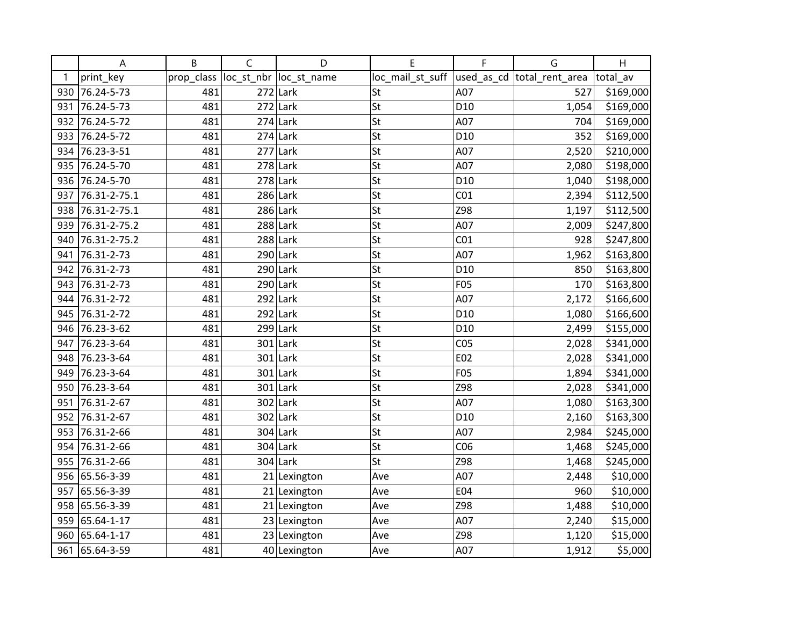|     | А              | B          | C   | D                       | E                | F               | G                           | H         |
|-----|----------------|------------|-----|-------------------------|------------------|-----------------|-----------------------------|-----------|
| 1   | print_key      | prop_class |     | loc_st_nbr  loc_st_name | loc_mail_st_suff |                 | used_as_cd  total_rent_area | total_av  |
| 930 | 76.24-5-73     | 481        | 272 | Lark                    | St               | A07             | 527                         | \$169,000 |
| 931 | 76.24-5-73     | 481        |     | $272$ Lark              | St               | D <sub>10</sub> | 1,054                       | \$169,000 |
| 932 | 76.24-5-72     | 481        |     | $274$ Lark              | St               | A07             | 704                         | \$169,000 |
| 933 | 76.24-5-72     | 481        |     | $274$ Lark              | St               | D <sub>10</sub> | 352                         | \$169,000 |
| 934 | 76.23-3-51     | 481        |     | $277$ Lark              | St               | A07             | 2,520                       | \$210,000 |
| 935 | 76.24-5-70     | 481        |     | $278$ Lark              | St               | A07             | 2,080                       | \$198,000 |
|     | 936 76.24-5-70 | 481        |     | $278$ Lark              | St               | D <sub>10</sub> | 1,040                       | \$198,000 |
| 937 | 76.31-2-75.1   | 481        |     | $286$ Lark              | St               | CO <sub>1</sub> | 2,394                       | \$112,500 |
| 938 | 76.31-2-75.1   | 481        |     | $286$ Lark              | St               | Z98             | 1,197                       | \$112,500 |
| 939 | 76.31-2-75.2   | 481        |     | $288$ Lark              | St               | A07             | 2,009                       | \$247,800 |
| 940 | 76.31-2-75.2   | 481        |     | $288$ Lark              | St               | CO <sub>1</sub> | 928                         | \$247,800 |
| 941 | 76.31-2-73     | 481        |     | $290$ Lark              | St               | A07             | 1,962                       | \$163,800 |
| 942 | 76.31-2-73     | 481        |     | $290$ Lark              | St               | D <sub>10</sub> | 850                         | \$163,800 |
| 943 | 76.31-2-73     | 481        |     | $290$ Lark              | St               | F05             | 170                         | \$163,800 |
| 944 | 76.31-2-72     | 481        |     | $292$ Lark              | St               | A07             | 2,172                       | \$166,600 |
| 945 | 76.31-2-72     | 481        |     | $292$ Lark              | St               | D <sub>10</sub> | 1,080                       | \$166,600 |
| 946 | 76.23-3-62     | 481        |     | $299$ Lark              | St               | D <sub>10</sub> | 2,499                       | \$155,000 |
| 947 | 76.23-3-64     | 481        |     | $301$ Lark              | St               | CO <sub>5</sub> | 2,028                       | \$341,000 |
| 948 | 76.23-3-64     | 481        |     | $301$ Lark              | St               | E02             | 2,028                       | \$341,000 |
| 949 | 76.23-3-64     | 481        |     | $301$ Lark              | St               | F05             | 1,894                       | \$341,000 |
| 950 | 76.23-3-64     | 481        |     | $301$ Lark              | St               | Z98             | 2,028                       | \$341,000 |
| 951 | 76.31-2-67     | 481        |     | $302$ Lark              | St               | A07             | 1,080                       | \$163,300 |
| 952 | 76.31-2-67     | 481        |     | $302$ Lark              | St               | D <sub>10</sub> | 2,160                       | \$163,300 |
| 953 | 76.31-2-66     | 481        |     | $304$ Lark              | St               | A07             | 2,984                       | \$245,000 |
| 954 | 76.31-2-66     | 481        |     | $304$ Lark              | St               | CO6             | 1,468                       | \$245,000 |
| 955 | 76.31-2-66     | 481        |     | $304$ Lark              | St               | Z98             | 1,468                       | \$245,000 |
|     | 956 65.56-3-39 | 481        |     | 21 Lexington            | Ave              | A07             | 2,448                       | \$10,000  |
| 957 | 65.56-3-39     | 481        |     | $21$  Lexington         | Ave              | E04             | 960                         | \$10,000  |
|     | 958 65.56-3-39 | 481        |     | $21$  Lexington         | Ave              | Z98             | 1,488                       | \$10,000  |
| 959 | 65.64-1-17     | 481        |     | 23 Lexington            | Ave              | A07             | 2,240                       | \$15,000  |
| 960 | 65.64-1-17     | 481        |     | 23 Lexington            | Ave              | Z98             | 1,120                       | \$15,000  |
| 961 | 65.64-3-59     | 481        |     | 40 Lexington            | Ave              | A07             | 1,912                       | \$5,000   |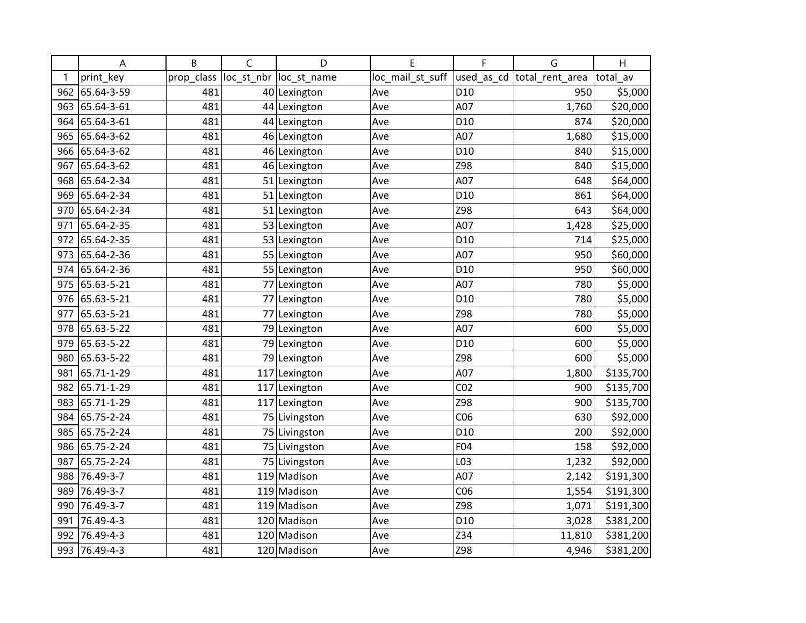|     | A          | B          | $\mathsf{C}$ | D                       | E                | F               | G                           | Η         |
|-----|------------|------------|--------------|-------------------------|------------------|-----------------|-----------------------------|-----------|
|     | print_key  | prop_class |              | loc_st_nbr  loc_st_name | loc_mail_st_suff |                 | used_as_cd  total_rent_area | total av  |
| 962 | 65.64-3-59 | 481        |              | 40 Lexington            | Ave              | D10             | 950                         | \$5,000   |
| 963 | 65.64-3-61 | 481        |              | 44 Lexington            | Ave              | A07             | 1,760                       | \$20,000  |
| 964 | 65.64-3-61 | 481        |              | 44 Lexington            | Ave              | D <sub>10</sub> | 874                         | \$20,000  |
| 965 | 65.64-3-62 | 481        |              | 46 Lexington            | Ave              | A07             | 1,680                       | \$15,000  |
| 966 | 65.64-3-62 | 481        |              | 46 Lexington            | Ave              | D <sub>10</sub> | 840                         | \$15,000  |
| 967 | 65.64-3-62 | 481        |              | 46 Lexington            | Ave              | Z98             | 840                         | \$15,000  |
| 968 | 65.64-2-34 | 481        |              | 51 Lexington            | Ave              | A07             | 648                         | \$64,000  |
| 969 | 65.64-2-34 | 481        |              | 51 Lexington            | Ave              | D <sub>10</sub> | 861                         | \$64,000  |
| 970 | 65.64-2-34 | 481        |              | 51 Lexington            | Ave              | Z98             | 643                         | \$64,000  |
| 971 | 65.64-2-35 | 481        |              | 53 Lexington            | Ave              | A07             | 1,428                       | \$25,000  |
| 972 | 65.64-2-35 | 481        |              | 53 Lexington            | Ave              | D <sub>10</sub> | 714                         | \$25,000  |
| 973 | 65.64-2-36 | 481        |              | 55 Lexington            | Ave              | A07             | 950                         | \$60,000  |
| 974 | 65.64-2-36 | 481        |              | 55 Lexington            | Ave              | D <sub>10</sub> | 950                         | \$60,000  |
| 975 | 65.63-5-21 | 481        |              | 77 Lexington            | Ave              | A07             | 780                         | \$5,000   |
| 976 | 65.63-5-21 | 481        |              | 77 Lexington            | Ave              | D <sub>10</sub> | 780                         | \$5,000   |
| 977 | 65.63-5-21 | 481        | 77           | Lexington               | Ave              | Z98             | 780                         | \$5,000   |
| 978 | 65.63-5-22 | 481        |              | 79 Lexington            | Ave              | A07             | 600                         | \$5,000   |
| 979 | 65.63-5-22 | 481        |              | 79 Lexington            | Ave              | D <sub>10</sub> | 600                         | \$5,000   |
| 980 | 65.63-5-22 | 481        |              | 79 Lexington            | Ave              | Z98             | 600                         | \$5,000   |
| 981 | 65.71-1-29 | 481        |              | 117 Lexington           | Ave              | A07             | 1,800                       | \$135,700 |
| 982 | 65.71-1-29 | 481        | 117          | Lexington               | Ave              | CO <sub>2</sub> | 900                         | \$135,700 |
| 983 | 65.71-1-29 | 481        |              | 117 Lexington           | Ave              | Z98             | 900                         | \$135,700 |
| 984 | 65.75-2-24 | 481        |              | 75 Livingston           | Ave              | CO6             | 630                         | \$92,000  |
| 985 | 65.75-2-24 | 481        |              | 75 Livingston           | Ave              | D <sub>10</sub> | 200                         | \$92,000  |
| 986 | 65.75-2-24 | 481        |              | 75 Livingston           | Ave              | F04             | 158                         | \$92,000  |
| 987 | 65.75-2-24 | 481        |              | 75 Livingston           | Ave              | L03             | 1,232                       | \$92,000  |
| 988 | 76.49-3-7  | 481        | 119          | Madison                 | Ave              | A07             | 2,142                       | \$191,300 |
| 989 | 76.49-3-7  | 481        |              | 119 Madison             | Ave              | CO6             | 1,554                       | \$191,300 |
| 990 | 76.49-3-7  | 481        |              | 119 Madison             | Ave              | Z98             | 1,071                       | \$191,300 |
| 991 | 76.49-4-3  | 481        | 120          | Madison                 | Ave              | D <sub>10</sub> | 3,028                       | \$381,200 |
| 992 | 76.49-4-3  | 481        |              | 120 Madison             | Ave              | Z34             | 11,810                      | \$381,200 |
| 993 | 76.49-4-3  | 481        |              | 120 Madison             | Ave              | Z98             | 4,946                       | \$381,200 |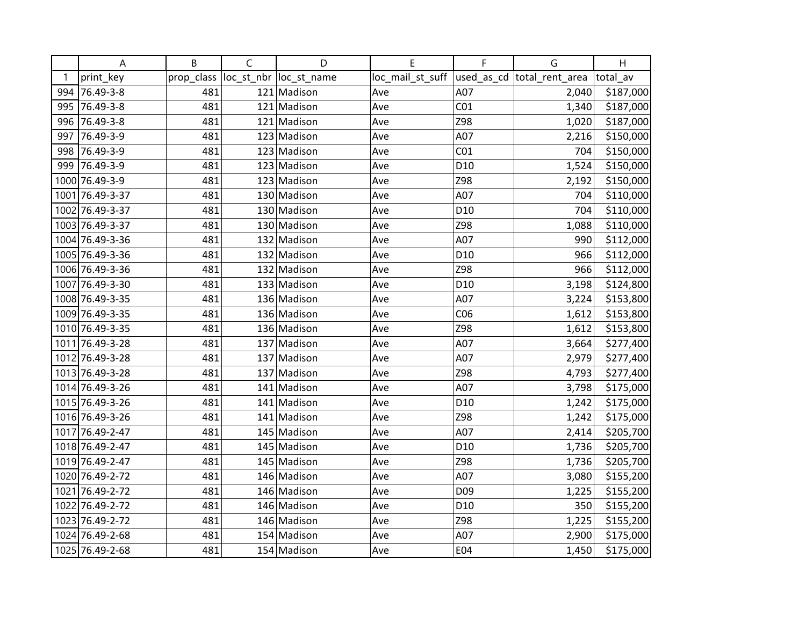|     | A               | B          | $\mathsf{C}$ | D                       | E                | F               | G                           | H         |
|-----|-----------------|------------|--------------|-------------------------|------------------|-----------------|-----------------------------|-----------|
| 1   | print_key       | prop_class |              | loc_st_nbr  loc_st_name | loc_mail_st_suff |                 | used_as_cd  total_rent_area | total av  |
|     | 994 76.49-3-8   | 481        |              | 121 Madison             | Ave              | A07             | 2,040                       | \$187,000 |
|     | 995 76.49-3-8   | 481        |              | 121 Madison             | Ave              | CO <sub>1</sub> | 1,340                       | \$187,000 |
| 996 | 76.49-3-8       | 481        |              | 121 Madison             | Ave              | Z98             | 1,020                       | \$187,000 |
| 997 | 76.49-3-9       | 481        |              | 123 Madison             | Ave              | A07             | 2,216                       | \$150,000 |
| 998 | 76.49-3-9       | 481        |              | 123 Madison             | Ave              | CO <sub>1</sub> | 704                         | \$150,000 |
| 999 | 76.49-3-9       | 481        |              | 123 Madison             | Ave              | D <sub>10</sub> | 1,524                       | \$150,000 |
|     | 1000 76.49-3-9  | 481        |              | 123 Madison             | Ave              | Z98             | 2,192                       | \$150,000 |
|     | 1001 76.49-3-37 | 481        |              | 130 Madison             | Ave              | A07             | 704                         | \$110,000 |
|     | 1002 76.49-3-37 | 481        |              | 130 Madison             | Ave              | D <sub>10</sub> | 704                         | \$110,000 |
|     | 1003 76.49-3-37 | 481        |              | 130 Madison             | Ave              | Z98             | 1,088                       | \$110,000 |
|     | 1004 76.49-3-36 | 481        |              | 132 Madison             | Ave              | A07             | 990                         | \$112,000 |
|     | 1005 76.49-3-36 | 481        |              | 132 Madison             | Ave              | D <sub>10</sub> | 966                         | \$112,000 |
|     | 1006 76.49-3-36 | 481        |              | 132 Madison             | Ave              | Z98             | 966                         | \$112,000 |
|     | 1007 76.49-3-30 | 481        |              | 133 Madison             | Ave              | D <sub>10</sub> | 3,198                       | \$124,800 |
|     | 1008 76.49-3-35 | 481        |              | 136 Madison             | Ave              | A07             | 3,224                       | \$153,800 |
|     | 1009 76.49-3-35 | 481        |              | 136 Madison             | Ave              | CO6             | 1,612                       | \$153,800 |
|     | 1010 76.49-3-35 | 481        |              | 136 Madison             | Ave              | Z98             | 1,612                       | \$153,800 |
|     | 1011 76.49-3-28 | 481        |              | 137 Madison             | Ave              | A07             | 3,664                       | \$277,400 |
|     | 1012 76.49-3-28 | 481        |              | 137 Madison             | Ave              | A07             | 2,979                       | \$277,400 |
|     | 1013 76.49-3-28 | 481        |              | 137 Madison             | Ave              | Z98             | 4,793                       | \$277,400 |
|     | 1014 76.49-3-26 | 481        |              | 141 Madison             | Ave              | A07             | 3,798                       | \$175,000 |
|     | 1015 76.49-3-26 | 481        |              | 141 Madison             | Ave              | D <sub>10</sub> | 1,242                       | \$175,000 |
|     | 1016 76.49-3-26 | 481        |              | 141 Madison             | Ave              | Z98             | 1,242                       | \$175,000 |
|     | 1017 76.49-2-47 | 481        |              | 145 Madison             | Ave              | A07             | 2,414                       | \$205,700 |
|     | 1018 76.49-2-47 | 481        |              | 145 Madison             | Ave              | D <sub>10</sub> | 1,736                       | \$205,700 |
|     | 1019 76.49-2-47 | 481        |              | 145 Madison             | Ave              | Z98             | 1,736                       | \$205,700 |
|     | 1020 76.49-2-72 | 481        |              | 146 Madison             | Ave              | A07             | 3,080                       | \$155,200 |
|     | 1021 76.49-2-72 | 481        |              | 146 Madison             | Ave              | D09             | 1,225                       | \$155,200 |
|     | 1022 76.49-2-72 | 481        |              | 146 Madison             | Ave              | D <sub>10</sub> | 350                         | \$155,200 |
|     | 1023 76.49-2-72 | 481        |              | 146 Madison             | Ave              | Z98             | 1,225                       | \$155,200 |
|     | 1024 76.49-2-68 | 481        |              | 154 Madison             | Ave              | A07             | 2,900                       | \$175,000 |
|     | 1025 76.49-2-68 | 481        |              | 154 Madison             | Ave              | E04             | 1,450                       | \$175,000 |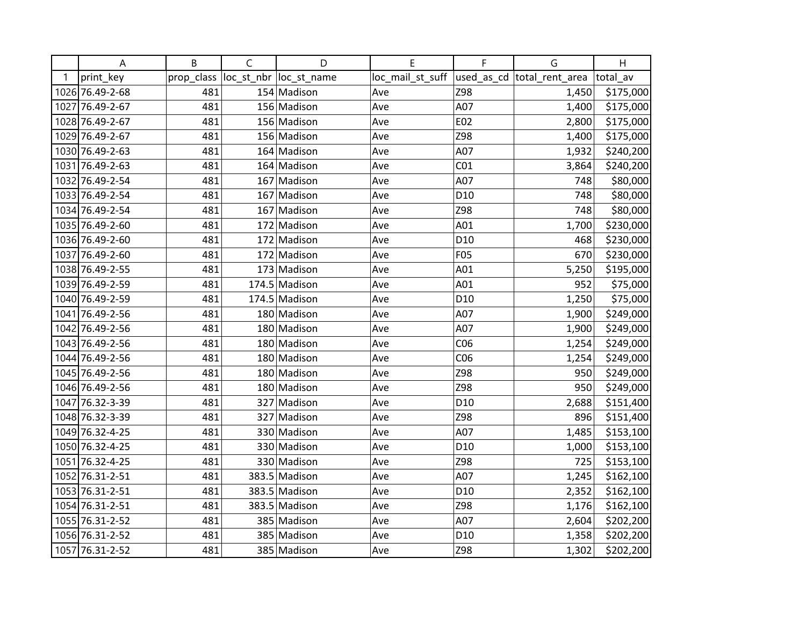|   | A               | B          | $\mathsf{C}$ | D                       | E                | F               | G                           | H         |
|---|-----------------|------------|--------------|-------------------------|------------------|-----------------|-----------------------------|-----------|
| 1 | print_key       | prop_class |              | loc_st_nbr  loc_st_name | loc_mail_st_suff |                 | used_as_cd  total_rent_area | total av  |
|   | 1026 76.49-2-68 | 481        |              | 154 Madison             | Ave              | Z98             | 1,450                       | \$175,000 |
|   | 1027 76.49-2-67 | 481        |              | 156 Madison             | Ave              | A07             | 1,400                       | \$175,000 |
|   | 1028 76.49-2-67 | 481        |              | 156 Madison             | Ave              | E02             | 2,800                       | \$175,000 |
|   | 1029 76.49-2-67 | 481        |              | 156 Madison             | Ave              | Z98             | 1,400                       | \$175,000 |
|   | 1030 76.49-2-63 | 481        |              | 164 Madison             | Ave              | A07             | 1,932                       | \$240,200 |
|   | 1031 76.49-2-63 | 481        |              | 164 Madison             | Ave              | CO <sub>1</sub> | 3,864                       | \$240,200 |
|   | 1032 76.49-2-54 | 481        |              | 167 Madison             | Ave              | A07             | 748                         | \$80,000  |
|   | 1033 76.49-2-54 | 481        |              | 167 Madison             | Ave              | D <sub>10</sub> | 748                         | \$80,000  |
|   | 1034 76.49-2-54 | 481        |              | 167 Madison             | Ave              | Z98             | 748                         | \$80,000  |
|   | 1035 76.49-2-60 | 481        |              | 172 Madison             | Ave              | A01             | 1,700                       | \$230,000 |
|   | 1036 76.49-2-60 | 481        |              | 172 Madison             | Ave              | D <sub>10</sub> | 468                         | \$230,000 |
|   | 1037 76.49-2-60 | 481        |              | 172 Madison             | Ave              | F05             | 670                         | \$230,000 |
|   | 1038 76.49-2-55 | 481        |              | 173 Madison             | Ave              | A01             | 5,250                       | \$195,000 |
|   | 1039 76.49-2-59 | 481        |              | 174.5 Madison           | Ave              | A01             | 952                         | \$75,000  |
|   | 1040 76.49-2-59 | 481        |              | 174.5 Madison           | Ave              | D <sub>10</sub> | 1,250                       | \$75,000  |
|   | 1041 76.49-2-56 | 481        |              | 180 Madison             | Ave              | A07             | 1,900                       | \$249,000 |
|   | 1042 76.49-2-56 | 481        |              | 180 Madison             | Ave              | A07             | 1,900                       | \$249,000 |
|   | 1043 76.49-2-56 | 481        |              | 180 Madison             | Ave              | CO6             | 1,254                       | \$249,000 |
|   | 1044 76.49-2-56 | 481        |              | 180 Madison             | Ave              | CO6             | 1,254                       | \$249,000 |
|   | 1045 76.49-2-56 | 481        |              | 180 Madison             | Ave              | Z98             | 950                         | \$249,000 |
|   | 1046 76.49-2-56 | 481        |              | 180 Madison             | Ave              | Z98             | 950                         | \$249,000 |
|   | 1047 76.32-3-39 | 481        |              | 327 Madison             | Ave              | D <sub>10</sub> | 2,688                       | \$151,400 |
|   | 1048 76.32-3-39 | 481        |              | 327 Madison             | Ave              | Z98             | 896                         | \$151,400 |
|   | 1049 76.32-4-25 | 481        |              | 330 Madison             | Ave              | A07             | 1,485                       | \$153,100 |
|   | 1050 76.32-4-25 | 481        |              | 330 Madison             | Ave              | D <sub>10</sub> | 1,000                       | \$153,100 |
|   | 1051 76.32-4-25 | 481        |              | 330 Madison             | Ave              | Z98             | 725                         | \$153,100 |
|   | 1052 76.31-2-51 | 481        |              | 383.5 Madison           | Ave              | A07             | 1,245                       | \$162,100 |
|   | 1053 76.31-2-51 | 481        |              | 383.5 Madison           | Ave              | D <sub>10</sub> | 2,352                       | \$162,100 |
|   | 1054 76.31-2-51 | 481        |              | 383.5 Madison           | Ave              | Z98             | 1,176                       | \$162,100 |
|   | 1055 76.31-2-52 | 481        |              | 385 Madison             | Ave              | A07             | 2,604                       | \$202,200 |
|   | 1056 76.31-2-52 | 481        |              | 385 Madison             | Ave              | D <sub>10</sub> | 1,358                       | \$202,200 |
|   | 1057 76.31-2-52 | 481        |              | 385 Madison             | Ave              | Z98             | 1,302                       | \$202,200 |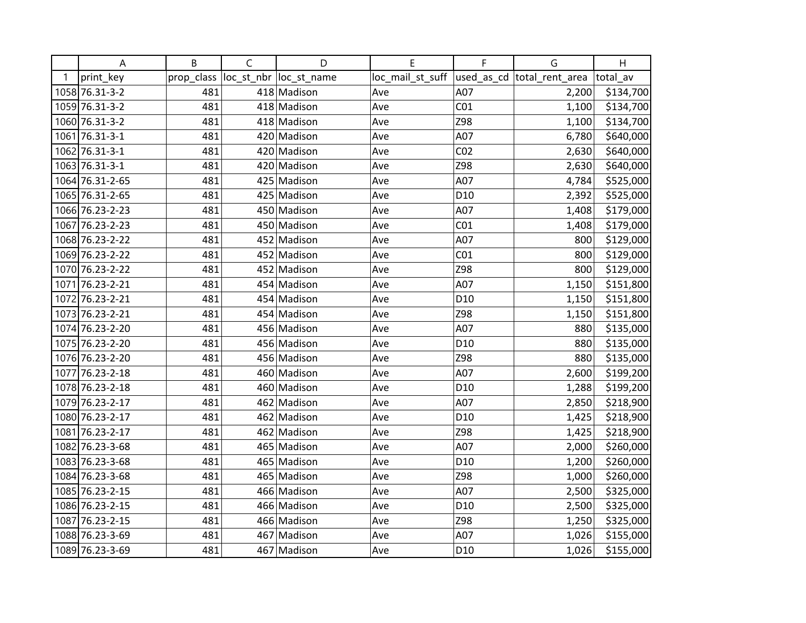|   | A               | B          | $\mathsf C$ | D                       | E                | F               | G                           | H         |
|---|-----------------|------------|-------------|-------------------------|------------------|-----------------|-----------------------------|-----------|
| 1 | print_key       | prop_class |             | loc_st_nbr  loc_st_name | loc_mail_st_suff |                 | used_as_cd  total_rent_area | total av  |
|   | 1058 76.31-3-2  | 481        |             | 418 Madison             | Ave              | A07             | 2,200                       | \$134,700 |
|   | 1059 76.31-3-2  | 481        |             | 418 Madison             | Ave              | CO <sub>1</sub> | 1,100                       | \$134,700 |
|   | 1060 76.31-3-2  | 481        |             | 418 Madison             | Ave              | Z98             | 1,100                       | \$134,700 |
|   | 1061 76.31-3-1  | 481        |             | 420 Madison             | Ave              | A07             | 6,780                       | \$640,000 |
|   | 1062 76.31-3-1  | 481        |             | 420 Madison             | Ave              | CO <sub>2</sub> | 2,630                       | \$640,000 |
|   | 1063 76.31-3-1  | 481        |             | 420 Madison             | Ave              | Z98             | 2,630                       | \$640,000 |
|   | 1064 76.31-2-65 | 481        |             | 425 Madison             | Ave              | A07             | 4,784                       | \$525,000 |
|   | 1065 76.31-2-65 | 481        |             | 425 Madison             | Ave              | D <sub>10</sub> | 2,392                       | \$525,000 |
|   | 1066 76.23-2-23 | 481        |             | 450 Madison             | Ave              | A07             | 1,408                       | \$179,000 |
|   | 1067 76.23-2-23 | 481        |             | 450 Madison             | Ave              | CO <sub>1</sub> | 1,408                       | \$179,000 |
|   | 1068 76.23-2-22 | 481        |             | 452 Madison             | Ave              | A07             | 800                         | \$129,000 |
|   | 1069 76.23-2-22 | 481        |             | 452 Madison             | Ave              | CO <sub>1</sub> | 800                         | \$129,000 |
|   | 1070 76.23-2-22 | 481        |             | 452 Madison             | Ave              | Z98             | 800                         | \$129,000 |
|   | 1071 76.23-2-21 | 481        |             | 454 Madison             | Ave              | A07             | 1,150                       | \$151,800 |
|   | 1072 76.23-2-21 | 481        |             | 454 Madison             | Ave              | D <sub>10</sub> | 1,150                       | \$151,800 |
|   | 1073 76.23-2-21 | 481        |             | 454 Madison             | Ave              | Z98             | 1,150                       | \$151,800 |
|   | 1074 76.23-2-20 | 481        |             | 456 Madison             | Ave              | A07             | 880                         | \$135,000 |
|   | 1075 76.23-2-20 | 481        |             | 456 Madison             | Ave              | D <sub>10</sub> | 880                         | \$135,000 |
|   | 1076 76.23-2-20 | 481        |             | 456 Madison             | Ave              | Z98             | 880                         | \$135,000 |
|   | 1077 76.23-2-18 | 481        |             | 460 Madison             | Ave              | A07             | 2,600                       | \$199,200 |
|   | 1078 76.23-2-18 | 481        |             | 460 Madison             | Ave              | D <sub>10</sub> | 1,288                       | \$199,200 |
|   | 1079 76.23-2-17 | 481        |             | 462 Madison             | Ave              | A07             | 2,850                       | \$218,900 |
|   | 1080 76.23-2-17 | 481        |             | 462 Madison             | Ave              | D <sub>10</sub> | 1,425                       | \$218,900 |
|   | 1081 76.23-2-17 | 481        |             | 462 Madison             | Ave              | Z98             | 1,425                       | \$218,900 |
|   | 1082 76.23-3-68 | 481        |             | 465 Madison             | Ave              | A07             | 2,000                       | \$260,000 |
|   | 1083 76.23-3-68 | 481        |             | 465 Madison             | Ave              | D <sub>10</sub> | 1,200                       | \$260,000 |
|   | 1084 76.23-3-68 | 481        |             | 465 Madison             | Ave              | Z98             | 1,000                       | \$260,000 |
|   | 1085 76.23-2-15 | 481        |             | 466 Madison             | Ave              | A07             | 2,500                       | \$325,000 |
|   | 1086 76.23-2-15 | 481        |             | 466 Madison             | Ave              | D <sub>10</sub> | 2,500                       | \$325,000 |
|   | 1087 76.23-2-15 | 481        |             | 466 Madison             | Ave              | Z98             | 1,250                       | \$325,000 |
|   | 1088 76.23-3-69 | 481        |             | 467 Madison             | Ave              | A07             | 1,026                       | \$155,000 |
|   | 1089 76.23-3-69 | 481        |             | 467 Madison             | Ave              | D <sub>10</sub> | 1,026                       | \$155,000 |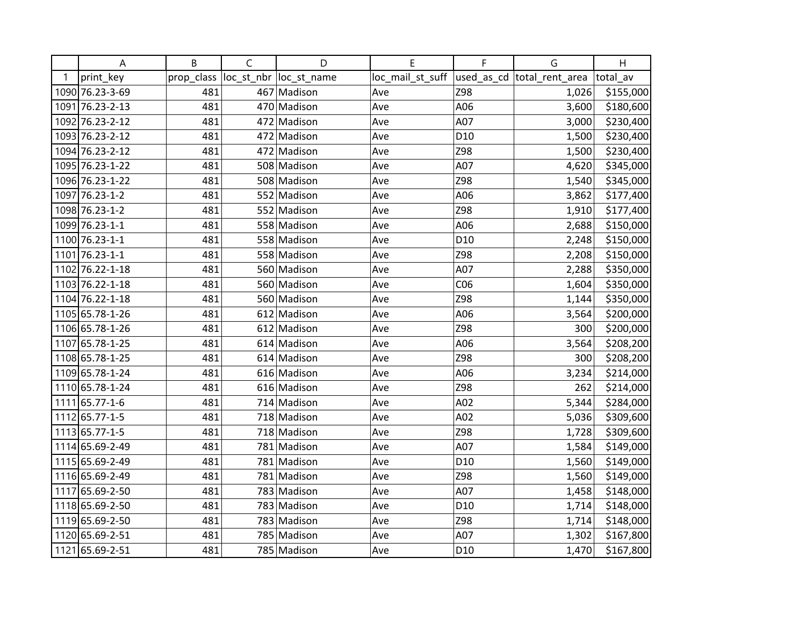|   | Α               | B          | $\mathsf C$ | D                       | E                                             | F               | G     | H         |
|---|-----------------|------------|-------------|-------------------------|-----------------------------------------------|-----------------|-------|-----------|
| 1 | print_key       | prop_class |             | loc_st_nbr  loc_st_name | loc_mail_st_suff  used_as_cd  total_rent_area |                 |       | total av  |
|   | 1090 76.23-3-69 | 481        |             | 467 Madison             | Ave                                           | Z98             | 1,026 | \$155,000 |
|   | 1091 76.23-2-13 | 481        |             | 470 Madison             | Ave                                           | A06             | 3,600 | \$180,600 |
|   | 1092 76.23-2-12 | 481        |             | 472 Madison             | Ave                                           | A07             | 3,000 | \$230,400 |
|   | 1093 76.23-2-12 | 481        |             | 472 Madison             | Ave                                           | D <sub>10</sub> | 1,500 | \$230,400 |
|   | 1094 76.23-2-12 | 481        |             | 472 Madison             | Ave                                           | Z98             | 1,500 | \$230,400 |
|   | 1095 76.23-1-22 | 481        |             | 508 Madison             | Ave                                           | A07             | 4,620 | \$345,000 |
|   | 1096 76.23-1-22 | 481        |             | 508 Madison             | Ave                                           | Z98             | 1,540 | \$345,000 |
|   | 1097 76.23-1-2  | 481        |             | 552 Madison             | Ave                                           | A06             | 3,862 | \$177,400 |
|   | 1098 76.23-1-2  | 481        |             | 552 Madison             | Ave                                           | Z98             | 1,910 | \$177,400 |
|   | 1099 76.23-1-1  | 481        |             | 558 Madison             | Ave                                           | A06             | 2,688 | \$150,000 |
|   | 1100 76.23-1-1  | 481        |             | 558 Madison             | Ave                                           | D <sub>10</sub> | 2,248 | \$150,000 |
|   | 1101 76.23-1-1  | 481        |             | 558 Madison             | Ave                                           | Z98             | 2,208 | \$150,000 |
|   | 1102 76.22-1-18 | 481        |             | 560 Madison             | Ave                                           | A07             | 2,288 | \$350,000 |
|   | 1103 76.22-1-18 | 481        |             | 560 Madison             | Ave                                           | CO6             | 1,604 | \$350,000 |
|   | 1104 76.22-1-18 | 481        |             | 560 Madison             | Ave                                           | Z98             | 1,144 | \$350,000 |
|   | 1105 65.78-1-26 | 481        |             | 612 Madison             | Ave                                           | A06             | 3,564 | \$200,000 |
|   | 1106 65.78-1-26 | 481        |             | 612 Madison             | Ave                                           | Z98             | 300   | \$200,000 |
|   | 1107 65.78-1-25 | 481        |             | 614 Madison             | Ave                                           | A06             | 3,564 | \$208,200 |
|   | 1108 65.78-1-25 | 481        |             | 614 Madison             | Ave                                           | Z98             | 300   | \$208,200 |
|   | 1109 65.78-1-24 | 481        |             | 616 Madison             | Ave                                           | A06             | 3,234 | \$214,000 |
|   | 1110 65.78-1-24 | 481        |             | 616 Madison             | Ave                                           | Z98             | 262   | \$214,000 |
|   | 1111 65.77-1-6  | 481        |             | 714 Madison             | Ave                                           | A02             | 5,344 | \$284,000 |
|   | 1112 65.77-1-5  | 481        |             | 718 Madison             | Ave                                           | A02             | 5,036 | \$309,600 |
|   | 1113 65.77-1-5  | 481        |             | 718 Madison             | Ave                                           | Z98             | 1,728 | \$309,600 |
|   | 1114 65.69-2-49 | 481        |             | 781 Madison             | Ave                                           | A07             | 1,584 | \$149,000 |
|   | 1115 65.69-2-49 | 481        |             | 781 Madison             | Ave                                           | D <sub>10</sub> | 1,560 | \$149,000 |
|   | 1116 65.69-2-49 | 481        |             | 781 Madison             | Ave                                           | Z98             | 1,560 | \$149,000 |
|   | 1117 65.69-2-50 | 481        |             | 783 Madison             | Ave                                           | A07             | 1,458 | \$148,000 |
|   | 1118 65.69-2-50 | 481        |             | 783 Madison             | Ave                                           | D <sub>10</sub> | 1,714 | \$148,000 |
|   | 1119 65.69-2-50 | 481        |             | 783 Madison             | Ave                                           | Z98             | 1,714 | \$148,000 |
|   | 1120 65.69-2-51 | 481        |             | 785 Madison             | Ave                                           | A07             | 1,302 | \$167,800 |
|   | 1121 65.69-2-51 | 481        |             | 785 Madison             | Ave                                           | D10             | 1,470 | \$167,800 |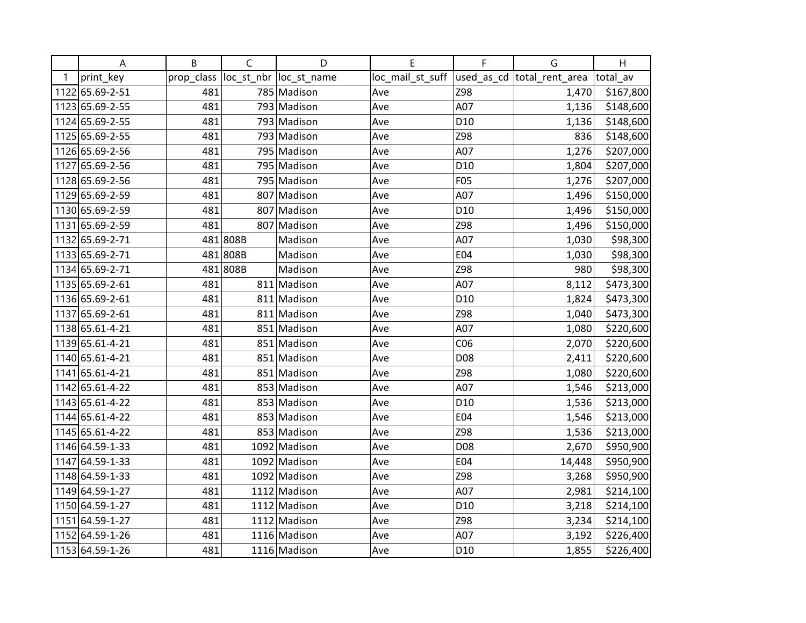|   | Α               | B          | $\mathsf C$ | D                       | E                | F               | G                          | H         |
|---|-----------------|------------|-------------|-------------------------|------------------|-----------------|----------------------------|-----------|
| 1 | print_key       | prop_class |             | loc_st_nbr  loc_st_name | loc_mail_st_suff |                 | used_as_cd total_rent_area | total av  |
|   | 1122 65.69-2-51 | 481        |             | 785 Madison             | Ave              | Z98             | 1,470                      | \$167,800 |
|   | 1123 65.69-2-55 | 481        |             | 793 Madison             | Ave              | A07             | 1,136                      | \$148,600 |
|   | 1124 65.69-2-55 | 481        |             | 793 Madison             | Ave              | D <sub>10</sub> | 1,136                      | \$148,600 |
|   | 1125 65.69-2-55 | 481        |             | 793 Madison             | Ave              | Z98             | 836                        | \$148,600 |
|   | 1126 65.69-2-56 | 481        |             | 795 Madison             | Ave              | A07             | 1,276                      | \$207,000 |
|   | 1127 65.69-2-56 | 481        |             | 795 Madison             | Ave              | D <sub>10</sub> | 1,804                      | \$207,000 |
|   | 1128 65.69-2-56 | 481        |             | 795 Madison             | Ave              | <b>F05</b>      | 1,276                      | \$207,000 |
|   | 1129 65.69-2-59 | 481        |             | 807 Madison             | Ave              | A07             | 1,496                      | \$150,000 |
|   | 1130 65.69-2-59 | 481        |             | 807 Madison             | Ave              | D <sub>10</sub> | 1,496                      | \$150,000 |
|   | 1131 65.69-2-59 | 481        |             | 807 Madison             | Ave              | Z98             | 1,496                      | \$150,000 |
|   | 1132 65.69-2-71 |            | 481808B     | Madison                 | Ave              | A07             | 1,030                      | \$98,300  |
|   | 1133 65.69-2-71 |            | 481808B     | Madison                 | Ave              | E04             | 1,030                      | \$98,300  |
|   | 1134 65.69-2-71 |            | 481808B     | Madison                 | Ave              | Z98             | 980                        | \$98,300  |
|   | 1135 65.69-2-61 | 481        |             | 811 Madison             | Ave              | A07             | 8,112                      | \$473,300 |
|   | 1136 65.69-2-61 | 481        |             | 811 Madison             | Ave              | D10             | 1,824                      | \$473,300 |
|   | 1137 65.69-2-61 | 481        |             | 811 Madison             | Ave              | Z98             | 1,040                      | \$473,300 |
|   | 1138 65.61-4-21 | 481        |             | 851 Madison             | Ave              | A07             | 1,080                      | \$220,600 |
|   | 1139 65.61-4-21 | 481        |             | 851 Madison             | Ave              | CO6             | 2,070                      | \$220,600 |
|   | 1140 65.61-4-21 | 481        |             | 851 Madison             | Ave              | D08             | 2,411                      | \$220,600 |
|   | 1141 65.61-4-21 | 481        |             | 851 Madison             | Ave              | Z98             | 1,080                      | \$220,600 |
|   | 1142 65.61-4-22 | 481        |             | 853 Madison             | Ave              | A07             | 1,546                      | \$213,000 |
|   | 1143 65.61-4-22 | 481        |             | 853 Madison             | Ave              | D <sub>10</sub> | 1,536                      | \$213,000 |
|   | 1144 65.61-4-22 | 481        |             | 853 Madison             | Ave              | E04             | 1,546                      | \$213,000 |
|   | 1145 65.61-4-22 | 481        |             | 853 Madison             | Ave              | Z98             | 1,536                      | \$213,000 |
|   | 1146 64.59-1-33 | 481        |             | 1092 Madison            | Ave              | D08             | 2,670                      | \$950,900 |
|   | 1147 64.59-1-33 | 481        |             | 1092 Madison            | Ave              | E04             | 14,448                     | \$950,900 |
|   | 1148 64.59-1-33 | 481        |             | 1092 Madison            | Ave              | Z98             | 3,268                      | \$950,900 |
|   | 1149 64.59-1-27 | 481        |             | 1112 Madison            | Ave              | A07             | 2,981                      | \$214,100 |
|   | 1150 64.59-1-27 | 481        |             | 1112 Madison            | Ave              | D <sub>10</sub> | 3,218                      | \$214,100 |
|   | 1151 64.59-1-27 | 481        |             | 1112 Madison            | Ave              | Z98             | 3,234                      | \$214,100 |
|   | 1152 64.59-1-26 | 481        |             | 1116 Madison            | Ave              | A07             | 3,192                      | \$226,400 |
|   | 1153 64.59-1-26 | 481        |             | 1116 Madison            | Ave              | D10             | 1,855                      | \$226,400 |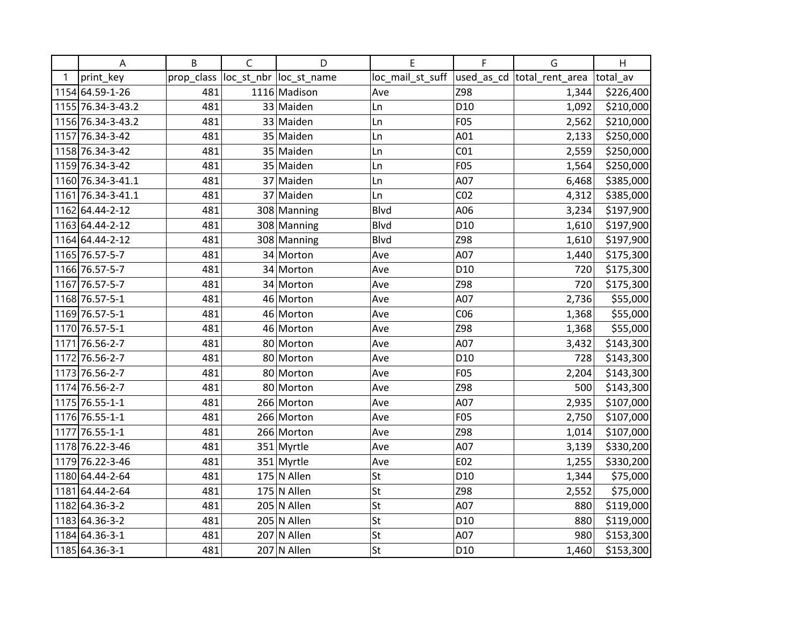|   | A                 | B          | $\mathsf C$ | D                       | E                | F               | G                           | H         |
|---|-------------------|------------|-------------|-------------------------|------------------|-----------------|-----------------------------|-----------|
| 1 | print_key         | prop_class |             | loc_st_nbr  loc_st_name | loc_mail_st_suff |                 | used_as_cd  total_rent_area | total av  |
|   | 1154 64.59-1-26   | 481        |             | 1116 Madison            | Ave              | Z98             | 1,344                       | \$226,400 |
|   | 1155 76.34-3-43.2 | 481        |             | 33 Maiden               | Ln               | D <sub>10</sub> | 1,092                       | \$210,000 |
|   | 1156 76.34-3-43.2 | 481        |             | 33 Maiden               | Ln               | F05             | 2,562                       | \$210,000 |
|   | 1157 76.34-3-42   | 481        |             | 35 Maiden               | Ln               | A01             | 2,133                       | \$250,000 |
|   | 1158 76.34-3-42   | 481        |             | 35 Maiden               | Ln               | CO <sub>1</sub> | 2,559                       | \$250,000 |
|   | 1159 76.34-3-42   | 481        |             | 35 Maiden               | Ln               | F05             | 1,564                       | \$250,000 |
|   | 1160 76.34-3-41.1 | 481        |             | 37 Maiden               | Ln               | A07             | 6,468                       | \$385,000 |
|   | 1161 76.34-3-41.1 | 481        |             | 37 Maiden               | Ln               | CO <sub>2</sub> | 4,312                       | \$385,000 |
|   | 1162 64.44-2-12   | 481        |             | 308 Manning             | <b>Blvd</b>      | A06             | 3,234                       | \$197,900 |
|   | 1163 64.44-2-12   | 481        |             | 308 Manning             | Blvd             | D <sub>10</sub> | 1,610                       | \$197,900 |
|   | 1164 64.44-2-12   | 481        |             | 308 Manning             | Blvd             | Z98             | 1,610                       | \$197,900 |
|   | 1165 76.57-5-7    | 481        |             | 34 Morton               | Ave              | A07             | 1,440                       | \$175,300 |
|   | 1166 76.57-5-7    | 481        |             | 34 Morton               | Ave              | D <sub>10</sub> | 720                         | \$175,300 |
|   | 1167 76.57-5-7    | 481        |             | 34 Morton               | Ave              | Z98             | 720                         | \$175,300 |
|   | 1168 76.57-5-1    | 481        |             | 46 Morton               | Ave              | A07             | 2,736                       | \$55,000  |
|   | 1169 76.57-5-1    | 481        |             | 46 Morton               | Ave              | CO6             | 1,368                       | \$55,000  |
|   | 1170 76.57-5-1    | 481        |             | 46 Morton               | Ave              | Z98             | 1,368                       | \$55,000  |
|   | 1171 76.56-2-7    | 481        |             | 80 Morton               | Ave              | A07             | 3,432                       | \$143,300 |
|   | 1172 76.56-2-7    | 481        |             | 80 Morton               | Ave              | D <sub>10</sub> | 728                         | \$143,300 |
|   | 1173 76.56-2-7    | 481        |             | 80 Morton               | Ave              | F05             | 2,204                       | \$143,300 |
|   | 1174 76.56-2-7    | 481        |             | 80 Morton               | Ave              | Z98             | 500                         | \$143,300 |
|   | 1175 76.55-1-1    | 481        |             | 266 Morton              | Ave              | A07             | 2,935                       | \$107,000 |
|   | 1176 76.55-1-1    | 481        |             | 266 Morton              | Ave              | F05             | 2,750                       | \$107,000 |
|   | 1177 76.55-1-1    | 481        |             | 266 Morton              | Ave              | Z98             | 1,014                       | \$107,000 |
|   | 1178 76.22-3-46   | 481        |             | 351 Myrtle              | Ave              | A07             | 3,139                       | \$330,200 |
|   | 1179 76.22-3-46   | 481        |             | 351 Myrtle              | Ave              | E02             | 1,255                       | \$330,200 |
|   | 1180 64.44-2-64   | 481        |             | $175$ N Allen           | St               | D <sub>10</sub> | 1,344                       | \$75,000  |
|   | 1181 64.44-2-64   | 481        |             | $175$ N Allen           | St               | Z98             | 2,552                       | \$75,000  |
|   | 1182 64.36-3-2    | 481        |             | $205$ N Allen           | St               | A07             | 880                         | \$119,000 |
|   | 1183 64.36-3-2    | 481        |             | $205$ N Allen           | St               | D <sub>10</sub> | 880                         | \$119,000 |
|   | 1184 64.36-3-1    | 481        |             | 207 N Allen             | St               | A07             | 980                         | \$153,300 |
|   | 1185 64.36-3-1    | 481        |             | 207 N Allen             | St               | D <sub>10</sub> | 1,460                       | \$153,300 |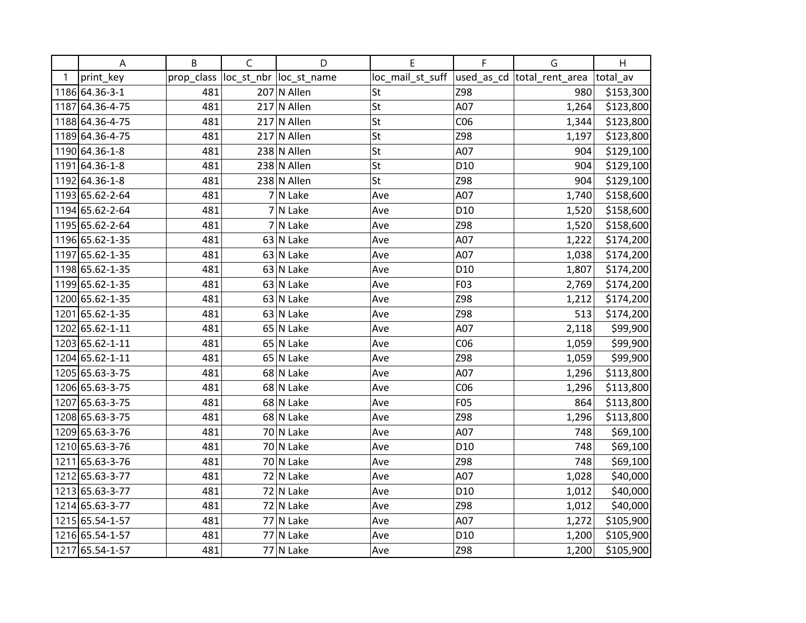|   | A               | B          | $\mathsf C$ | D                       | Е                | F               | G                          | H         |
|---|-----------------|------------|-------------|-------------------------|------------------|-----------------|----------------------------|-----------|
| 1 | print_key       | prop_class |             | loc_st_nbr  loc_st_name | loc_mail_st_suff |                 | used_as_cd total_rent_area | total av  |
|   | 1186 64.36-3-1  | 481        |             | 207 N Allen             | St               | Z98             | 980                        | \$153,300 |
|   | 1187 64.36-4-75 | 481        |             | $217$ N Allen           | St               | A07             | 1,264                      | \$123,800 |
|   | 1188 64.36-4-75 | 481        |             | $217$ N Allen           | St               | C <sub>06</sub> | 1,344                      | \$123,800 |
|   | 1189 64.36-4-75 | 481        |             | $217$ N Allen           | St               | Z98             | 1,197                      | \$123,800 |
|   | 1190 64.36-1-8  | 481        |             | 238 N Allen             | St               | A07             | 904                        | \$129,100 |
|   | 1191 64.36-1-8  | 481        |             | 238 N Allen             | St               | D <sub>10</sub> | 904                        | \$129,100 |
|   | 1192 64.36-1-8  | 481        |             | 238 N Allen             | St               | Z98             | 904                        | \$129,100 |
|   | 1193 65.62-2-64 | 481        |             | 7 N Lake                | Ave              | A07             | 1,740                      | \$158,600 |
|   | 1194 65.62-2-64 | 481        |             | 7 N Lake                | Ave              | D <sub>10</sub> | 1,520                      | \$158,600 |
|   | 1195 65.62-2-64 | 481        |             | 7 N Lake                | Ave              | Z98             | 1,520                      | \$158,600 |
|   | 1196 65.62-1-35 | 481        |             | 63 N Lake               | Ave              | A07             | 1,222                      | \$174,200 |
|   | 1197 65.62-1-35 | 481        |             | 63 N Lake               | Ave              | A07             | 1,038                      | \$174,200 |
|   | 1198 65.62-1-35 | 481        |             | 63 N Lake               | Ave              | D <sub>10</sub> | 1,807                      | \$174,200 |
|   | 1199 65.62-1-35 | 481        |             | 63 N Lake               | Ave              | F03             | 2,769                      | \$174,200 |
|   | 1200 65.62-1-35 | 481        |             | $63$ N Lake             | Ave              | Z98             | 1,212                      | \$174,200 |
|   | 1201 65.62-1-35 | 481        |             | 63 N Lake               | Ave              | Z98             | 513                        | \$174,200 |
|   | 1202 65.62-1-11 | 481        |             | 65 N Lake               | Ave              | A07             | 2,118                      | \$99,900  |
|   | 1203 65.62-1-11 | 481        |             | 65 N Lake               | Ave              | CO6             | 1,059                      | \$99,900  |
|   | 1204 65.62-1-11 | 481        |             | 65 N Lake               | Ave              | Z98             | 1,059                      | \$99,900  |
|   | 1205 65.63-3-75 | 481        |             | 68 N Lake               | Ave              | A07             | 1,296                      | \$113,800 |
|   | 1206 65.63-3-75 | 481        |             | 68 N Lake               | Ave              | CO6             | 1,296                      | \$113,800 |
|   | 1207 65.63-3-75 | 481        |             | 68 N Lake               | Ave              | <b>F05</b>      | 864                        | \$113,800 |
|   | 1208 65.63-3-75 | 481        |             | 68 N Lake               | Ave              | Z98             | 1,296                      | \$113,800 |
|   | 1209 65.63-3-76 | 481        |             | 70 N Lake               | Ave              | A07             | 748                        | \$69,100  |
|   | 1210 65.63-3-76 | 481        |             | 70 N Lake               | Ave              | D <sub>10</sub> | 748                        | \$69,100  |
|   | 1211 65.63-3-76 | 481        |             | 70 N Lake               | Ave              | Z98             | 748                        | \$69,100  |
|   | 1212 65.63-3-77 | 481        |             | 72 N Lake               | Ave              | A07             | 1,028                      | \$40,000  |
|   | 1213 65.63-3-77 | 481        |             | 72 N Lake               | Ave              | D <sub>10</sub> | 1,012                      | \$40,000  |
|   | 1214 65.63-3-77 | 481        |             | 72 N Lake               | Ave              | Z98             | 1,012                      | \$40,000  |
|   | 1215 65.54-1-57 | 481        |             | 77 N Lake               | Ave              | A07             | 1,272                      | \$105,900 |
|   | 1216 65.54-1-57 | 481        |             | 77 N Lake               | Ave              | D <sub>10</sub> | 1,200                      | \$105,900 |
|   | 1217 65.54-1-57 | 481        |             | 77 N Lake               | Ave              | Z98             | 1,200                      | \$105,900 |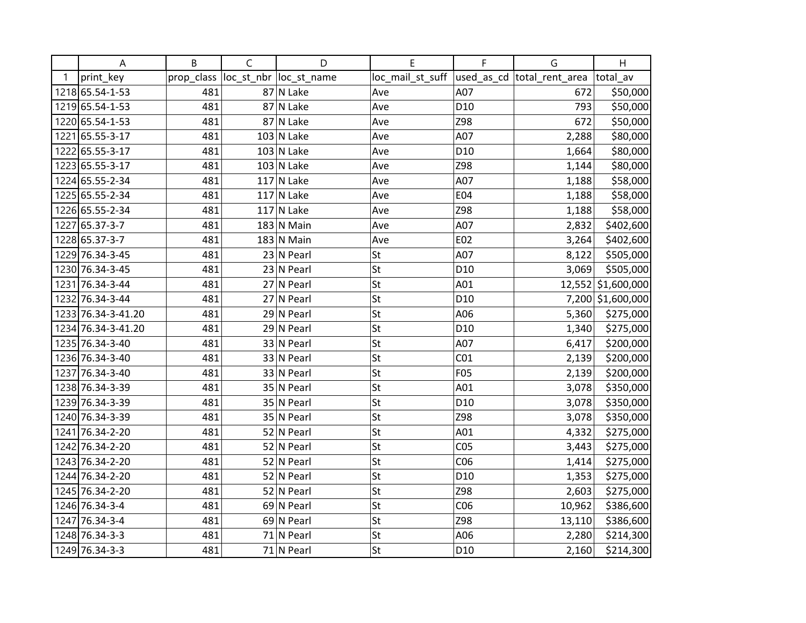|   | Α                  | B          | $\mathsf{C}$ | D                       | Е                | F               | G                           | H                  |
|---|--------------------|------------|--------------|-------------------------|------------------|-----------------|-----------------------------|--------------------|
| 1 | print_key          | prop_class |              | loc_st_nbr  loc_st_name | loc_mail_st_suff |                 | used_as_cd  total_rent_area | total av           |
|   | 1218 65.54-1-53    | 481        |              | 87 N Lake               | Ave              | A07             | 672                         | \$50,000           |
|   | 1219 65.54-1-53    | 481        |              | 87 N Lake               | Ave              | D <sub>10</sub> | 793                         | \$50,000           |
|   | 1220 65.54-1-53    | 481        |              | 87 N Lake               | Ave              | Z98             | 672                         | \$50,000           |
|   | 1221 65.55-3-17    | 481        |              | $103$ N Lake            | Ave              | A07             | 2,288                       | \$80,000           |
|   | 1222 65.55-3-17    | 481        |              | $103$ N Lake            | Ave              | D <sub>10</sub> | 1,664                       | \$80,000           |
|   | 1223 65.55-3-17    | 481        |              | $103$ N Lake            | Ave              | Z98             | 1,144                       | \$80,000           |
|   | 1224 65.55-2-34    | 481        |              | $117$ N Lake            | Ave              | A07             | 1,188                       | \$58,000           |
|   | 1225 65.55-2-34    | 481        |              | $117$ N Lake            | Ave              | E04             | 1,188                       | \$58,000           |
|   | 1226 65.55-2-34    | 481        |              | $117$ N Lake            | Ave              | Z98             | 1,188                       | \$58,000           |
|   | 1227 65.37-3-7     | 481        |              | $183$ N Main            | Ave              | A07             | 2,832                       | \$402,600          |
|   | 1228 65.37-3-7     | 481        |              | $183$ N Main            | Ave              | E02             | 3,264                       | \$402,600          |
|   | 1229 76.34-3-45    | 481        |              | $23 N$ Pearl            | St               | A07             | 8,122                       | \$505,000          |
|   | 1230 76.34-3-45    | 481        |              | $23 N$ Pearl            | St               | D <sub>10</sub> | 3,069                       | \$505,000          |
|   | 1231 76.34-3-44    | 481        |              | 27 N Pearl              | St               | A01             |                             | 12,552 \$1,600,000 |
|   | 1232 76.34-3-44    | 481        |              | $27$ N Pearl            | St               | D <sub>10</sub> |                             | 7,200 \$1,600,000  |
|   | 1233 76.34-3-41.20 | 481        |              | $29$ N Pearl            | St               | A06             | 5,360                       | \$275,000          |
|   | 1234 76.34-3-41.20 | 481        |              | 29 N Pearl              | St               | D <sub>10</sub> | 1,340                       | \$275,000          |
|   | 1235 76.34-3-40    | 481        |              | 33 N Pearl              | St               | A07             | 6,417                       | \$200,000          |
|   | 1236 76.34-3-40    | 481        |              | 33 N Pearl              | St               | CO <sub>1</sub> | 2,139                       | \$200,000          |
|   | 1237 76.34-3-40    | 481        |              | 33 N Pearl              | St               | F05             | 2,139                       | \$200,000          |
|   | 1238 76.34-3-39    | 481        |              | 35 N Pearl              | St               | A01             | 3,078                       | \$350,000          |
|   | 1239 76.34-3-39    | 481        |              | 35 N Pearl              | St               | D <sub>10</sub> | 3,078                       | \$350,000          |
|   | 1240 76.34-3-39    | 481        |              | 35 N Pearl              | St               | Z98             | 3,078                       | \$350,000          |
|   | 1241 76.34-2-20    | 481        |              | 52 N Pearl              | St               | A01             | 4,332                       | \$275,000          |
|   | 1242 76.34-2-20    | 481        |              | 52 N Pearl              | St               | CO <sub>5</sub> | 3,443                       | \$275,000          |
|   | 1243 76.34-2-20    | 481        |              | 52 N Pearl              | St               | CO6             | 1,414                       | \$275,000          |
|   | 1244 76.34-2-20    | 481        |              | 52 N Pearl              | St               | D <sub>10</sub> | 1,353                       | \$275,000          |
|   | 1245 76.34-2-20    | 481        |              | 52 N Pearl              | St               | Z98             | 2,603                       | \$275,000          |
|   | 1246 76.34-3-4     | 481        |              | 69 N Pearl              | St               | CO6             | 10,962                      | \$386,600          |
|   | 1247 76.34-3-4     | 481        |              | 69 N Pearl              | St               | Z98             | 13,110                      | \$386,600          |
|   | 1248 76.34-3-3     | 481        |              | 71 N Pearl              | St               | A06             | 2,280                       | \$214,300          |
|   | 1249 76.34-3-3     | 481        |              | 71 N Pearl              | St               | D <sub>10</sub> | 2,160                       | \$214,300          |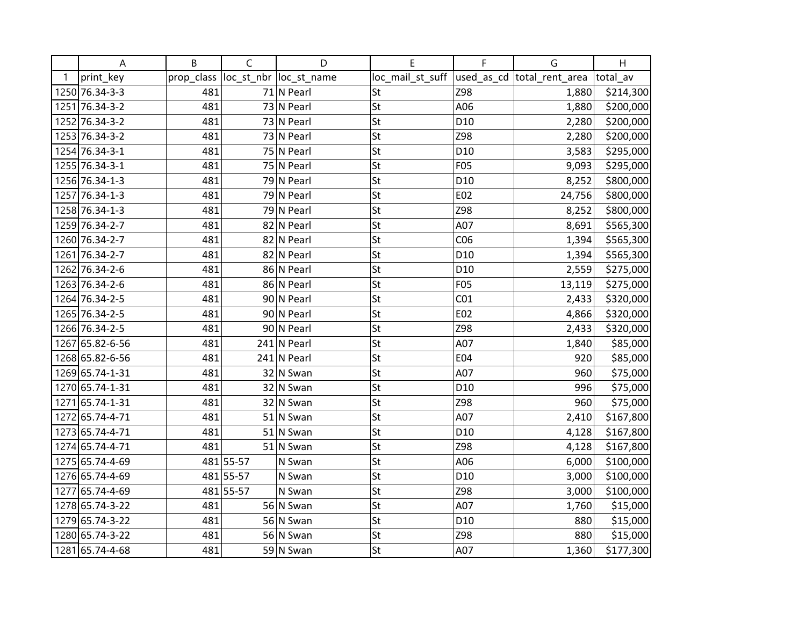|   | A               | B          | $\mathsf{C}$ | D                       | E                | F               | G                           | H         |
|---|-----------------|------------|--------------|-------------------------|------------------|-----------------|-----------------------------|-----------|
| 1 | print_key       | prop_class |              | loc_st_nbr  loc_st_name | loc_mail_st_suff |                 | used_as_cd  total_rent_area | total av  |
|   | 1250 76.34-3-3  | 481        |              | 71 N Pearl              | St               | Z98             | 1,880                       | \$214,300 |
|   | 1251 76.34-3-2  | 481        |              | 73 N Pearl              | St               | A06             | 1,880                       | \$200,000 |
|   | 1252 76.34-3-2  | 481        |              | 73 N Pearl              | St               | D <sub>10</sub> | 2,280                       | \$200,000 |
|   | 1253 76.34-3-2  | 481        |              | $73$ N Pearl            | St               | Z98             | 2,280                       | \$200,000 |
|   | 1254 76.34-3-1  | 481        |              | 75 N Pearl              | St               | D <sub>10</sub> | 3,583                       | \$295,000 |
|   | 1255 76.34-3-1  | 481        |              | 75 N Pearl              | St               | F05             | 9,093                       | \$295,000 |
|   | 1256 76.34-1-3  | 481        |              | 79 N Pearl              | St               | D <sub>10</sub> | 8,252                       | \$800,000 |
|   | 1257 76.34-1-3  | 481        |              | $\overline{79}$ N Pearl | St               | E02             | 24,756                      | \$800,000 |
|   | 1258 76.34-1-3  | 481        |              | 79 N Pearl              | St               | Z98             | 8,252                       | \$800,000 |
|   | 1259 76.34-2-7  | 481        |              | 82 N Pearl              | St               | A07             | 8,691                       | \$565,300 |
|   | 1260 76.34-2-7  | 481        |              | 82 N Pearl              | St               | CO6             | 1,394                       | \$565,300 |
|   | 1261 76.34-2-7  | 481        |              | 82 N Pearl              | St               | D <sub>10</sub> | 1,394                       | \$565,300 |
|   | 1262 76.34-2-6  | 481        |              | 86 N Pearl              | St               | D <sub>10</sub> | 2,559                       | \$275,000 |
|   | 1263 76.34-2-6  | 481        |              | 86 N Pearl              | St               | F05             | 13,119                      | \$275,000 |
|   | 1264 76.34-2-5  | 481        |              | 90 N Pearl              | St               | CO <sub>1</sub> | 2,433                       | \$320,000 |
|   | 1265 76.34-2-5  | 481        |              | 90 N Pearl              | St               | E02             | 4,866                       | \$320,000 |
|   | 1266 76.34-2-5  | 481        |              | 90 N Pearl              | St               | Z98             | 2,433                       | \$320,000 |
|   | 1267 65.82-6-56 | 481        |              | $241$ N Pearl           | St               | A07             | 1,840                       | \$85,000  |
|   | 1268 65.82-6-56 | 481        |              | $241$ N Pearl           | St               | E04             | 920                         | \$85,000  |
|   | 1269 65.74-1-31 | 481        |              | $32$ N Swan             | St               | A07             | 960                         | \$75,000  |
|   | 1270 65.74-1-31 | 481        |              | 32 N Swan               | St               | D <sub>10</sub> | 996                         | \$75,000  |
|   | 1271 65.74-1-31 | 481        |              | 32 N Swan               | St               | Z98             | 960                         | \$75,000  |
|   | 1272 65.74-4-71 | 481        |              | $51$ N Swan             | St               | A07             | 2,410                       | \$167,800 |
|   | 1273 65.74-4-71 | 481        |              | 51 N Swan               | St               | D <sub>10</sub> | 4,128                       | \$167,800 |
|   | 1274 65.74-4-71 | 481        |              | $51$ N Swan             | St               | Z98             | 4,128                       | \$167,800 |
|   | 1275 65.74-4-69 |            | 481 55-57    | N Swan                  | St               | A06             | 6,000                       | \$100,000 |
|   | 1276 65.74-4-69 |            | 481 55-57    | N Swan                  | St               | D <sub>10</sub> | 3,000                       | \$100,000 |
|   | 1277 65.74-4-69 |            | 481 55-57    | N Swan                  | St               | Z98             | 3,000                       | \$100,000 |
|   | 1278 65.74-3-22 | 481        |              | 56 N Swan               | St               | A07             | 1,760                       | \$15,000  |
|   | 1279 65.74-3-22 | 481        |              | 56 N Swan               | St               | D <sub>10</sub> | 880                         | \$15,000  |
|   | 1280 65.74-3-22 | 481        |              | 56 N Swan               | St               | Z98             | 880                         | \$15,000  |
|   | 1281 65.74-4-68 | 481        |              | 59 N Swan               | St               | A07             | 1,360                       | \$177,300 |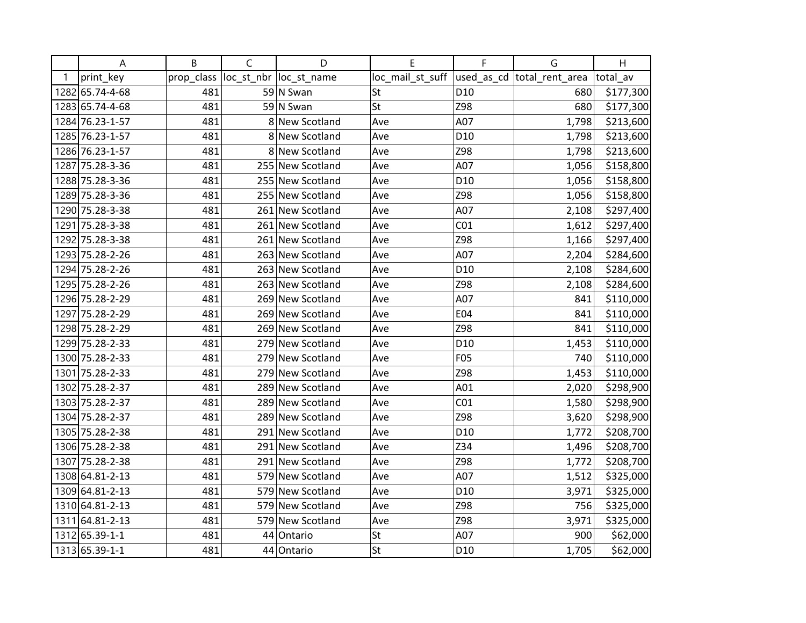|      | A               | B          | $\mathsf C$ | D                       | E                | F               | G                           | Η         |
|------|-----------------|------------|-------------|-------------------------|------------------|-----------------|-----------------------------|-----------|
| 1    | print_key       | prop_class |             | loc_st_nbr  loc_st_name | loc_mail_st_suff |                 | used_as_cd  total_rent_area | total_av  |
|      | 1282 65.74-4-68 | 481        |             | 59 N Swan               | St               | D10             | 680                         | \$177,300 |
|      | 1283 65.74-4-68 | 481        |             | 59 N Swan               | St               | Z98             | 680                         | \$177,300 |
|      | 1284 76.23-1-57 | 481        |             | 8 New Scotland          | Ave              | A07             | 1,798                       | \$213,600 |
|      | 1285 76.23-1-57 | 481        |             | 8 New Scotland          | Ave              | D10             | 1,798                       | \$213,600 |
|      | 1286 76.23-1-57 | 481        |             | 8 New Scotland          | Ave              | Z98             | 1,798                       | \$213,600 |
|      | 1287 75.28-3-36 | 481        |             | 255 New Scotland        | Ave              | A07             | 1,056                       | \$158,800 |
|      | 1288 75.28-3-36 | 481        |             | 255 New Scotland        | Ave              | D10             | 1,056                       | \$158,800 |
|      | 1289 75.28-3-36 | 481        |             | 255 New Scotland        | Ave              | Z98             | 1,056                       | \$158,800 |
|      | 1290 75.28-3-38 | 481        |             | 261 New Scotland        | Ave              | A07             | 2,108                       | \$297,400 |
|      | 1291 75.28-3-38 | 481        |             | 261 New Scotland        | Ave              | CO <sub>1</sub> | 1,612                       | \$297,400 |
|      | 1292 75.28-3-38 | 481        |             | 261 New Scotland        | Ave              | Z98             | 1,166                       | \$297,400 |
|      | 1293 75.28-2-26 | 481        |             | 263 New Scotland        | Ave              | A07             | 2,204                       | \$284,600 |
|      | 1294 75.28-2-26 | 481        |             | 263 New Scotland        | Ave              | D10             | 2,108                       | \$284,600 |
|      | 1295 75.28-2-26 | 481        |             | 263 New Scotland        | Ave              | Z98             | 2,108                       | \$284,600 |
|      | 1296 75.28-2-29 | 481        |             | 269 New Scotland        | Ave              | A07             | 841                         | \$110,000 |
| 1297 | 75.28-2-29      | 481        |             | 269 New Scotland        | Ave              | E04             | 841                         | \$110,000 |
|      | 1298 75.28-2-29 | 481        |             | 269 New Scotland        | Ave              | Z98             | 841                         | \$110,000 |
|      | 1299 75.28-2-33 | 481        |             | 279 New Scotland        | Ave              | D <sub>10</sub> | 1,453                       | \$110,000 |
|      | 1300 75.28-2-33 | 481        |             | 279 New Scotland        | Ave              | F05             | 740                         | \$110,000 |
|      | 1301 75.28-2-33 | 481        | 279         | New Scotland            | Ave              | Z98             | 1,453                       | \$110,000 |
|      | 1302 75.28-2-37 | 481        |             | 289 New Scotland        | Ave              | A01             | 2,020                       | \$298,900 |
|      | 1303 75.28-2-37 | 481        |             | 289 New Scotland        | Ave              | CO <sub>1</sub> | 1,580                       | \$298,900 |
|      | 1304 75.28-2-37 | 481        |             | 289 New Scotland        | Ave              | Z98             | 3,620                       | \$298,900 |
|      | 1305 75.28-2-38 | 481        |             | 291 New Scotland        | Ave              | D10             | 1,772                       | \$208,700 |
|      | 1306 75.28-2-38 | 481        |             | 291 New Scotland        | Ave              | Z34             | 1,496                       | \$208,700 |
|      | 1307 75.28-2-38 | 481        |             | 291 New Scotland        | Ave              | Z98             | 1,772                       | \$208,700 |
|      | 1308 64.81-2-13 | 481        |             | 579 New Scotland        | Ave              | A07             | 1,512                       | \$325,000 |
|      | 1309 64.81-2-13 | 481        |             | 579 New Scotland        | Ave              | D <sub>10</sub> | 3,971                       | \$325,000 |
|      | 1310 64.81-2-13 | 481        |             | 579 New Scotland        | Ave              | Z98             | 756                         | \$325,000 |
|      | 1311 64.81-2-13 | 481        | 579         | New Scotland            | Ave              | Z98             | 3,971                       | \$325,000 |
|      | 1312 65.39-1-1  | 481        |             | 44 Ontario              | St               | A07             | 900                         | \$62,000  |
|      | 1313 65.39-1-1  | 481        |             | 44 Ontario              | St               | D10             | 1,705                       | \$62,000  |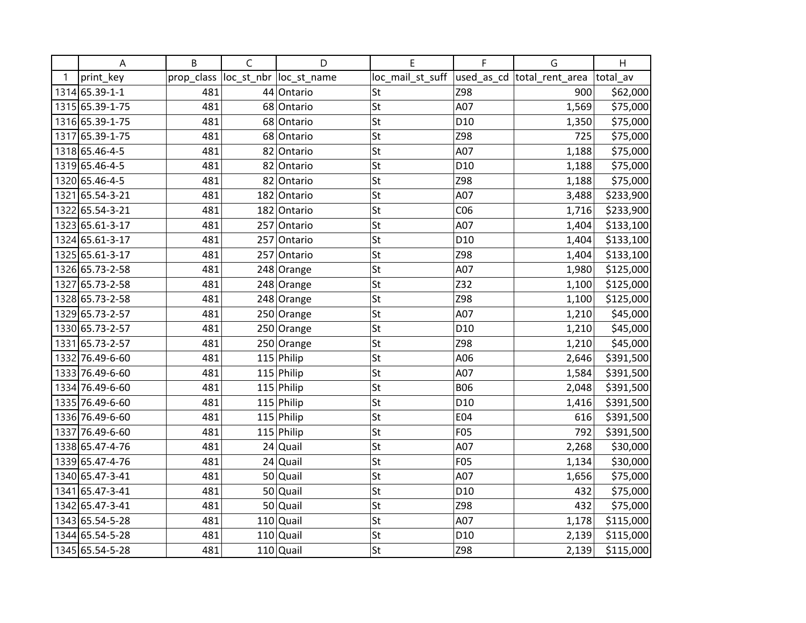|   | A               | B          | $\mathsf C$ | D                       | E                | F               | G                          | H         |
|---|-----------------|------------|-------------|-------------------------|------------------|-----------------|----------------------------|-----------|
| 1 | print_key       | prop_class |             | loc_st_nbr  loc_st_name | loc_mail_st_suff |                 | used_as_cd total_rent_area | total_av  |
|   | 1314 65.39-1-1  | 481        |             | 44 Ontario              | St               | Z98             | 900                        | \$62,000  |
|   | 1315 65.39-1-75 | 481        |             | 68 Ontario              | St               | A07             | 1,569                      | \$75,000  |
|   | 1316 65.39-1-75 | 481        |             | 68 Ontario              | St               | D <sub>10</sub> | 1,350                      | \$75,000  |
|   | 1317 65.39-1-75 | 481        |             | 68 Ontario              | St               | Z98             | 725                        | \$75,000  |
|   | 1318 65.46-4-5  | 481        |             | 82 Ontario              | St               | A07             | 1,188                      | \$75,000  |
|   | 1319 65.46-4-5  | 481        |             | 82 Ontario              | St               | D <sub>10</sub> | 1,188                      | \$75,000  |
|   | 1320 65.46-4-5  | 481        |             | 82 Ontario              | St               | Z98             | 1,188                      | \$75,000  |
|   | 1321 65.54-3-21 | 481        |             | 182 Ontario             | St               | A07             | 3,488                      | \$233,900 |
|   | 1322 65.54-3-21 | 481        |             | 182 Ontario             | St               | CO6             | 1,716                      | \$233,900 |
|   | 1323 65.61-3-17 | 481        |             | 257 Ontario             | St               | A07             | 1,404                      | \$133,100 |
|   | 1324 65.61-3-17 | 481        |             | 257 Ontario             | St               | D <sub>10</sub> | 1,404                      | \$133,100 |
|   | 1325 65.61-3-17 | 481        |             | 257 Ontario             | St               | Z98             | 1,404                      | \$133,100 |
|   | 1326 65.73-2-58 | 481        |             | 248 Orange              | St               | A07             | 1,980                      | \$125,000 |
|   | 1327 65.73-2-58 | 481        |             | 248 Orange              | St               | Z32             | 1,100                      | \$125,000 |
|   | 1328 65.73-2-58 | 481        |             | 248 Orange              | St               | Z98             | 1,100                      | \$125,000 |
|   | 1329 65.73-2-57 | 481        |             | 250 Orange              | St               | A07             | 1,210                      | \$45,000  |
|   | 1330 65.73-2-57 | 481        |             | 250 Orange              | St               | D <sub>10</sub> | 1,210                      | \$45,000  |
|   | 1331 65.73-2-57 | 481        |             | 250 Orange              | St               | Z98             | 1,210                      | \$45,000  |
|   | 1332 76.49-6-60 | 481        |             | $115$ Philip            | St               | A06             | 2,646                      | \$391,500 |
|   | 1333 76.49-6-60 | 481        |             | 115 Philip              | St               | A07             | 1,584                      | \$391,500 |
|   | 1334 76.49-6-60 | 481        |             | $115$ Philip            | St               | <b>B06</b>      | 2,048                      | \$391,500 |
|   | 1335 76.49-6-60 | 481        |             | $115$ Philip            | St               | D <sub>10</sub> | 1,416                      | \$391,500 |
|   | 1336 76.49-6-60 | 481        |             | $115$ Philip            | St               | E04             | 616                        | \$391,500 |
|   | 1337 76.49-6-60 | 481        |             | $115$ Philip            | St               | F05             | 792                        | \$391,500 |
|   | 1338 65.47-4-76 | 481        |             | $24$ Quail              | St               | A07             | 2,268                      | \$30,000  |
|   | 1339 65.47-4-76 | 481        |             | $24$ Quail              | St               | F05             | 1,134                      | \$30,000  |
|   | 1340 65.47-3-41 | 481        | 50          | Quail                   | St               | A07             | 1,656                      | \$75,000  |
|   | 1341 65.47-3-41 | 481        |             | $50$ Quail              | St               | D <sub>10</sub> | 432                        | \$75,000  |
|   | 1342 65.47-3-41 | 481        |             | $50$ Quail              | St               | Z98             | 432                        | \$75,000  |
|   | 1343 65.54-5-28 | 481        |             | $110$ Quail             | St               | A07             | 1,178                      | \$115,000 |
|   | 1344 65.54-5-28 | 481        |             | $110$ Quail             | St               | D <sub>10</sub> | 2,139                      | \$115,000 |
|   | 1345 65.54-5-28 | 481        |             | $110$ Quail             | St               | Z98             | 2,139                      | \$115,000 |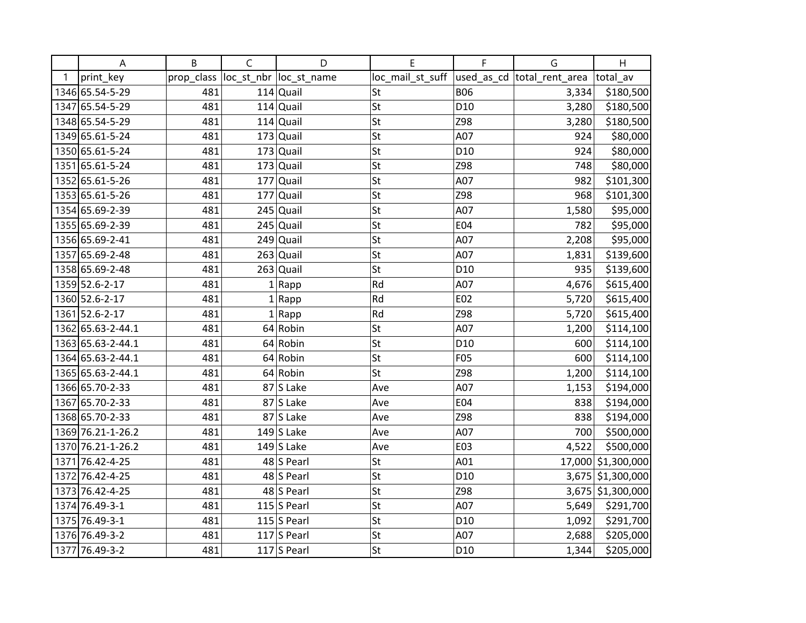|   | A                 | B          | $\mathsf C$ | D                       | E                | F               | G                           | H                  |
|---|-------------------|------------|-------------|-------------------------|------------------|-----------------|-----------------------------|--------------------|
| 1 | print_key         | prop_class |             | loc_st_nbr  loc_st_name | loc_mail_st_suff |                 | used_as_cd  total_rent_area | total av           |
|   | 1346 65.54-5-29   | 481        |             | $114$ Quail             | St               | <b>B06</b>      | 3,334                       | \$180,500          |
|   | 1347 65.54-5-29   | 481        |             | $114$ Quail             | St               | D <sub>10</sub> | 3,280                       | \$180,500          |
|   | 1348 65.54-5-29   | 481        |             | $114$ Quail             | St               | Z98             | 3,280                       | \$180,500          |
|   | 1349 65.61-5-24   | 481        |             | $173$ Quail             | St               | A07             | 924                         | \$80,000           |
|   | 1350 65.61-5-24   | 481        |             | $173$ Quail             | St               | D <sub>10</sub> | 924                         | \$80,000           |
|   | 1351 65.61-5-24   | 481        |             | $173$ Quail             | St               | Z98             | 748                         | \$80,000           |
|   | 1352 65.61-5-26   | 481        |             | $177$ Quail             | St               | A07             | 982                         | \$101,300          |
|   | 1353 65.61-5-26   | 481        | 177         | Quail                   | St               | Z98             | 968                         | \$101,300          |
|   | 1354 65.69-2-39   | 481        | 245         | Quail                   | St               | A07             | 1,580                       | \$95,000           |
|   | 1355 65.69-2-39   | 481        |             | $245$ Quail             | St               | E04             | 782                         | \$95,000           |
|   | 1356 65.69-2-41   | 481        |             | $249$ Quail             | St               | A07             | 2,208                       | \$95,000           |
|   | 1357 65.69-2-48   | 481        |             | $263$ Quail             | St               | A07             | 1,831                       | \$139,600          |
|   | 1358 65.69-2-48   | 481        |             | $263$ Quail             | St               | D <sub>10</sub> | 935                         | \$139,600          |
|   | 1359 52.6-2-17    | 481        |             | $1  $ Rapp              | Rd               | A07             | 4,676                       | \$615,400          |
|   | 1360 52.6-2-17    | 481        |             | $1  $ Rapp              | Rd               | E02             | 5,720                       | \$615,400          |
|   | 1361 52.6-2-17    | 481        |             | $1  $ Rapp              | Rd               | Z98             | 5,720                       | \$615,400          |
|   | 1362 65.63-2-44.1 | 481        |             | $64$ Robin              | St               | A07             | 1,200                       | \$114,100          |
|   | 1363 65.63-2-44.1 | 481        |             | 64 Robin                | St               | D <sub>10</sub> | 600                         | \$114,100          |
|   | 1364 65.63-2-44.1 | 481        |             | 64 Robin                | St               | F05             | 600                         | \$114,100          |
|   | 1365 65.63-2-44.1 | 481        |             | 64 Robin                | St               | Z98             | 1,200                       | \$114,100          |
|   | 1366 65.70-2-33   | 481        |             | $87$ S Lake             | Ave              | A07             | 1,153                       | \$194,000          |
|   | 1367 65.70-2-33   | 481        |             | $87$ S Lake             | Ave              | <b>E04</b>      | 838                         | \$194,000          |
|   | 1368 65.70-2-33   | 481        |             | $87$ S Lake             | Ave              | Z98             | 838                         | \$194,000          |
|   | 1369 76.21-1-26.2 | 481        |             | $149$ S Lake            | Ave              | A07             | 700                         | \$500,000          |
|   | 1370 76.21-1-26.2 | 481        |             | $149$ S Lake            | Ave              | E03             | 4,522                       | \$500,000          |
|   | 1371 76.42-4-25   | 481        |             | 48 S Pearl              | St               | A01             |                             | 17,000 \$1,300,000 |
|   | 1372 76.42-4-25   | 481        |             | 48 S Pearl              | St               | D <sub>10</sub> |                             | 3,675 \$1,300,000  |
|   | 1373 76.42-4-25   | 481        |             | 48 S Pearl              | St               | Z98             |                             | 3,675 \$1,300,000  |
|   | 1374 76.49-3-1    | 481        |             | 115 $S$ Pearl           | St               | A07             | 5,649                       | \$291,700          |
|   | 1375 76.49-3-1    | 481        |             | 115 $ S $ Pearl         | St               | D <sub>10</sub> | 1,092                       | \$291,700          |
|   | 1376 76.49-3-2    | 481        |             | $117$ S Pearl           | St               | A07             | 2,688                       | \$205,000          |
|   | 1377 76.49-3-2    | 481        |             | 117 $ S $ Pearl         | St               | D <sub>10</sub> | 1,344                       | \$205,000          |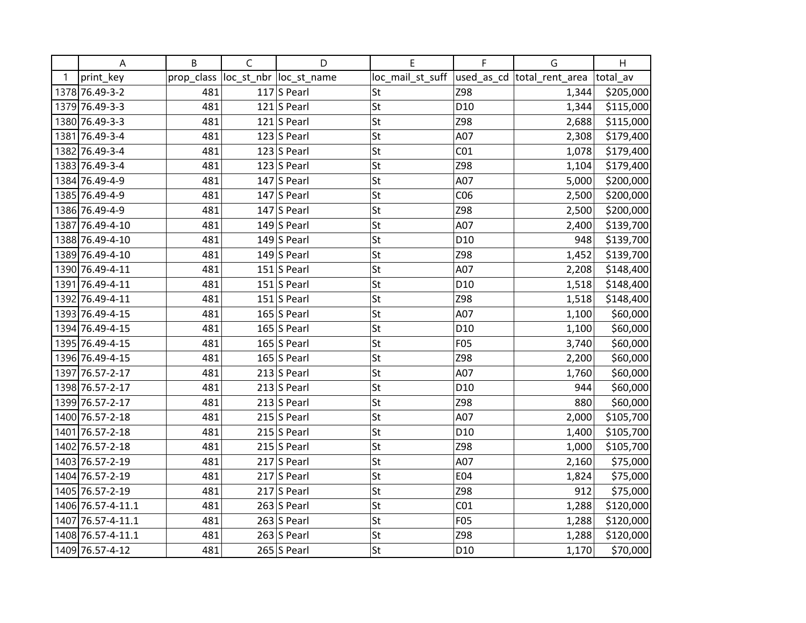|   | A                 | B          | $\mathsf{C}$ | D                       | Е                | F               | G                          | H         |
|---|-------------------|------------|--------------|-------------------------|------------------|-----------------|----------------------------|-----------|
| 1 | print_key         | prop_class |              | loc_st_nbr  loc_st_name | loc_mail_st_suff |                 | used_as_cd total_rent_area | total_av  |
|   | 1378 76.49-3-2    | 481        |              | 117 $ S $ Pearl         | St               | Z98             | 1,344                      | \$205,000 |
|   | 1379 76.49-3-3    | 481        |              | $121$ S Pearl           | St               | D <sub>10</sub> | 1,344                      | \$115,000 |
|   | 1380 76.49-3-3    | 481        |              | 121 S Pearl             | St               | Z98             | 2,688                      | \$115,000 |
|   | 1381 76.49-3-4    | 481        |              | 123 S Pearl             | St               | A07             | 2,308                      | \$179,400 |
|   | 1382 76.49-3-4    | 481        |              | 123 $ S $ Pearl         | St               | CO <sub>1</sub> | 1,078                      | \$179,400 |
|   | 1383 76.49-3-4    | 481        |              | $123$ S Pearl           | St               | Z98             | 1,104                      | \$179,400 |
|   | 1384 76.49-4-9    | 481        |              | $147$ S Pearl           | St               | A07             | 5,000                      | \$200,000 |
|   | 1385 76.49-4-9    | 481        |              | $147$ S Pearl           | St               | CO6             | 2,500                      | \$200,000 |
|   | 1386 76.49-4-9    | 481        |              | $147$ S Pearl           | St               | Z98             | 2,500                      | \$200,000 |
|   | 1387 76.49-4-10   | 481        |              | $149$ S Pearl           | St               | A07             | 2,400                      | \$139,700 |
|   | 1388 76.49-4-10   | 481        |              | 149 $ S$ Pearl          | St               | D <sub>10</sub> | 948                        | \$139,700 |
|   | 1389 76.49-4-10   | 481        |              | 149 $ S$ Pearl          | St               | Z98             | 1,452                      | \$139,700 |
|   | 1390 76.49-4-11   | 481        |              | 151 S Pearl             | St               | A07             | 2,208                      | \$148,400 |
|   | 1391 76.49-4-11   | 481        |              | 151 S Pearl             | St               | D <sub>10</sub> | 1,518                      | \$148,400 |
|   | 1392 76.49-4-11   | 481        |              | 151 S Pearl             | St               | Z98             | 1,518                      | \$148,400 |
|   | 1393 76.49-4-15   | 481        |              | 165 S Pearl             | St               | A07             | 1,100                      | \$60,000  |
|   | 1394 76.49-4-15   | 481        |              | $165$ S Pearl           | St               | D <sub>10</sub> | 1,100                      | \$60,000  |
|   | 1395 76.49-4-15   | 481        |              | 165 S Pearl             | St               | F05             | 3,740                      | \$60,000  |
|   | 1396 76.49-4-15   | 481        |              | 165 S Pearl             | St               | Z98             | 2,200                      | \$60,000  |
|   | 1397 76.57-2-17   | 481        |              | $213$ S Pearl           | St               | A07             | 1,760                      | \$60,000  |
|   | 1398 76.57-2-17   | 481        |              | $213$ S Pearl           | St               | D <sub>10</sub> | 944                        | \$60,000  |
|   | 1399 76.57-2-17   | 481        |              | $213$ S Pearl           | St               | Z98             | 880                        | \$60,000  |
|   | 1400 76.57-2-18   | 481        |              | $215$ S Pearl           | St               | A07             | 2,000                      | \$105,700 |
|   | 1401 76.57-2-18   | 481        |              | $215$ S Pearl           | St               | D <sub>10</sub> | 1,400                      | \$105,700 |
|   | 1402 76.57-2-18   | 481        |              | $215$ S Pearl           | St               | Z98             | 1,000                      | \$105,700 |
|   | 1403 76.57-2-19   | 481        |              | $217$ S Pearl           | St               | A07             | 2,160                      | \$75,000  |
|   | 1404 76.57-2-19   | 481        |              | $217$ S Pearl           | St               | E04             | 1,824                      | \$75,000  |
|   | 1405 76.57-2-19   | 481        |              | $217$ S Pearl           | St               | Z98             | 912                        | \$75,000  |
|   | 1406 76.57-4-11.1 | 481        |              | $263$ S Pearl           | St               | CO <sub>1</sub> | 1,288                      | \$120,000 |
|   | 1407 76.57-4-11.1 | 481        |              | $263$ S Pearl           | St               | F05             | 1,288                      | \$120,000 |
|   | 1408 76.57-4-11.1 | 481        |              | $263$ S Pearl           | St               | Z98             | 1,288                      | \$120,000 |
|   | 1409 76.57-4-12   | 481        |              | $265$ S Pearl           | St               | D <sub>10</sub> | 1,170                      | \$70,000  |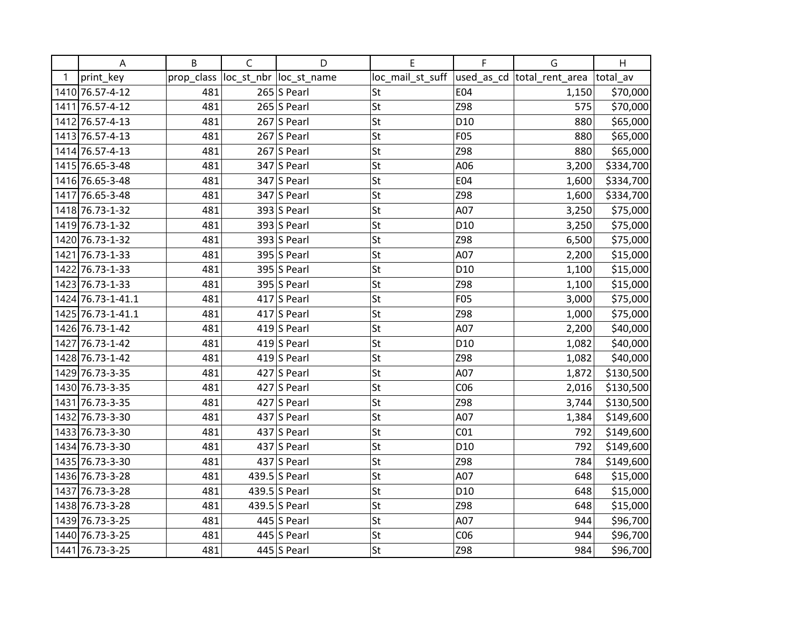|   | A                 | B          | $\mathsf{C}$ | D                       | Е                | F               | G                           | H         |
|---|-------------------|------------|--------------|-------------------------|------------------|-----------------|-----------------------------|-----------|
| 1 | print_key         | prop_class |              | loc_st_nbr  loc_st_name | loc_mail_st_suff |                 | used_as_cd  total_rent_area | total av  |
|   | 1410 76.57-4-12   | 481        |              | $265$ S Pearl           | St               | E04             | 1,150                       | \$70,000  |
|   | 1411 76.57-4-12   | 481        |              | $265$ S Pearl           | St               | Z98             | 575                         | \$70,000  |
|   | 1412 76.57-4-13   | 481        |              | $267$ S Pearl           | St               | D10             | 880                         | \$65,000  |
|   | 1413 76.57-4-13   | 481        |              | $267$ S Pearl           | St               | F05             | 880                         | \$65,000  |
|   | 1414 76.57-4-13   | 481        |              | $267$ S Pearl           | St               | Z98             | 880                         | \$65,000  |
|   | 1415 76.65-3-48   | 481        |              | $347$ S Pearl           | St               | A06             | 3,200                       | \$334,700 |
|   | 1416 76.65-3-48   | 481        |              | $347$ S Pearl           | St               | E04             | 1,600                       | \$334,700 |
|   | 1417 76.65-3-48   | 481        |              | $347$ S Pearl           | St               | Z98             | 1,600                       | \$334,700 |
|   | 1418 76.73-1-32   | 481        |              | $393$ S Pearl           | St               | A07             | 3,250                       | \$75,000  |
|   | 1419 76.73-1-32   | 481        |              | 393 S Pearl             | St               | D10             | 3,250                       | \$75,000  |
|   | 1420 76.73-1-32   | 481        |              | 393 S Pearl             | St               | Z98             | 6,500                       | \$75,000  |
|   | 1421 76.73-1-33   | 481        |              | $395$ S Pearl           | St               | A07             | 2,200                       | \$15,000  |
|   | 1422 76.73-1-33   | 481        |              | $395$ S Pearl           | St               | D10             | 1,100                       | \$15,000  |
|   | 1423 76.73-1-33   | 481        |              | $395$ S Pearl           | St               | Z98             | 1,100                       | \$15,000  |
|   | 1424 76.73-1-41.1 | 481        |              | $417$ S Pearl           | St               | F05             | 3,000                       | \$75,000  |
|   | 1425 76.73-1-41.1 | 481        |              | $417$ S Pearl           | St               | Z98             | 1,000                       | \$75,000  |
|   | 1426 76.73-1-42   | 481        |              | 419 $S$ Pearl           | St               | A07             | 2,200                       | \$40,000  |
|   | 1427 76.73-1-42   | 481        |              | 419 $ S$ Pearl          | St               | D10             | 1,082                       | \$40,000  |
|   | 1428 76.73-1-42   | 481        |              | 419 $S$ Pearl           | St               | Z98             | 1,082                       | \$40,000  |
|   | 1429 76.73-3-35   | 481        |              | 427 S Pearl             | St               | A07             | 1,872                       | \$130,500 |
|   | 1430 76.73-3-35   | 481        |              | 427 S Pearl             | St               | CO6             | 2,016                       | \$130,500 |
|   | 1431 76.73-3-35   | 481        |              | $427$ S Pearl           | St               | Z98             | 3,744                       | \$130,500 |
|   | 1432 76.73-3-30   | 481        |              | 437 S Pearl             | St               | A07             | 1,384                       | \$149,600 |
|   | 1433 76.73-3-30   | 481        |              | 437 S Pearl             | St               | CO <sub>1</sub> | 792                         | \$149,600 |
|   | 1434 76.73-3-30   | 481        |              | 437 S Pearl             | St               | D <sub>10</sub> | 792                         | \$149,600 |
|   | 1435 76.73-3-30   | 481        |              | 437 S Pearl             | St               | Z98             | 784                         | \$149,600 |
|   | 1436 76.73-3-28   | 481        |              | 439.5 S Pearl           | St               | A07             | 648                         | \$15,000  |
|   | 1437 76.73-3-28   | 481        |              | 439.5 S Pearl           | St               | D <sub>10</sub> | 648                         | \$15,000  |
|   | 1438 76.73-3-28   | 481        |              | 439.5 S Pearl           | St               | Z98             | 648                         | \$15,000  |
|   | 1439 76.73-3-25   | 481        |              | 445 S Pearl             | St               | A07             | 944                         | \$96,700  |
|   | 1440 76.73-3-25   | 481        |              | 445 S Pearl             | St               | CO6             | 944                         | \$96,700  |
|   | 1441 76.73-3-25   | 481        |              | 445 S Pearl             | <b>St</b>        | Z98             | 984                         | \$96,700  |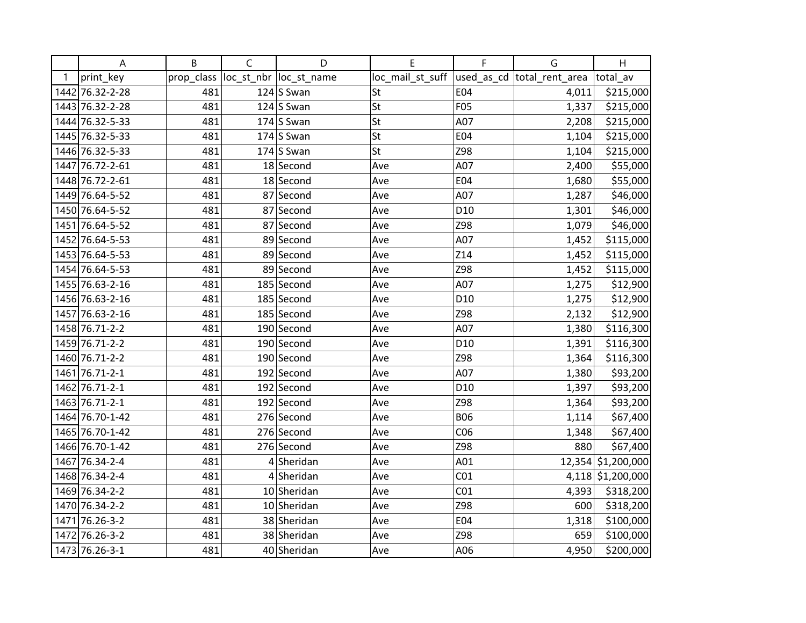|   | Α               | B          | $\mathsf C$ | D                       | E                | F               | G                           | H                  |
|---|-----------------|------------|-------------|-------------------------|------------------|-----------------|-----------------------------|--------------------|
| 1 | print_key       | prop_class |             | loc_st_nbr  loc_st_name | loc_mail_st_suff |                 | used_as_cd  total_rent_area | total av           |
|   | 1442 76.32-2-28 | 481        |             | 124 $ S$ Swan           | St               | E04             | 4,011                       | \$215,000          |
|   | 1443 76.32-2-28 | 481        |             | $124$ S Swan            | St               | F05             | 1,337                       | \$215,000          |
|   | 1444 76.32-5-33 | 481        |             | $174$ S Swan            | St               | A07             | 2,208                       | \$215,000          |
|   | 1445 76.32-5-33 | 481        |             | 174 $ S$ Swan           | St               | E04             | 1,104                       | \$215,000          |
|   | 1446 76.32-5-33 | 481        |             | $174$ S Swan            | St               | Z98             | 1,104                       | \$215,000          |
|   | 1447 76.72-2-61 | 481        |             | 18 Second               | Ave              | A07             | 2,400                       | \$55,000           |
|   | 1448 76.72-2-61 | 481        |             | 18 Second               | Ave              | E04             | 1,680                       | \$55,000           |
|   | 1449 76.64-5-52 | 481        |             | 87 Second               | Ave              | A07             | 1,287                       | \$46,000           |
|   | 1450 76.64-5-52 | 481        |             | 87 Second               | Ave              | D <sub>10</sub> | 1,301                       | \$46,000           |
|   | 1451 76.64-5-52 | 481        |             | 87 Second               | Ave              | Z98             | 1,079                       | \$46,000           |
|   | 1452 76.64-5-53 | 481        |             | 89 Second               | Ave              | A07             | 1,452                       | \$115,000          |
|   | 1453 76.64-5-53 | 481        |             | 89 Second               | Ave              | Z14             | 1,452                       | \$115,000          |
|   | 1454 76.64-5-53 | 481        |             | 89 Second               | Ave              | Z98             | 1,452                       | \$115,000          |
|   | 1455 76.63-2-16 | 481        |             | $185$ Second            | Ave              | A07             | 1,275                       | \$12,900           |
|   | 1456 76.63-2-16 | 481        |             | 185 Second              | Ave              | D <sub>10</sub> | 1,275                       | \$12,900           |
|   | 1457 76.63-2-16 | 481        |             | 185 Second              | Ave              | Z98             | 2,132                       | \$12,900           |
|   | 1458 76.71-2-2  | 481        |             | 190 Second              | Ave              | A07             | 1,380                       | \$116,300          |
|   | 1459 76.71-2-2  | 481        |             | 190 Second              | Ave              | D <sub>10</sub> | 1,391                       | \$116,300          |
|   | 1460 76.71-2-2  | 481        |             | 190 Second              | Ave              | Z98             | 1,364                       | \$116,300          |
|   | 1461 76.71-2-1  | 481        |             | 192 Second              | Ave              | A07             | 1,380                       | \$93,200           |
|   | 1462 76.71-2-1  | 481        |             | 192 Second              | Ave              | D <sub>10</sub> | 1,397                       | \$93,200           |
|   | 1463 76.71-2-1  | 481        |             | 192 Second              | Ave              | Z98             | 1,364                       | \$93,200           |
|   | 1464 76.70-1-42 | 481        |             | 276 Second              | Ave              | <b>B06</b>      | 1,114                       | \$67,400           |
|   | 1465 76.70-1-42 | 481        |             | 276 Second              | Ave              | CO6             | 1,348                       | \$67,400           |
|   | 1466 76.70-1-42 | 481        |             | 276 Second              | Ave              | Z98             | 880                         | \$67,400           |
|   | 1467 76.34-2-4  | 481        |             | 4 Sheridan              | Ave              | A01             |                             | 12,354 \$1,200,000 |
|   | 1468 76.34-2-4  | 481        |             | 4 Sheridan              | Ave              | CO <sub>1</sub> |                             | 4,118 \$1,200,000  |
|   | 1469 76.34-2-2  | 481        |             | 10 Sheridan             | Ave              | CO <sub>1</sub> | 4,393                       | \$318,200          |
|   | 1470 76.34-2-2  | 481        |             | 10 Sheridan             | Ave              | Z98             | 600                         | \$318,200          |
|   | 1471 76.26-3-2  | 481        |             | 38 Sheridan             | Ave              | E04             | 1,318                       | \$100,000          |
|   | 1472 76.26-3-2  | 481        |             | 38 Sheridan             | Ave              | Z98             | 659                         | \$100,000          |
|   | 1473 76.26-3-1  | 481        |             | 40 Sheridan             | Ave              | A06             | 4,950                       | \$200,000          |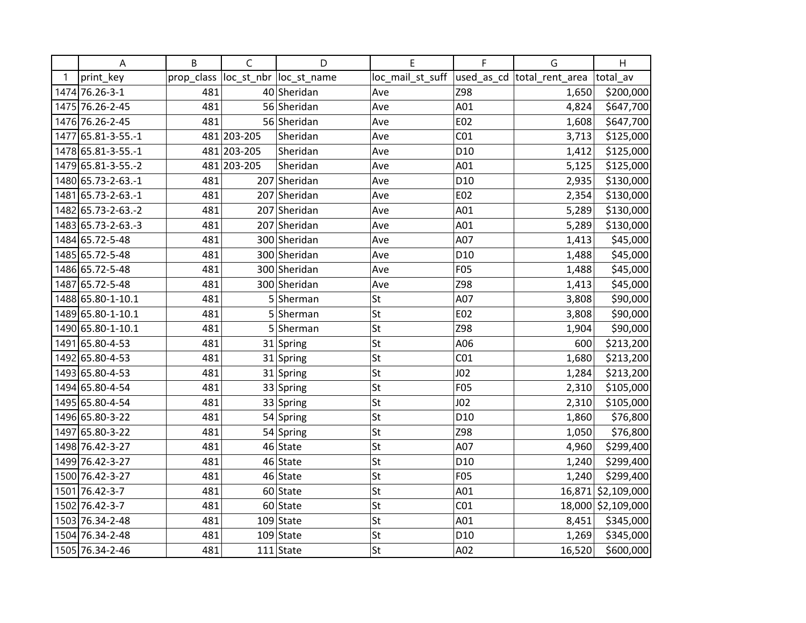|   | A                  | B          | $\mathsf C$ | D                       | E                | F               | G                           | H                  |
|---|--------------------|------------|-------------|-------------------------|------------------|-----------------|-----------------------------|--------------------|
| 1 | print_key          | prop_class |             | loc_st_nbr  loc_st_name | loc_mail_st_suff |                 | used_as_cd  total_rent_area | total av           |
|   | 1474 76.26-3-1     | 481        |             | 40 Sheridan             | Ave              | Z98             | 1,650                       | \$200,000          |
|   | 1475 76.26-2-45    | 481        |             | 56 Sheridan             | Ave              | A01             | 4,824                       | \$647,700          |
|   | 1476 76.26-2-45    | 481        |             | 56 Sheridan             | Ave              | E02             | 1,608                       | \$647,700          |
|   | 1477 65.81-3-55.-1 |            | 481 203-205 | Sheridan                | Ave              | CO <sub>1</sub> | 3,713                       | \$125,000          |
|   | 1478 65.81-3-55.-1 |            | 481 203-205 | Sheridan                | Ave              | D <sub>10</sub> | 1,412                       | \$125,000          |
|   | 1479 65.81-3-55.-2 |            | 481 203-205 | Sheridan                | Ave              | A01             | 5,125                       | \$125,000          |
|   | 1480 65.73-2-63.-1 | 481        |             | 207 Sheridan            | Ave              | D <sub>10</sub> | 2,935                       | \$130,000          |
|   | 1481 65.73-2-63.-1 | 481        |             | 207 Sheridan            | Ave              | E02             | 2,354                       | \$130,000          |
|   | 1482 65.73-2-63.-2 | 481        |             | 207 Sheridan            | Ave              | A01             | 5,289                       | \$130,000          |
|   | 1483 65.73-2-63.-3 | 481        |             | 207 Sheridan            | Ave              | A01             | 5,289                       | \$130,000          |
|   | 1484 65.72-5-48    | 481        |             | 300 Sheridan            | Ave              | A07             | 1,413                       | \$45,000           |
|   | 1485 65.72-5-48    | 481        |             | 300 Sheridan            | Ave              | D <sub>10</sub> | 1,488                       | \$45,000           |
|   | 1486 65.72-5-48    | 481        |             | 300 Sheridan            | Ave              | F05             | 1,488                       | \$45,000           |
|   | 1487 65.72-5-48    | 481        |             | 300 Sheridan            | Ave              | Z98             | 1,413                       | \$45,000           |
|   | 1488 65.80-1-10.1  | 481        |             | 5 Sherman               | St               | A07             | 3,808                       | \$90,000           |
|   | 1489 65.80-1-10.1  | 481        |             | 5 Sherman               | St               | E02             | 3,808                       | \$90,000           |
|   | 1490 65.80-1-10.1  | 481        |             | 5 Sherman               | St               | Z98             | 1,904                       | \$90,000           |
|   | 1491 65.80-4-53    | 481        |             | 31 Spring               | St               | A06             | 600                         | \$213,200          |
|   | 1492 65.80-4-53    | 481        |             | 31 Spring               | St               | CO <sub>1</sub> | 1,680                       | \$213,200          |
|   | 1493 65.80-4-53    | 481        |             | 31 Spring               | St               | J <sub>02</sub> | 1,284                       | \$213,200          |
|   | 1494 65.80-4-54    | 481        |             | 33 Spring               | St               | F05             | 2,310                       | \$105,000          |
|   | 1495 65.80-4-54    | 481        |             | 33 Spring               | St               | J <sub>02</sub> | 2,310                       | \$105,000          |
|   | 1496 65.80-3-22    | 481        |             | 54 Spring               | St               | D <sub>10</sub> | 1,860                       | \$76,800           |
|   | 1497 65.80-3-22    | 481        |             | 54 Spring               | St               | Z98             | 1,050                       | \$76,800           |
|   | 1498 76.42-3-27    | 481        |             | 46 State                | St               | A07             | 4,960                       | \$299,400          |
|   | 1499 76.42-3-27    | 481        |             | 46 State                | St               | D <sub>10</sub> | 1,240                       | \$299,400          |
|   | 1500 76.42-3-27    | 481        |             | 46 State                | St               | F05             | 1,240                       | \$299,400          |
|   | 1501 76.42-3-7     | 481        |             | 60 State                | St               | A01             |                             | 16,871 \$2,109,000 |
|   | 1502 76.42-3-7     | 481        |             | $60$ State              | St               | CO <sub>1</sub> |                             | 18,000 \$2,109,000 |
|   | 1503 76.34-2-48    | 481        |             | $109$ State             | St               | A01             | 8,451                       | \$345,000          |
|   | 1504 76.34-2-48    | 481        |             | $109$ State             | St               | D <sub>10</sub> | 1,269                       | \$345,000          |
|   | 1505 76.34-2-46    | 481        |             | $111$ State             | St               | A02             | 16,520                      | \$600,000          |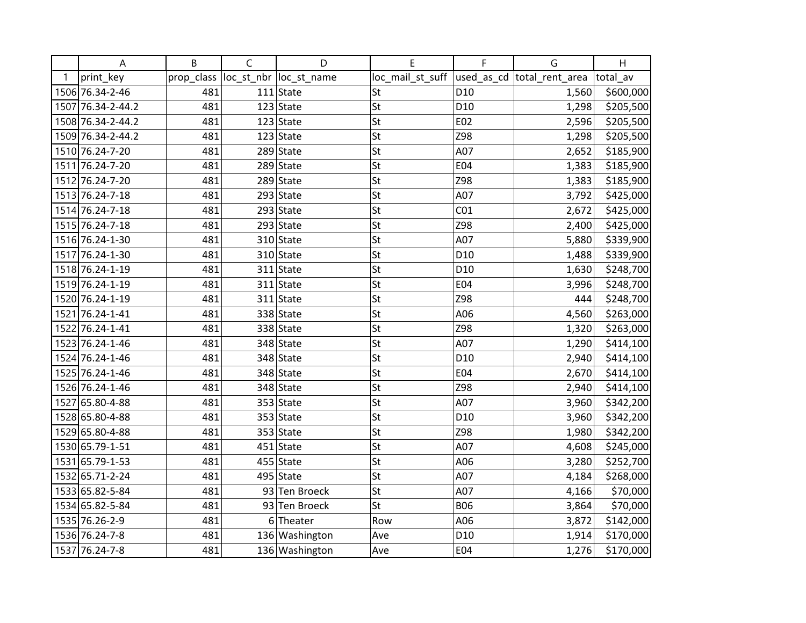|   | A                 | B          | $\mathsf C$ | D                       | E                | F               | G                           | H         |
|---|-------------------|------------|-------------|-------------------------|------------------|-----------------|-----------------------------|-----------|
| 1 | print_key         | prop_class |             | loc_st_nbr  loc_st_name | loc_mail_st_suff |                 | used_as_cd  total_rent_area | total av  |
|   | 1506 76.34-2-46   | 481        |             | $111$ State             | St               | D <sub>10</sub> | 1,560                       | \$600,000 |
|   | 1507 76.34-2-44.2 | 481        |             | $123$ State             | St               | D <sub>10</sub> | 1,298                       | \$205,500 |
|   | 1508 76.34-2-44.2 | 481        |             | $123$ State             | St               | E02             | 2,596                       | \$205,500 |
|   | 1509 76.34-2-44.2 | 481        |             | $123$ State             | St               | Z98             | 1,298                       | \$205,500 |
|   | 1510 76.24-7-20   | 481        |             | $289$ State             | St               | A07             | 2,652                       | \$185,900 |
|   | 1511 76.24-7-20   | 481        |             | $289$ State             | St               | E04             | 1,383                       | \$185,900 |
|   | 1512 76.24-7-20   | 481        |             | $289$ State             | St               | Z98             | 1,383                       | \$185,900 |
|   | 1513 76.24-7-18   | 481        |             | 293 State               | St               | A07             | 3,792                       | \$425,000 |
|   | 1514 76.24-7-18   | 481        |             | $293$ State             | St               | CO <sub>1</sub> | 2,672                       | \$425,000 |
|   | 1515 76.24-7-18   | 481        |             | $293$ State             | St               | Z98             | 2,400                       | \$425,000 |
|   | 1516 76.24-1-30   | 481        |             | $310$ State             | St               | A07             | 5,880                       | \$339,900 |
|   | 1517 76.24-1-30   | 481        |             | 310 State               | St               | D <sub>10</sub> | 1,488                       | \$339,900 |
|   | 1518 76.24-1-19   | 481        |             | $311$ State             | St               | D <sub>10</sub> | 1,630                       | \$248,700 |
|   | 1519 76.24-1-19   | 481        |             | $311$ State             | St               | E04             | 3,996                       | \$248,700 |
|   | 1520 76.24-1-19   | 481        |             | $311$ State             | St               | Z98             | 444                         | \$248,700 |
|   | 1521 76.24-1-41   | 481        |             | 338 State               | St               | A06             | 4,560                       | \$263,000 |
|   | 1522 76.24-1-41   | 481        |             | 338 State               | St               | Z98             | 1,320                       | \$263,000 |
|   | 1523 76.24-1-46   | 481        |             | 348 State               | St               | A07             | 1,290                       | \$414,100 |
|   | 1524 76.24-1-46   | 481        |             | 348 State               | St               | D <sub>10</sub> | 2,940                       | \$414,100 |
|   | 1525 76.24-1-46   | 481        |             | 348 State               | St               | E04             | 2,670                       | \$414,100 |
|   | 1526 76.24-1-46   | 481        |             | 348 State               | St               | Z98             | 2,940                       | \$414,100 |
|   | 1527 65.80-4-88   | 481        |             | $353$ State             | St               | A07             | 3,960                       | \$342,200 |
|   | 1528 65.80-4-88   | 481        |             | $353$ State             | St               | D <sub>10</sub> | 3,960                       | \$342,200 |
|   | 1529 65.80-4-88   | 481        |             | $353$ State             | St               | Z98             | 1,980                       | \$342,200 |
|   | 1530 65.79-1-51   | 481        |             | $451$ State             | St               | A07             | 4,608                       | \$245,000 |
|   | 1531 65.79-1-53   | 481        |             | $455$ State             | St               | A06             | 3,280                       | \$252,700 |
|   | 1532 65.71-2-24   | 481        |             | $495$ State             | St               | A07             | 4,184                       | \$268,000 |
|   | 1533 65.82-5-84   | 481        |             | 93 Ten Broeck           | St               | A07             | 4,166                       | \$70,000  |
|   | 1534 65.82-5-84   | 481        |             | 93 Ten Broeck           | St               | <b>B06</b>      | 3,864                       | \$70,000  |
|   | 1535 76.26-2-9    | 481        | 6           | Theater                 | Row              | A06             | 3,872                       | \$142,000 |
|   | 1536 76.24-7-8    | 481        |             | 136 Washington          | Ave              | D <sub>10</sub> | 1,914                       | \$170,000 |
|   | 1537 76.24-7-8    | 481        |             | 136 Washington          | Ave              | E04             | 1,276                       | \$170,000 |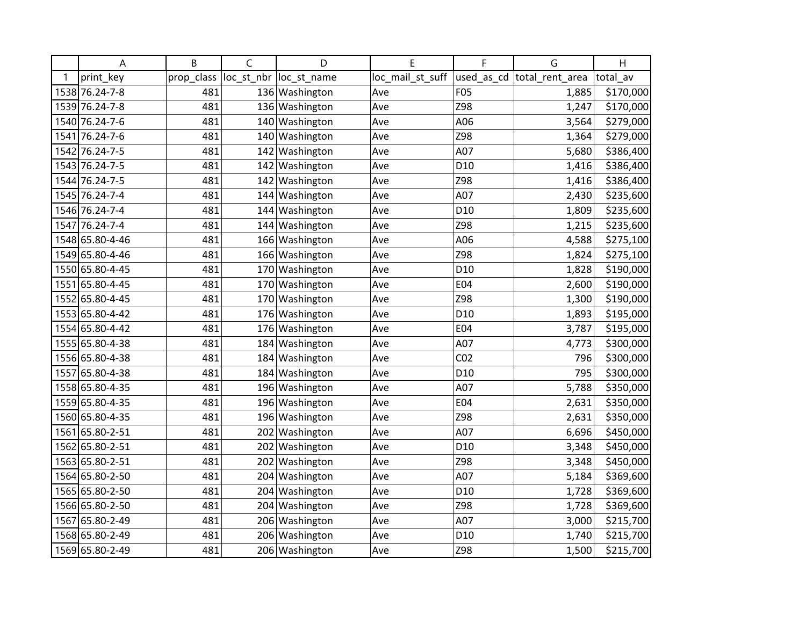|   | A               | B          | $\mathsf C$ | D                       | E                | F               | G                          | H         |
|---|-----------------|------------|-------------|-------------------------|------------------|-----------------|----------------------------|-----------|
| 1 | print_key       | prop_class |             | loc_st_nbr  loc_st_name | loc_mail_st_suff |                 | used_as_cd total_rent_area | total_av  |
|   | 1538 76.24-7-8  | 481        |             | 136 Washington          | Ave              | <b>F05</b>      | 1,885                      | \$170,000 |
|   | 1539 76.24-7-8  | 481        |             | 136 Washington          | Ave              | Z98             | 1,247                      | \$170,000 |
|   | 1540 76.24-7-6  | 481        |             | 140 Washington          | Ave              | A06             | 3,564                      | \$279,000 |
|   | 1541 76.24-7-6  | 481        | 140         | Washington              | Ave              | Z98             | 1,364                      | \$279,000 |
|   | 1542 76.24-7-5  | 481        |             | 142 Washington          | Ave              | A07             | 5,680                      | \$386,400 |
|   | 1543 76.24-7-5  | 481        | 142         | Washington              | Ave              | D10             | 1,416                      | \$386,400 |
|   | 1544 76.24-7-5  | 481        |             | 142 Washington          | Ave              | Z98             | 1,416                      | \$386,400 |
|   | 1545 76.24-7-4  | 481        |             | 144 Washington          | Ave              | A07             | 2,430                      | \$235,600 |
|   | 1546 76.24-7-4  | 481        |             | 144 Washington          | Ave              | D10             | 1,809                      | \$235,600 |
|   | 1547 76.24-7-4  | 481        |             | 144 Washington          | Ave              | Z98             | 1,215                      | \$235,600 |
|   | 1548 65.80-4-46 | 481        |             | 166 Washington          | Ave              | A06             | 4,588                      | \$275,100 |
|   | 1549 65.80-4-46 | 481        |             | 166 Washington          | Ave              | Z98             | 1,824                      | \$275,100 |
|   | 1550 65.80-4-45 | 481        |             | 170 Washington          | Ave              | D <sub>10</sub> | 1,828                      | \$190,000 |
|   | 1551 65.80-4-45 | 481        |             | 170 Washington          | Ave              | E04             | 2,600                      | \$190,000 |
|   | 1552 65.80-4-45 | 481        |             | 170 Washington          | Ave              | Z98             | 1,300                      | \$190,000 |
|   | 1553 65.80-4-42 | 481        |             | 176 Washington          | Ave              | D10             | 1,893                      | \$195,000 |
|   | 1554 65.80-4-42 | 481        |             | 176 Washington          | Ave              | E04             | 3,787                      | \$195,000 |
|   | 1555 65.80-4-38 | 481        |             | 184 Washington          | Ave              | A07             | 4,773                      | \$300,000 |
|   | 1556 65.80-4-38 | 481        |             | 184 Washington          | Ave              | CO <sub>2</sub> | 796                        | \$300,000 |
|   | 1557 65.80-4-38 | 481        |             | 184 Washington          | Ave              | D <sub>10</sub> | 795                        | \$300,000 |
|   | 1558 65.80-4-35 | 481        |             | 196 Washington          | Ave              | A07             | 5,788                      | \$350,000 |
|   | 1559 65.80-4-35 | 481        |             | 196 Washington          | Ave              | E04             | 2,631                      | \$350,000 |
|   | 1560 65.80-4-35 | 481        |             | 196 Washington          | Ave              | Z98             | 2,631                      | \$350,000 |
|   | 1561 65.80-2-51 | 481        |             | 202 Washington          | Ave              | A07             | 6,696                      | \$450,000 |
|   | 1562 65.80-2-51 | 481        |             | 202 Washington          | Ave              | D <sub>10</sub> | 3,348                      | \$450,000 |
|   | 1563 65.80-2-51 | 481        | 202         | Washington              | Ave              | Z98             | 3,348                      | \$450,000 |
|   | 1564 65.80-2-50 | 481        |             | 204 Washington          | Ave              | A07             | 5,184                      | \$369,600 |
|   | 1565 65.80-2-50 | 481        |             | 204 Washington          | Ave              | D <sub>10</sub> | 1,728                      | \$369,600 |
|   | 1566 65.80-2-50 | 481        |             | 204 Washington          | Ave              | Z98             | 1,728                      | \$369,600 |
|   | 1567 65.80-2-49 | 481        |             | 206 Washington          | Ave              | A07             | 3,000                      | \$215,700 |
|   | 1568 65.80-2-49 | 481        |             | 206 Washington          | Ave              | D <sub>10</sub> | 1,740                      | \$215,700 |
|   | 1569 65.80-2-49 | 481        |             | 206 Washington          | Ave              | Z98             | 1,500                      | \$215,700 |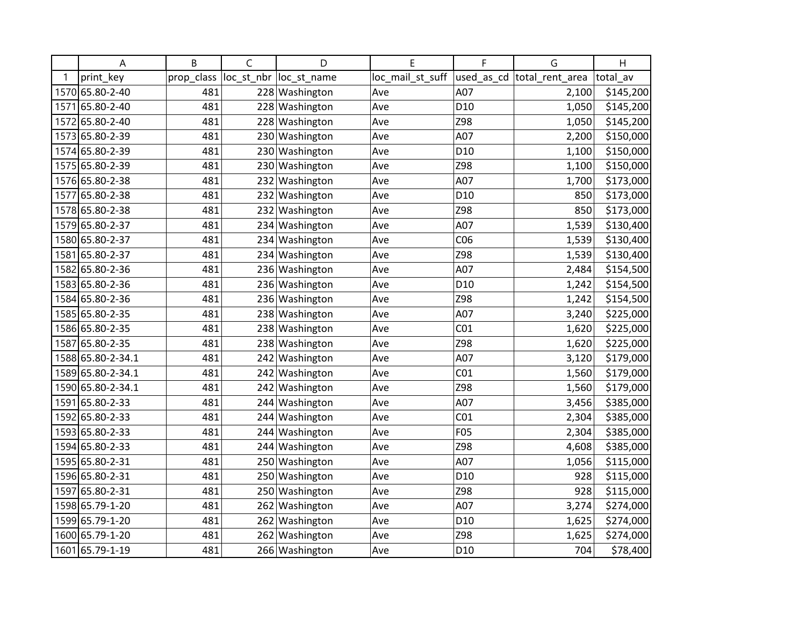|   | Α                 | B          | $\mathsf C$ | D                      | E                | F               | G                          | H         |
|---|-------------------|------------|-------------|------------------------|------------------|-----------------|----------------------------|-----------|
| 1 | print_key         | prop_class |             | loc st nbr loc st name | loc_mail_st_suff |                 | used as cd total rent area | total_av  |
|   | 1570 65.80-2-40   | 481        |             | 228 Washington         | Ave              | A07             | 2,100                      | \$145,200 |
|   | 1571 65.80-2-40   | 481        |             | 228 Washington         | Ave              | D10             | 1,050                      | \$145,200 |
|   | 1572 65.80-2-40   | 481        |             | 228 Washington         | Ave              | Z98             | 1,050                      | \$145,200 |
|   | 1573 65.80-2-39   | 481        |             | 230 Washington         | Ave              | A07             | 2,200                      | \$150,000 |
|   | 1574 65.80-2-39   | 481        | 230         | Washington             | Ave              | D <sub>10</sub> | 1,100                      | \$150,000 |
|   | 1575 65.80-2-39   | 481        | 230         | Washington             | Ave              | Z98             | 1,100                      | \$150,000 |
|   | 1576 65.80-2-38   | 481        |             | 232 Washington         | Ave              | A07             | 1,700                      | \$173,000 |
|   | 1577 65.80-2-38   | 481        |             | 232 Washington         | Ave              | D <sub>10</sub> | 850                        | \$173,000 |
|   | 1578 65.80-2-38   | 481        | 232         | Washington             | Ave              | Z98             | 850                        | \$173,000 |
|   | 1579 65.80-2-37   | 481        |             | 234 Washington         | Ave              | A07             | 1,539                      | \$130,400 |
|   | 1580 65.80-2-37   | 481        | 234         | Washington             | Ave              | CO6             | 1,539                      | \$130,400 |
|   | 1581 65.80-2-37   | 481        |             | 234 Washington         | Ave              | Z98             | 1,539                      | \$130,400 |
|   | 1582 65.80-2-36   | 481        |             | 236 Washington         | Ave              | A07             | 2,484                      | \$154,500 |
|   | 1583 65.80-2-36   | 481        |             | 236 Washington         | Ave              | D <sub>10</sub> | 1,242                      | \$154,500 |
|   | 1584 65.80-2-36   | 481        | 236         | Washington             | Ave              | Z98             | 1,242                      | \$154,500 |
|   | 1585 65.80-2-35   | 481        | 238         | Washington             | Ave              | A07             | 3,240                      | \$225,000 |
|   | 1586 65.80-2-35   | 481        |             | 238 Washington         | Ave              | CO <sub>1</sub> | 1,620                      | \$225,000 |
|   | 1587 65.80-2-35   | 481        |             | 238 Washington         | Ave              | Z98             | 1,620                      | \$225,000 |
|   | 1588 65.80-2-34.1 | 481        | 242         | Washington             | Ave              | A07             | 3,120                      | \$179,000 |
|   | 1589 65.80-2-34.1 | 481        | 242         | Washington             | Ave              | CO <sub>1</sub> | 1,560                      | \$179,000 |
|   | 1590 65.80-2-34.1 | 481        |             | 242 Washington         | Ave              | Z98             | 1,560                      | \$179,000 |
|   | 1591 65.80-2-33   | 481        |             | 244 Washington         | Ave              | A07             | 3,456                      | \$385,000 |
|   | 1592 65.80-2-33   | 481        |             | 244 Washington         | Ave              | CO <sub>1</sub> | 2,304                      | \$385,000 |
|   | 1593 65.80-2-33   | 481        |             | 244 Washington         | Ave              | F05             | 2,304                      | \$385,000 |
|   | 1594 65.80-2-33   | 481        | 244         | Washington             | Ave              | Z98             | 4,608                      | \$385,000 |
|   | 1595 65.80-2-31   | 481        | 250         | Washington             | Ave              | A07             | 1,056                      | \$115,000 |
|   | 1596 65.80-2-31   | 481        | 250         | Washington             | Ave              | D10             | 928                        | \$115,000 |
|   | 1597 65.80-2-31   | 481        |             | 250 Washington         | Ave              | Z98             | 928                        | \$115,000 |
|   | 1598 65.79-1-20   | 481        |             | 262 Washington         | Ave              | A07             | 3,274                      | \$274,000 |
|   | 1599 65.79-1-20   | 481        | 262         | Washington             | Ave              | D <sub>10</sub> | 1,625                      | \$274,000 |
|   | 1600 65.79-1-20   | 481        |             | 262 Washington         | Ave              | Z98             | 1,625                      | \$274,000 |
|   | 1601 65.79-1-19   | 481        |             | 266 Washington         | Ave              | D10             | 704                        | \$78,400  |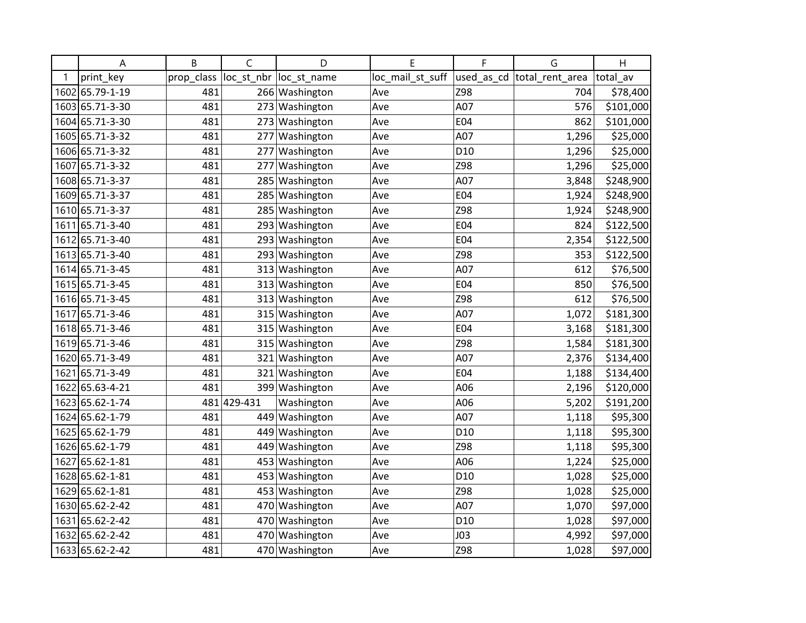|   | A               | B          | C           | D                       | E                | F               | G                           | Η         |
|---|-----------------|------------|-------------|-------------------------|------------------|-----------------|-----------------------------|-----------|
| 1 | print_key       | prop_class |             | loc_st_nbr  loc_st_name | loc_mail_st_suff |                 | used_as_cd  total_rent_area | total_av  |
|   | 1602 65.79-1-19 | 481        |             | 266 Washington          | Ave              | Z98             | 704                         | \$78,400  |
|   | 1603 65.71-3-30 | 481        |             | 273 Washington          | Ave              | A07             | 576                         | \$101,000 |
|   | 1604 65.71-3-30 | 481        |             | 273 Washington          | Ave              | E04             | 862                         | \$101,000 |
|   | 1605 65.71-3-32 | 481        | 277         | Washington              | Ave              | A07             | 1,296                       | \$25,000  |
|   | 1606 65.71-3-32 | 481        | 277         | Washington              | Ave              | D <sub>10</sub> | 1,296                       | \$25,000  |
|   | 1607 65.71-3-32 | 481        | 277         | Washington              | Ave              | Z98             | 1,296                       | \$25,000  |
|   | 1608 65.71-3-37 | 481        |             | 285 Washington          | Ave              | A07             | 3,848                       | \$248,900 |
|   | 1609 65.71-3-37 | 481        |             | 285 Washington          | Ave              | E04             | 1,924                       | \$248,900 |
|   | 1610 65.71-3-37 | 481        | 285         | Washington              | Ave              | Z98             | 1,924                       | \$248,900 |
|   | 1611 65.71-3-40 | 481        |             | 293 Washington          | Ave              | E04             | 824                         | \$122,500 |
|   | 1612 65.71-3-40 | 481        |             | 293 Washington          | Ave              | E04             | 2,354                       | \$122,500 |
|   | 1613 65.71-3-40 | 481        |             | 293 Washington          | Ave              | Z98             | 353                         | \$122,500 |
|   | 1614 65.71-3-45 | 481        |             | 313 Washington          | Ave              | A07             | 612                         | \$76,500  |
|   | 1615 65.71-3-45 | 481        | 313         | Washington              | Ave              | E04             | 850                         | \$76,500  |
|   | 1616 65.71-3-45 | 481        | 313         | Washington              | Ave              | Z98             | 612                         | \$76,500  |
|   | 1617 65.71-3-46 | 481        | 315         | Washington              | Ave              | A07             | 1,072                       | \$181,300 |
|   | 1618 65.71-3-46 | 481        | 315         | Washington              | Ave              | E04             | 3,168                       | \$181,300 |
|   | 1619 65.71-3-46 | 481        |             | 315 Washington          | Ave              | Z98             | 1,584                       | \$181,300 |
|   | 1620 65.71-3-49 | 481        | 321         | Washington              | Ave              | A07             | 2,376                       | \$134,400 |
|   | 1621 65.71-3-49 | 481        | 321         | Washington              | Ave              | E04             | 1,188                       | \$134,400 |
|   | 1622 65.63-4-21 | 481        |             | 399 Washington          | Ave              | A06             | 2,196                       | \$120,000 |
|   | 1623 65.62-1-74 |            | 481 429-431 | Washington              | Ave              | A06             | 5,202                       | \$191,200 |
|   | 1624 65.62-1-79 | 481        |             | 449 Washington          | Ave              | A07             | 1,118                       | \$95,300  |
|   | 1625 65.62-1-79 | 481        |             | 449 Washington          | Ave              | D <sub>10</sub> | 1,118                       | \$95,300  |
|   | 1626 65.62-1-79 | 481        | 449         | Washington              | Ave              | Z98             | 1,118                       | \$95,300  |
|   | 1627 65.62-1-81 | 481        | 453         | Washington              | Ave              | A06             | 1,224                       | \$25,000  |
|   | 1628 65.62-1-81 | 481        | 453         | Washington              | Ave              | D <sub>10</sub> | 1,028                       | \$25,000  |
|   | 1629 65.62-1-81 | 481        |             | 453 Washington          | Ave              | Z98             | 1,028                       | \$25,000  |
|   | 1630 65.62-2-42 | 481        | 470         | Washington              | Ave              | A07             | 1,070                       | \$97,000  |
|   | 1631 65.62-2-42 | 481        | 470         | Washington              | Ave              | D <sub>10</sub> | 1,028                       | \$97,000  |
|   | 1632 65.62-2-42 | 481        |             | 470 Washington          | Ave              | J03             | 4,992                       | \$97,000  |
|   | 1633 65.62-2-42 | 481        |             | 470 Washington          | Ave              | Z98             | 1,028                       | \$97,000  |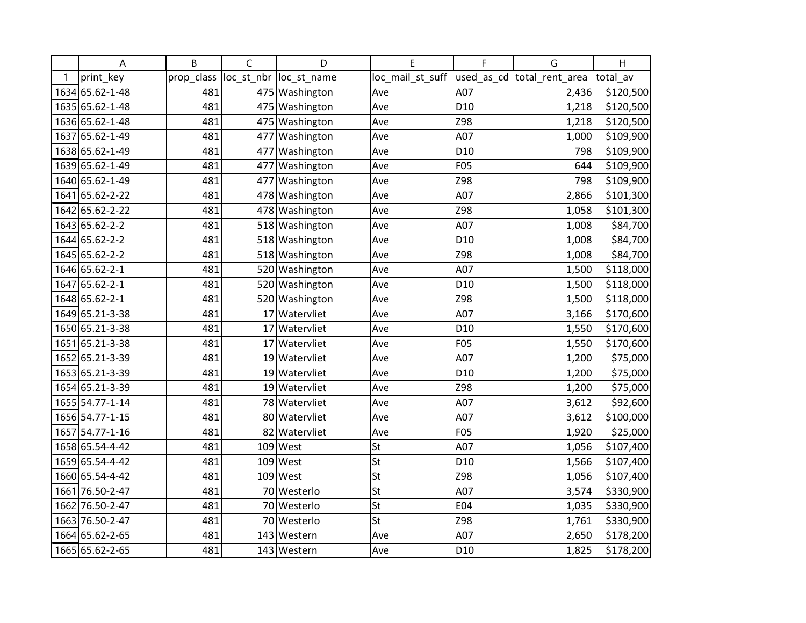|   | Α               | B          | $\mathsf{C}$ | D                       | E                | F               | G                           | H         |
|---|-----------------|------------|--------------|-------------------------|------------------|-----------------|-----------------------------|-----------|
| 1 | print_key       | prop_class |              | loc_st_nbr  loc_st_name | loc_mail_st_suff |                 | used_as_cd  total_rent_area | total av  |
|   | 1634 65.62-1-48 | 481        |              | 475 Washington          | Ave              | A07             | 2,436                       | \$120,500 |
|   | 1635 65.62-1-48 | 481        |              | 475 Washington          | Ave              | D <sub>10</sub> | 1,218                       | \$120,500 |
|   | 1636 65.62-1-48 | 481        |              | 475 Washington          | Ave              | Z98             | 1,218                       | \$120,500 |
|   | 1637 65.62-1-49 | 481        | 477          | Washington              | Ave              | A07             | 1,000                       | \$109,900 |
|   | 1638 65.62-1-49 | 481        | 477          | Washington              | Ave              | D <sub>10</sub> | 798                         | \$109,900 |
|   | 1639 65.62-1-49 | 481        | 477          | Washington              | Ave              | F05             | 644                         | \$109,900 |
|   | 1640 65.62-1-49 | 481        | 477          | Washington              | Ave              | Z98             | 798                         | \$109,900 |
|   | 1641 65.62-2-22 | 481        |              | 478 Washington          | Ave              | A07             | 2,866                       | \$101,300 |
|   | 1642 65.62-2-22 | 481        |              | 478 Washington          | Ave              | Z98             | 1,058                       | \$101,300 |
|   | 1643 65.62-2-2  | 481        |              | 518 Washington          | Ave              | A07             | 1,008                       | \$84,700  |
|   | 1644 65.62-2-2  | 481        |              | 518 Washington          | Ave              | D <sub>10</sub> | 1,008                       | \$84,700  |
|   | 1645 65.62-2-2  | 481        |              | 518 Washington          | Ave              | Z98             | 1,008                       | \$84,700  |
|   | 1646 65.62-2-1  | 481        |              | 520 Washington          | Ave              | A07             | 1,500                       | \$118,000 |
|   | 1647 65.62-2-1  | 481        |              | 520 Washington          | Ave              | D <sub>10</sub> | 1,500                       | \$118,000 |
|   | 1648 65.62-2-1  | 481        |              | 520 Washington          | Ave              | Z98             | 1,500                       | \$118,000 |
|   | 1649 65.21-3-38 | 481        | 17           | Watervliet              | Ave              | A07             | 3,166                       | \$170,600 |
|   | 1650 65.21-3-38 | 481        |              | 17 Watervliet           | Ave              | D <sub>10</sub> | 1,550                       | \$170,600 |
|   | 1651 65.21-3-38 | 481        |              | 17 Watervliet           | Ave              | F05             | 1,550                       | \$170,600 |
|   | 1652 65.21-3-39 | 481        |              | 19 Watervliet           | Ave              | A07             | 1,200                       | \$75,000  |
|   | 1653 65.21-3-39 | 481        |              | 19 Watervliet           | Ave              | D <sub>10</sub> | 1,200                       | \$75,000  |
|   | 1654 65.21-3-39 | 481        |              | 19 Watervliet           | Ave              | Z98             | 1,200                       | \$75,000  |
|   | 1655 54.77-1-14 | 481        |              | 78 Watervliet           | Ave              | A07             | 3,612                       | \$92,600  |
|   | 1656 54.77-1-15 | 481        |              | 80 Watervliet           | Ave              | A07             | 3,612                       | \$100,000 |
|   | 1657 54.77-1-16 | 481        |              | 82 Watervliet           | Ave              | F05             | 1,920                       | \$25,000  |
|   | 1658 65.54-4-42 | 481        | 109          | West                    | St               | A07             | 1,056                       | \$107,400 |
|   | 1659 65.54-4-42 | 481        |              | $109$ West              | St               | D <sub>10</sub> | 1,566                       | \$107,400 |
|   | 1660 65.54-4-42 | 481        |              | $109$ West              | St               | Z98             | 1,056                       | \$107,400 |
|   | 1661 76.50-2-47 | 481        |              | 70 Westerlo             | St               | A07             | 3,574                       | \$330,900 |
|   | 1662 76.50-2-47 | 481        |              | 70 Westerlo             | St               | E04             | 1,035                       | \$330,900 |
|   | 1663 76.50-2-47 | 481        |              | 70 Westerlo             | St               | Z98             | 1,761                       | \$330,900 |
|   | 1664 65.62-2-65 | 481        |              | 143 Western             | Ave              | A07             | 2,650                       | \$178,200 |
|   | 1665 65.62-2-65 | 481        |              | 143 Western             | Ave              | D <sub>10</sub> | 1,825                       | \$178,200 |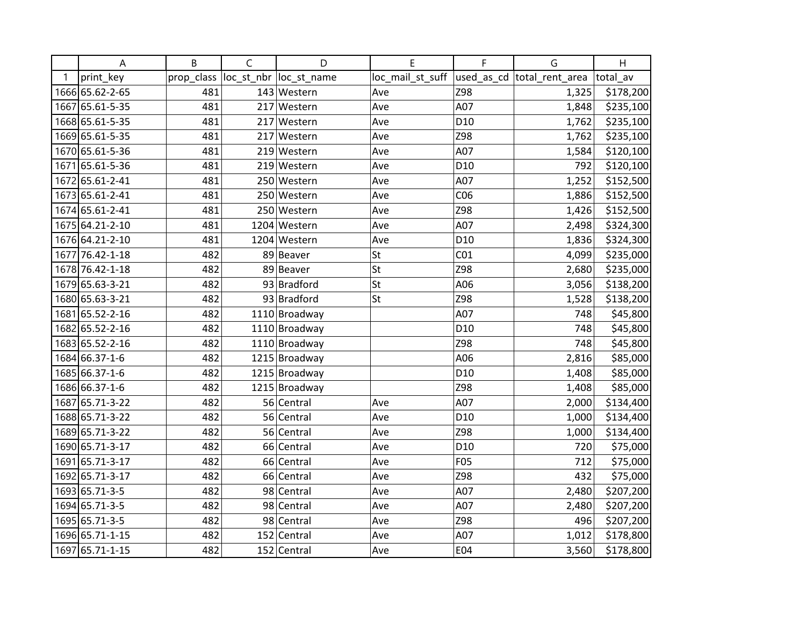|   | A               | B          | $\mathsf C$ | D                       | E                | F               | G                          | H         |
|---|-----------------|------------|-------------|-------------------------|------------------|-----------------|----------------------------|-----------|
| 1 | print_key       | prop_class |             | loc_st_nbr  loc_st_name | loc_mail_st_suff |                 | used_as_cd total_rent_area | total_av  |
|   | 1666 65.62-2-65 | 481        |             | 143 Western             | Ave              | Z98             | 1,325                      | \$178,200 |
|   | 1667 65.61-5-35 | 481        |             | 217 Western             | Ave              | A07             | 1,848                      | \$235,100 |
|   | 1668 65.61-5-35 | 481        |             | 217 Western             | Ave              | D <sub>10</sub> | 1,762                      | \$235,100 |
|   | 1669 65.61-5-35 | 481        |             | 217 Western             | Ave              | Z98             | 1,762                      | \$235,100 |
|   | 1670 65.61-5-36 | 481        |             | 219 Western             | Ave              | A07             | 1,584                      | \$120,100 |
|   | 1671 65.61-5-36 | 481        |             | 219 Western             | Ave              | D <sub>10</sub> | 792                        | \$120,100 |
|   | 1672 65.61-2-41 | 481        |             | 250 Western             | Ave              | A07             | 1,252                      | \$152,500 |
|   | 1673 65.61-2-41 | 481        |             | 250 Western             | Ave              | CO6             | 1,886                      | \$152,500 |
|   | 1674 65.61-2-41 | 481        |             | 250 Western             | Ave              | Z98             | 1,426                      | \$152,500 |
|   | 1675 64.21-2-10 | 481        |             | 1204 Western            | Ave              | A07             | 2,498                      | \$324,300 |
|   | 1676 64.21-2-10 | 481        |             | 1204 Western            | Ave              | D <sub>10</sub> | 1,836                      | \$324,300 |
|   | 1677 76.42-1-18 | 482        |             | 89 Beaver               | St               | CO <sub>1</sub> | 4,099                      | \$235,000 |
|   | 1678 76.42-1-18 | 482        |             | 89 Beaver               | St               | Z98             | 2,680                      | \$235,000 |
|   | 1679 65.63-3-21 | 482        |             | 93 Bradford             | St               | A06             | 3,056                      | \$138,200 |
|   | 1680 65.63-3-21 | 482        |             | 93 Bradford             | St               | Z98             | 1,528                      | \$138,200 |
|   | 1681 65.52-2-16 | 482        |             | 1110 Broadway           |                  | A07             | 748                        | \$45,800  |
|   | 1682 65.52-2-16 | 482        |             | 1110 Broadway           |                  | D <sub>10</sub> | 748                        | \$45,800  |
|   | 1683 65.52-2-16 | 482        |             | 1110 Broadway           |                  | Z98             | 748                        | \$45,800  |
|   | 1684 66.37-1-6  | 482        |             | 1215 Broadway           |                  | A06             | 2,816                      | \$85,000  |
|   | 1685 66.37-1-6  | 482        |             | 1215 Broadway           |                  | D <sub>10</sub> | 1,408                      | \$85,000  |
|   | 1686 66.37-1-6  | 482        |             | 1215 Broadway           |                  | Z98             | 1,408                      | \$85,000  |
|   | 1687 65.71-3-22 | 482        |             | 56 Central              | Ave              | A07             | 2,000                      | \$134,400 |
|   | 1688 65.71-3-22 | 482        |             | 56 Central              | Ave              | D <sub>10</sub> | 1,000                      | \$134,400 |
|   | 1689 65.71-3-22 | 482        |             | 56 Central              | Ave              | Z98             | 1,000                      | \$134,400 |
|   | 1690 65.71-3-17 | 482        |             | 66 Central              | Ave              | D <sub>10</sub> | 720                        | \$75,000  |
|   | 1691 65.71-3-17 | 482        |             | 66 Central              | Ave              | F05             | 712                        | \$75,000  |
|   | 1692 65.71-3-17 | 482        |             | 66 Central              | Ave              | Z98             | 432                        | \$75,000  |
|   | 1693 65.71-3-5  | 482        |             | 98 Central              | Ave              | A07             | 2,480                      | \$207,200 |
|   | 1694 65.71-3-5  | 482        |             | 98 Central              | Ave              | A07             | 2,480                      | \$207,200 |
|   | 1695 65.71-3-5  | 482        |             | 98 Central              | Ave              | Z98             | 496                        | \$207,200 |
|   | 1696 65.71-1-15 | 482        |             | 152 Central             | Ave              | A07             | 1,012                      | \$178,800 |
|   | 1697 65.71-1-15 | 482        |             | 152 Central             | Ave              | E04             | 3,560                      | \$178,800 |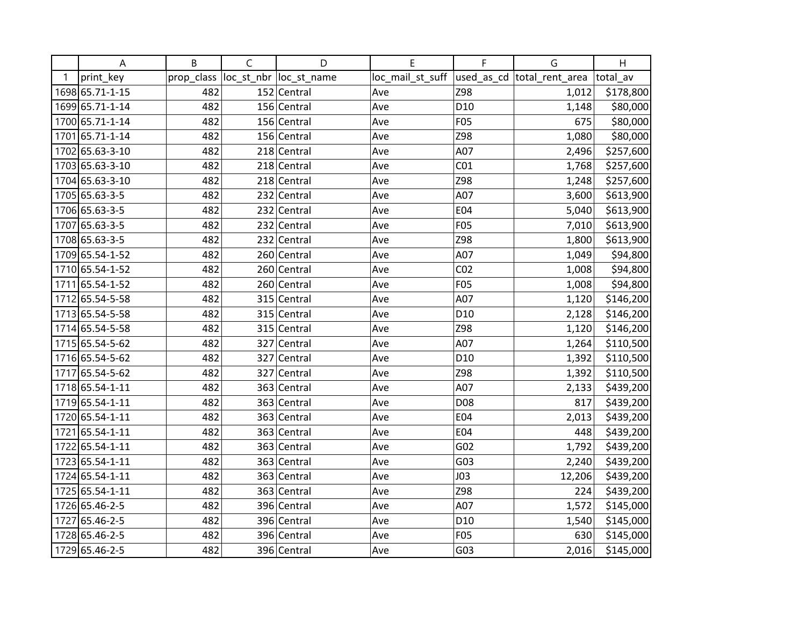|   | A               | B          | $\mathsf C$ | D                       | Е                | F               | G                           | H         |
|---|-----------------|------------|-------------|-------------------------|------------------|-----------------|-----------------------------|-----------|
| 1 | print_key       | prop_class |             | loc_st_nbr  loc_st_name | loc_mail_st_suff |                 | used_as_cd  total_rent_area | total av  |
|   | 1698 65.71-1-15 | 482        |             | 152 Central             | Ave              | Z98             | 1,012                       | \$178,800 |
|   | 1699 65.71-1-14 | 482        |             | 156 Central             | Ave              | D <sub>10</sub> | 1,148                       | \$80,000  |
|   | 1700 65.71-1-14 | 482        |             | 156 Central             | Ave              | F05             | 675                         | \$80,000  |
|   | 1701 65.71-1-14 | 482        |             | 156 Central             | Ave              | Z98             | 1,080                       | \$80,000  |
|   | 1702 65.63-3-10 | 482        |             | 218 Central             | Ave              | A07             | 2,496                       | \$257,600 |
|   | 1703 65.63-3-10 | 482        |             | 218 Central             | Ave              | CO <sub>1</sub> | 1,768                       | \$257,600 |
|   | 1704 65.63-3-10 | 482        |             | 218 Central             | Ave              | Z98             | 1,248                       | \$257,600 |
|   | 1705 65.63-3-5  | 482        |             | 232 Central             | Ave              | A07             | 3,600                       | \$613,900 |
|   | 1706 65.63-3-5  | 482        |             | 232 Central             | Ave              | E04             | 5,040                       | \$613,900 |
|   | 1707 65.63-3-5  | 482        |             | 232 Central             | Ave              | F05             | 7,010                       | \$613,900 |
|   | 1708 65.63-3-5  | 482        |             | 232 Central             | Ave              | Z98             | 1,800                       | \$613,900 |
|   | 1709 65.54-1-52 | 482        |             | 260 Central             | Ave              | A07             | 1,049                       | \$94,800  |
|   | 1710 65.54-1-52 | 482        |             | 260 Central             | Ave              | CO <sub>2</sub> | 1,008                       | \$94,800  |
|   | 1711 65.54-1-52 | 482        |             | 260 Central             | Ave              | F05             | 1,008                       | \$94,800  |
|   | 1712 65.54-5-58 | 482        |             | 315 Central             | Ave              | A07             | 1,120                       | \$146,200 |
|   | 1713 65.54-5-58 | 482        |             | 315 Central             | Ave              | D <sub>10</sub> | 2,128                       | \$146,200 |
|   | 1714 65.54-5-58 | 482        |             | 315 Central             | Ave              | Z98             | 1,120                       | \$146,200 |
|   | 1715 65.54-5-62 | 482        |             | 327 Central             | Ave              | A07             | 1,264                       | \$110,500 |
|   | 1716 65.54-5-62 | 482        |             | 327 Central             | Ave              | D <sub>10</sub> | 1,392                       | \$110,500 |
|   | 1717 65.54-5-62 | 482        |             | 327 Central             | Ave              | Z98             | 1,392                       | \$110,500 |
|   | 1718 65.54-1-11 | 482        |             | 363 Central             | Ave              | A07             | 2,133                       | \$439,200 |
|   | 1719 65.54-1-11 | 482        |             | 363 Central             | Ave              | D08             | 817                         | \$439,200 |
|   | 1720 65.54-1-11 | 482        |             | 363 Central             | Ave              | E04             | 2,013                       | \$439,200 |
|   | 1721 65.54-1-11 | 482        |             | 363 Central             | Ave              | E04             | 448                         | \$439,200 |
|   | 1722 65.54-1-11 | 482        |             | 363 Central             | Ave              | G <sub>02</sub> | 1,792                       | \$439,200 |
|   | 1723 65.54-1-11 | 482        |             | 363 Central             | Ave              | G <sub>03</sub> | 2,240                       | \$439,200 |
|   | 1724 65.54-1-11 | 482        |             | 363 Central             | Ave              | <b>JO3</b>      | 12,206                      | \$439,200 |
|   | 1725 65.54-1-11 | 482        |             | 363 Central             | Ave              | Z98             | 224                         | \$439,200 |
|   | 1726 65.46-2-5  | 482        |             | 396 Central             | Ave              | A07             | 1,572                       | \$145,000 |
|   | 1727 65.46-2-5  | 482        |             | 396 Central             | Ave              | D <sub>10</sub> | 1,540                       | \$145,000 |
|   | 1728 65.46-2-5  | 482        |             | 396 Central             | Ave              | F05             | 630                         | \$145,000 |
|   | 1729 65.46-2-5  | 482        |             | 396 Central             | Ave              | G03             | 2,016                       | \$145,000 |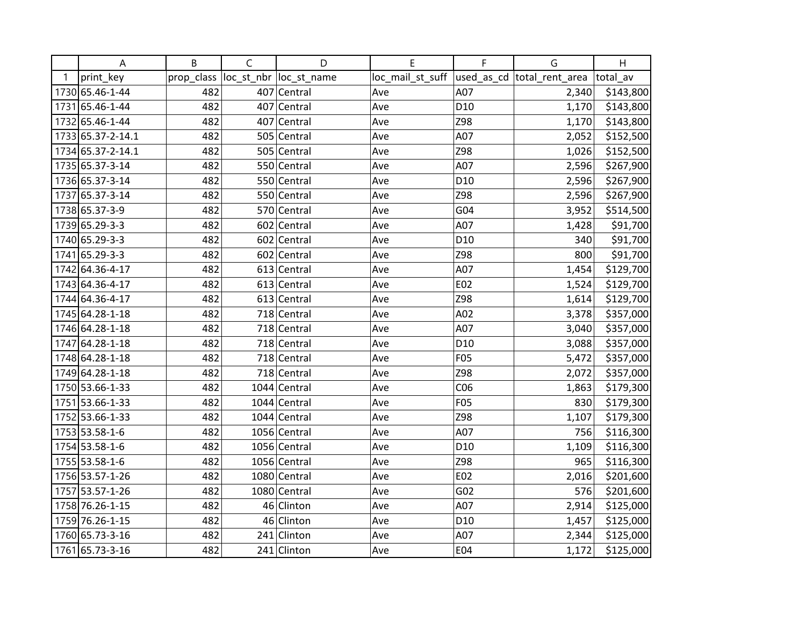|   | A                 | B          | $\mathsf C$ | D                       | Е                | F               | G                          | H         |
|---|-------------------|------------|-------------|-------------------------|------------------|-----------------|----------------------------|-----------|
| 1 | print_key         | prop_class |             | loc_st_nbr  loc_st_name | loc_mail_st_suff |                 | used_as_cd total_rent_area | total av  |
|   | 1730 65.46-1-44   | 482        |             | 407 Central             | Ave              | A07             | 2,340                      | \$143,800 |
|   | 1731 65.46-1-44   | 482        |             | 407 Central             | Ave              | D <sub>10</sub> | 1,170                      | \$143,800 |
|   | 1732 65.46-1-44   | 482        |             | 407 Central             | Ave              | Z98             | 1,170                      | \$143,800 |
|   | 1733 65.37-2-14.1 | 482        |             | 505 Central             | Ave              | A07             | 2,052                      | \$152,500 |
|   | 1734 65.37-2-14.1 | 482        |             | 505 Central             | Ave              | Z98             | 1,026                      | \$152,500 |
|   | 1735 65.37-3-14   | 482        |             | 550 Central             | Ave              | A07             | 2,596                      | \$267,900 |
|   | 1736 65.37-3-14   | 482        |             | 550 Central             | Ave              | D <sub>10</sub> | 2,596                      | \$267,900 |
|   | 1737 65.37-3-14   | 482        |             | 550 Central             | Ave              | Z98             | 2,596                      | \$267,900 |
|   | 1738 65.37-3-9    | 482        |             | 570 Central             | Ave              | G04             | 3,952                      | \$514,500 |
|   | 1739 65.29-3-3    | 482        |             | 602 Central             | Ave              | A07             | 1,428                      | \$91,700  |
|   | 1740 65.29-3-3    | 482        |             | 602 Central             | Ave              | D <sub>10</sub> | 340                        | \$91,700  |
|   | 1741 65.29-3-3    | 482        |             | 602 Central             | Ave              | Z98             | 800                        | \$91,700  |
|   | 1742 64.36-4-17   | 482        |             | 613 Central             | Ave              | A07             | 1,454                      | \$129,700 |
|   | 1743 64.36-4-17   | 482        |             | $613$ Central           | Ave              | E02             | 1,524                      | \$129,700 |
|   | 1744 64.36-4-17   | 482        |             | 613 Central             | Ave              | Z98             | 1,614                      | \$129,700 |
|   | 1745 64.28-1-18   | 482        |             | 718 Central             | Ave              | A02             | 3,378                      | \$357,000 |
|   | 1746 64.28-1-18   | 482        |             | 718 Central             | Ave              | A07             | 3,040                      | \$357,000 |
|   | 1747 64.28-1-18   | 482        |             | 718 Central             | Ave              | D <sub>10</sub> | 3,088                      | \$357,000 |
|   | 1748 64.28-1-18   | 482        |             | 718 Central             | Ave              | F05             | 5,472                      | \$357,000 |
|   | 1749 64.28-1-18   | 482        |             | 718 Central             | Ave              | Z98             | 2,072                      | \$357,000 |
|   | 1750 53.66-1-33   | 482        |             | 1044 Central            | Ave              | CO6             | 1,863                      | \$179,300 |
|   | 1751 53.66-1-33   | 482        |             | $1044$ Central          | Ave              | <b>F05</b>      | 830                        | \$179,300 |
|   | 1752 53.66-1-33   | 482        |             | $1044$ Central          | Ave              | Z98             | 1,107                      | \$179,300 |
|   | 1753 53.58-1-6    | 482        |             | 1056 Central            | Ave              | A07             | 756                        | \$116,300 |
|   | 1754 53.58-1-6    | 482        |             | 1056 Central            | Ave              | D <sub>10</sub> | 1,109                      | \$116,300 |
|   | 1755 53.58-1-6    | 482        |             | 1056 Central            | Ave              | Z98             | 965                        | \$116,300 |
|   | 1756 53.57-1-26   | 482        |             | 1080 Central            | Ave              | E02             | 2,016                      | \$201,600 |
|   | 1757 53.57-1-26   | 482        |             | 1080 Central            | Ave              | G <sub>02</sub> | 576                        | \$201,600 |
|   | 1758 76.26-1-15   | 482        |             | 46 Clinton              | Ave              | A07             | 2,914                      | \$125,000 |
|   | 1759 76.26-1-15   | 482        |             | 46 Clinton              | Ave              | D <sub>10</sub> | 1,457                      | \$125,000 |
|   | 1760 65.73-3-16   | 482        |             | 241 Clinton             | Ave              | A07             | 2,344                      | \$125,000 |
|   | 1761 65.73-3-16   | 482        |             | 241 Clinton             | Ave              | E04             | 1,172                      | \$125,000 |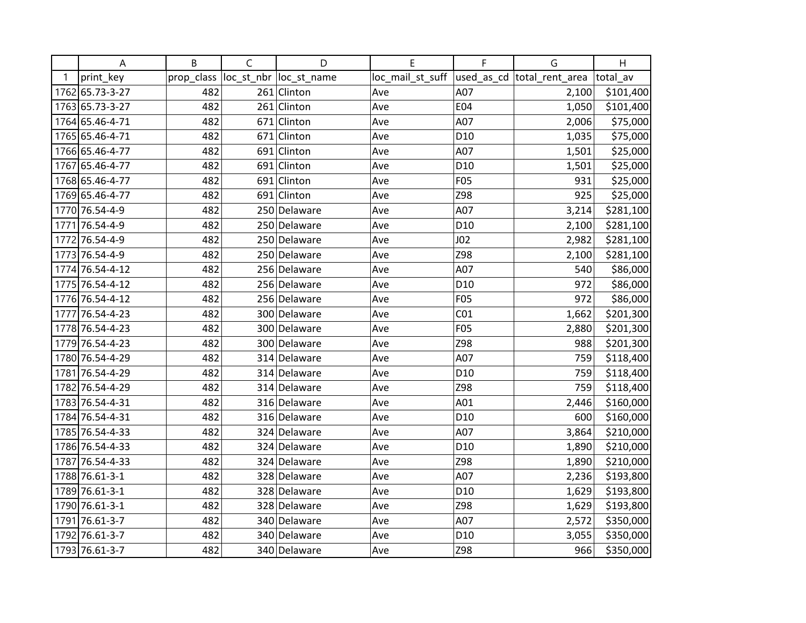|   | Α               | B          | $\mathsf{C}$ | D                       | E                | F               | G                           | H         |
|---|-----------------|------------|--------------|-------------------------|------------------|-----------------|-----------------------------|-----------|
| 1 | print_key       | prop_class |              | loc_st_nbr  loc_st_name | loc_mail_st_suff |                 | used_as_cd  total_rent_area | total av  |
|   | 1762 65.73-3-27 | 482        |              | 261 Clinton             | Ave              | A07             | 2,100                       | \$101,400 |
|   | 1763 65.73-3-27 | 482        |              | $261$ Clinton           | Ave              | E04             | 1,050                       | \$101,400 |
|   | 1764 65.46-4-71 | 482        |              | 671 Clinton             | Ave              | A07             | 2,006                       | \$75,000  |
|   | 1765 65.46-4-71 | 482        |              | 671 Clinton             | Ave              | D <sub>10</sub> | 1,035                       | \$75,000  |
|   | 1766 65.46-4-77 | 482        |              | 691 Clinton             | Ave              | A07             | 1,501                       | \$25,000  |
|   | 1767 65.46-4-77 | 482        |              | 691 Clinton             | Ave              | D10             | 1,501                       | \$25,000  |
|   | 1768 65.46-4-77 | 482        |              | 691 Clinton             | Ave              | <b>F05</b>      | 931                         | \$25,000  |
|   | 1769 65.46-4-77 | 482        |              | 691 Clinton             | Ave              | Z98             | 925                         | \$25,000  |
|   | 1770 76.54-4-9  | 482        |              | 250 Delaware            | Ave              | A07             | 3,214                       | \$281,100 |
|   | 1771 76.54-4-9  | 482        |              | 250 Delaware            | Ave              | D <sub>10</sub> | 2,100                       | \$281,100 |
|   | 1772 76.54-4-9  | 482        |              | 250 Delaware            | Ave              | J <sub>02</sub> | 2,982                       | \$281,100 |
|   | 1773 76.54-4-9  | 482        |              | 250 Delaware            | Ave              | Z98             | 2,100                       | \$281,100 |
|   | 1774 76.54-4-12 | 482        |              | 256 Delaware            | Ave              | A07             | 540                         | \$86,000  |
|   | 1775 76.54-4-12 | 482        |              | 256 Delaware            | Ave              | D <sub>10</sub> | 972                         | \$86,000  |
|   | 1776 76.54-4-12 | 482        |              | 256 Delaware            | Ave              | F05             | 972                         | \$86,000  |
|   | 1777 76.54-4-23 | 482        |              | 300 Delaware            | Ave              | CO <sub>1</sub> | 1,662                       | \$201,300 |
|   | 1778 76.54-4-23 | 482        |              | 300 Delaware            | Ave              | <b>F05</b>      | 2,880                       | \$201,300 |
|   | 1779 76.54-4-23 | 482        |              | 300 Delaware            | Ave              | Z98             | 988                         | \$201,300 |
|   | 1780 76.54-4-29 | 482        |              | 314 Delaware            | Ave              | A07             | 759                         | \$118,400 |
|   | 1781 76.54-4-29 | 482        |              | 314 Delaware            | Ave              | D <sub>10</sub> | 759                         | \$118,400 |
|   | 1782 76.54-4-29 | 482        |              | 314 Delaware            | Ave              | Z98             | 759                         | \$118,400 |
|   | 1783 76.54-4-31 | 482        |              | 316 Delaware            | Ave              | A01             | 2,446                       | \$160,000 |
|   | 1784 76.54-4-31 | 482        |              | 316 Delaware            | Ave              | D10             | 600                         | \$160,000 |
|   | 1785 76.54-4-33 | 482        |              | 324 Delaware            | Ave              | A07             | 3,864                       | \$210,000 |
|   | 1786 76.54-4-33 | 482        |              | 324 Delaware            | Ave              | D <sub>10</sub> | 1,890                       | \$210,000 |
|   | 1787 76.54-4-33 | 482        |              | 324 Delaware            | Ave              | Z98             | 1,890                       | \$210,000 |
|   | 1788 76.61-3-1  | 482        |              | 328 Delaware            | Ave              | A07             | 2,236                       | \$193,800 |
|   | 1789 76.61-3-1  | 482        |              | 328 Delaware            | Ave              | D <sub>10</sub> | 1,629                       | \$193,800 |
|   | 1790 76.61-3-1  | 482        |              | 328 Delaware            | Ave              | Z98             | 1,629                       | \$193,800 |
|   | 1791 76.61-3-7  | 482        |              | 340 Delaware            | Ave              | A07             | 2,572                       | \$350,000 |
|   | 1792 76.61-3-7  | 482        |              | 340 Delaware            | Ave              | D <sub>10</sub> | 3,055                       | \$350,000 |
|   | 1793 76.61-3-7  | 482        |              | 340 Delaware            | Ave              | Z98             | 966                         | \$350,000 |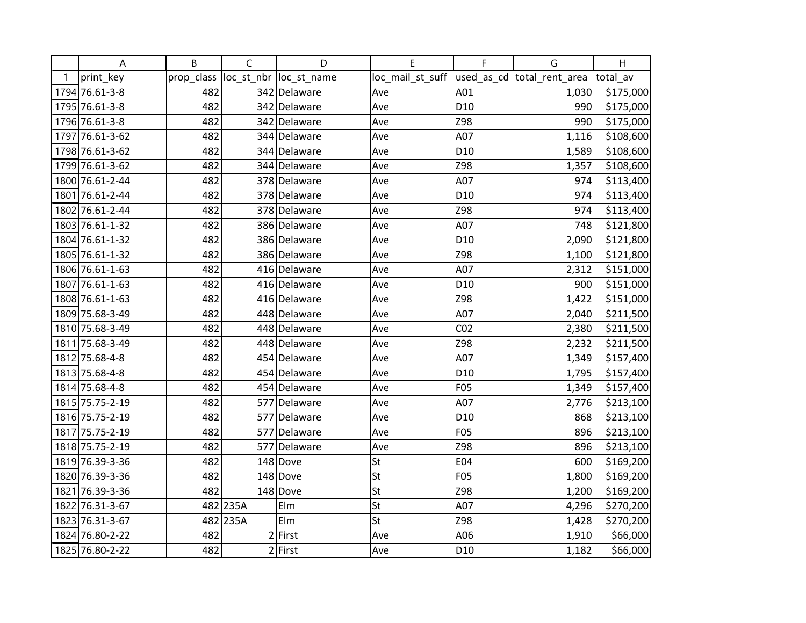|   | A               | B          | $\mathsf C$ | D                       | E                | F               | G                           | H         |
|---|-----------------|------------|-------------|-------------------------|------------------|-----------------|-----------------------------|-----------|
| 1 | print_key       | prop_class |             | loc_st_nbr  loc_st_name | loc_mail_st_suff |                 | used_as_cd  total_rent_area | total av  |
|   | 1794 76.61-3-8  | 482        |             | 342 Delaware            | Ave              | A01             | 1,030                       | \$175,000 |
|   | 1795 76.61-3-8  | 482        |             | 342 Delaware            | Ave              | D <sub>10</sub> | 990                         | \$175,000 |
|   | 1796 76.61-3-8  | 482        |             | 342 Delaware            | Ave              | Z98             | 990                         | \$175,000 |
|   | 1797 76.61-3-62 | 482        |             | 344 Delaware            | Ave              | A07             | 1,116                       | \$108,600 |
|   | 1798 76.61-3-62 | 482        |             | 344 Delaware            | Ave              | D10             | 1,589                       | \$108,600 |
|   | 1799 76.61-3-62 | 482        |             | 344 Delaware            | Ave              | Z98             | 1,357                       | \$108,600 |
|   | 1800 76.61-2-44 | 482        |             | 378 Delaware            | Ave              | A07             | 974                         | \$113,400 |
|   | 1801 76.61-2-44 | 482        |             | 378 Delaware            | Ave              | D <sub>10</sub> | 974                         | \$113,400 |
|   | 1802 76.61-2-44 | 482        |             | 378 Delaware            | Ave              | Z98             | 974                         | \$113,400 |
|   | 1803 76.61-1-32 | 482        |             | 386 Delaware            | Ave              | A07             | 748                         | \$121,800 |
|   | 1804 76.61-1-32 | 482        |             | 386 Delaware            | Ave              | D <sub>10</sub> | 2,090                       | \$121,800 |
|   | 1805 76.61-1-32 | 482        |             | 386 Delaware            | Ave              | Z98             | 1,100                       | \$121,800 |
|   | 1806 76.61-1-63 | 482        |             | 416 Delaware            | Ave              | A07             | 2,312                       | \$151,000 |
|   | 1807 76.61-1-63 | 482        |             | 416 Delaware            | Ave              | D <sub>10</sub> | 900                         | \$151,000 |
|   | 1808 76.61-1-63 | 482        |             | 416 Delaware            | Ave              | Z98             | 1,422                       | \$151,000 |
|   | 1809 75.68-3-49 | 482        |             | 448 Delaware            | Ave              | A07             | 2,040                       | \$211,500 |
|   | 1810 75.68-3-49 | 482        |             | 448 Delaware            | Ave              | CO <sub>2</sub> | 2,380                       | \$211,500 |
|   | 1811 75.68-3-49 | 482        |             | 448 Delaware            | Ave              | Z98             | 2,232                       | \$211,500 |
|   | 1812 75.68-4-8  | 482        |             | 454 Delaware            | Ave              | A07             | 1,349                       | \$157,400 |
|   | 1813 75.68-4-8  | 482        |             | 454 Delaware            | Ave              | D10             | 1,795                       | \$157,400 |
|   | 1814 75.68-4-8  | 482        |             | 454 Delaware            | Ave              | F05             | 1,349                       | \$157,400 |
|   | 1815 75.75-2-19 | 482        |             | 577 Delaware            | Ave              | A07             | 2,776                       | \$213,100 |
|   | 1816 75.75-2-19 | 482        |             | 577 Delaware            | Ave              | D <sub>10</sub> | 868                         | \$213,100 |
|   | 1817 75.75-2-19 | 482        |             | 577 Delaware            | Ave              | F05             | 896                         | \$213,100 |
|   | 1818 75.75-2-19 | 482        | 577         | Delaware                | Ave              | Z98             | 896                         | \$213,100 |
|   | 1819 76.39-3-36 | 482        |             | 148 Dove                | St               | E04             | 600                         | \$169,200 |
|   | 1820 76.39-3-36 | 482        |             | $148$ Dove              | St               | F05             | 1,800                       | \$169,200 |
|   | 1821 76.39-3-36 | 482        |             | $148$ Dove              | St               | Z98             | 1,200                       | \$169,200 |
|   | 1822 76.31-3-67 |            | 482 235A    | Elm                     | St               | A07             | 4,296                       | \$270,200 |
|   | 1823 76.31-3-67 |            | 482 235A    | Elm                     | St               | Z98             | 1,428                       | \$270,200 |
|   | 1824 76.80-2-22 | 482        |             | $2$ First               | Ave              | A06             | 1,910                       | \$66,000  |
|   | 1825 76.80-2-22 | 482        |             | $2$ First               | Ave              | D10             | 1,182                       | \$66,000  |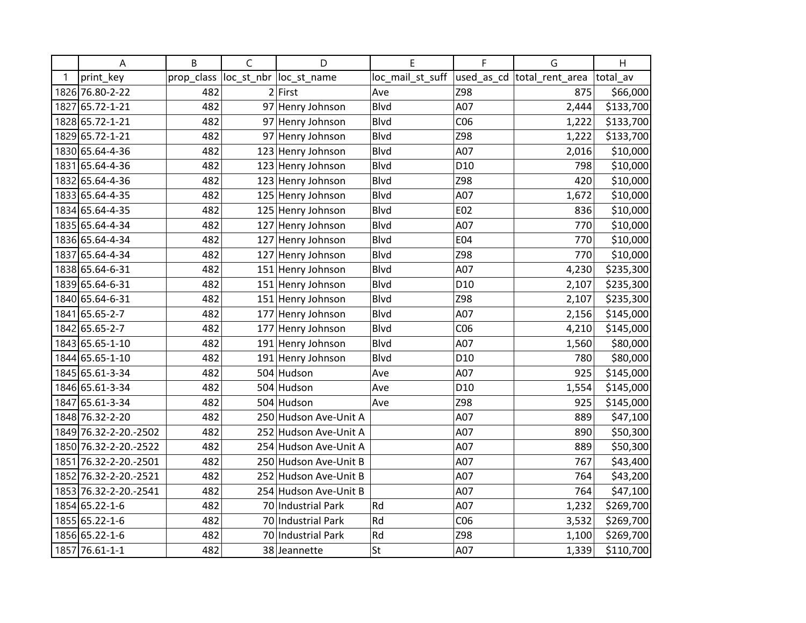|   | $\boldsymbol{\mathsf{A}}$ | B          | $\mathsf{C}$ | D                       | E                | F               | G                           | H         |
|---|---------------------------|------------|--------------|-------------------------|------------------|-----------------|-----------------------------|-----------|
| 1 | print_key                 | prop_class |              | loc_st_nbr  loc_st_name | loc_mail_st_suff |                 | used_as_cd  total_rent_area | total_av  |
|   | 1826 76.80-2-22           | 482        |              | $2$ First               | Ave              | Z98             | 875                         | \$66,000  |
|   | 1827 65.72-1-21           | 482        |              | 97 Henry Johnson        | Blvd             | A07             | 2,444                       | \$133,700 |
|   | 1828 65.72-1-21           | 482        |              | 97 Henry Johnson        | <b>Blvd</b>      | CO6             | 1,222                       | \$133,700 |
|   | 1829 65.72-1-21           | 482        | 97           | Henry Johnson           | Blvd             | Z98             | 1,222                       | \$133,700 |
|   | 1830 65.64-4-36           | 482        |              | 123 Henry Johnson       | Blvd             | A07             | 2,016                       | \$10,000  |
|   | 1831 65.64-4-36           | 482        |              | 123 Henry Johnson       | <b>Blvd</b>      | D <sub>10</sub> | 798                         | \$10,000  |
|   | 1832 65.64-4-36           | 482        |              | 123 Henry Johnson       | <b>Blvd</b>      | Z98             | 420                         | \$10,000  |
|   | 1833 65.64-4-35           | 482        |              | 125 Henry Johnson       | Blvd             | A07             | 1,672                       | \$10,000  |
|   | 1834 65.64-4-35           | 482        | 125          | Henry Johnson           | <b>Blvd</b>      | E02             | 836                         | \$10,000  |
|   | 1835 65.64-4-34           | 482        | 127          | Henry Johnson           | Blvd             | A07             | 770                         | \$10,000  |
|   | 1836 65.64-4-34           | 482        | 127          | Henry Johnson           | Blvd             | E04             | 770                         | \$10,000  |
|   | 1837 65.64-4-34           | 482        |              | 127 Henry Johnson       | Blvd             | Z98             | 770                         | \$10,000  |
|   | 1838 65.64-6-31           | 482        |              | 151 Henry Johnson       | <b>Blvd</b>      | A07             | 4,230                       | \$235,300 |
|   | 1839 65.64-6-31           | 482        |              | 151 Henry Johnson       | Blvd             | D <sub>10</sub> | 2,107                       | \$235,300 |
|   | 1840 65.64-6-31           | 482        | 151          | Henry Johnson           | Blvd             | Z98             | 2,107                       | \$235,300 |
|   | 1841 65.65-2-7            | 482        | 177          | Henry Johnson           | <b>Blvd</b>      | A07             | 2,156                       | \$145,000 |
|   | 1842 65.65-2-7            | 482        | 177          | Henry Johnson           | <b>Blvd</b>      | CO6             | 4,210                       | \$145,000 |
|   | 1843 65.65-1-10           | 482        |              | 191 Henry Johnson       | <b>Blvd</b>      | A07             | 1,560                       | \$80,000  |
|   | 1844 65.65-1-10           | 482        | 191          | Henry Johnson           | Blvd             | D <sub>10</sub> | 780                         | \$80,000  |
|   | 1845 65.61-3-34           | 482        |              | 504 Hudson              | Ave              | A07             | 925                         | \$145,000 |
|   | 1846 65.61-3-34           | 482        |              | 504 Hudson              | Ave              | D <sub>10</sub> | 1,554                       | \$145,000 |
|   | 1847 65.61-3-34           | 482        |              | 504 Hudson              | Ave              | Z98             | 925                         | \$145,000 |
|   | 1848 76.32-2-20           | 482        |              | 250 Hudson Ave-Unit A   |                  | A07             | 889                         | \$47,100  |
|   | 1849 76.32-2-20.-2502     | 482        | 252          | Hudson Ave-Unit A       |                  | A07             | 890                         | \$50,300  |
|   | 1850 76.32-2-20.-2522     | 482        | 254          | Hudson Ave-Unit A       |                  | A07             | 889                         | \$50,300  |
|   | 1851 76.32-2-20.-2501     | 482        |              | 250 Hudson Ave-Unit B   |                  | A07             | 767                         | \$43,400  |
|   | 1852 76.32-2-20.-2521     | 482        | 252          | Hudson Ave-Unit B       |                  | A07             | 764                         | \$43,200  |
|   | 1853 76.32-2-20.-2541     | 482        |              | 254 Hudson Ave-Unit B   |                  | A07             | 764                         | \$47,100  |
|   | 1854 65.22-1-6            | 482        |              | 70 Industrial Park      | Rd               | A07             | 1,232                       | \$269,700 |
|   | 1855 65.22-1-6            | 482        |              | 70 Industrial Park      | Rd               | CO6             | 3,532                       | \$269,700 |
|   | 1856 65.22-1-6            | 482        |              | 70 Industrial Park      | Rd               | Z98             | 1,100                       | \$269,700 |
|   | 1857 76.61-1-1            | 482        |              | 38 Jeannette            | St               | A07             | 1,339                       | \$110,700 |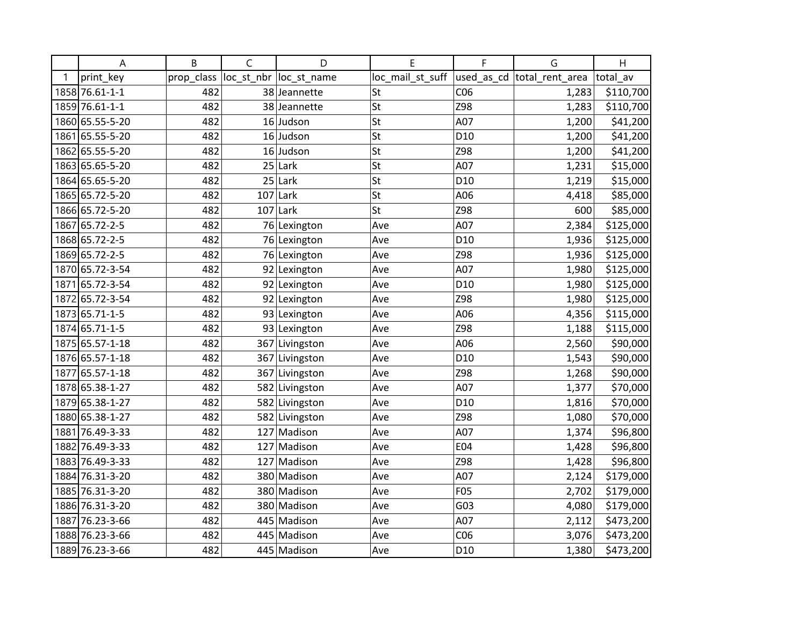|   | Α               | B          | $\mathsf{C}$ | D                       | E                | F               | G                          | H         |
|---|-----------------|------------|--------------|-------------------------|------------------|-----------------|----------------------------|-----------|
| 1 | print_key       | prop_class |              | loc_st_nbr  loc_st_name | loc_mail_st_suff |                 | used_as_cd total_rent_area | total av  |
|   | 1858 76.61-1-1  | 482        |              | 38 Jeannette            | St               | CO6             | 1,283                      | \$110,700 |
|   | 1859 76.61-1-1  | 482        |              | 38 Jeannette            | St               | Z98             | 1,283                      | \$110,700 |
|   | 1860 65.55-5-20 | 482        |              | $16$ Judson             | St               | A07             | 1,200                      | \$41,200  |
|   | 1861 65.55-5-20 | 482        |              | 16 Judson               | St               | D <sub>10</sub> | 1,200                      | \$41,200  |
|   | 1862 65.55-5-20 | 482        |              | 16 Judson               | St               | Z98             | 1,200                      | \$41,200  |
|   | 1863 65.65-5-20 | 482        | 25           | Lark                    | St               | A07             | 1,231                      | \$15,000  |
|   | 1864 65.65-5-20 | 482        |              | $25$ Lark               | St               | D <sub>10</sub> | 1,219                      | \$15,000  |
|   | 1865 65.72-5-20 | 482        |              | $107$ Lark              | St               | A06             | 4,418                      | \$85,000  |
|   | 1866 65.72-5-20 | 482        | 107          | Lark                    | St               | Z98             | 600                        | \$85,000  |
|   | 1867 65.72-2-5  | 482        |              | 76 Lexington            | Ave              | A07             | 2,384                      | \$125,000 |
|   | 1868 65.72-2-5  | 482        |              | 76 Lexington            | Ave              | D <sub>10</sub> | 1,936                      | \$125,000 |
|   | 1869 65.72-2-5  | 482        |              | 76 Lexington            | Ave              | Z98             | 1,936                      | \$125,000 |
|   | 1870 65.72-3-54 | 482        |              | 92 Lexington            | Ave              | A07             | 1,980                      | \$125,000 |
|   | 1871 65.72-3-54 | 482        |              | 92 Lexington            | Ave              | D <sub>10</sub> | 1,980                      | \$125,000 |
|   | 1872 65.72-3-54 | 482        |              | 92 Lexington            | Ave              | Z98             | 1,980                      | \$125,000 |
|   | 1873 65.71-1-5  | 482        |              | 93 Lexington            | Ave              | A06             | 4,356                      | \$115,000 |
|   | 1874 65.71-1-5  | 482        |              | 93 Lexington            | Ave              | Z98             | 1,188                      | \$115,000 |
|   | 1875 65.57-1-18 | 482        |              | 367 Livingston          | Ave              | A06             | 2,560                      | \$90,000  |
|   | 1876 65.57-1-18 | 482        |              | 367 Livingston          | Ave              | D <sub>10</sub> | 1,543                      | \$90,000  |
|   | 1877 65.57-1-18 | 482        |              | 367 Livingston          | Ave              | Z98             | 1,268                      | \$90,000  |
|   | 1878 65.38-1-27 | 482        |              | 582 Livingston          | Ave              | A07             | 1,377                      | \$70,000  |
|   | 1879 65.38-1-27 | 482        |              | 582 Livingston          | Ave              | D <sub>10</sub> | 1,816                      | \$70,000  |
|   | 1880 65.38-1-27 | 482        |              | 582 Livingston          | Ave              | Z98             | 1,080                      | \$70,000  |
|   | 1881 76.49-3-33 | 482        |              | 127 Madison             | Ave              | A07             | 1,374                      | \$96,800  |
|   | 1882 76.49-3-33 | 482        | 127          | Madison                 | Ave              | E04             | 1,428                      | \$96,800  |
|   | 1883 76.49-3-33 | 482        |              | 127 Madison             | Ave              | Z98             | 1,428                      | \$96,800  |
|   | 1884 76.31-3-20 | 482        |              | 380 Madison             | Ave              | A07             | 2,124                      | \$179,000 |
|   | 1885 76.31-3-20 | 482        |              | 380 Madison             | Ave              | F05             | 2,702                      | \$179,000 |
|   | 1886 76.31-3-20 | 482        |              | 380 Madison             | Ave              | G03             | 4,080                      | \$179,000 |
|   | 1887 76.23-3-66 | 482        |              | 445 Madison             | Ave              | A07             | 2,112                      | \$473,200 |
|   | 1888 76.23-3-66 | 482        |              | 445 Madison             | Ave              | CO6             | 3,076                      | \$473,200 |
|   | 1889 76.23-3-66 | 482        |              | 445 Madison             | Ave              | D <sub>10</sub> | 1,380                      | \$473,200 |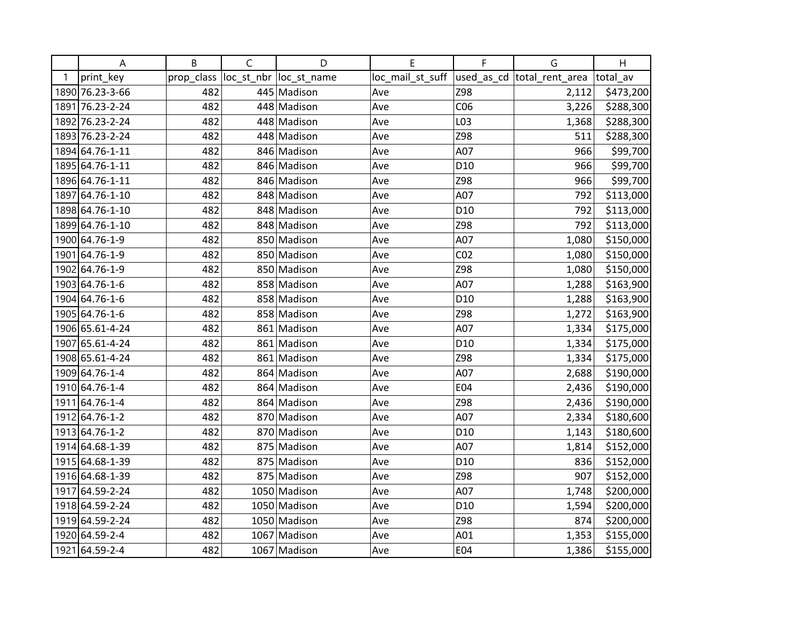|   | A               | B          | $\mathsf C$ | D                       | E                | F               | G                           | H         |
|---|-----------------|------------|-------------|-------------------------|------------------|-----------------|-----------------------------|-----------|
| 1 | print_key       | prop_class |             | loc_st_nbr  loc_st_name | loc_mail_st_suff |                 | used_as_cd  total_rent_area | total av  |
|   | 1890 76.23-3-66 | 482        |             | 445 Madison             | Ave              | Z98             | 2,112                       | \$473,200 |
|   | 1891 76.23-2-24 | 482        |             | 448 Madison             | Ave              | CO6             | 3,226                       | \$288,300 |
|   | 1892 76.23-2-24 | 482        |             | 448 Madison             | Ave              | L03             | 1,368                       | \$288,300 |
|   | 1893 76.23-2-24 | 482        |             | 448 Madison             | Ave              | Z98             | 511                         | \$288,300 |
|   | 1894 64.76-1-11 | 482        |             | 846 Madison             | Ave              | A07             | 966                         | \$99,700  |
|   | 1895 64.76-1-11 | 482        |             | 846 Madison             | Ave              | D <sub>10</sub> | 966                         | \$99,700  |
|   | 1896 64.76-1-11 | 482        |             | 846 Madison             | Ave              | Z98             | 966                         | \$99,700  |
|   | 1897 64.76-1-10 | 482        |             | 848 Madison             | Ave              | A07             | 792                         | \$113,000 |
|   | 1898 64.76-1-10 | 482        |             | 848 Madison             | Ave              | D <sub>10</sub> | 792                         | \$113,000 |
|   | 1899 64.76-1-10 | 482        |             | 848 Madison             | Ave              | Z98             | 792                         | \$113,000 |
|   | 1900 64.76-1-9  | 482        |             | 850 Madison             | Ave              | A07             | 1,080                       | \$150,000 |
|   | 1901 64.76-1-9  | 482        |             | 850 Madison             | Ave              | CO <sub>2</sub> | 1,080                       | \$150,000 |
|   | 1902 64.76-1-9  | 482        |             | 850 Madison             | Ave              | Z98             | 1,080                       | \$150,000 |
|   | 1903 64.76-1-6  | 482        |             | 858 Madison             | Ave              | A07             | 1,288                       | \$163,900 |
|   | 1904 64.76-1-6  | 482        |             | 858 Madison             | Ave              | D <sub>10</sub> | 1,288                       | \$163,900 |
|   | 1905 64.76-1-6  | 482        |             | 858 Madison             | Ave              | Z98             | 1,272                       | \$163,900 |
|   | 1906 65.61-4-24 | 482        |             | 861 Madison             | Ave              | A07             | 1,334                       | \$175,000 |
|   | 1907 65.61-4-24 | 482        |             | 861 Madison             | Ave              | D <sub>10</sub> | 1,334                       | \$175,000 |
|   | 1908 65.61-4-24 | 482        |             | 861 Madison             | Ave              | Z98             | 1,334                       | \$175,000 |
|   | 1909 64.76-1-4  | 482        |             | 864 Madison             | Ave              | A07             | 2,688                       | \$190,000 |
|   | 1910 64.76-1-4  | 482        |             | 864 Madison             | Ave              | E04             | 2,436                       | \$190,000 |
|   | 1911 64.76-1-4  | 482        |             | 864 Madison             | Ave              | Z98             | 2,436                       | \$190,000 |
|   | 1912 64.76-1-2  | 482        |             | 870 Madison             | Ave              | A07             | 2,334                       | \$180,600 |
|   | 1913 64.76-1-2  | 482        |             | 870 Madison             | Ave              | D <sub>10</sub> | 1,143                       | \$180,600 |
|   | 1914 64.68-1-39 | 482        |             | 875 Madison             | Ave              | A07             | 1,814                       | \$152,000 |
|   | 1915 64.68-1-39 | 482        |             | 875 Madison             | Ave              | D <sub>10</sub> | 836                         | \$152,000 |
|   | 1916 64.68-1-39 | 482        |             | 875 Madison             | Ave              | Z98             | 907                         | \$152,000 |
|   | 1917 64.59-2-24 | 482        |             | 1050 Madison            | Ave              | A07             | 1,748                       | \$200,000 |
|   | 1918 64.59-2-24 | 482        |             | 1050 Madison            | Ave              | D <sub>10</sub> | 1,594                       | \$200,000 |
|   | 1919 64.59-2-24 | 482        |             | 1050 Madison            | Ave              | Z98             | 874                         | \$200,000 |
|   | 1920 64.59-2-4  | 482        |             | 1067 Madison            | Ave              | A01             | 1,353                       | \$155,000 |
|   | 1921 64.59-2-4  | 482        |             | 1067 Madison            | Ave              | E04             | 1,386                       | \$155,000 |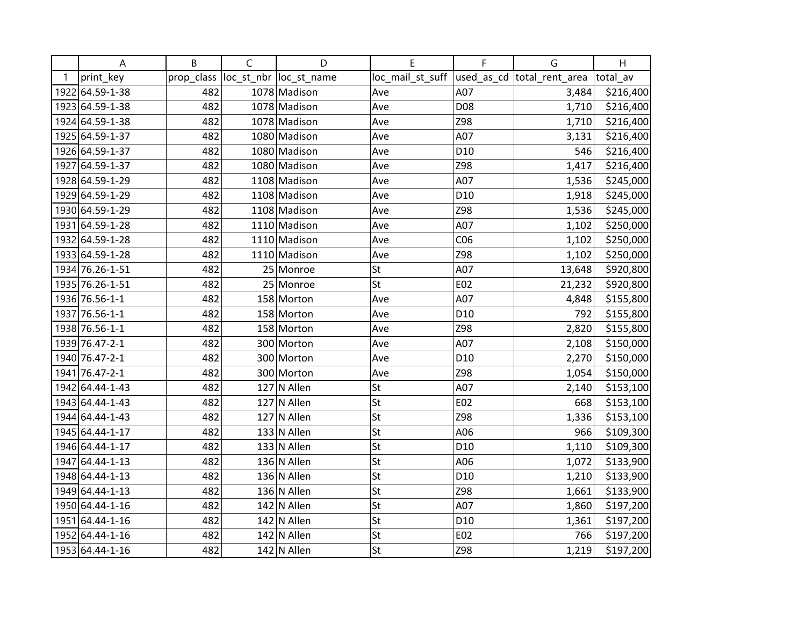|   | A               | B          | $\mathsf C$ | D                       | E                | F               | G                           | H         |
|---|-----------------|------------|-------------|-------------------------|------------------|-----------------|-----------------------------|-----------|
| 1 | print_key       | prop_class |             | loc_st_nbr  loc_st_name | loc_mail_st_suff |                 | used_as_cd  total_rent_area | total av  |
|   | 1922 64.59-1-38 | 482        |             | 1078 Madison            | Ave              | A07             | 3,484                       | \$216,400 |
|   | 1923 64.59-1-38 | 482        |             | 1078 Madison            | Ave              | D08             | 1,710                       | \$216,400 |
|   | 1924 64.59-1-38 | 482        |             | 1078 Madison            | Ave              | Z98             | 1,710                       | \$216,400 |
|   | 1925 64.59-1-37 | 482        |             | 1080 Madison            | Ave              | A07             | 3,131                       | \$216,400 |
|   | 1926 64.59-1-37 | 482        |             | 1080 Madison            | Ave              | D <sub>10</sub> | 546                         | \$216,400 |
|   | 1927 64.59-1-37 | 482        |             | 1080 Madison            | Ave              | Z98             | 1,417                       | \$216,400 |
|   | 1928 64.59-1-29 | 482        |             | 1108 Madison            | Ave              | A07             | 1,536                       | \$245,000 |
|   | 1929 64.59-1-29 | 482        |             | 1108 Madison            | Ave              | D <sub>10</sub> | 1,918                       | \$245,000 |
|   | 1930 64.59-1-29 | 482        |             | 1108 Madison            | Ave              | Z98             | 1,536                       | \$245,000 |
|   | 1931 64.59-1-28 | 482        |             | 1110 Madison            | Ave              | A07             | 1,102                       | \$250,000 |
|   | 1932 64.59-1-28 | 482        |             | 1110 Madison            | Ave              | CO6             | 1,102                       | \$250,000 |
|   | 1933 64.59-1-28 | 482        |             | 1110 Madison            | Ave              | Z98             | 1,102                       | \$250,000 |
|   | 1934 76.26-1-51 | 482        |             | 25 Monroe               | St               | A07             | 13,648                      | \$920,800 |
|   | 1935 76.26-1-51 | 482        |             | 25 Monroe               | St               | E02             | 21,232                      | \$920,800 |
|   | 1936 76.56-1-1  | 482        |             | 158 Morton              | Ave              | A07             | 4,848                       | \$155,800 |
|   | 1937 76.56-1-1  | 482        |             | 158 Morton              | Ave              | D <sub>10</sub> | 792                         | \$155,800 |
|   | 1938 76.56-1-1  | 482        |             | 158 Morton              | Ave              | Z98             | 2,820                       | \$155,800 |
|   | 1939 76.47-2-1  | 482        |             | 300 Morton              | Ave              | A07             | 2,108                       | \$150,000 |
|   | 1940 76.47-2-1  | 482        |             | 300 Morton              | Ave              | D <sub>10</sub> | 2,270                       | \$150,000 |
|   | 1941 76.47-2-1  | 482        |             | 300 Morton              | Ave              | Z98             | 1,054                       | \$150,000 |
|   | 1942 64.44-1-43 | 482        |             | $127$ N Allen           | St               | A07             | 2,140                       | \$153,100 |
|   | 1943 64.44-1-43 | 482        |             | $127$ N Allen           | St               | E02             | 668                         | \$153,100 |
|   | 1944 64.44-1-43 | 482        |             | $127$ N Allen           | St               | Z98             | 1,336                       | \$153,100 |
|   | 1945 64.44-1-17 | 482        |             | $133$ N Allen           | St               | A06             | 966                         | \$109,300 |
|   | 1946 64.44-1-17 | 482        |             | $133$ N Allen           | St               | D <sub>10</sub> | 1,110                       | \$109,300 |
|   | 1947 64.44-1-13 | 482        |             | $136$ N Allen           | St               | A06             | 1,072                       | \$133,900 |
|   | 1948 64.44-1-13 | 482        |             | 136 N Allen             | St               | D <sub>10</sub> | 1,210                       | \$133,900 |
|   | 1949 64.44-1-13 | 482        |             | 136 N Allen             | St               | Z98             | 1,661                       | \$133,900 |
|   | 1950 64.44-1-16 | 482        |             | $142$ N Allen           | St               | A07             | 1,860                       | \$197,200 |
|   | 1951 64.44-1-16 | 482        |             | $142$ N Allen           | St               | D <sub>10</sub> | 1,361                       | \$197,200 |
|   | 1952 64.44-1-16 | 482        |             | $142$ N Allen           | St               | E02             | 766                         | \$197,200 |
|   | 1953 64.44-1-16 | 482        |             | $142$ N Allen           | St               | Z98             | 1,219                       | \$197,200 |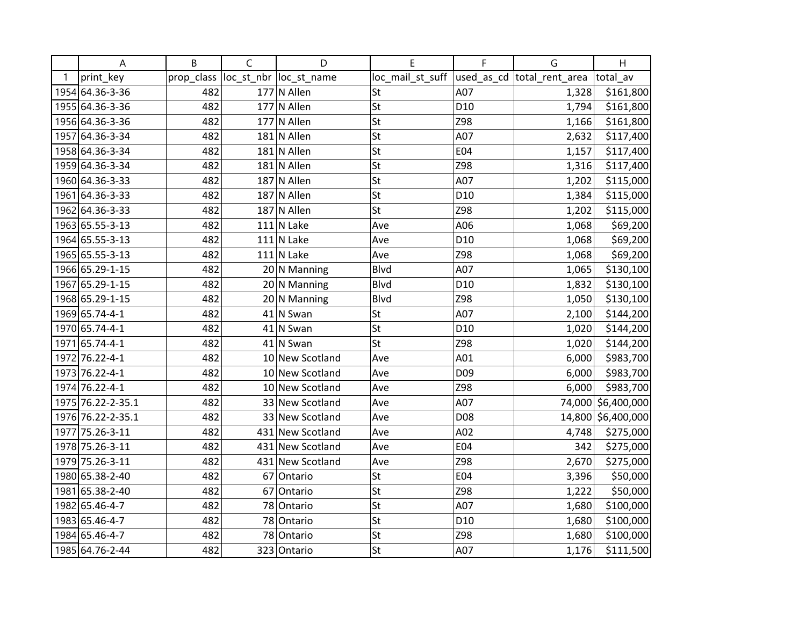|   | Α                 | B          | $\mathsf{C}$ | D                       | E                | F               | G                          | H                  |
|---|-------------------|------------|--------------|-------------------------|------------------|-----------------|----------------------------|--------------------|
| 1 | print_key         | prop_class |              | loc_st_nbr  loc_st_name | loc_mail_st_suff |                 | used as cd total rent area | total av           |
|   | 1954 64.36-3-36   | 482        |              | $177$ N Allen           | St               | A07             | 1,328                      | \$161,800          |
|   | 1955 64.36-3-36   | 482        |              | $177$ N Allen           | St               | D <sub>10</sub> | 1,794                      | \$161,800          |
|   | 1956 64.36-3-36   | 482        |              | $177$ N Allen           | St               | Z98             | 1,166                      | \$161,800          |
|   | 1957 64.36-3-34   | 482        |              | $181$ N Allen           | St               | A07             | 2,632                      | \$117,400          |
|   | 1958 64.36-3-34   | 482        |              | $181$ N Allen           | St               | E04             | 1,157                      | \$117,400          |
|   | 1959 64.36-3-34   | 482        |              | $181$ N Allen           | St               | Z98             | 1,316                      | \$117,400          |
|   | 1960 64.36-3-33   | 482        |              | $187$ N Allen           | St               | A07             | 1,202                      | \$115,000          |
|   | 1961 64.36-3-33   | 482        |              | $187$ N Allen           | St               | D <sub>10</sub> | 1,384                      | \$115,000          |
|   | 1962 64.36-3-33   | 482        |              | $187$ N Allen           | St               | Z98             | 1,202                      | \$115,000          |
|   | 1963 65.55-3-13   | 482        |              | $111$ N Lake            | Ave              | A06             | 1,068                      | \$69,200           |
|   | 1964 65.55-3-13   | 482        |              | $111$ N Lake            | Ave              | D <sub>10</sub> | 1,068                      | \$69,200           |
|   | 1965 65.55-3-13   | 482        |              | $111$ N Lake            | Ave              | Z98             | 1,068                      | \$69,200           |
|   | 1966 65.29-1-15   | 482        |              | $20 \vert N$ Manning    | Blvd             | A07             | 1,065                      | \$130,100          |
|   | 1967 65.29-1-15   | 482        |              | $20$ N Manning          | Blvd             | D <sub>10</sub> | 1,832                      | \$130,100          |
|   | 1968 65.29-1-15   | 482        |              | $20$ N Manning          | Blvd             | Z98             | 1,050                      | \$130,100          |
|   | 1969 65.74-4-1    | 482        |              | $41$ N Swan             | St               | A07             | 2,100                      | \$144,200          |
|   | 1970 65.74-4-1    | 482        |              | $41$ N Swan             | St               | D <sub>10</sub> | 1,020                      | \$144,200          |
|   | 1971 65.74-4-1    | 482        |              | $41$ N Swan             | St               | Z98             | 1,020                      | \$144,200          |
|   | 1972 76.22-4-1    | 482        |              | 10 New Scotland         | Ave              | A01             | 6,000                      | \$983,700          |
|   | 1973 76.22-4-1    | 482        |              | 10 New Scotland         | Ave              | D <sub>09</sub> | 6,000                      | \$983,700          |
|   | 1974 76.22-4-1    | 482        |              | 10 New Scotland         | Ave              | Z98             | 6,000                      | \$983,700          |
|   | 1975 76.22-2-35.1 | 482        |              | 33 New Scotland         | Ave              | A07             |                            | 74,000 \$6,400,000 |
|   | 1976 76.22-2-35.1 | 482        |              | 33 New Scotland         | Ave              | D08             |                            | 14,800 \$6,400,000 |
|   | 1977 75.26-3-11   | 482        |              | 431 New Scotland        | Ave              | A02             | 4,748                      | \$275,000          |
|   | 1978 75.26-3-11   | 482        |              | 431 New Scotland        | Ave              | E04             | 342                        | \$275,000          |
|   | 1979 75.26-3-11   | 482        |              | 431 New Scotland        | Ave              | Z98             | 2,670                      | \$275,000          |
|   | 1980 65.38-2-40   | 482        |              | 67 Ontario              | St               | E04             | 3,396                      | \$50,000           |
|   | 1981 65.38-2-40   | 482        |              | 67 Ontario              | St               | Z98             | 1,222                      | \$50,000           |
|   | 1982 65.46-4-7    | 482        |              | 78 Ontario              | St               | A07             | 1,680                      | \$100,000          |
|   | 1983 65.46-4-7    | 482        |              | 78 Ontario              | St               | D <sub>10</sub> | 1,680                      | \$100,000          |
|   | 1984 65.46-4-7    | 482        |              | 78 Ontario              | St               | Z98             | 1,680                      | \$100,000          |
|   | 1985 64.76-2-44   | 482        |              | 323 Ontario             | St               | A07             | 1,176                      | \$111,500          |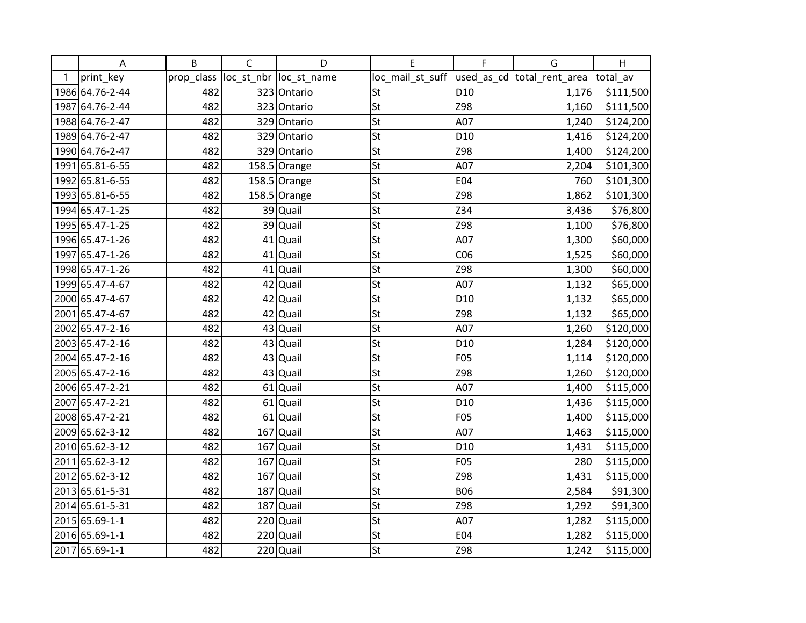|   | A               | B          | $\mathsf C$ | D                       | E                | F               | G                           | H         |
|---|-----------------|------------|-------------|-------------------------|------------------|-----------------|-----------------------------|-----------|
| 1 | print_key       | prop_class |             | loc_st_nbr  loc_st_name | loc_mail_st_suff |                 | used_as_cd  total_rent_area | total av  |
|   | 1986 64.76-2-44 | 482        |             | 323 Ontario             | St               | D <sub>10</sub> | 1,176                       | \$111,500 |
|   | 1987 64.76-2-44 | 482        |             | 323 Ontario             | St               | Z98             | 1,160                       | \$111,500 |
|   | 1988 64.76-2-47 | 482        |             | 329 Ontario             | St               | A07             | 1,240                       | \$124,200 |
|   | 1989 64.76-2-47 | 482        |             | 329 Ontario             | St               | D <sub>10</sub> | 1,416                       | \$124,200 |
|   | 1990 64.76-2-47 | 482        |             | 329 Ontario             | St               | Z98             | 1,400                       | \$124,200 |
|   | 1991 65.81-6-55 | 482        |             | $158.5$ Orange          | St               | A07             | 2,204                       | \$101,300 |
|   | 1992 65.81-6-55 | 482        |             | $158.5$ Orange          | St               | <b>E04</b>      | 760                         | \$101,300 |
|   | 1993 65.81-6-55 | 482        |             | $158.5$ Orange          | St               | Z98             | 1,862                       | \$101,300 |
|   | 1994 65.47-1-25 | 482        |             | 39 Quail                | St               | Z34             | 3,436                       | \$76,800  |
|   | 1995 65.47-1-25 | 482        |             | 39 Quail                | St               | Z98             | 1,100                       | \$76,800  |
|   | 1996 65.47-1-26 | 482        |             | 41 Quail                | St               | A07             | 1,300                       | \$60,000  |
|   | 1997 65.47-1-26 | 482        |             | $41$ Quail              | St               | CO6             | 1,525                       | \$60,000  |
|   | 1998 65.47-1-26 | 482        |             | $41$ Quail              | St               | Z98             | 1,300                       | \$60,000  |
|   | 1999 65.47-4-67 | 482        | 42          | Quail                   | St               | A07             | 1,132                       | \$65,000  |
|   | 2000 65.47-4-67 | 482        |             | 42 Quail                | St               | D <sub>10</sub> | 1,132                       | \$65,000  |
|   | 2001 65.47-4-67 | 482        |             | 42 Quail                | St               | Z98             | 1,132                       | \$65,000  |
|   | 2002 65.47-2-16 | 482        |             | 43 Quail                | St               | A07             | 1,260                       | \$120,000 |
|   | 2003 65.47-2-16 | 482        |             | 43 Quail                | St               | D <sub>10</sub> | 1,284                       | \$120,000 |
|   | 2004 65.47-2-16 | 482        |             | 43 Quail                | St               | F05             | 1,114                       | \$120,000 |
|   | 2005 65.47-2-16 | 482        |             | 43 Quail                | St               | Z98             | 1,260                       | \$120,000 |
|   | 2006 65.47-2-21 | 482        |             | $61$ Quail              | St               | A07             | 1,400                       | \$115,000 |
|   | 2007 65.47-2-21 | 482        |             | $61$ Quail              | St               | D <sub>10</sub> | 1,436                       | \$115,000 |
|   | 2008 65.47-2-21 | 482        |             | $61$ Quail              | St               | F05             | 1,400                       | \$115,000 |
|   | 2009 65.62-3-12 | 482        |             | $167$ Quail             | St               | A07             | 1,463                       | \$115,000 |
|   | 2010 65.62-3-12 | 482        | 167         | Quail                   | St               | D <sub>10</sub> | 1,431                       | \$115,000 |
|   | 2011 65.62-3-12 | 482        |             | $167$ Quail             | St               | F05             | 280                         | \$115,000 |
|   | 2012 65.62-3-12 | 482        | 167         | Quail                   | St               | Z98             | 1,431                       | \$115,000 |
|   | 2013 65.61-5-31 | 482        | 187         | Quail                   | St               | <b>B06</b>      | 2,584                       | \$91,300  |
|   | 2014 65.61-5-31 | 482        |             | $187$ Quail             | St               | Z98             | 1,292                       | \$91,300  |
|   | 2015 65.69-1-1  | 482        | 220         | Quail                   | St               | A07             | 1,282                       | \$115,000 |
|   | 2016 65.69-1-1  | 482        |             | $220$ Quail             | St               | E04             | 1,282                       | \$115,000 |
|   | 2017 65.69-1-1  | 482        |             | $220$ Quail             | St               | Z98             | 1,242                       | \$115,000 |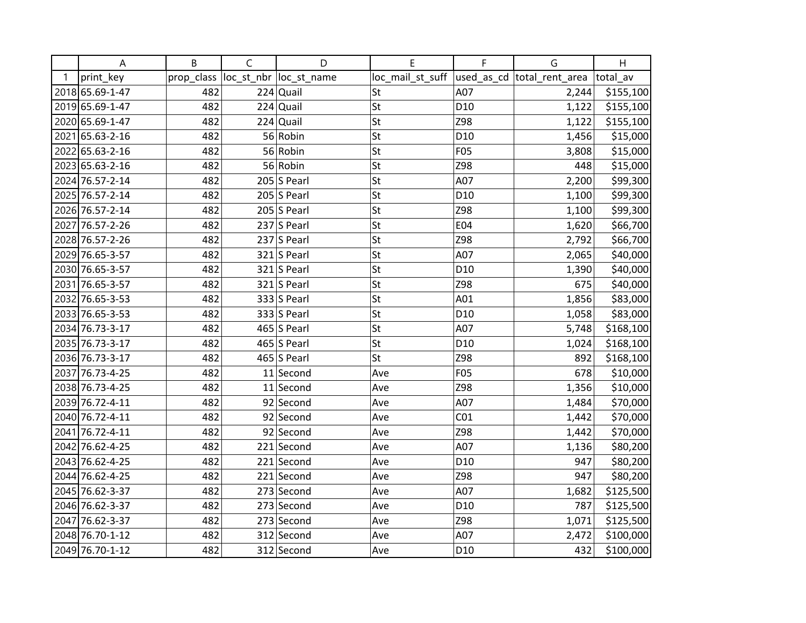|   | A               | B          | $\mathsf C$ | D                       | Е                | F               | G                           | H         |
|---|-----------------|------------|-------------|-------------------------|------------------|-----------------|-----------------------------|-----------|
| 1 | print_key       | prop_class |             | loc_st_nbr  loc_st_name | loc_mail_st_suff |                 | used_as_cd  total_rent_area | total av  |
|   | 2018 65.69-1-47 | 482        |             | $224$ Quail             | St               | A07             | 2,244                       | \$155,100 |
|   | 2019 65.69-1-47 | 482        |             | $224$ Quail             | St               | D <sub>10</sub> | 1,122                       | \$155,100 |
|   | 2020 65.69-1-47 | 482        |             | $224$ Quail             | St               | Z98             | 1,122                       | \$155,100 |
|   | 2021 65.63-2-16 | 482        |             | 56 Robin                | St               | D <sub>10</sub> | 1,456                       | \$15,000  |
|   | 2022 65.63-2-16 | 482        |             | 56 Robin                | St               | <b>F05</b>      | 3,808                       | \$15,000  |
|   | 2023 65.63-2-16 | 482        |             | 56 Robin                | St               | Z98             | 448                         | \$15,000  |
|   | 2024 76.57-2-14 | 482        |             | $205$ S Pearl           | St               | A07             | 2,200                       | \$99,300  |
|   | 2025 76.57-2-14 | 482        |             | $205$ S Pearl           | St               | D <sub>10</sub> | 1,100                       | \$99,300  |
|   | 2026 76.57-2-14 | 482        |             | $205$ S Pearl           | St               | Z98             | 1,100                       | \$99,300  |
|   | 2027 76.57-2-26 | 482        |             | 237 S Pearl             | St               | E04             | 1,620                       | \$66,700  |
|   | 2028 76.57-2-26 | 482        |             | $237$ S Pearl           | St               | Z98             | 2,792                       | \$66,700  |
|   | 2029 76.65-3-57 | 482        |             | $321$ S Pearl           | St               | A07             | 2,065                       | \$40,000  |
|   | 2030 76.65-3-57 | 482        |             | $321$ S Pearl           | St               | D <sub>10</sub> | 1,390                       | \$40,000  |
|   | 2031 76.65-3-57 | 482        |             | $321$ S Pearl           | St               | Z98             | 675                         | \$40,000  |
|   | 2032 76.65-3-53 | 482        |             | $333$ S Pearl           | St               | A01             | 1,856                       | \$83,000  |
|   | 2033 76.65-3-53 | 482        |             | $333$ S Pearl           | St               | D <sub>10</sub> | 1,058                       | \$83,000  |
|   | 2034 76.73-3-17 | 482        |             | 465 S Pearl             | St               | A07             | 5,748                       | \$168,100 |
|   | 2035 76.73-3-17 | 482        |             | 465 S Pearl             | St               | D <sub>10</sub> | 1,024                       | \$168,100 |
|   | 2036 76.73-3-17 | 482        |             | 465 S Pearl             | St               | Z98             | 892                         | \$168,100 |
|   | 2037 76.73-4-25 | 482        |             | $11$ Second             | Ave              | F05             | 678                         | \$10,000  |
|   | 2038 76.73-4-25 | 482        |             | $11$ Second             | Ave              | Z98             | 1,356                       | \$10,000  |
|   | 2039 76.72-4-11 | 482        |             | 92 Second               | Ave              | A07             | 1,484                       | \$70,000  |
|   | 2040 76.72-4-11 | 482        |             | 92 Second               | Ave              | CO <sub>1</sub> | 1,442                       | \$70,000  |
|   | 2041 76.72-4-11 | 482        |             | 92 Second               | Ave              | Z98             | 1,442                       | \$70,000  |
|   | 2042 76.62-4-25 | 482        |             | $221$ Second            | Ave              | A07             | 1,136                       | \$80,200  |
|   | 2043 76.62-4-25 | 482        |             | 221 Second              | Ave              | D <sub>10</sub> | 947                         | \$80,200  |
|   | 2044 76.62-4-25 | 482        |             | 221 Second              | Ave              | Z98             | 947                         | \$80,200  |
|   | 2045 76.62-3-37 | 482        |             | 273 Second              | Ave              | A07             | 1,682                       | \$125,500 |
|   | 2046 76.62-3-37 | 482        |             | $273$ Second            | Ave              | D <sub>10</sub> | 787                         | \$125,500 |
|   | 2047 76.62-3-37 | 482        |             | 273 Second              | Ave              | Z98             | 1,071                       | \$125,500 |
|   | 2048 76.70-1-12 | 482        |             | 312 Second              | Ave              | A07             | 2,472                       | \$100,000 |
|   | 2049 76.70-1-12 | 482        |             | 312 Second              | Ave              | D <sub>10</sub> | 432                         | \$100,000 |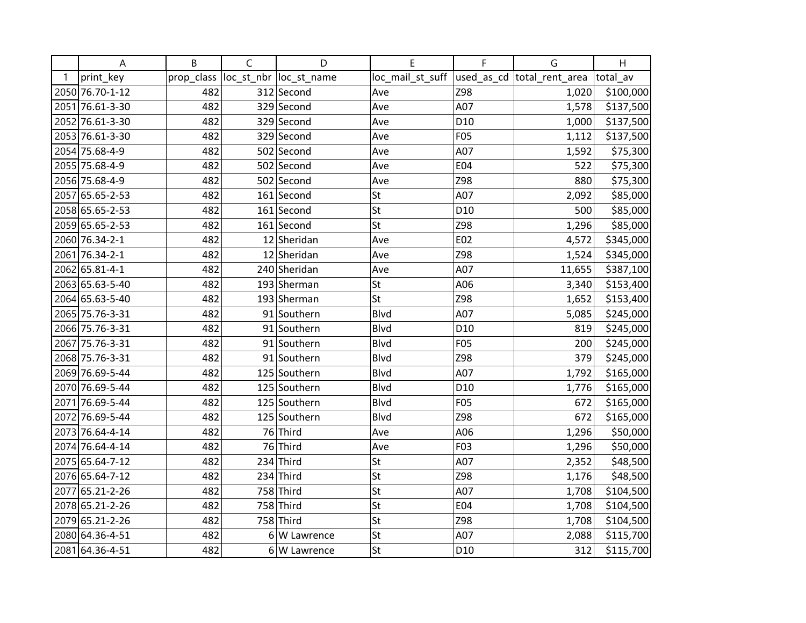|    | A               | B          | $\mathsf C$ | D                       | E                | F               | G                          | H         |
|----|-----------------|------------|-------------|-------------------------|------------------|-----------------|----------------------------|-----------|
| -1 | print_key       | prop_class |             | loc_st_nbr  loc_st_name | loc_mail_st_suff |                 | used_as_cd total_rent_area | total_av  |
|    | 2050 76.70-1-12 | 482        |             | 312 Second              | Ave              | Z98             | 1,020                      | \$100,000 |
|    | 2051 76.61-3-30 | 482        |             | 329 Second              | Ave              | A07             | 1,578                      | \$137,500 |
|    | 2052 76.61-3-30 | 482        |             | 329 Second              | Ave              | D <sub>10</sub> | 1,000                      | \$137,500 |
|    | 2053 76.61-3-30 | 482        |             | 329 Second              | Ave              | F05             | 1,112                      | \$137,500 |
|    | 2054 75.68-4-9  | 482        |             | 502 Second              | Ave              | A07             | 1,592                      | \$75,300  |
|    | 2055 75.68-4-9  | 482        |             | 502 Second              | Ave              | E04             | 522                        | \$75,300  |
|    | 2056 75.68-4-9  | 482        |             | 502 Second              | Ave              | Z98             | 880                        | \$75,300  |
|    | 2057 65.65-2-53 | 482        |             | 161 Second              | St               | A07             | 2,092                      | \$85,000  |
|    | 2058 65.65-2-53 | 482        |             | $161$ Second            | St               | D <sub>10</sub> | 500                        | \$85,000  |
|    | 2059 65.65-2-53 | 482        |             | 161 Second              | St               | Z98             | 1,296                      | \$85,000  |
|    | 2060 76.34-2-1  | 482        |             | 12 Sheridan             | Ave              | E02             | 4,572                      | \$345,000 |
|    | 2061 76.34-2-1  | 482        |             | 12 Sheridan             | Ave              | Z98             | 1,524                      | \$345,000 |
|    | 2062 65.81-4-1  | 482        |             | 240 Sheridan            | Ave              | A07             | 11,655                     | \$387,100 |
|    | 2063 65.63-5-40 | 482        |             | 193 Sherman             | St               | A06             | 3,340                      | \$153,400 |
|    | 2064 65.63-5-40 | 482        |             | 193 Sherman             | St               | Z98             | 1,652                      | \$153,400 |
|    | 2065 75.76-3-31 | 482        |             | 91 Southern             | Blvd             | A07             | 5,085                      | \$245,000 |
|    | 2066 75.76-3-31 | 482        |             | 91 Southern             | <b>Blvd</b>      | D <sub>10</sub> | 819                        | \$245,000 |
|    | 2067 75.76-3-31 | 482        |             | 91 Southern             | <b>Blvd</b>      | F05             | 200                        | \$245,000 |
|    | 2068 75.76-3-31 | 482        |             | 91 Southern             | Blvd             | Z98             | 379                        | \$245,000 |
|    | 2069 76.69-5-44 | 482        |             | 125 Southern            | Blvd             | A07             | 1,792                      | \$165,000 |
|    | 2070 76.69-5-44 | 482        |             | 125 Southern            | <b>Blvd</b>      | D <sub>10</sub> | 1,776                      | \$165,000 |
|    | 2071 76.69-5-44 | 482        |             | 125 Southern            | <b>Blvd</b>      | <b>F05</b>      | 672                        | \$165,000 |
|    | 2072 76.69-5-44 | 482        |             | 125 Southern            | Blvd             | Z98             | 672                        | \$165,000 |
|    | 2073 76.64-4-14 | 482        |             | 76 Third                | Ave              | A06             | 1,296                      | \$50,000  |
|    | 2074 76.64-4-14 | 482        |             | 76 Third                | Ave              | F03             | 1,296                      | \$50,000  |
|    | 2075 65.64-7-12 | 482        |             | $234$ Third             | St               | A07             | 2,352                      | \$48,500  |
|    | 2076 65.64-7-12 | 482        | 234         | Third                   | St               | Z98             | 1,176                      | \$48,500  |
|    | 2077 65.21-2-26 | 482        |             | 758 Third               | St               | A07             | 1,708                      | \$104,500 |
|    | 2078 65.21-2-26 | 482        |             | 758 Third               | St               | E04             | 1,708                      | \$104,500 |
|    | 2079 65.21-2-26 | 482        |             | 758 Third               | St               | Z98             | 1,708                      | \$104,500 |
|    | 2080 64.36-4-51 | 482        |             | 6 W Lawrence            | St               | A07             | 2,088                      | \$115,700 |
|    | 2081 64.36-4-51 | 482        |             | $6 W$ Lawrence          | St               | D <sub>10</sub> | 312                        | \$115,700 |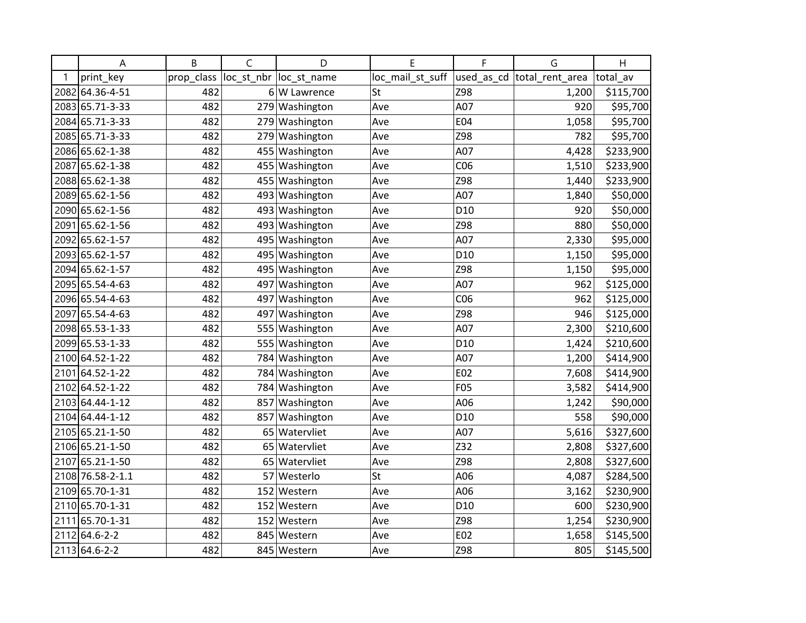|   | Α                | B          | $\mathsf{C}$ | D                      | E                | F   | G                           | H         |
|---|------------------|------------|--------------|------------------------|------------------|-----|-----------------------------|-----------|
| 1 | print_key        | prop_class |              | loc st nbr loc st name | loc_mail_st_suff |     | used_as_cd  total_rent_area | total_av  |
|   | 2082 64.36-4-51  | 482        |              | 6 W Lawrence           | St               | Z98 | 1,200                       | \$115,700 |
|   | 2083 65.71-3-33  | 482        |              | 279 Washington         | Ave              | A07 | 920                         | \$95,700  |
|   | 2084 65.71-3-33  | 482        |              | 279 Washington         | Ave              | E04 | 1,058                       | \$95,700  |
|   | 2085 65.71-3-33  | 482        | 279          | Washington             | Ave              | Z98 | 782                         | \$95,700  |
|   | 2086 65.62-1-38  | 482        | 455          | Washington             | Ave              | A07 | 4,428                       | \$233,900 |
|   | 2087 65.62-1-38  | 482        | 455          | Washington             | Ave              | CO6 | 1,510                       | \$233,900 |
|   | 2088 65.62-1-38  | 482        |              | 455 Washington         | Ave              | Z98 | 1,440                       | \$233,900 |
|   | 2089 65.62-1-56  | 482        |              | 493 Washington         | Ave              | A07 | 1,840                       | \$50,000  |
|   | 2090 65.62-1-56  | 482        | 493          | Washington             | Ave              | D10 | 920                         | \$50,000  |
|   | 2091 65.62-1-56  | 482        |              | 493 Washington         | Ave              | Z98 | 880                         | \$50,000  |
|   | 2092 65.62-1-57  | 482        |              | 495 Washington         | Ave              | A07 | 2,330                       | \$95,000  |
|   | 2093 65.62-1-57  | 482        |              | 495 Washington         | Ave              | D10 | 1,150                       | \$95,000  |
|   | 2094 65.62-1-57  | 482        |              | 495 Washington         | Ave              | Z98 | 1,150                       | \$95,000  |
|   | 2095 65.54-4-63  | 482        | 497          | Washington             | Ave              | A07 | 962                         | \$125,000 |
|   | 2096 65.54-4-63  | 482        | 497          | Washington             | Ave              | CO6 | 962                         | \$125,000 |
|   | 2097 65.54-4-63  | 482        | 497          | Washington             | Ave              | Z98 | 946                         | \$125,000 |
|   | 2098 65.53-1-33  | 482        | 555          | Washington             | Ave              | A07 | 2,300                       | \$210,600 |
|   | 2099 65.53-1-33  | 482        |              | 555 Washington         | Ave              | D10 | 1,424                       | \$210,600 |
|   | 2100 64.52-1-22  | 482        | 784          | Washington             | Ave              | A07 | 1,200                       | \$414,900 |
|   | 2101 64.52-1-22  | 482        | 784          | Washington             | Ave              | E02 | 7,608                       | \$414,900 |
|   | 2102 64.52-1-22  | 482        |              | 784 Washington         | Ave              | F05 | 3,582                       | \$414,900 |
|   | 2103 64.44-1-12  | 482        | 857          | Washington             | Ave              | A06 | 1,242                       | \$90,000  |
|   | 2104 64.44-1-12  | 482        |              | 857 Washington         | Ave              | D10 | 558                         | \$90,000  |
|   | 2105 65.21-1-50  | 482        | 65           | Watervliet             | Ave              | A07 | 5,616                       | \$327,600 |
|   | 2106 65.21-1-50  | 482        | 65           | Watervliet             | Ave              | Z32 | 2,808                       | \$327,600 |
|   | 2107 65.21-1-50  | 482        | 65           | Watervliet             | Ave              | Z98 | 2,808                       | \$327,600 |
|   | 2108 76.58-2-1.1 | 482        | 57           | Westerlo               | St               | A06 | 4,087                       | \$284,500 |
|   | 2109 65.70-1-31  | 482        |              | 152 Western            | Ave              | A06 | 3,162                       | \$230,900 |
|   | 2110 65.70-1-31  | 482        |              | 152 Western            | Ave              | D10 | 600                         | \$230,900 |
|   | 2111 65.70-1-31  | 482        | 152          | Western                | Ave              | Z98 | 1,254                       | \$230,900 |
|   | 2112 64.6-2-2    | 482        |              | 845 Western            | Ave              | E02 | 1,658                       | \$145,500 |
|   | 2113 64.6-2-2    | 482        |              | 845 Western            | Ave              | Z98 | 805                         | \$145,500 |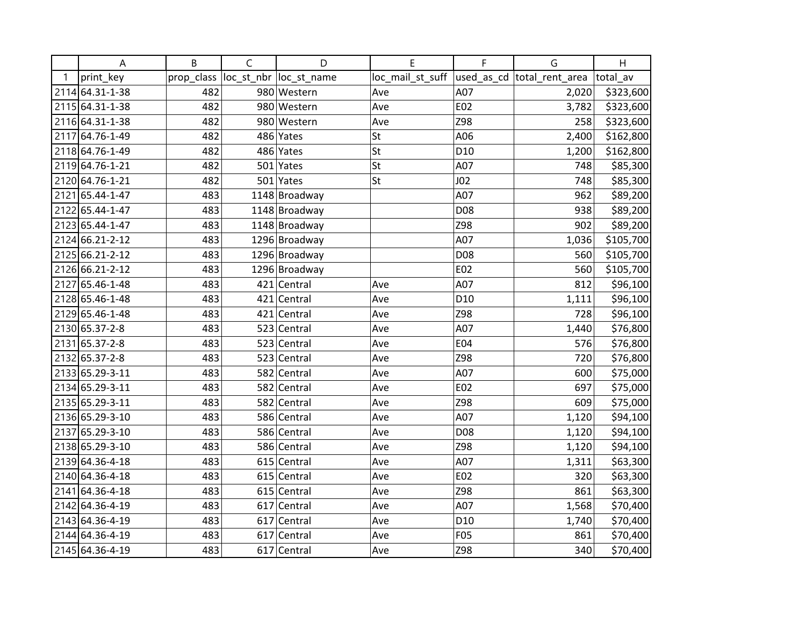|   | A               | B          | $\mathsf C$ | D                       | E                | F               | G                          | H         |
|---|-----------------|------------|-------------|-------------------------|------------------|-----------------|----------------------------|-----------|
| 1 | print_key       | prop_class |             | loc_st_nbr  loc_st_name | loc_mail_st_suff |                 | used_as_cd total_rent_area | total av  |
|   | 2114 64.31-1-38 | 482        |             | 980 Western             | Ave              | A07             | 2,020                      | \$323,600 |
|   | 2115 64.31-1-38 | 482        |             | 980 Western             | Ave              | E02             | 3,782                      | \$323,600 |
|   | 2116 64.31-1-38 | 482        |             | 980 Western             | Ave              | Z98             | 258                        | \$323,600 |
|   | 2117 64.76-1-49 | 482        |             | 486 Yates               | St               | A06             | 2,400                      | \$162,800 |
|   | 2118 64.76-1-49 | 482        |             | 486 Yates               | St               | D <sub>10</sub> | 1,200                      | \$162,800 |
|   | 2119 64.76-1-21 | 482        |             | 501 Yates               | St               | A07             | 748                        | \$85,300  |
|   | 2120 64.76-1-21 | 482        |             | 501 Yates               | St               | J <sub>02</sub> | 748                        | \$85,300  |
|   | 2121 65.44-1-47 | 483        |             | 1148 Broadway           |                  | A07             | 962                        | \$89,200  |
|   | 2122 65.44-1-47 | 483        |             | 1148 Broadway           |                  | D08             | 938                        | \$89,200  |
|   | 2123 65.44-1-47 | 483        |             | 1148 Broadway           |                  | Z98             | 902                        | \$89,200  |
|   | 2124 66.21-2-12 | 483        |             | 1296 Broadway           |                  | A07             | 1,036                      | \$105,700 |
|   | 2125 66.21-2-12 | 483        |             | 1296 Broadway           |                  | D08             | 560                        | \$105,700 |
|   | 2126 66.21-2-12 | 483        |             | 1296 Broadway           |                  | E02             | 560                        | \$105,700 |
|   | 2127 65.46-1-48 | 483        |             | 421 Central             | Ave              | A07             | 812                        | \$96,100  |
|   | 2128 65.46-1-48 | 483        |             | 421 Central             | Ave              | D <sub>10</sub> | 1,111                      | \$96,100  |
|   | 2129 65.46-1-48 | 483        |             | 421 Central             | Ave              | Z98             | 728                        | \$96,100  |
|   | 2130 65.37-2-8  | 483        |             | 523 Central             | Ave              | A07             | 1,440                      | \$76,800  |
|   | 2131 65.37-2-8  | 483        |             | 523 Central             | Ave              | E04             | 576                        | \$76,800  |
|   | 2132 65.37-2-8  | 483        |             | 523 Central             | Ave              | Z98             | 720                        | \$76,800  |
|   | 2133 65.29-3-11 | 483        |             | 582 Central             | Ave              | A07             | 600                        | \$75,000  |
|   | 2134 65.29-3-11 | 483        |             | 582 Central             | Ave              | E02             | 697                        | \$75,000  |
|   | 2135 65.29-3-11 | 483        |             | 582 Central             | Ave              | Z98             | 609                        | \$75,000  |
|   | 2136 65.29-3-10 | 483        |             | 586 Central             | Ave              | A07             | 1,120                      | \$94,100  |
|   | 2137 65.29-3-10 | 483        |             | 586 Central             | Ave              | D08             | 1,120                      | \$94,100  |
|   | 2138 65.29-3-10 | 483        |             | 586 Central             | Ave              | Z98             | 1,120                      | \$94,100  |
|   | 2139 64.36-4-18 | 483        |             | 615 Central             | Ave              | A07             | 1,311                      | \$63,300  |
|   | 2140 64.36-4-18 | 483        |             | 615 Central             | Ave              | E02             | 320                        | \$63,300  |
|   | 2141 64.36-4-18 | 483        |             | $615$ Central           | Ave              | Z98             | 861                        | \$63,300  |
|   | 2142 64.36-4-19 | 483        |             | 617 Central             | Ave              | A07             | 1,568                      | \$70,400  |
|   | 2143 64.36-4-19 | 483        |             | $617$ Central           | Ave              | D <sub>10</sub> | 1,740                      | \$70,400  |
|   | 2144 64.36-4-19 | 483        |             | 617 Central             | Ave              | F05             | 861                        | \$70,400  |
|   | 2145 64.36-4-19 | 483        |             | 617 Central             | Ave              | Z98             | 340                        | \$70,400  |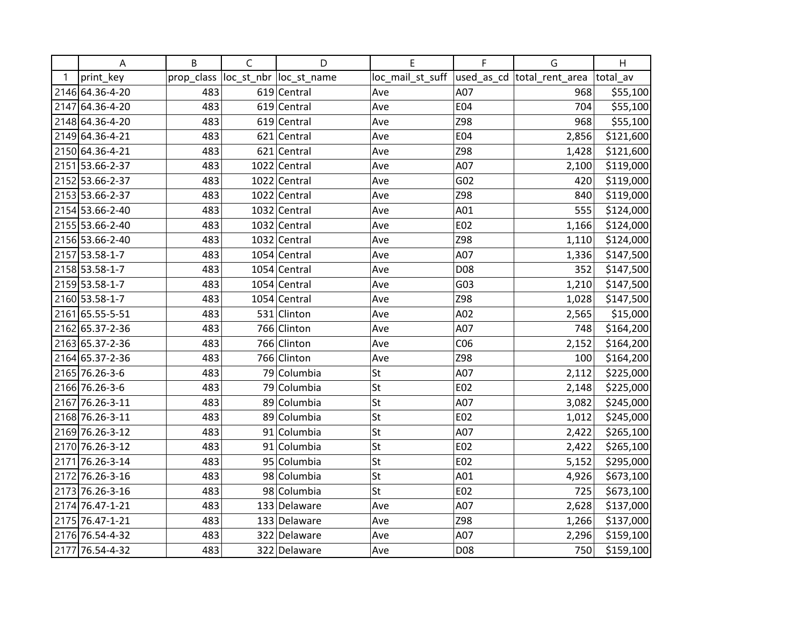|   | A               | B          | $\mathsf C$ | D                       | Е                | F               | G                           | H         |
|---|-----------------|------------|-------------|-------------------------|------------------|-----------------|-----------------------------|-----------|
| 1 | print_key       | prop_class |             | loc_st_nbr  loc_st_name | loc_mail_st_suff |                 | used_as_cd  total_rent_area | total_av  |
|   | 2146 64.36-4-20 | 483        |             | 619 Central             | Ave              | A07             | 968                         | \$55,100  |
|   | 2147 64.36-4-20 | 483        |             | 619 Central             | Ave              | E04             | 704                         | \$55,100  |
|   | 2148 64.36-4-20 | 483        |             | 619 Central             | Ave              | Z98             | 968                         | \$55,100  |
|   | 2149 64.36-4-21 | 483        |             | 621 Central             | Ave              | E04             | 2,856                       | \$121,600 |
|   | 2150 64.36-4-21 | 483        |             | 621 Central             | Ave              | Z98             | 1,428                       | \$121,600 |
|   | 2151 53.66-2-37 | 483        |             | 1022 Central            | Ave              | A07             | 2,100                       | \$119,000 |
|   | 2152 53.66-2-37 | 483        |             | 1022 Central            | Ave              | G <sub>02</sub> | 420                         | \$119,000 |
|   | 2153 53.66-2-37 | 483        |             | 1022 Central            | Ave              | Z98             | 840                         | \$119,000 |
|   | 2154 53.66-2-40 | 483        |             | 1032 Central            | Ave              | A01             | 555                         | \$124,000 |
|   | 2155 53.66-2-40 | 483        |             | 1032 Central            | Ave              | E02             | 1,166                       | \$124,000 |
|   | 2156 53.66-2-40 | 483        |             | 1032 Central            | Ave              | Z98             | 1,110                       | \$124,000 |
|   | 2157 53.58-1-7  | 483        |             | 1054 Central            | Ave              | A07             | 1,336                       | \$147,500 |
|   | 2158 53.58-1-7  | 483        |             | $1054$ Central          | Ave              | D08             | 352                         | \$147,500 |
|   | 2159 53.58-1-7  | 483        |             | 1054 Central            | Ave              | G03             | 1,210                       | \$147,500 |
|   | 2160 53.58-1-7  | 483        |             | 1054 Central            | Ave              | Z98             | 1,028                       | \$147,500 |
|   | 2161 65.55-5-51 | 483        |             | 531 Clinton             | Ave              | A02             | 2,565                       | \$15,000  |
|   | 2162 65.37-2-36 | 483        |             | 766 Clinton             | Ave              | A07             | 748                         | \$164,200 |
|   | 2163 65.37-2-36 | 483        |             | 766 Clinton             | Ave              | CO6             | 2,152                       | \$164,200 |
|   | 2164 65.37-2-36 | 483        |             | 766 Clinton             | Ave              | Z98             | 100                         | \$164,200 |
|   | 2165 76.26-3-6  | 483        |             | 79 Columbia             | St               | A07             | 2,112                       | \$225,000 |
|   | 2166 76.26-3-6  | 483        |             | 79 Columbia             | St               | E02             | 2,148                       | \$225,000 |
|   | 2167 76.26-3-11 | 483        |             | 89 Columbia             | St               | A07             | 3,082                       | \$245,000 |
|   | 2168 76.26-3-11 | 483        |             | 89 Columbia             | St               | E02             | 1,012                       | \$245,000 |
|   | 2169 76.26-3-12 | 483        |             | 91 Columbia             | St               | A07             | 2,422                       | \$265,100 |
|   | 2170 76.26-3-12 | 483        |             | 91 Columbia             | St               | E02             | 2,422                       | \$265,100 |
|   | 2171 76.26-3-14 | 483        |             | 95 Columbia             | St               | E02             | 5,152                       | \$295,000 |
|   | 2172 76.26-3-16 | 483        |             | 98 Columbia             | St               | A01             | 4,926                       | \$673,100 |
|   | 2173 76.26-3-16 | 483        |             | 98 Columbia             | St               | E02             | 725                         | \$673,100 |
|   | 2174 76.47-1-21 | 483        |             | 133 Delaware            | Ave              | A07             | 2,628                       | \$137,000 |
|   | 2175 76.47-1-21 | 483        |             | 133 Delaware            | Ave              | Z98             | 1,266                       | \$137,000 |
|   | 2176 76.54-4-32 | 483        |             | 322 Delaware            | Ave              | A07             | 2,296                       | \$159,100 |
|   | 2177 76.54-4-32 | 483        |             | 322 Delaware            | Ave              | D08             | 750                         | \$159,100 |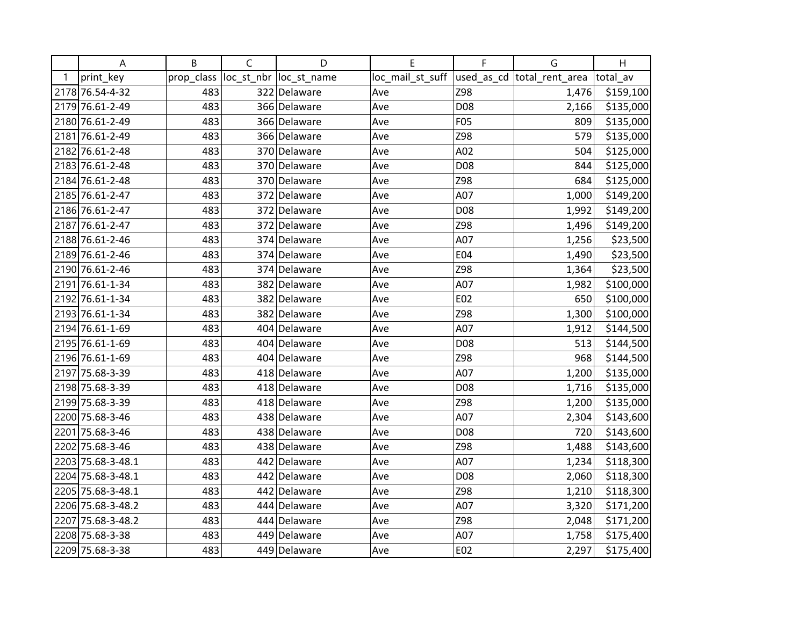|   | Α                 | B          | $\mathsf{C}$ | D                       | E                | F               | G                           | H         |
|---|-------------------|------------|--------------|-------------------------|------------------|-----------------|-----------------------------|-----------|
| 1 | print_key         | prop_class |              | loc_st_nbr  loc_st_name | loc_mail_st_suff |                 | used_as_cd  total_rent_area | total av  |
|   | 2178 76.54-4-32   | 483        |              | 322 Delaware            | Ave              | Z98             | 1,476                       | \$159,100 |
|   | 2179 76.61-2-49   | 483        |              | 366 Delaware            | Ave              | D08             | 2,166                       | \$135,000 |
|   | 2180 76.61-2-49   | 483        |              | 366 Delaware            | Ave              | F05             | 809                         | \$135,000 |
|   | 2181 76.61-2-49   | 483        |              | 366 Delaware            | Ave              | Z98             | 579                         | \$135,000 |
|   | 2182 76.61-2-48   | 483        |              | 370 Delaware            | Ave              | A02             | 504                         | \$125,000 |
|   | 2183 76.61-2-48   | 483        |              | 370 Delaware            | Ave              | D <sub>08</sub> | 844                         | \$125,000 |
|   | 2184 76.61-2-48   | 483        |              | 370 Delaware            | Ave              | Z98             | 684                         | \$125,000 |
|   | 2185 76.61-2-47   | 483        |              | 372 Delaware            | Ave              | A07             | 1,000                       | \$149,200 |
|   | 2186 76.61-2-47   | 483        |              | 372 Delaware            | Ave              | D08             | 1,992                       | \$149,200 |
|   | 2187 76.61-2-47   | 483        |              | 372 Delaware            | Ave              | Z98             | 1,496                       | \$149,200 |
|   | 2188 76.61-2-46   | 483        |              | 374 Delaware            | Ave              | A07             | 1,256                       | \$23,500  |
|   | 2189 76.61-2-46   | 483        |              | 374 Delaware            | Ave              | E04             | 1,490                       | \$23,500  |
|   | 2190 76.61-2-46   | 483        |              | 374 Delaware            | Ave              | Z98             | 1,364                       | \$23,500  |
|   | 2191 76.61-1-34   | 483        |              | 382 Delaware            | Ave              | A07             | 1,982                       | \$100,000 |
|   | 2192 76.61-1-34   | 483        |              | 382 Delaware            | Ave              | E02             | 650                         | \$100,000 |
|   | 2193 76.61-1-34   | 483        |              | 382 Delaware            | Ave              | Z98             | 1,300                       | \$100,000 |
|   | 2194 76.61-1-69   | 483        |              | 404 Delaware            | Ave              | A07             | 1,912                       | \$144,500 |
|   | 2195 76.61-1-69   | 483        |              | 404 Delaware            | Ave              | D08             | 513                         | \$144,500 |
|   | 2196 76.61-1-69   | 483        |              | 404 Delaware            | Ave              | Z98             | 968                         | \$144,500 |
|   | 2197 75.68-3-39   | 483        |              | 418 Delaware            | Ave              | A07             | 1,200                       | \$135,000 |
|   | 2198 75.68-3-39   | 483        |              | 418 Delaware            | Ave              | D08             | 1,716                       | \$135,000 |
|   | 2199 75.68-3-39   | 483        |              | 418 Delaware            | Ave              | Z98             | 1,200                       | \$135,000 |
|   | 2200 75.68-3-46   | 483        |              | 438 Delaware            | Ave              | A07             | 2,304                       | \$143,600 |
|   | 2201 75.68-3-46   | 483        |              | 438 Delaware            | Ave              | D08             | 720                         | \$143,600 |
|   | 2202 75.68-3-46   | 483        |              | 438 Delaware            | Ave              | Z98             | 1,488                       | \$143,600 |
|   | 2203 75.68-3-48.1 | 483        |              | 442 Delaware            | Ave              | A07             | 1,234                       | \$118,300 |
|   | 2204 75.68-3-48.1 | 483        |              | 442 Delaware            | Ave              | D08             | 2,060                       | \$118,300 |
|   | 2205 75.68-3-48.1 | 483        |              | 442 Delaware            | Ave              | Z98             | 1,210                       | \$118,300 |
|   | 2206 75.68-3-48.2 | 483        |              | 444 Delaware            | Ave              | A07             | 3,320                       | \$171,200 |
|   | 2207 75.68-3-48.2 | 483        |              | 444 Delaware            | Ave              | Z98             | 2,048                       | \$171,200 |
|   | 2208 75.68-3-38   | 483        |              | 449 Delaware            | Ave              | A07             | 1,758                       | \$175,400 |
|   | 2209 75.68-3-38   | 483        |              | 449 Delaware            | Ave              | E02             | 2,297                       | \$175,400 |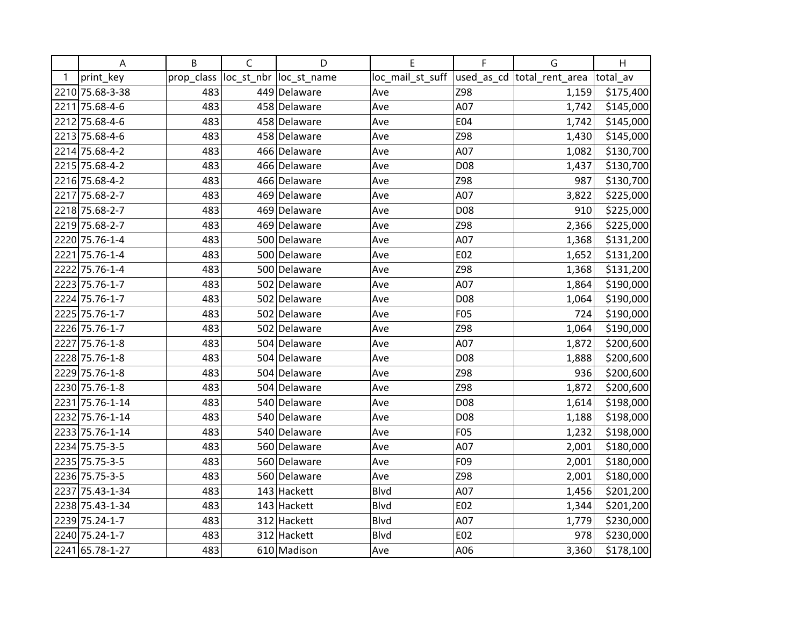|   | Α               | B          | $\mathsf C$ | D                       | E                | F   | G                          | H         |
|---|-----------------|------------|-------------|-------------------------|------------------|-----|----------------------------|-----------|
| 1 | print_key       | prop_class |             | loc_st_nbr  loc_st_name | loc_mail_st_suff |     | used_as_cd total_rent_area | total_av  |
|   | 2210 75.68-3-38 | 483        |             | 449 Delaware            | Ave              | Z98 | 1,159                      | \$175,400 |
|   | 2211 75.68-4-6  | 483        |             | 458 Delaware            | Ave              | A07 | 1,742                      | \$145,000 |
|   | 2212 75.68-4-6  | 483        |             | 458 Delaware            | Ave              | E04 | 1,742                      | \$145,000 |
|   | 2213 75.68-4-6  | 483        |             | 458 Delaware            | Ave              | Z98 | 1,430                      | \$145,000 |
|   | 2214 75.68-4-2  | 483        |             | 466 Delaware            | Ave              | A07 | 1,082                      | \$130,700 |
|   | 2215 75.68-4-2  | 483        |             | 466 Delaware            | Ave              | D08 | 1,437                      | \$130,700 |
|   | 2216 75.68-4-2  | 483        |             | 466 Delaware            | Ave              | Z98 | 987                        | \$130,700 |
|   | 2217 75.68-2-7  | 483        |             | 469 Delaware            | Ave              | A07 | 3,822                      | \$225,000 |
|   | 2218 75.68-2-7  | 483        |             | 469 Delaware            | Ave              | D08 | 910                        | \$225,000 |
|   | 2219 75.68-2-7  | 483        |             | 469 Delaware            | Ave              | Z98 | 2,366                      | \$225,000 |
|   | 2220 75.76-1-4  | 483        |             | 500 Delaware            | Ave              | A07 | 1,368                      | \$131,200 |
|   | 2221 75.76-1-4  | 483        |             | 500 Delaware            | Ave              | E02 | 1,652                      | \$131,200 |
|   | 2222 75.76-1-4  | 483        |             | 500 Delaware            | Ave              | Z98 | 1,368                      | \$131,200 |
|   | 2223 75.76-1-7  | 483        |             | 502 Delaware            | Ave              | A07 | 1,864                      | \$190,000 |
|   | 2224 75.76-1-7  | 483        |             | 502 Delaware            | Ave              | D08 | 1,064                      | \$190,000 |
|   | 2225 75.76-1-7  | 483        |             | 502 Delaware            | Ave              | F05 | 724                        | \$190,000 |
|   | 2226 75.76-1-7  | 483        |             | 502 Delaware            | Ave              | Z98 | 1,064                      | \$190,000 |
|   | 2227 75.76-1-8  | 483        |             | 504 Delaware            | Ave              | A07 | 1,872                      | \$200,600 |
|   | 2228 75.76-1-8  | 483        |             | 504 Delaware            | Ave              | D08 | 1,888                      | \$200,600 |
|   | 2229 75.76-1-8  | 483        |             | 504 Delaware            | Ave              | Z98 | 936                        | \$200,600 |
|   | 2230 75.76-1-8  | 483        |             | 504 Delaware            | Ave              | Z98 | 1,872                      | \$200,600 |
|   | 2231 75.76-1-14 | 483        |             | 540 Delaware            | Ave              | D08 | 1,614                      | \$198,000 |
|   | 2232 75.76-1-14 | 483        |             | 540 Delaware            | Ave              | D08 | 1,188                      | \$198,000 |
|   | 2233 75.76-1-14 | 483        |             | 540 Delaware            | Ave              | F05 | 1,232                      | \$198,000 |
|   | 2234 75.75-3-5  | 483        |             | 560 Delaware            | Ave              | A07 | 2,001                      | \$180,000 |
|   | 2235 75.75-3-5  | 483        |             | 560 Delaware            | Ave              | F09 | 2,001                      | \$180,000 |
|   | 2236 75.75-3-5  | 483        |             | 560 Delaware            | Ave              | Z98 | 2,001                      | \$180,000 |
|   | 2237 75.43-1-34 | 483        |             | 143 Hackett             | <b>Blvd</b>      | A07 | 1,456                      | \$201,200 |
|   | 2238 75.43-1-34 | 483        |             | 143 Hackett             | Blvd             | E02 | 1,344                      | \$201,200 |
|   | 2239 75.24-1-7  | 483        |             | 312 Hackett             | <b>Blvd</b>      | A07 | 1,779                      | \$230,000 |
|   | 2240 75.24-1-7  | 483        |             | 312 Hackett             | <b>Blvd</b>      | E02 | 978                        | \$230,000 |
|   | 2241 65.78-1-27 | 483        |             | 610 Madison             | Ave              | A06 | 3,360                      | \$178,100 |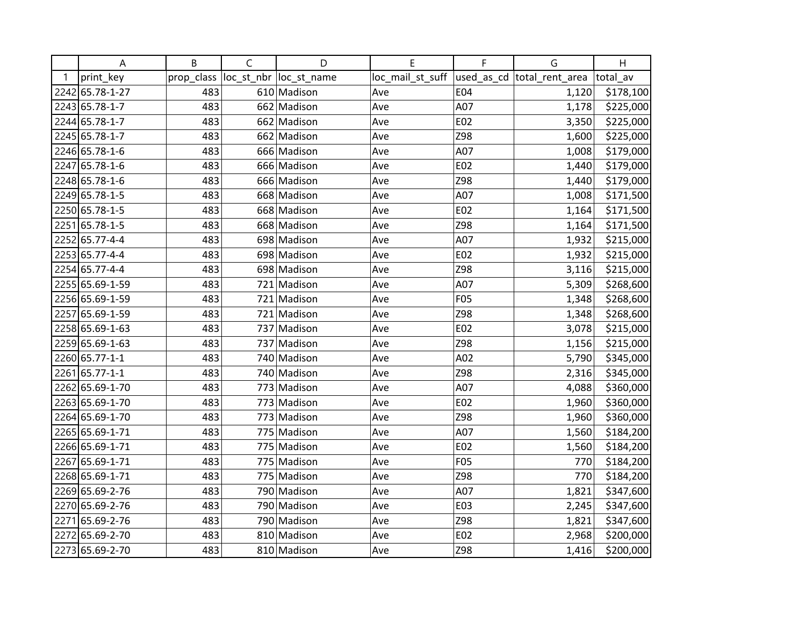|   | A               | B          | $\mathsf C$ | D                       | E                | F          | G                           | H         |
|---|-----------------|------------|-------------|-------------------------|------------------|------------|-----------------------------|-----------|
| 1 | print_key       | prop_class |             | loc_st_nbr  loc_st_name | loc_mail_st_suff |            | used_as_cd  total_rent_area | total av  |
|   | 2242 65.78-1-27 | 483        |             | 610 Madison             | Ave              | <b>E04</b> | 1,120                       | \$178,100 |
|   | 2243 65.78-1-7  | 483        |             | 662 Madison             | Ave              | A07        | 1,178                       | \$225,000 |
|   | 2244 65.78-1-7  | 483        |             | 662 Madison             | Ave              | E02        | 3,350                       | \$225,000 |
|   | 2245 65.78-1-7  | 483        |             | 662 Madison             | Ave              | Z98        | 1,600                       | \$225,000 |
|   | 2246 65.78-1-6  | 483        |             | 666 Madison             | Ave              | A07        | 1,008                       | \$179,000 |
|   | 2247 65.78-1-6  | 483        |             | 666 Madison             | Ave              | E02        | 1,440                       | \$179,000 |
|   | 2248 65.78-1-6  | 483        |             | 666 Madison             | Ave              | Z98        | 1,440                       | \$179,000 |
|   | 2249 65.78-1-5  | 483        |             | 668 Madison             | Ave              | A07        | 1,008                       | \$171,500 |
|   | 2250 65.78-1-5  | 483        |             | 668 Madison             | Ave              | E02        | 1,164                       | \$171,500 |
|   | 2251 65.78-1-5  | 483        |             | 668 Madison             | Ave              | Z98        | 1,164                       | \$171,500 |
|   | 2252 65.77-4-4  | 483        |             | 698 Madison             | Ave              | A07        | 1,932                       | \$215,000 |
|   | 2253 65.77-4-4  | 483        |             | 698 Madison             | Ave              | E02        | 1,932                       | \$215,000 |
|   | 2254 65.77-4-4  | 483        |             | 698 Madison             | Ave              | Z98        | 3,116                       | \$215,000 |
|   | 2255 65.69-1-59 | 483        |             | 721 Madison             | Ave              | A07        | 5,309                       | \$268,600 |
|   | 2256 65.69-1-59 | 483        |             | 721 Madison             | Ave              | F05        | 1,348                       | \$268,600 |
|   | 2257 65.69-1-59 | 483        |             | 721 Madison             | Ave              | Z98        | 1,348                       | \$268,600 |
|   | 2258 65.69-1-63 | 483        |             | 737 Madison             | Ave              | E02        | 3,078                       | \$215,000 |
|   | 2259 65.69-1-63 | 483        |             | 737 Madison             | Ave              | Z98        | 1,156                       | \$215,000 |
|   | 2260 65.77-1-1  | 483        |             | 740 Madison             | Ave              | A02        | 5,790                       | \$345,000 |
|   | 2261 65.77-1-1  | 483        |             | 740 Madison             | Ave              | Z98        | 2,316                       | \$345,000 |
|   | 2262 65.69-1-70 | 483        |             | 773 Madison             | Ave              | A07        | 4,088                       | \$360,000 |
|   | 2263 65.69-1-70 | 483        |             | 773 Madison             | Ave              | E02        | 1,960                       | \$360,000 |
|   | 2264 65.69-1-70 | 483        |             | 773 Madison             | Ave              | Z98        | 1,960                       | \$360,000 |
|   | 2265 65.69-1-71 | 483        |             | 775 Madison             | Ave              | A07        | 1,560                       | \$184,200 |
|   | 2266 65.69-1-71 | 483        |             | 775 Madison             | Ave              | E02        | 1,560                       | \$184,200 |
|   | 2267 65.69-1-71 | 483        |             | 775 Madison             | Ave              | <b>F05</b> | 770                         | \$184,200 |
|   | 2268 65.69-1-71 | 483        |             | 775 Madison             | Ave              | Z98        | 770                         | \$184,200 |
|   | 2269 65.69-2-76 | 483        |             | 790 Madison             | Ave              | A07        | 1,821                       | \$347,600 |
|   | 2270 65.69-2-76 | 483        |             | 790 Madison             | Ave              | E03        | 2,245                       | \$347,600 |
|   | 2271 65.69-2-76 | 483        |             | 790 Madison             | Ave              | Z98        | 1,821                       | \$347,600 |
|   | 2272 65.69-2-70 | 483        |             | 810 Madison             | Ave              | E02        | 2,968                       | \$200,000 |
|   | 2273 65.69-2-70 | 483        |             | 810 Madison             | Ave              | Z98        | 1,416                       | \$200,000 |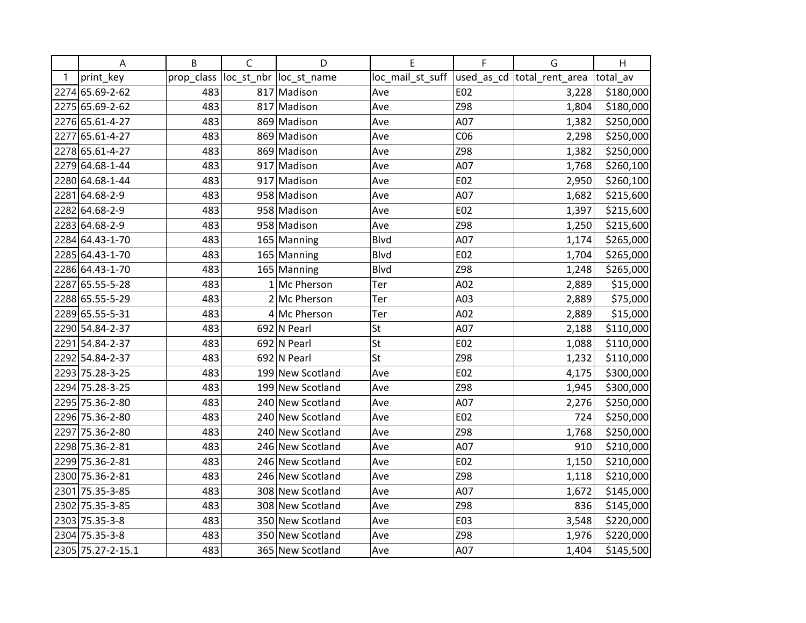|   | A                 | B          | $\mathsf C$ | D                       | Е                | F   | G                          | H         |
|---|-------------------|------------|-------------|-------------------------|------------------|-----|----------------------------|-----------|
| 1 | print_key         | prop_class |             | loc_st_nbr  loc_st_name | loc_mail_st_suff |     | used_as_cd total_rent_area | total av  |
|   | 2274 65.69-2-62   | 483        |             | 817 Madison             | Ave              | E02 | 3,228                      | \$180,000 |
|   | 2275 65.69-2-62   | 483        |             | 817 Madison             | Ave              | Z98 | 1,804                      | \$180,000 |
|   | 2276 65.61-4-27   | 483        |             | 869 Madison             | Ave              | A07 | 1,382                      | \$250,000 |
|   | 2277 65.61-4-27   | 483        |             | 869 Madison             | Ave              | CO6 | 2,298                      | \$250,000 |
|   | 2278 65.61-4-27   | 483        |             | 869 Madison             | Ave              | Z98 | 1,382                      | \$250,000 |
|   | 2279 64.68-1-44   | 483        |             | 917 Madison             | Ave              | A07 | 1,768                      | \$260,100 |
|   | 2280 64.68-1-44   | 483        |             | 917 Madison             | Ave              | E02 | 2,950                      | \$260,100 |
|   | 2281 64.68-2-9    | 483        |             | 958 Madison             | Ave              | A07 | 1,682                      | \$215,600 |
|   | 2282 64.68-2-9    | 483        |             | 958 Madison             | Ave              | E02 | 1,397                      | \$215,600 |
|   | 2283 64.68-2-9    | 483        |             | 958 Madison             | Ave              | Z98 | 1,250                      | \$215,600 |
|   | 2284 64.43-1-70   | 483        |             | 165 Manning             | Blvd             | A07 | 1,174                      | \$265,000 |
|   | 2285 64.43-1-70   | 483        |             | 165 Manning             | Blvd             | E02 | 1,704                      | \$265,000 |
|   | 2286 64.43-1-70   | 483        |             | 165 Manning             | <b>Blvd</b>      | Z98 | 1,248                      | \$265,000 |
|   | 2287 65.55-5-28   | 483        |             | 1 Mc Pherson            | Ter              | A02 | 2,889                      | \$15,000  |
|   | 2288 65.55-5-29   | 483        |             | 2 Mc Pherson            | Ter              | A03 | 2,889                      | \$75,000  |
|   | 2289 65.55-5-31   | 483        |             | 4 Mc Pherson            | Ter              | A02 | 2,889                      | \$15,000  |
|   | 2290 54.84-2-37   | 483        |             | 692 N Pearl             | St               | A07 | 2,188                      | \$110,000 |
|   | 2291 54.84-2-37   | 483        |             | 692 N Pearl             | St               | E02 | 1,088                      | \$110,000 |
|   | 2292 54.84-2-37   | 483        |             | 692 N Pearl             | St               | Z98 | 1,232                      | \$110,000 |
|   | 2293 75.28-3-25   | 483        |             | 199 New Scotland        | Ave              | E02 | 4,175                      | \$300,000 |
|   | 2294 75.28-3-25   | 483        |             | 199 New Scotland        | Ave              | Z98 | 1,945                      | \$300,000 |
|   | 2295 75.36-2-80   | 483        |             | 240 New Scotland        | Ave              | A07 | 2,276                      | \$250,000 |
|   | 2296 75.36-2-80   | 483        |             | 240 New Scotland        | Ave              | E02 | 724                        | \$250,000 |
|   | 2297 75.36-2-80   | 483        |             | 240 New Scotland        | Ave              | Z98 | 1,768                      | \$250,000 |
|   | 2298 75.36-2-81   | 483        |             | 246 New Scotland        | Ave              | A07 | 910                        | \$210,000 |
|   | 2299 75.36-2-81   | 483        |             | 246 New Scotland        | Ave              | E02 | 1,150                      | \$210,000 |
|   | 2300 75.36-2-81   | 483        |             | 246 New Scotland        | Ave              | Z98 | 1,118                      | \$210,000 |
|   | 2301 75.35-3-85   | 483        |             | 308 New Scotland        | Ave              | A07 | 1,672                      | \$145,000 |
|   | 2302 75.35-3-85   | 483        |             | 308 New Scotland        | Ave              | Z98 | 836                        | \$145,000 |
|   | 2303 75.35-3-8    | 483        |             | 350 New Scotland        | Ave              | E03 | 3,548                      | \$220,000 |
|   | 2304 75.35-3-8    | 483        |             | 350 New Scotland        | Ave              | Z98 | 1,976                      | \$220,000 |
|   | 2305 75.27-2-15.1 | 483        |             | 365 New Scotland        | Ave              | A07 | 1,404                      | \$145,500 |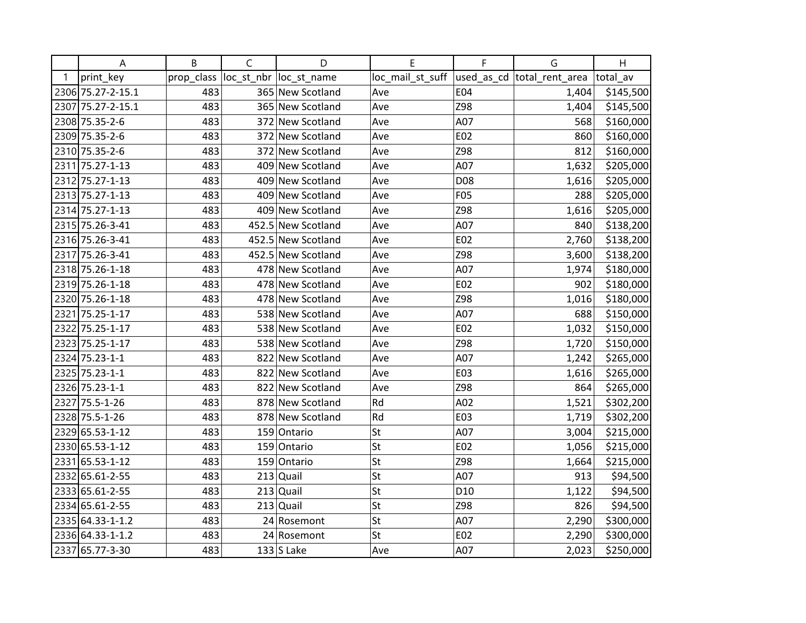|   | Α                 | B          | $\mathsf C$ | D                       | E                | $\mathsf F$     | G                           | H         |
|---|-------------------|------------|-------------|-------------------------|------------------|-----------------|-----------------------------|-----------|
| 1 | print_key         | prop_class |             | loc_st_nbr  loc_st_name | loc_mail_st_suff |                 | used_as_cd  total_rent_area | total av  |
|   | 2306 75.27-2-15.1 | 483        |             | 365 New Scotland        | Ave              | E04             | 1,404                       | \$145,500 |
|   | 2307 75.27-2-15.1 | 483        |             | 365 New Scotland        | Ave              | Z98             | 1,404                       | \$145,500 |
|   | 2308 75.35-2-6    | 483        |             | 372 New Scotland        | Ave              | A07             | 568                         | \$160,000 |
|   | 2309 75.35-2-6    | 483        |             | 372 New Scotland        | Ave              | E02             | 860                         | \$160,000 |
|   | 2310 75.35-2-6    | 483        |             | 372 New Scotland        | Ave              | Z98             | 812                         | \$160,000 |
|   | 2311 75.27-1-13   | 483        |             | 409 New Scotland        | Ave              | A07             | 1,632                       | \$205,000 |
|   | 2312 75.27-1-13   | 483        |             | 409 New Scotland        | Ave              | D08             | 1,616                       | \$205,000 |
|   | 2313 75.27-1-13   | 483        |             | 409 New Scotland        | Ave              | F05             | 288                         | \$205,000 |
|   | 2314 75.27-1-13   | 483        |             | 409 New Scotland        | Ave              | Z98             | 1,616                       | \$205,000 |
|   | 2315 75.26-3-41   | 483        |             | 452.5 New Scotland      | Ave              | A07             | 840                         | \$138,200 |
|   | 2316 75.26-3-41   | 483        |             | 452.5 New Scotland      | Ave              | E02             | 2,760                       | \$138,200 |
|   | 2317 75.26-3-41   | 483        |             | 452.5 New Scotland      | Ave              | Z98             | 3,600                       | \$138,200 |
|   | 2318 75.26-1-18   | 483        |             | 478 New Scotland        | Ave              | A07             | 1,974                       | \$180,000 |
|   | 2319 75.26-1-18   | 483        |             | 478 New Scotland        | Ave              | E02             | 902                         | \$180,000 |
|   | 2320 75.26-1-18   | 483        |             | 478 New Scotland        | Ave              | Z98             | 1,016                       | \$180,000 |
|   | 2321 75.25-1-17   | 483        |             | 538 New Scotland        | Ave              | A07             | 688                         | \$150,000 |
|   | 2322 75.25-1-17   | 483        |             | 538 New Scotland        | Ave              | E02             | 1,032                       | \$150,000 |
|   | 2323 75.25-1-17   | 483        |             | 538 New Scotland        | Ave              | Z98             | 1,720                       | \$150,000 |
|   | 2324 75.23-1-1    | 483        |             | 822 New Scotland        | Ave              | A07             | 1,242                       | \$265,000 |
|   | 2325 75.23-1-1    | 483        |             | 822 New Scotland        | Ave              | E03             | 1,616                       | \$265,000 |
|   | 2326 75.23-1-1    | 483        |             | 822 New Scotland        | Ave              | Z98             | 864                         | \$265,000 |
|   | 2327 75.5-1-26    | 483        |             | 878 New Scotland        | Rd               | A02             | 1,521                       | \$302,200 |
|   | 2328 75.5-1-26    | 483        |             | 878 New Scotland        | Rd               | E03             | 1,719                       | \$302,200 |
|   | 2329 65.53-1-12   | 483        |             | 159 Ontario             | St               | A07             | 3,004                       | \$215,000 |
|   | 2330 65.53-1-12   | 483        | 159         | Ontario                 | St               | E02             | 1,056                       | \$215,000 |
|   | 2331 65.53-1-12   | 483        |             | 159 Ontario             | St               | Z98             | 1,664                       | \$215,000 |
|   | 2332 65.61-2-55   | 483        | 213         | Quail                   | St               | A07             | 913                         | \$94,500  |
|   | 2333 65.61-2-55   | 483        |             | $213$ Quail             | St               | D <sub>10</sub> | 1,122                       | \$94,500  |
|   | 2334 65.61-2-55   | 483        |             | $213$ Quail             | St               | Z98             | 826                         | \$94,500  |
|   | 2335 64.33-1-1.2  | 483        |             | 24 Rosemont             | St               | A07             | 2,290                       | \$300,000 |
|   | 2336 64.33-1-1.2  | 483        |             | 24 Rosemont             | St               | E02             | 2,290                       | \$300,000 |
|   | 2337 65.77-3-30   | 483        |             | $133$ S Lake            | Ave              | A07             | 2,023                       | \$250,000 |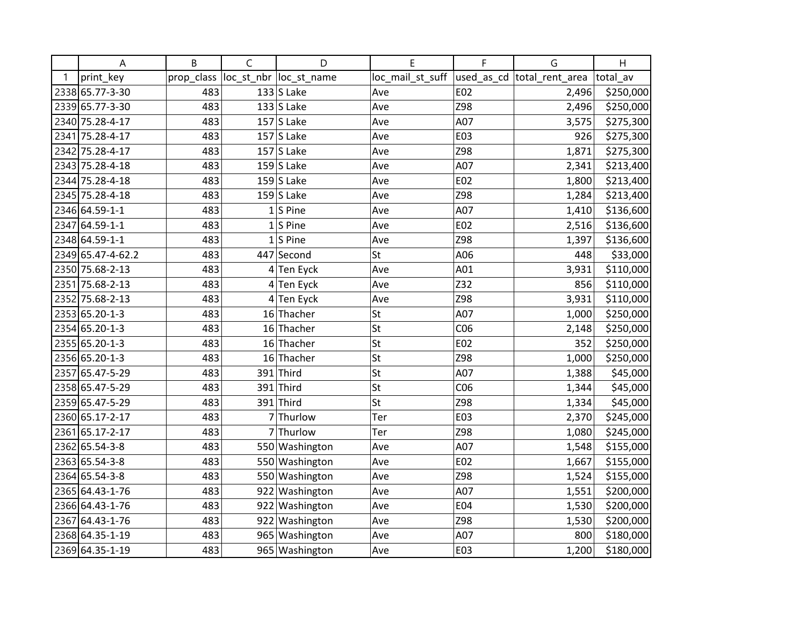|   | A                 | B          | $\mathsf C$  | D                       | Е                | F   | G                           | H         |
|---|-------------------|------------|--------------|-------------------------|------------------|-----|-----------------------------|-----------|
| 1 | print_key         | prop_class |              | loc_st_nbr  loc_st_name | loc_mail_st_suff |     | used_as_cd  total_rent_area | total av  |
|   | 2338 65.77-3-30   | 483        |              | $133$ S Lake            | Ave              | E02 | 2,496                       | \$250,000 |
|   | 2339 65.77-3-30   | 483        |              | $133$ S Lake            | Ave              | Z98 | 2,496                       | \$250,000 |
|   | 2340 75.28-4-17   | 483        |              | $157$ S Lake            | Ave              | A07 | 3,575                       | \$275,300 |
|   | 2341 75.28-4-17   | 483        |              | $157$ S Lake            | Ave              | E03 | 926                         | \$275,300 |
|   | 2342 75.28-4-17   | 483        |              | $157$ S Lake            | Ave              | Z98 | 1,871                       | \$275,300 |
|   | 2343 75.28-4-18   | 483        |              | $159$ S Lake            | Ave              | A07 | 2,341                       | \$213,400 |
|   | 2344 75.28-4-18   | 483        |              | $159$ S Lake            | Ave              | E02 | 1,800                       | \$213,400 |
|   | 2345 75.28-4-18   | 483        |              | 159 $ S $ Lake          | Ave              | Z98 | 1,284                       | \$213,400 |
|   | 2346 64.59-1-1    | 483        | $\mathbf{1}$ | S Pine                  | Ave              | A07 | 1,410                       | \$136,600 |
|   | 2347 64.59-1-1    | 483        |              | $1 S $ Pine             | Ave              | E02 | 2,516                       | \$136,600 |
|   | 2348 64.59-1-1    | 483        |              | $1$ S Pine              | Ave              | Z98 | 1,397                       | \$136,600 |
|   | 2349 65.47-4-62.2 | 483        |              | 447 Second              | St               | A06 | 448                         | \$33,000  |
|   | 2350 75.68-2-13   | 483        |              | $4$ Ten Eyck            | Ave              | A01 | 3,931                       | \$110,000 |
|   | 2351 75.68-2-13   | 483        |              | $4$ Ten Eyck            | Ave              | Z32 | 856                         | \$110,000 |
|   | 2352 75.68-2-13   | 483        |              | 4 Ten Eyck              | Ave              | Z98 | 3,931                       | \$110,000 |
|   | 2353 65.20-1-3    | 483        |              | 16 Thacher              | St               | A07 | 1,000                       | \$250,000 |
|   | 2354 65.20-1-3    | 483        |              | 16 Thacher              | St               | CO6 | 2,148                       | \$250,000 |
|   | 2355 65.20-1-3    | 483        |              | 16 Thacher              | St               | E02 | 352                         | \$250,000 |
|   | 2356 65.20-1-3    | 483        |              | 16 Thacher              | St               | Z98 | 1,000                       | \$250,000 |
|   | 2357 65.47-5-29   | 483        |              | $391$ Third             | St               | A07 | 1,388                       | \$45,000  |
|   | 2358 65.47-5-29   | 483        |              | $391$ Third             | St               | CO6 | 1,344                       | \$45,000  |
|   | 2359 65.47-5-29   | 483        |              | 391 Third               | St               | Z98 | 1,334                       | \$45,000  |
|   | 2360 65.17-2-17   | 483        |              | 7 Thurlow               | Ter              | E03 | 2,370                       | \$245,000 |
|   | 2361 65.17-2-17   | 483        |              | 7 Thurlow               | Ter              | Z98 | 1,080                       | \$245,000 |
|   | 2362 65.54-3-8    | 483        |              | 550 Washington          | Ave              | A07 | 1,548                       | \$155,000 |
|   | 2363 65.54-3-8    | 483        |              | 550 Washington          | Ave              | E02 | 1,667                       | \$155,000 |
|   | 2364 65.54-3-8    | 483        |              | 550 Washington          | Ave              | Z98 | 1,524                       | \$155,000 |
|   | 2365 64.43-1-76   | 483        |              | 922 Washington          | Ave              | A07 | 1,551                       | \$200,000 |
|   | 2366 64.43-1-76   | 483        |              | 922 Washington          | Ave              | E04 | 1,530                       | \$200,000 |
|   | 2367 64.43-1-76   | 483        |              | 922 Washington          | Ave              | Z98 | 1,530                       | \$200,000 |
|   | 2368 64.35-1-19   | 483        |              | 965 Washington          | Ave              | A07 | 800                         | \$180,000 |
|   | 2369 64.35-1-19   | 483        |              | 965 Washington          | Ave              | E03 | 1,200                       | \$180,000 |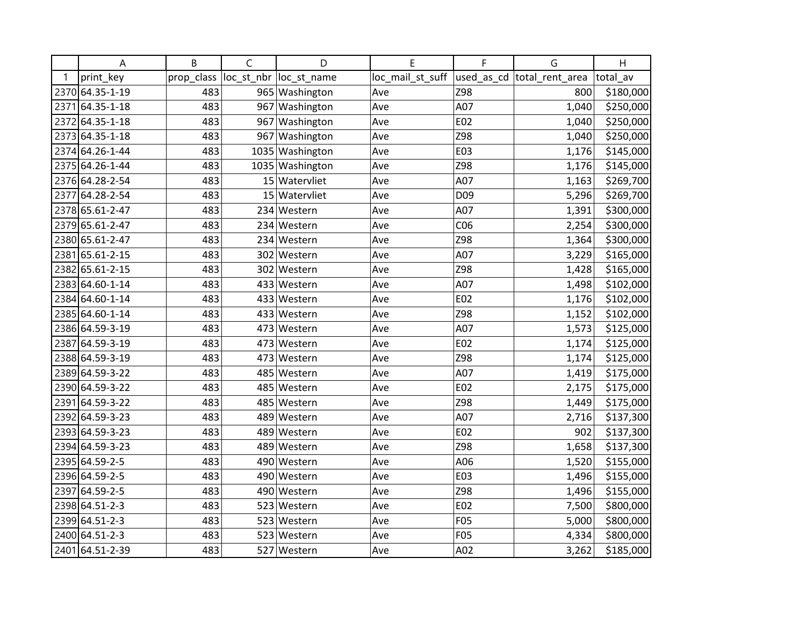|   | A               | B          | $\mathsf C$ | D                       | E                | F   | G                          | H         |
|---|-----------------|------------|-------------|-------------------------|------------------|-----|----------------------------|-----------|
| 1 | print_key       | prop_class |             | loc_st_nbr  loc_st_name | loc_mail_st_suff |     | used_as_cd total_rent_area | total av  |
|   | 2370 64.35-1-19 | 483        |             | 965 Washington          | Ave              | Z98 | 800                        | \$180,000 |
|   | 2371 64.35-1-18 | 483        |             | 967 Washington          | Ave              | A07 | 1,040                      | \$250,000 |
|   | 2372 64.35-1-18 | 483        |             | 967 Washington          | Ave              | E02 | 1,040                      | \$250,000 |
|   | 2373 64.35-1-18 | 483        |             | 967 Washington          | Ave              | Z98 | 1,040                      | \$250,000 |
|   | 2374 64.26-1-44 | 483        |             | 1035 Washington         | Ave              | E03 | 1,176                      | \$145,000 |
|   | 2375 64.26-1-44 | 483        |             | 1035 Washington         | Ave              | Z98 | 1,176                      | \$145,000 |
|   | 2376 64.28-2-54 | 483        |             | 15 Watervliet           | Ave              | A07 | 1,163                      | \$269,700 |
|   | 2377 64.28-2-54 | 483        |             | 15 Watervliet           | Ave              | D09 | 5,296                      | \$269,700 |
|   | 2378 65.61-2-47 | 483        |             | 234 Western             | Ave              | A07 | 1,391                      | \$300,000 |
|   | 2379 65.61-2-47 | 483        |             | 234 Western             | Ave              | CO6 | 2,254                      | \$300,000 |
|   | 2380 65.61-2-47 | 483        |             | 234 Western             | Ave              | Z98 | 1,364                      | \$300,000 |
|   | 2381 65.61-2-15 | 483        |             | 302 Western             | Ave              | A07 | 3,229                      | \$165,000 |
|   | 2382 65.61-2-15 | 483        |             | 302 Western             | Ave              | Z98 | 1,428                      | \$165,000 |
|   | 2383 64.60-1-14 | 483        |             | 433 Western             | Ave              | A07 | 1,498                      | \$102,000 |
|   | 2384 64.60-1-14 | 483        |             | 433 Western             | Ave              | E02 | 1,176                      | \$102,000 |
|   | 2385 64.60-1-14 | 483        |             | 433 Western             | Ave              | Z98 | 1,152                      | \$102,000 |
|   | 2386 64.59-3-19 | 483        |             | 473 Western             | Ave              | A07 | 1,573                      | \$125,000 |
|   | 2387 64.59-3-19 | 483        |             | 473 Western             | Ave              | E02 | 1,174                      | \$125,000 |
|   | 2388 64.59-3-19 | 483        |             | 473 Western             | Ave              | Z98 | 1,174                      | \$125,000 |
|   | 2389 64.59-3-22 | 483        |             | 485 Western             | Ave              | A07 | 1,419                      | \$175,000 |
|   | 2390 64.59-3-22 | 483        |             | 485 Western             | Ave              | E02 | 2,175                      | \$175,000 |
|   | 2391 64.59-3-22 | 483        |             | 485 Western             | Ave              | Z98 | 1,449                      | \$175,000 |
|   | 2392 64.59-3-23 | 483        |             | 489 Western             | Ave              | A07 | 2,716                      | \$137,300 |
|   | 2393 64.59-3-23 | 483        |             | 489 Western             | Ave              | E02 | 902                        | \$137,300 |
|   | 2394 64.59-3-23 | 483        | 489         | Western                 | Ave              | Z98 | 1,658                      | \$137,300 |
|   | 2395 64.59-2-5  | 483        |             | 490 Western             | Ave              | A06 | 1,520                      | \$155,000 |
|   | 2396 64.59-2-5  | 483        |             | 490 Western             | Ave              | E03 | 1,496                      | \$155,000 |
|   | 2397 64.59-2-5  | 483        |             | 490 Western             | Ave              | Z98 | 1,496                      | \$155,000 |
|   | 2398 64.51-2-3  | 483        |             | 523 Western             | Ave              | E02 | 7,500                      | \$800,000 |
|   | 2399 64.51-2-3  | 483        |             | 523 Western             | Ave              | F05 | 5,000                      | \$800,000 |
|   | 2400 64.51-2-3  | 483        |             | 523 Western             | Ave              | F05 | 4,334                      | \$800,000 |
|   | 2401 64.51-2-39 | 483        |             | 527 Western             | Ave              | A02 | 3,262                      | \$185,000 |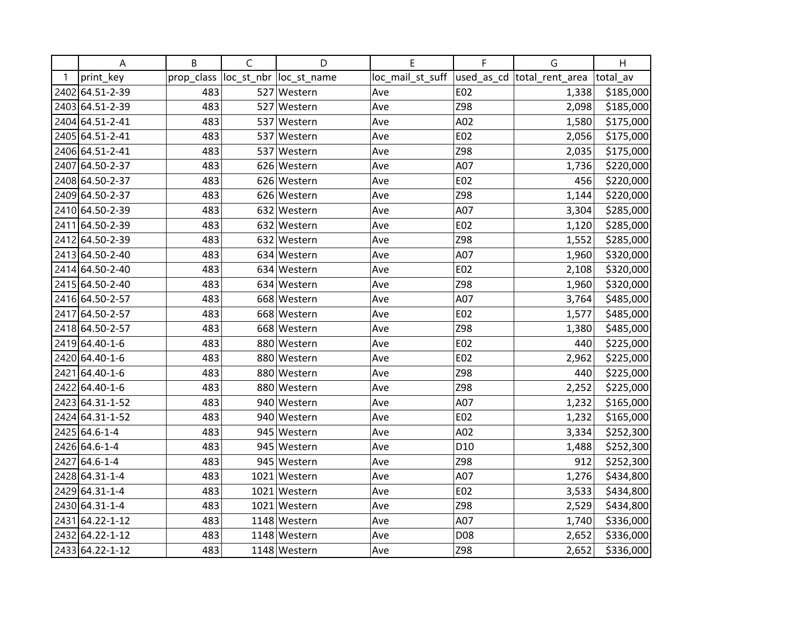|   | A               | B          | $\mathsf{C}$ | D                       | Е                | F               | G                          | H         |
|---|-----------------|------------|--------------|-------------------------|------------------|-----------------|----------------------------|-----------|
| 1 | print_key       | prop_class |              | loc_st_nbr  loc_st_name | loc_mail_st_suff |                 | used_as_cd total_rent_area | total av  |
|   | 2402 64.51-2-39 | 483        |              | 527 Western             | Ave              | E02             | 1,338                      | \$185,000 |
|   | 2403 64.51-2-39 | 483        |              | 527 Western             | Ave              | Z98             | 2,098                      | \$185,000 |
|   | 2404 64.51-2-41 | 483        |              | 537 Western             | Ave              | A02             | 1,580                      | \$175,000 |
|   | 2405 64.51-2-41 | 483        |              | 537 Western             | Ave              | E02             | 2,056                      | \$175,000 |
|   | 2406 64.51-2-41 | 483        |              | 537 Western             | Ave              | Z98             | 2,035                      | \$175,000 |
|   | 2407 64.50-2-37 | 483        |              | 626 Western             | Ave              | A07             | 1,736                      | \$220,000 |
|   | 2408 64.50-2-37 | 483        |              | 626 Western             | Ave              | E02             | 456                        | \$220,000 |
|   | 2409 64.50-2-37 | 483        |              | 626 Western             | Ave              | Z98             | 1,144                      | \$220,000 |
|   | 2410 64.50-2-39 | 483        |              | 632 Western             | Ave              | A07             | 3,304                      | \$285,000 |
|   | 2411 64.50-2-39 | 483        |              | 632 Western             | Ave              | E02             | 1,120                      | \$285,000 |
|   | 2412 64.50-2-39 | 483        |              | 632 Western             | Ave              | Z98             | 1,552                      | \$285,000 |
|   | 2413 64.50-2-40 | 483        |              | 634 Western             | Ave              | A07             | 1,960                      | \$320,000 |
|   | 2414 64.50-2-40 | 483        |              | 634 Western             | Ave              | E02             | 2,108                      | \$320,000 |
|   | 2415 64.50-2-40 | 483        |              | 634 Western             | Ave              | Z98             | 1,960                      | \$320,000 |
|   | 2416 64.50-2-57 | 483        |              | 668 Western             | Ave              | A07             | 3,764                      | \$485,000 |
|   | 2417 64.50-2-57 | 483        |              | 668 Western             | Ave              | E02             | 1,577                      | \$485,000 |
|   | 2418 64.50-2-57 | 483        |              | 668 Western             | Ave              | Z98             | 1,380                      | \$485,000 |
|   | 2419 64.40-1-6  | 483        |              | 880 Western             | Ave              | E02             | 440                        | \$225,000 |
|   | 2420 64.40-1-6  | 483        |              | 880 Western             | Ave              | E02             | 2,962                      | \$225,000 |
|   | 2421 64.40-1-6  | 483        |              | 880 Western             | Ave              | Z98             | 440                        | \$225,000 |
|   | 2422 64.40-1-6  | 483        |              | 880 Western             | Ave              | Z98             | 2,252                      | \$225,000 |
|   | 2423 64.31-1-52 | 483        |              | 940 Western             | Ave              | A07             | 1,232                      | \$165,000 |
|   | 2424 64.31-1-52 | 483        |              | 940 Western             | Ave              | E02             | 1,232                      | \$165,000 |
|   | 2425 64.6-1-4   | 483        |              | 945 Western             | Ave              | A02             | 3,334                      | \$252,300 |
|   | 2426 64.6-1-4   | 483        |              | 945 Western             | Ave              | D <sub>10</sub> | 1,488                      | \$252,300 |
|   | 2427 64.6-1-4   | 483        |              | 945 Western             | Ave              | Z98             | 912                        | \$252,300 |
|   | 2428 64.31-1-4  | 483        |              | 1021 Western            | Ave              | A07             | 1,276                      | \$434,800 |
|   | 2429 64.31-1-4  | 483        |              | 1021 Western            | Ave              | E02             | 3,533                      | \$434,800 |
|   | 2430 64.31-1-4  | 483        |              | 1021 Western            | Ave              | Z98             | 2,529                      | \$434,800 |
|   | 2431 64.22-1-12 | 483        |              | 1148 Western            | Ave              | A07             | 1,740                      | \$336,000 |
|   | 2432 64.22-1-12 | 483        |              | 1148 Western            | Ave              | D08             | 2,652                      | \$336,000 |
|   | 2433 64.22-1-12 | 483        |              | 1148 Western            | Ave              | Z98             | 2,652                      | \$336,000 |